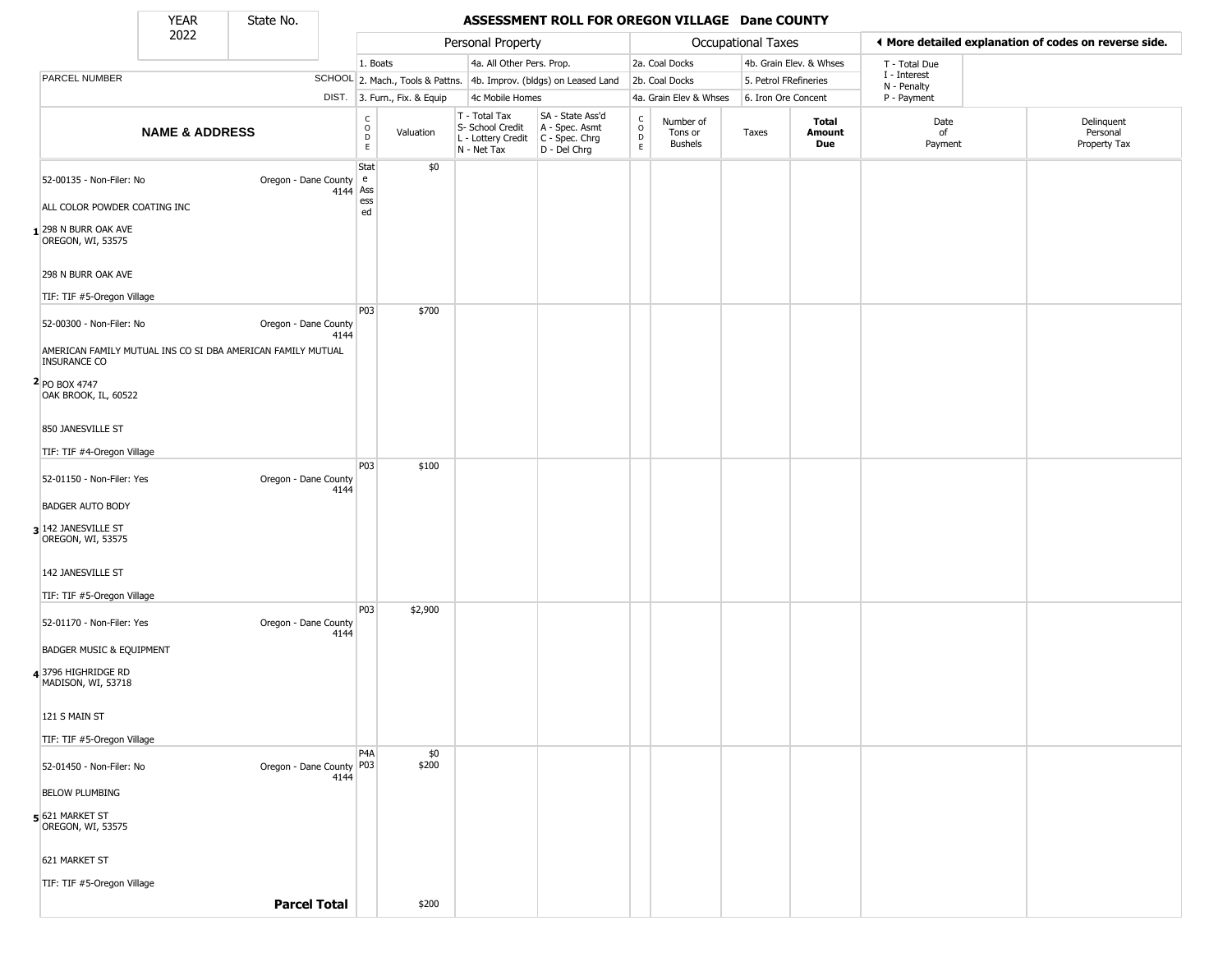State No.

т

#### YEAR State No. **ASSESSMENT ROLL FOR OREGON VILLAGE Dane COUNTY**

| 2022 |                                                                                                                                                                                                                                                                                                                                                                                                                                                                    |                           |                                                                                                                                                            |                                                                                                           |                                                                              |                                                                        |                                                                                                                                                            |                                        |                                  |                        |                                                                                               |                                                                                      |
|------|--------------------------------------------------------------------------------------------------------------------------------------------------------------------------------------------------------------------------------------------------------------------------------------------------------------------------------------------------------------------------------------------------------------------------------------------------------------------|---------------------------|------------------------------------------------------------------------------------------------------------------------------------------------------------|-----------------------------------------------------------------------------------------------------------|------------------------------------------------------------------------------|------------------------------------------------------------------------|------------------------------------------------------------------------------------------------------------------------------------------------------------|----------------------------------------|----------------------------------|------------------------|-----------------------------------------------------------------------------------------------|--------------------------------------------------------------------------------------|
|      |                                                                                                                                                                                                                                                                                                                                                                                                                                                                    |                           |                                                                                                                                                            |                                                                                                           |                                                                              |                                                                        |                                                                                                                                                            |                                        |                                  |                        | T - Total Due                                                                                 |                                                                                      |
|      |                                                                                                                                                                                                                                                                                                                                                                                                                                                                    |                           |                                                                                                                                                            |                                                                                                           |                                                                              |                                                                        |                                                                                                                                                            |                                        |                                  |                        |                                                                                               |                                                                                      |
|      |                                                                                                                                                                                                                                                                                                                                                                                                                                                                    |                           |                                                                                                                                                            |                                                                                                           |                                                                              |                                                                        |                                                                                                                                                            |                                        |                                  |                        | P - Payment                                                                                   |                                                                                      |
|      |                                                                                                                                                                                                                                                                                                                                                                                                                                                                    |                           | C<br>$\overline{D}$<br>$\mathsf E$                                                                                                                         | Valuation                                                                                                 |                                                                              | SA - State Ass'd<br>A - Spec. Asmt<br>D - Del Chrg                     | $\begin{array}{c} C \\ C \\ D \\ E \end{array}$                                                                                                            | Number of<br>Tons or<br><b>Bushels</b> | Taxes                            | Total<br>Amount<br>Due | Date<br>of<br>Payment                                                                         | Delinquent<br>Personal<br>Property Tax                                               |
|      |                                                                                                                                                                                                                                                                                                                                                                                                                                                                    |                           | e                                                                                                                                                          | \$0                                                                                                       |                                                                              |                                                                        |                                                                                                                                                            |                                        |                                  |                        |                                                                                               |                                                                                      |
|      |                                                                                                                                                                                                                                                                                                                                                                                                                                                                    |                           | ess                                                                                                                                                        |                                                                                                           |                                                                              |                                                                        |                                                                                                                                                            |                                        |                                  |                        |                                                                                               |                                                                                      |
|      |                                                                                                                                                                                                                                                                                                                                                                                                                                                                    |                           |                                                                                                                                                            |                                                                                                           |                                                                              |                                                                        |                                                                                                                                                            |                                        |                                  |                        |                                                                                               |                                                                                      |
|      |                                                                                                                                                                                                                                                                                                                                                                                                                                                                    |                           |                                                                                                                                                            |                                                                                                           |                                                                              |                                                                        |                                                                                                                                                            |                                        |                                  |                        |                                                                                               |                                                                                      |
|      |                                                                                                                                                                                                                                                                                                                                                                                                                                                                    |                           |                                                                                                                                                            |                                                                                                           |                                                                              |                                                                        |                                                                                                                                                            |                                        |                                  |                        |                                                                                               |                                                                                      |
|      |                                                                                                                                                                                                                                                                                                                                                                                                                                                                    | 4144                      |                                                                                                                                                            |                                                                                                           |                                                                              |                                                                        |                                                                                                                                                            |                                        |                                  |                        |                                                                                               |                                                                                      |
|      |                                                                                                                                                                                                                                                                                                                                                                                                                                                                    |                           |                                                                                                                                                            |                                                                                                           |                                                                              |                                                                        |                                                                                                                                                            |                                        |                                  |                        |                                                                                               |                                                                                      |
|      |                                                                                                                                                                                                                                                                                                                                                                                                                                                                    |                           |                                                                                                                                                            |                                                                                                           |                                                                              |                                                                        |                                                                                                                                                            |                                        |                                  |                        |                                                                                               |                                                                                      |
|      |                                                                                                                                                                                                                                                                                                                                                                                                                                                                    |                           |                                                                                                                                                            |                                                                                                           |                                                                              |                                                                        |                                                                                                                                                            |                                        |                                  |                        |                                                                                               |                                                                                      |
|      |                                                                                                                                                                                                                                                                                                                                                                                                                                                                    |                           |                                                                                                                                                            |                                                                                                           |                                                                              |                                                                        |                                                                                                                                                            |                                        |                                  |                        |                                                                                               |                                                                                      |
|      |                                                                                                                                                                                                                                                                                                                                                                                                                                                                    | 4144                      |                                                                                                                                                            |                                                                                                           |                                                                              |                                                                        |                                                                                                                                                            |                                        |                                  |                        |                                                                                               |                                                                                      |
|      |                                                                                                                                                                                                                                                                                                                                                                                                                                                                    |                           |                                                                                                                                                            |                                                                                                           |                                                                              |                                                                        |                                                                                                                                                            |                                        |                                  |                        |                                                                                               |                                                                                      |
|      |                                                                                                                                                                                                                                                                                                                                                                                                                                                                    |                           |                                                                                                                                                            |                                                                                                           |                                                                              |                                                                        |                                                                                                                                                            |                                        |                                  |                        |                                                                                               |                                                                                      |
|      |                                                                                                                                                                                                                                                                                                                                                                                                                                                                    |                           |                                                                                                                                                            |                                                                                                           |                                                                              |                                                                        |                                                                                                                                                            |                                        |                                  |                        |                                                                                               |                                                                                      |
|      |                                                                                                                                                                                                                                                                                                                                                                                                                                                                    |                           |                                                                                                                                                            |                                                                                                           |                                                                              |                                                                        |                                                                                                                                                            |                                        |                                  |                        |                                                                                               |                                                                                      |
|      |                                                                                                                                                                                                                                                                                                                                                                                                                                                                    | 4144                      |                                                                                                                                                            |                                                                                                           |                                                                              |                                                                        |                                                                                                                                                            |                                        |                                  |                        |                                                                                               |                                                                                      |
|      |                                                                                                                                                                                                                                                                                                                                                                                                                                                                    |                           |                                                                                                                                                            |                                                                                                           |                                                                              |                                                                        |                                                                                                                                                            |                                        |                                  |                        |                                                                                               |                                                                                      |
|      |                                                                                                                                                                                                                                                                                                                                                                                                                                                                    |                           |                                                                                                                                                            |                                                                                                           |                                                                              |                                                                        |                                                                                                                                                            |                                        |                                  |                        |                                                                                               |                                                                                      |
|      |                                                                                                                                                                                                                                                                                                                                                                                                                                                                    |                           |                                                                                                                                                            |                                                                                                           |                                                                              |                                                                        |                                                                                                                                                            |                                        |                                  |                        |                                                                                               |                                                                                      |
|      |                                                                                                                                                                                                                                                                                                                                                                                                                                                                    |                           |                                                                                                                                                            |                                                                                                           |                                                                              |                                                                        |                                                                                                                                                            |                                        |                                  |                        |                                                                                               |                                                                                      |
|      |                                                                                                                                                                                                                                                                                                                                                                                                                                                                    | 4144                      |                                                                                                                                                            | \$200                                                                                                     |                                                                              |                                                                        |                                                                                                                                                            |                                        |                                  |                        |                                                                                               |                                                                                      |
|      |                                                                                                                                                                                                                                                                                                                                                                                                                                                                    |                           |                                                                                                                                                            |                                                                                                           |                                                                              |                                                                        |                                                                                                                                                            |                                        |                                  |                        |                                                                                               |                                                                                      |
|      |                                                                                                                                                                                                                                                                                                                                                                                                                                                                    |                           |                                                                                                                                                            |                                                                                                           |                                                                              |                                                                        |                                                                                                                                                            |                                        |                                  |                        |                                                                                               |                                                                                      |
|      |                                                                                                                                                                                                                                                                                                                                                                                                                                                                    |                           |                                                                                                                                                            |                                                                                                           |                                                                              |                                                                        |                                                                                                                                                            |                                        |                                  |                        |                                                                                               |                                                                                      |
|      |                                                                                                                                                                                                                                                                                                                                                                                                                                                                    |                           |                                                                                                                                                            | \$200                                                                                                     |                                                                              |                                                                        |                                                                                                                                                            |                                        |                                  |                        |                                                                                               |                                                                                      |
|      | 52-00135 - Non-Filer: No<br>ALL COLOR POWDER COATING INC<br>1298 N BURR OAK AVE<br>298 N BURR OAK AVE<br>TIF: TIF #5-Oregon Village<br>52-00300 - Non-Filer: No<br>OAK BROOK, IL, 60522<br>TIF: TIF #4-Oregon Village<br>52-01150 - Non-Filer: Yes<br>TIF: TIF #5-Oregon Village<br>52-01170 - Non-Filer: Yes<br><b>BADGER MUSIC &amp; EQUIPMENT</b><br>MADISON, WI, 53718<br>TIF: TIF #5-Oregon Village<br>52-01450 - Non-Filer: No<br>TIF: TIF #5-Oregon Village | <b>NAME &amp; ADDRESS</b> | Oregon - Dane County<br>AMERICAN FAMILY MUTUAL INS CO SI DBA AMERICAN FAMILY MUTUAL<br>Oregon - Dane County<br>Oregon - Dane County<br><b>Parcel Total</b> | Stat<br>Oregon - Dane County<br>Ass<br>4144<br>ed<br>P03<br>P03<br>P03<br>P4A<br>Oregon - Dane County P03 | 1. Boats<br>DIST. 3. Furn., Fix. & Equip<br>\$700<br>\$100<br>\$2,900<br>\$0 | T - Total Tax<br>S- School Credit<br>L - Lottery Credit<br>N - Net Tax | Personal Property<br>4a. All Other Pers. Prop.<br>SCHOOL 2. Mach., Tools & Pattns. 4b. Improv. (bldgs) on Leased Land<br>4c Mobile Homes<br>C - Spec. Chrg |                                        | 2a. Coal Docks<br>2b. Coal Docks | 4a. Grain Elev & Whses | Occupational Taxes<br>4b. Grain Elev. & Whses<br>5. Petrol FRefineries<br>6. Iron Ore Concent | ◀ More detailed explanation of codes on reverse side.<br>I - Interest<br>N - Penalty |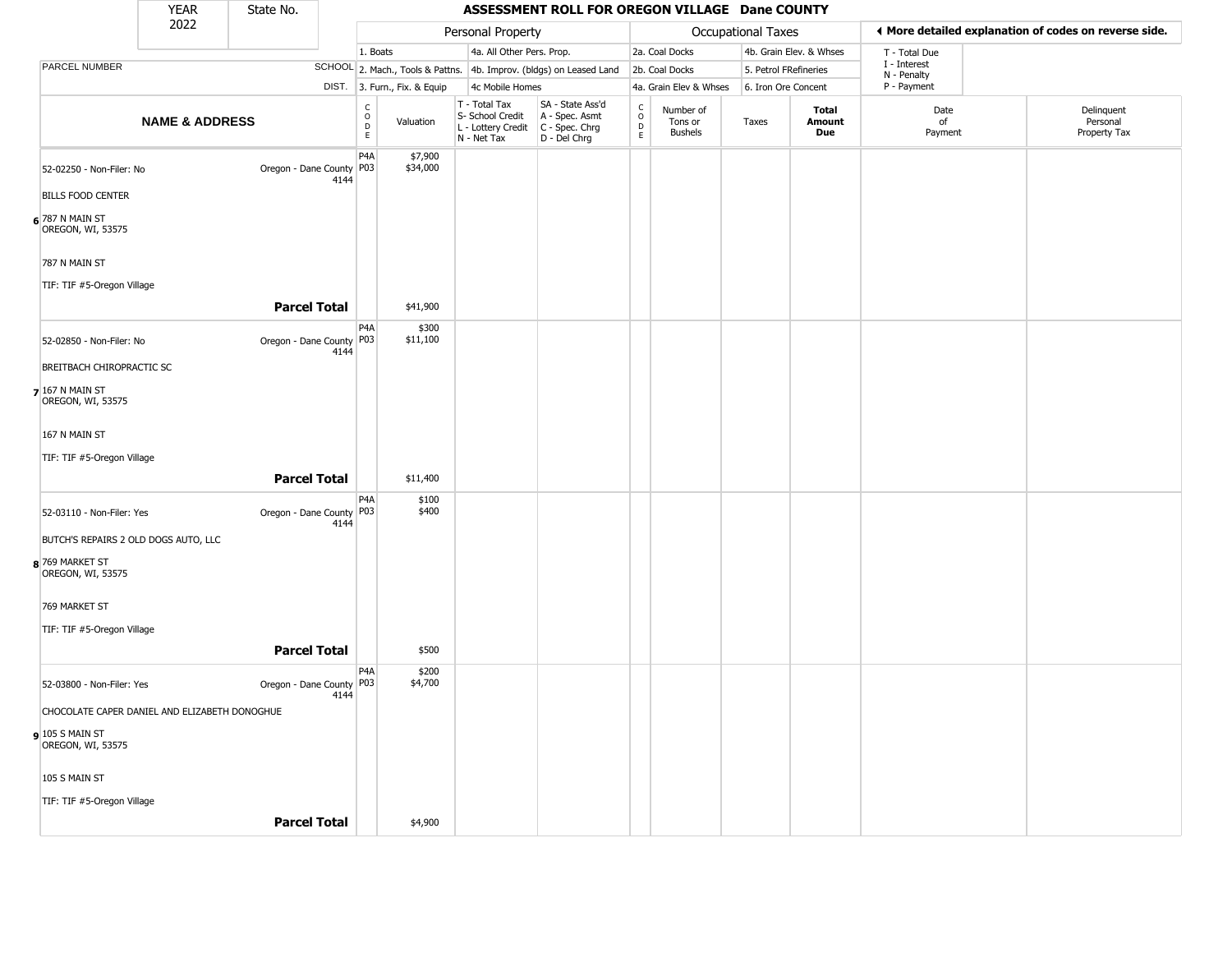|                                               | <b>YEAR</b>               | State No.                  |      |                                                           |                                  |                                                                        | ASSESSMENT ROLL FOR OREGON VILLAGE Dane COUNTY                       |                                                 |                                        |                    |                         |                             |                                                       |
|-----------------------------------------------|---------------------------|----------------------------|------|-----------------------------------------------------------|----------------------------------|------------------------------------------------------------------------|----------------------------------------------------------------------|-------------------------------------------------|----------------------------------------|--------------------|-------------------------|-----------------------------|-------------------------------------------------------|
|                                               | 2022                      |                            |      |                                                           |                                  | Personal Property                                                      |                                                                      |                                                 |                                        | Occupational Taxes |                         |                             | ♦ More detailed explanation of codes on reverse side. |
|                                               |                           |                            |      | 1. Boats                                                  |                                  | 4a. All Other Pers. Prop.                                              |                                                                      |                                                 | 2a. Coal Docks                         |                    | 4b. Grain Elev. & Whses | T - Total Due               |                                                       |
| PARCEL NUMBER                                 |                           |                            |      |                                                           | SCHOOL 2. Mach., Tools & Pattns. |                                                                        | 4b. Improv. (bldgs) on Leased Land                                   |                                                 | 2b. Coal Docks                         |                    | 5. Petrol FRefineries   | I - Interest<br>N - Penalty |                                                       |
|                                               |                           |                            |      |                                                           | DIST. 3. Furn., Fix. & Equip     | 4c Mobile Homes                                                        |                                                                      |                                                 | 4a. Grain Elev & Whses                 |                    | 6. Iron Ore Concent     | P - Payment                 |                                                       |
|                                               | <b>NAME &amp; ADDRESS</b> |                            |      | $\mathsf{C}$<br>$\mathsf O$<br>$\mathsf D$<br>$\mathsf E$ | Valuation                        | T - Total Tax<br>S- School Credit<br>L - Lottery Credit<br>N - Net Tax | SA - State Ass'd<br>A - Spec. Asmt<br>C - Spec. Chrg<br>D - Del Chrg | $\begin{array}{c} C \\ C \\ D \\ E \end{array}$ | Number of<br>Tons or<br><b>Bushels</b> | Taxes              | Total<br>Amount<br>Due  | Date<br>of<br>Payment       | Delinquent<br>Personal<br>Property Tax                |
| 52-02250 - Non-Filer: No                      |                           | Oregon - Dane County   P03 | 4144 | P <sub>4</sub> A                                          | \$7,900<br>\$34,000              |                                                                        |                                                                      |                                                 |                                        |                    |                         |                             |                                                       |
| <b>BILLS FOOD CENTER</b>                      |                           |                            |      |                                                           |                                  |                                                                        |                                                                      |                                                 |                                        |                    |                         |                             |                                                       |
| 6 787 N MAIN ST<br>OREGON, WI, 53575          |                           |                            |      |                                                           |                                  |                                                                        |                                                                      |                                                 |                                        |                    |                         |                             |                                                       |
| 787 N MAIN ST                                 |                           |                            |      |                                                           |                                  |                                                                        |                                                                      |                                                 |                                        |                    |                         |                             |                                                       |
| TIF: TIF #5-Oregon Village                    |                           |                            |      |                                                           |                                  |                                                                        |                                                                      |                                                 |                                        |                    |                         |                             |                                                       |
|                                               |                           | <b>Parcel Total</b>        |      |                                                           | \$41,900                         |                                                                        |                                                                      |                                                 |                                        |                    |                         |                             |                                                       |
| 52-02850 - Non-Filer: No                      |                           | Oregon - Dane County   P03 | 4144 | P4A                                                       | \$300<br>\$11,100                |                                                                        |                                                                      |                                                 |                                        |                    |                         |                             |                                                       |
| BREITBACH CHIROPRACTIC SC                     |                           |                            |      |                                                           |                                  |                                                                        |                                                                      |                                                 |                                        |                    |                         |                             |                                                       |
| <b>7</b> 167 N MAIN ST<br>OREGON, WI, 53575   |                           |                            |      |                                                           |                                  |                                                                        |                                                                      |                                                 |                                        |                    |                         |                             |                                                       |
| 167 N MAIN ST                                 |                           |                            |      |                                                           |                                  |                                                                        |                                                                      |                                                 |                                        |                    |                         |                             |                                                       |
| TIF: TIF #5-Oregon Village                    |                           |                            |      |                                                           |                                  |                                                                        |                                                                      |                                                 |                                        |                    |                         |                             |                                                       |
|                                               |                           | <b>Parcel Total</b>        |      |                                                           | \$11,400                         |                                                                        |                                                                      |                                                 |                                        |                    |                         |                             |                                                       |
| 52-03110 - Non-Filer: Yes                     |                           | Oregon - Dane County   P03 | 4144 | P4A                                                       | \$100<br>\$400                   |                                                                        |                                                                      |                                                 |                                        |                    |                         |                             |                                                       |
| BUTCH'S REPAIRS 2 OLD DOGS AUTO, LLC          |                           |                            |      |                                                           |                                  |                                                                        |                                                                      |                                                 |                                        |                    |                         |                             |                                                       |
| 8 769 MARKET ST<br>OREGON, WI, 53575          |                           |                            |      |                                                           |                                  |                                                                        |                                                                      |                                                 |                                        |                    |                         |                             |                                                       |
| 769 MARKET ST                                 |                           |                            |      |                                                           |                                  |                                                                        |                                                                      |                                                 |                                        |                    |                         |                             |                                                       |
| TIF: TIF #5-Oregon Village                    |                           |                            |      |                                                           |                                  |                                                                        |                                                                      |                                                 |                                        |                    |                         |                             |                                                       |
|                                               |                           | <b>Parcel Total</b>        |      |                                                           | \$500                            |                                                                        |                                                                      |                                                 |                                        |                    |                         |                             |                                                       |
| 52-03800 - Non-Filer: Yes                     |                           | Oregon - Dane County   P03 | 4144 | P <sub>4</sub> A                                          | \$200<br>\$4,700                 |                                                                        |                                                                      |                                                 |                                        |                    |                         |                             |                                                       |
| CHOCOLATE CAPER DANIEL AND ELIZABETH DONOGHUE |                           |                            |      |                                                           |                                  |                                                                        |                                                                      |                                                 |                                        |                    |                         |                             |                                                       |
| $9$ 105 S MAIN ST<br>OREGON, WI, 53575        |                           |                            |      |                                                           |                                  |                                                                        |                                                                      |                                                 |                                        |                    |                         |                             |                                                       |
| 105 S MAIN ST                                 |                           |                            |      |                                                           |                                  |                                                                        |                                                                      |                                                 |                                        |                    |                         |                             |                                                       |
| TIF: TIF #5-Oregon Village                    |                           |                            |      |                                                           |                                  |                                                                        |                                                                      |                                                 |                                        |                    |                         |                             |                                                       |
|                                               |                           | <b>Parcel Total</b>        |      |                                                           | \$4,900                          |                                                                        |                                                                      |                                                 |                                        |                    |                         |                             |                                                       |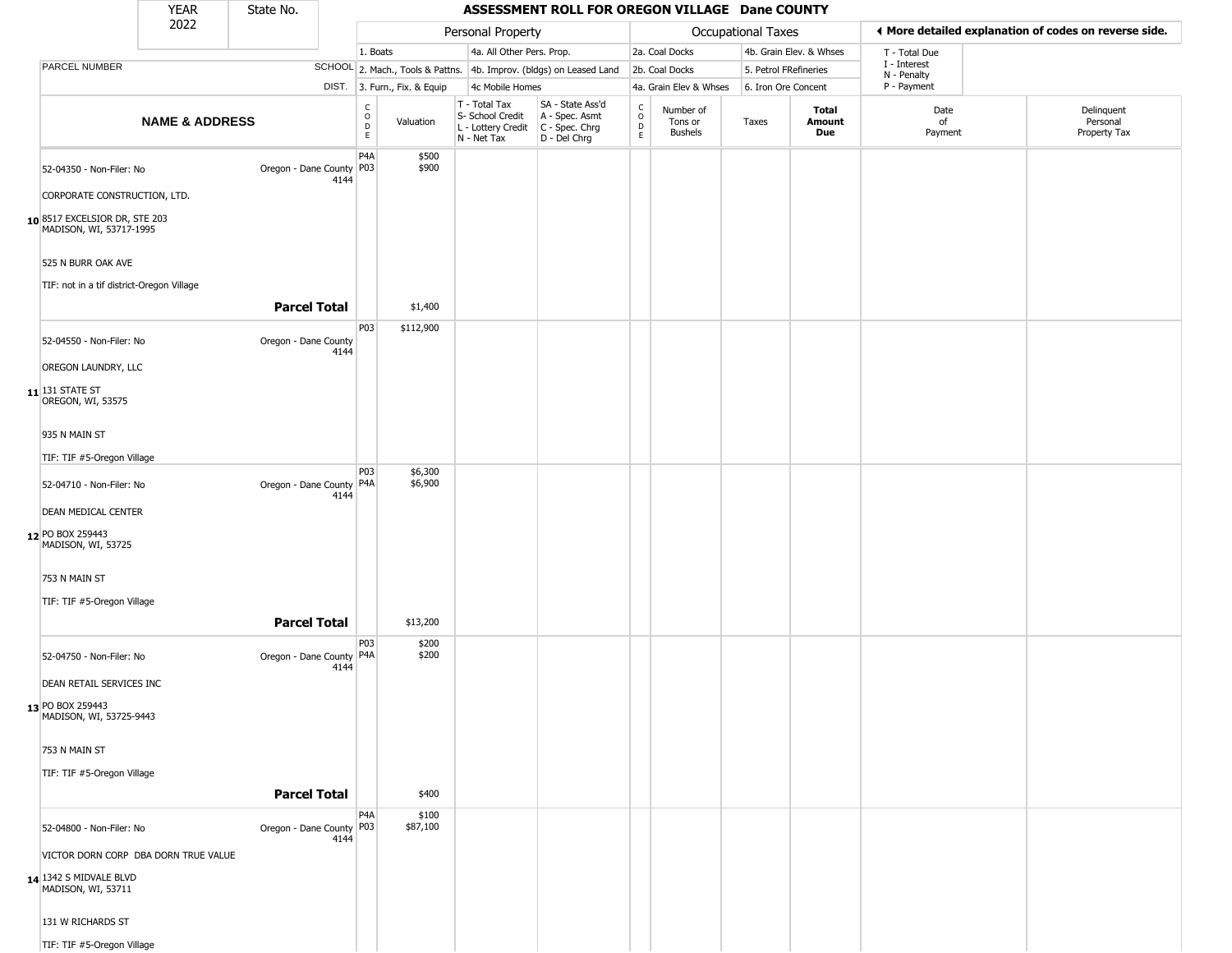|                              |                                                                                          | <b>YEAR</b>                          | State No.                  |      |                                        |                              |                                                                                         | ASSESSMENT ROLL FOR OREGON VILLAGE Dane COUNTY                      |                         |                                 |                       |                         |                             |                                                        |
|------------------------------|------------------------------------------------------------------------------------------|--------------------------------------|----------------------------|------|----------------------------------------|------------------------------|-----------------------------------------------------------------------------------------|---------------------------------------------------------------------|-------------------------|---------------------------------|-----------------------|-------------------------|-----------------------------|--------------------------------------------------------|
|                              |                                                                                          | 2022                                 |                            |      |                                        |                              | Personal Property                                                                       |                                                                     |                         |                                 | Occupational Taxes    |                         |                             | If More detailed explanation of codes on reverse side. |
|                              |                                                                                          |                                      |                            |      | 1. Boats                               |                              | 4a. All Other Pers. Prop.                                                               |                                                                     |                         | 2a. Coal Docks                  |                       | 4b. Grain Elev. & Whses | T - Total Due               |                                                        |
|                              | PARCEL NUMBER                                                                            |                                      |                            |      |                                        |                              |                                                                                         | SCHOOL 2. Mach., Tools & Pattns. 4b. Improv. (bldgs) on Leased Land |                         | 2b. Coal Docks                  | 5. Petrol FRefineries |                         | I - Interest<br>N - Penalty |                                                        |
|                              |                                                                                          |                                      |                            |      |                                        | DIST. 3. Furn., Fix. & Equip | 4c Mobile Homes                                                                         |                                                                     |                         | 4a. Grain Elev & Whses          | 6. Iron Ore Concent   |                         | P - Payment                 |                                                        |
|                              |                                                                                          | <b>NAME &amp; ADDRESS</b>            |                            |      | $_{\rm o}^{\rm c}$<br>D<br>$\mathsf E$ | Valuation                    | T - Total Tax<br>S- School Credit<br>L - Lottery Credit   C - Spec. Chrg<br>N - Net Tax | SA - State Ass'd<br>A - Spec. Asmt<br>D - Del Chrg                  | C<br>$\circ$<br>D<br>E. | Number of<br>Tons or<br>Bushels | Taxes                 | Total<br>Amount<br>Due  | Date<br>of<br>Payment       | Delinquent<br>Personal<br>Property Tax                 |
|                              | 52-04350 - Non-Filer: No                                                                 |                                      | Oregon - Dane County P03   | 4144 | P <sub>4</sub> A                       | \$500<br>\$900               |                                                                                         |                                                                     |                         |                                 |                       |                         |                             |                                                        |
|                              | CORPORATE CONSTRUCTION, LTD.<br>10 8517 EXCELSIOR DR, STE 203<br>MADISON, WI, 53717-1995 |                                      |                            |      |                                        |                              |                                                                                         |                                                                     |                         |                                 |                       |                         |                             |                                                        |
|                              | 525 N BURR OAK AVE                                                                       |                                      |                            |      |                                        |                              |                                                                                         |                                                                     |                         |                                 |                       |                         |                             |                                                        |
|                              | TIF: not in a tif district-Oregon Village                                                |                                      |                            |      |                                        |                              |                                                                                         |                                                                     |                         |                                 |                       |                         |                             |                                                        |
|                              |                                                                                          |                                      | <b>Parcel Total</b>        |      |                                        | \$1,400                      |                                                                                         |                                                                     |                         |                                 |                       |                         |                             |                                                        |
|                              | 52-04550 - Non-Filer: No                                                                 |                                      | Oregon - Dane County       | 4144 | P03                                    | \$112,900                    |                                                                                         |                                                                     |                         |                                 |                       |                         |                             |                                                        |
|                              | OREGON LAUNDRY, LLC                                                                      |                                      |                            |      |                                        |                              |                                                                                         |                                                                     |                         |                                 |                       |                         |                             |                                                        |
| $11$ <sup>131</sup> STATE ST | OREGON, WI, 53575                                                                        |                                      |                            |      |                                        |                              |                                                                                         |                                                                     |                         |                                 |                       |                         |                             |                                                        |
|                              | 935 N MAIN ST                                                                            |                                      |                            |      |                                        |                              |                                                                                         |                                                                     |                         |                                 |                       |                         |                             |                                                        |
|                              | TIF: TIF #5-Oregon Village                                                               |                                      |                            |      |                                        |                              |                                                                                         |                                                                     |                         |                                 |                       |                         |                             |                                                        |
|                              |                                                                                          |                                      |                            |      | P03                                    | \$6,300                      |                                                                                         |                                                                     |                         |                                 |                       |                         |                             |                                                        |
|                              | 52-04710 - Non-Filer: No                                                                 |                                      | Oregon - Dane County   P4A | 4144 |                                        | \$6,900                      |                                                                                         |                                                                     |                         |                                 |                       |                         |                             |                                                        |
|                              | <b>DEAN MEDICAL CENTER</b>                                                               |                                      |                            |      |                                        |                              |                                                                                         |                                                                     |                         |                                 |                       |                         |                             |                                                        |
| 12 PO BOX 259443             | MADISON, WI, 53725                                                                       |                                      |                            |      |                                        |                              |                                                                                         |                                                                     |                         |                                 |                       |                         |                             |                                                        |
|                              | 753 N MAIN ST                                                                            |                                      |                            |      |                                        |                              |                                                                                         |                                                                     |                         |                                 |                       |                         |                             |                                                        |
|                              | TIF: TIF #5-Oregon Village                                                               |                                      |                            |      |                                        |                              |                                                                                         |                                                                     |                         |                                 |                       |                         |                             |                                                        |
|                              |                                                                                          |                                      | <b>Parcel Total</b>        |      |                                        | \$13,200                     |                                                                                         |                                                                     |                         |                                 |                       |                         |                             |                                                        |
|                              | 52-04750 - Non-Filer: No                                                                 |                                      | Oregon - Dane County   P4A | 4144 | P03                                    | \$200<br>\$200               |                                                                                         |                                                                     |                         |                                 |                       |                         |                             |                                                        |
|                              | DEAN RETAIL SERVICES INC                                                                 |                                      |                            |      |                                        |                              |                                                                                         |                                                                     |                         |                                 |                       |                         |                             |                                                        |
| 13 PO BOX 259443             | MADISON, WI, 53725-9443                                                                  |                                      |                            |      |                                        |                              |                                                                                         |                                                                     |                         |                                 |                       |                         |                             |                                                        |
|                              | 753 N MAIN ST                                                                            |                                      |                            |      |                                        |                              |                                                                                         |                                                                     |                         |                                 |                       |                         |                             |                                                        |
|                              | TIF: TIF #5-Oregon Village                                                               |                                      |                            |      |                                        |                              |                                                                                         |                                                                     |                         |                                 |                       |                         |                             |                                                        |
|                              |                                                                                          |                                      | <b>Parcel Total</b>        |      |                                        | \$400                        |                                                                                         |                                                                     |                         |                                 |                       |                         |                             |                                                        |
|                              | 52-04800 - Non-Filer: No                                                                 |                                      | Oregon - Dane County P03   | 4144 | P <sub>4</sub> A                       | \$100<br>\$87,100            |                                                                                         |                                                                     |                         |                                 |                       |                         |                             |                                                        |
|                              |                                                                                          | VICTOR DORN CORP DBA DORN TRUE VALUE |                            |      |                                        |                              |                                                                                         |                                                                     |                         |                                 |                       |                         |                             |                                                        |
|                              | 14 1342 S MIDVALE BLVD<br>MADISON, WI, 53711                                             |                                      |                            |      |                                        |                              |                                                                                         |                                                                     |                         |                                 |                       |                         |                             |                                                        |
|                              | 131 W RICHARDS ST                                                                        |                                      |                            |      |                                        |                              |                                                                                         |                                                                     |                         |                                 |                       |                         |                             |                                                        |
|                              | TIF: TIF #5-Oregon Village                                                               |                                      |                            |      |                                        |                              |                                                                                         |                                                                     |                         |                                 |                       |                         |                             |                                                        |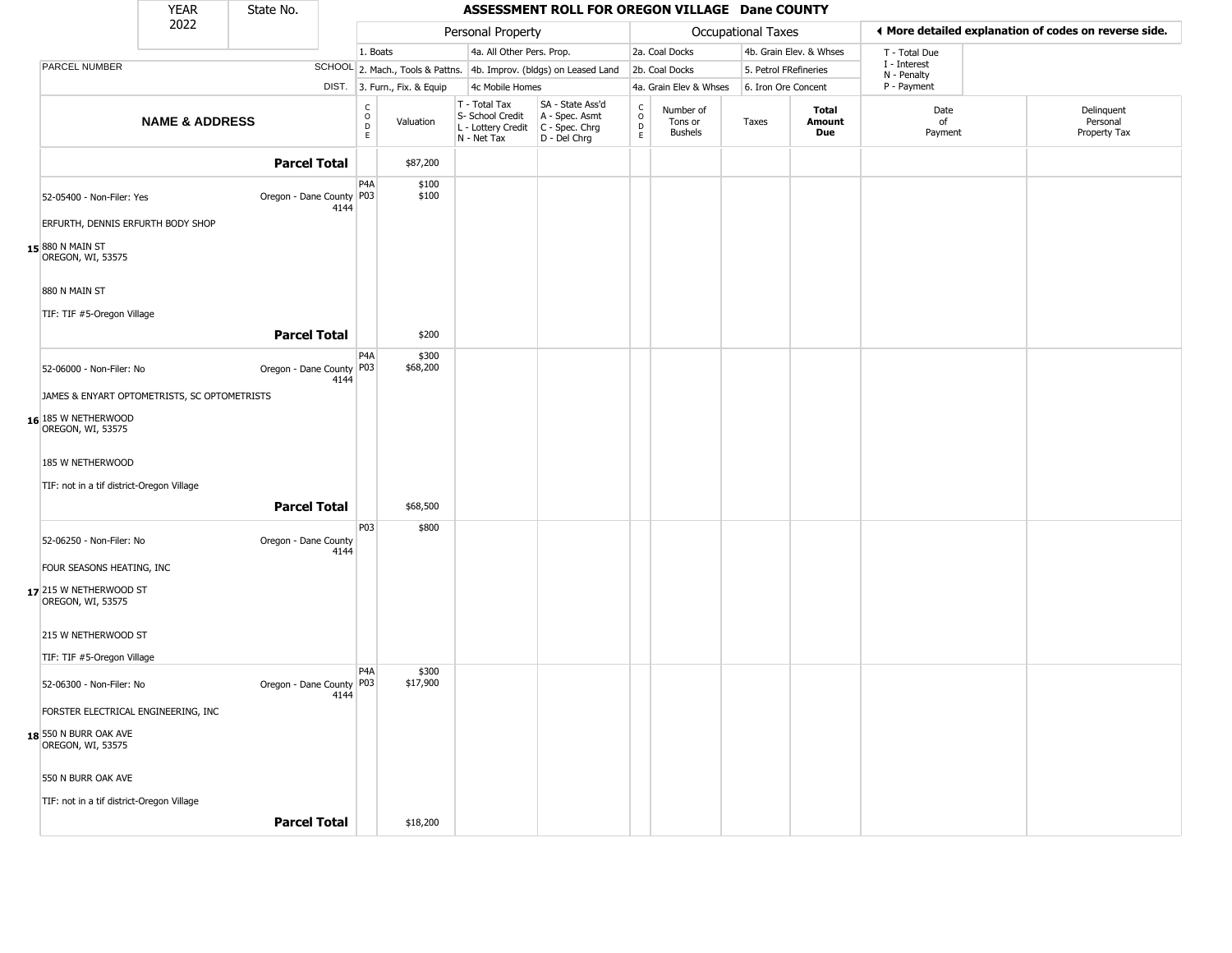|                                              | <b>YEAR</b>               | State No.                  |      |                                  |                              |                                                                        | ASSESSMENT ROLL FOR OREGON VILLAGE Dane COUNTY                       |                         |                                        |                       |                         |                             |                                                       |
|----------------------------------------------|---------------------------|----------------------------|------|----------------------------------|------------------------------|------------------------------------------------------------------------|----------------------------------------------------------------------|-------------------------|----------------------------------------|-----------------------|-------------------------|-----------------------------|-------------------------------------------------------|
|                                              | 2022                      |                            |      |                                  |                              | Personal Property                                                      |                                                                      |                         |                                        | Occupational Taxes    |                         |                             | ♦ More detailed explanation of codes on reverse side. |
|                                              |                           |                            |      | 1. Boats                         |                              | 4a. All Other Pers. Prop.                                              |                                                                      |                         | 2a. Coal Docks                         |                       | 4b. Grain Elev. & Whses | T - Total Due               |                                                       |
| PARCEL NUMBER                                |                           |                            |      |                                  |                              |                                                                        | SCHOOL 2. Mach., Tools & Pattns. 4b. Improv. (bldgs) on Leased Land  |                         | 2b. Coal Docks                         | 5. Petrol FRefineries |                         | I - Interest<br>N - Penalty |                                                       |
|                                              |                           |                            |      |                                  | DIST. 3. Furn., Fix. & Equip | 4c Mobile Homes                                                        |                                                                      |                         | 4a. Grain Elev & Whses                 | 6. Iron Ore Concent   |                         | P - Payment                 |                                                       |
|                                              | <b>NAME &amp; ADDRESS</b> |                            |      | C<br>$\circ$<br>$\mathsf D$<br>E | Valuation                    | T - Total Tax<br>S- School Credit<br>L - Lottery Credit<br>N - Net Tax | SA - State Ass'd<br>A - Spec. Asmt<br>C - Spec. Chrg<br>D - Del Chrg | $\frac{C}{O}$<br>D<br>E | Number of<br>Tons or<br><b>Bushels</b> | Taxes                 | Total<br>Amount<br>Due  | Date<br>of<br>Payment       | Delinquent<br>Personal<br>Property Tax                |
|                                              |                           | <b>Parcel Total</b>        |      |                                  | \$87,200                     |                                                                        |                                                                      |                         |                                        |                       |                         |                             |                                                       |
| 52-05400 - Non-Filer: Yes                    |                           | Oregon - Dane County   P03 | 4144 | P <sub>4</sub> A                 | \$100<br>\$100               |                                                                        |                                                                      |                         |                                        |                       |                         |                             |                                                       |
| ERFURTH, DENNIS ERFURTH BODY SHOP            |                           |                            |      |                                  |                              |                                                                        |                                                                      |                         |                                        |                       |                         |                             |                                                       |
| 15 880 N MAIN ST<br>OREGON, WI, 53575        |                           |                            |      |                                  |                              |                                                                        |                                                                      |                         |                                        |                       |                         |                             |                                                       |
| 880 N MAIN ST                                |                           |                            |      |                                  |                              |                                                                        |                                                                      |                         |                                        |                       |                         |                             |                                                       |
| TIF: TIF #5-Oregon Village                   |                           |                            |      |                                  |                              |                                                                        |                                                                      |                         |                                        |                       |                         |                             |                                                       |
|                                              |                           | <b>Parcel Total</b>        |      |                                  | \$200                        |                                                                        |                                                                      |                         |                                        |                       |                         |                             |                                                       |
| 52-06000 - Non-Filer: No                     |                           | Oregon - Dane County       | 4144 | P <sub>4</sub> A<br>P03          | \$300<br>\$68,200            |                                                                        |                                                                      |                         |                                        |                       |                         |                             |                                                       |
| JAMES & ENYART OPTOMETRISTS, SC OPTOMETRISTS |                           |                            |      |                                  |                              |                                                                        |                                                                      |                         |                                        |                       |                         |                             |                                                       |
| 16 185 W NETHERWOOD<br>OREGON, WI, 53575     |                           |                            |      |                                  |                              |                                                                        |                                                                      |                         |                                        |                       |                         |                             |                                                       |
| 185 W NETHERWOOD                             |                           |                            |      |                                  |                              |                                                                        |                                                                      |                         |                                        |                       |                         |                             |                                                       |
| TIF: not in a tif district-Oregon Village    |                           |                            |      |                                  |                              |                                                                        |                                                                      |                         |                                        |                       |                         |                             |                                                       |
|                                              |                           | <b>Parcel Total</b>        |      |                                  | \$68,500                     |                                                                        |                                                                      |                         |                                        |                       |                         |                             |                                                       |
| 52-06250 - Non-Filer: No                     |                           | Oregon - Dane County       | 4144 | <b>P03</b>                       | \$800                        |                                                                        |                                                                      |                         |                                        |                       |                         |                             |                                                       |
| FOUR SEASONS HEATING, INC                    |                           |                            |      |                                  |                              |                                                                        |                                                                      |                         |                                        |                       |                         |                             |                                                       |
| 17 215 W NETHERWOOD ST<br>OREGON, WI, 53575  |                           |                            |      |                                  |                              |                                                                        |                                                                      |                         |                                        |                       |                         |                             |                                                       |
| 215 W NETHERWOOD ST                          |                           |                            |      |                                  |                              |                                                                        |                                                                      |                         |                                        |                       |                         |                             |                                                       |
| TIF: TIF #5-Oregon Village                   |                           |                            |      |                                  |                              |                                                                        |                                                                      |                         |                                        |                       |                         |                             |                                                       |
| 52-06300 - Non-Filer: No                     |                           | Oregon - Dane County P03   | 4144 | P <sub>4</sub> A                 | \$300<br>\$17,900            |                                                                        |                                                                      |                         |                                        |                       |                         |                             |                                                       |
| FORSTER ELECTRICAL ENGINEERING, INC          |                           |                            |      |                                  |                              |                                                                        |                                                                      |                         |                                        |                       |                         |                             |                                                       |
| 18 550 N BURR OAK AVE<br>OREGON, WI, 53575   |                           |                            |      |                                  |                              |                                                                        |                                                                      |                         |                                        |                       |                         |                             |                                                       |
| 550 N BURR OAK AVE                           |                           |                            |      |                                  |                              |                                                                        |                                                                      |                         |                                        |                       |                         |                             |                                                       |
| TIF: not in a tif district-Oregon Village    |                           |                            |      |                                  |                              |                                                                        |                                                                      |                         |                                        |                       |                         |                             |                                                       |
|                                              |                           | <b>Parcel Total</b>        |      |                                  | \$18,200                     |                                                                        |                                                                      |                         |                                        |                       |                         |                             |                                                       |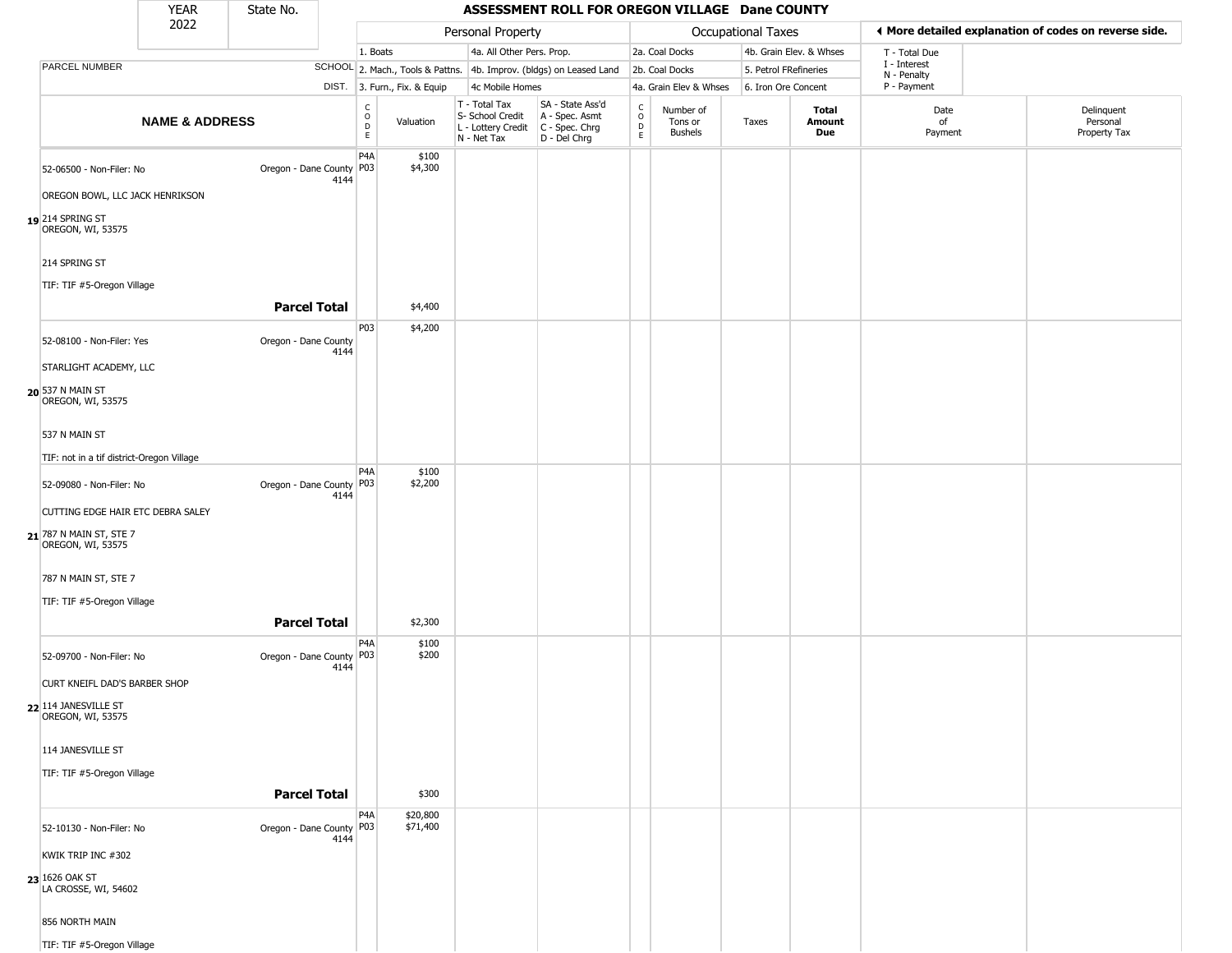|                                               | YEAR                      | State No.                  |      |                                |                              |                                                                                                    | ASSESSMENT ROLL FOR OREGON VILLAGE Dane COUNTY                      |                                             |                                 |                       |                               |                             |                                                       |
|-----------------------------------------------|---------------------------|----------------------------|------|--------------------------------|------------------------------|----------------------------------------------------------------------------------------------------|---------------------------------------------------------------------|---------------------------------------------|---------------------------------|-----------------------|-------------------------------|-----------------------------|-------------------------------------------------------|
|                                               | 2022                      |                            |      |                                |                              | Personal Property                                                                                  |                                                                     |                                             |                                 | Occupational Taxes    |                               |                             | ♦ More detailed explanation of codes on reverse side. |
|                                               |                           |                            |      | 1. Boats                       |                              | 4a. All Other Pers. Prop.                                                                          |                                                                     |                                             | 2a. Coal Docks                  |                       | 4b. Grain Elev. & Whses       | T - Total Due               |                                                       |
| PARCEL NUMBER                                 |                           |                            |      |                                |                              |                                                                                                    | SCHOOL 2. Mach., Tools & Pattns. 4b. Improv. (bldgs) on Leased Land |                                             | 2b. Coal Docks                  | 5. Petrol FRefineries |                               | I - Interest<br>N - Penalty |                                                       |
|                                               |                           |                            |      |                                | DIST. 3. Furn., Fix. & Equip | 4c Mobile Homes                                                                                    |                                                                     |                                             | 4a. Grain Elev & Whses          | 6. Iron Ore Concent   |                               | P - Payment                 |                                                       |
|                                               | <b>NAME &amp; ADDRESS</b> |                            |      | $\rm _o^C$<br>$\mathsf D$<br>E | Valuation                    | T - Total Tax<br>S- School Credit<br>L - Lottery Credit C - Spec. Chrg<br>N - Net Tax D - Del Chrg | SA - State Ass'd<br>A - Spec. Asmt                                  | $\mathsf{C}$<br>$\circ$<br>$\mathsf D$<br>E | Number of<br>Tons or<br>Bushels | Taxes                 | <b>Total</b><br>Amount<br>Due | Date<br>of<br>Payment       | Delinquent<br>Personal<br>Property Tax                |
| 52-06500 - Non-Filer: No                      |                           | Oregon - Dane County       | 4144 | P4A<br>P03                     | \$100<br>\$4,300             |                                                                                                    |                                                                     |                                             |                                 |                       |                               |                             |                                                       |
| OREGON BOWL, LLC JACK HENRIKSON               |                           |                            |      |                                |                              |                                                                                                    |                                                                     |                                             |                                 |                       |                               |                             |                                                       |
| 19 214 SPRING ST<br>OREGON, WI, 53575         |                           |                            |      |                                |                              |                                                                                                    |                                                                     |                                             |                                 |                       |                               |                             |                                                       |
| 214 SPRING ST                                 |                           |                            |      |                                |                              |                                                                                                    |                                                                     |                                             |                                 |                       |                               |                             |                                                       |
| TIF: TIF #5-Oregon Village                    |                           | <b>Parcel Total</b>        |      |                                | \$4,400                      |                                                                                                    |                                                                     |                                             |                                 |                       |                               |                             |                                                       |
| 52-08100 - Non-Filer: Yes                     |                           | Oregon - Dane County       | 4144 | P03                            | \$4,200                      |                                                                                                    |                                                                     |                                             |                                 |                       |                               |                             |                                                       |
| STARLIGHT ACADEMY, LLC                        |                           |                            |      |                                |                              |                                                                                                    |                                                                     |                                             |                                 |                       |                               |                             |                                                       |
| 20 537 N MAIN ST<br>OREGON, WI, 53575         |                           |                            |      |                                |                              |                                                                                                    |                                                                     |                                             |                                 |                       |                               |                             |                                                       |
| 537 N MAIN ST                                 |                           |                            |      |                                |                              |                                                                                                    |                                                                     |                                             |                                 |                       |                               |                             |                                                       |
| TIF: not in a tif district-Oregon Village     |                           |                            |      | P <sub>4</sub> A               |                              |                                                                                                    |                                                                     |                                             |                                 |                       |                               |                             |                                                       |
| 52-09080 - Non-Filer: No                      |                           | Oregon - Dane County       | 4144 | P03                            | \$100<br>\$2,200             |                                                                                                    |                                                                     |                                             |                                 |                       |                               |                             |                                                       |
| CUTTING EDGE HAIR ETC DEBRA SALEY             |                           |                            |      |                                |                              |                                                                                                    |                                                                     |                                             |                                 |                       |                               |                             |                                                       |
| 21 787 N MAIN ST, STE 7<br>OREGON, WI, 53575  |                           |                            |      |                                |                              |                                                                                                    |                                                                     |                                             |                                 |                       |                               |                             |                                                       |
| 787 N MAIN ST, STE 7                          |                           |                            |      |                                |                              |                                                                                                    |                                                                     |                                             |                                 |                       |                               |                             |                                                       |
| TIF: TIF #5-Oregon Village                    |                           | <b>Parcel Total</b>        |      |                                | \$2,300                      |                                                                                                    |                                                                     |                                             |                                 |                       |                               |                             |                                                       |
| 52-09700 - Non-Filer: No                      |                           | Oregon - Dane County       | 4144 | P4A<br>P03                     | \$100<br>\$200               |                                                                                                    |                                                                     |                                             |                                 |                       |                               |                             |                                                       |
| CURT KNEIFL DAD'S BARBER SHOP                 |                           |                            |      |                                |                              |                                                                                                    |                                                                     |                                             |                                 |                       |                               |                             |                                                       |
| 22 114 JANESVILLE ST<br>OREGON, WI, 53575     |                           |                            |      |                                |                              |                                                                                                    |                                                                     |                                             |                                 |                       |                               |                             |                                                       |
| 114 JANESVILLE ST                             |                           |                            |      |                                |                              |                                                                                                    |                                                                     |                                             |                                 |                       |                               |                             |                                                       |
| TIF: TIF #5-Oregon Village                    |                           | <b>Parcel Total</b>        |      |                                | \$300                        |                                                                                                    |                                                                     |                                             |                                 |                       |                               |                             |                                                       |
| 52-10130 - Non-Filer: No                      |                           | Oregon - Dane County   P03 |      | P4A                            | \$20,800<br>\$71,400         |                                                                                                    |                                                                     |                                             |                                 |                       |                               |                             |                                                       |
| KWIK TRIP INC #302                            |                           |                            | 4144 |                                |                              |                                                                                                    |                                                                     |                                             |                                 |                       |                               |                             |                                                       |
| <b>23</b> 1626 OAK ST<br>LA CROSSE, WI, 54602 |                           |                            |      |                                |                              |                                                                                                    |                                                                     |                                             |                                 |                       |                               |                             |                                                       |
| 856 NORTH MAIN                                |                           |                            |      |                                |                              |                                                                                                    |                                                                     |                                             |                                 |                       |                               |                             |                                                       |
| TIF: TIF #5-Oregon Village                    |                           |                            |      |                                |                              |                                                                                                    |                                                                     |                                             |                                 |                       |                               |                             |                                                       |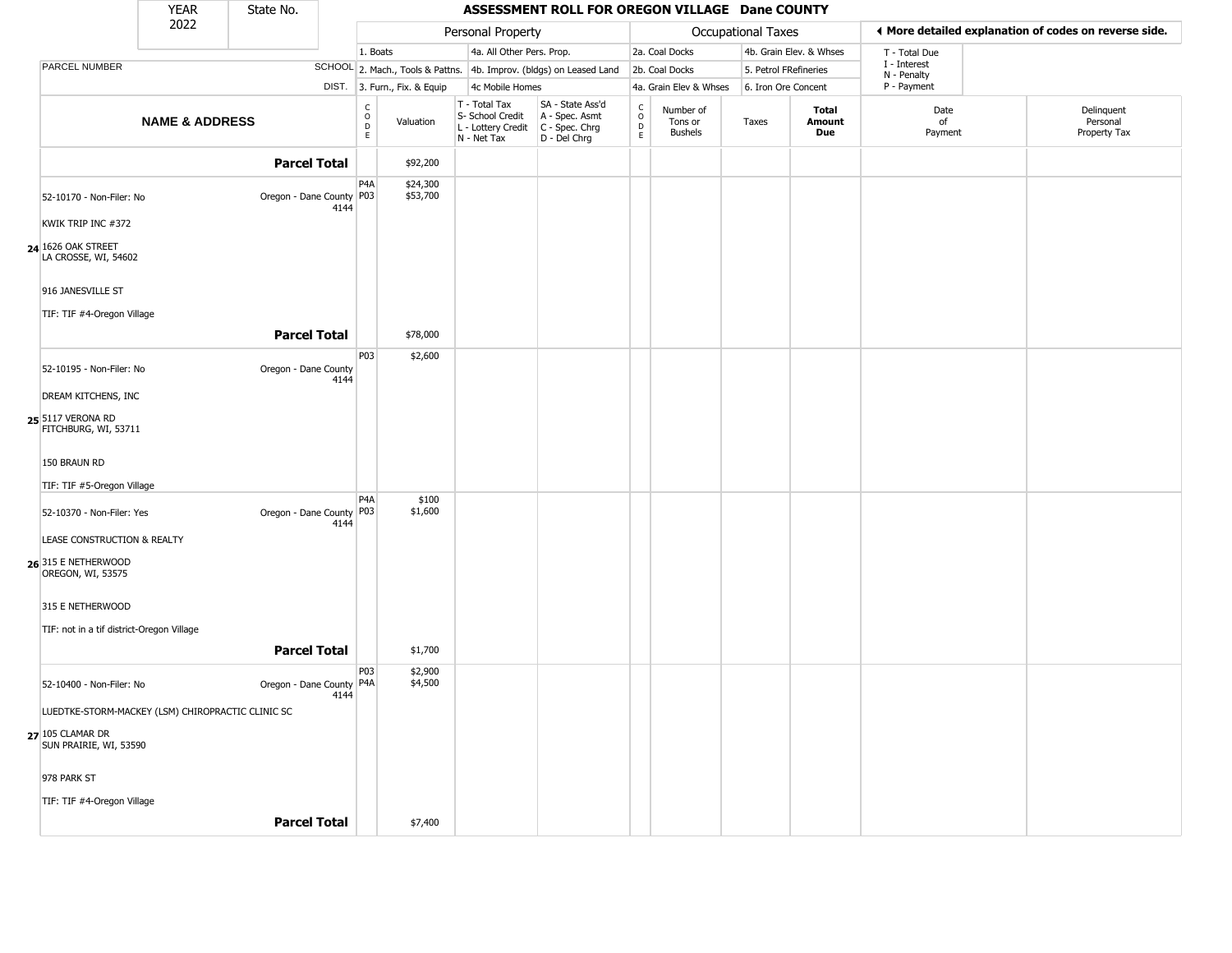|                                                                                                 | <b>YEAR</b>               | State No.                  |      |                                  |                              |                                                                        | ASSESSMENT ROLL FOR OREGON VILLAGE Dane COUNTY                       |                                             |                                        |                       |                         |                             |                                                       |
|-------------------------------------------------------------------------------------------------|---------------------------|----------------------------|------|----------------------------------|------------------------------|------------------------------------------------------------------------|----------------------------------------------------------------------|---------------------------------------------|----------------------------------------|-----------------------|-------------------------|-----------------------------|-------------------------------------------------------|
|                                                                                                 | 2022                      |                            |      |                                  |                              | Personal Property                                                      |                                                                      |                                             |                                        | Occupational Taxes    |                         |                             | ◀ More detailed explanation of codes on reverse side. |
|                                                                                                 |                           |                            |      | 1. Boats                         |                              | 4a. All Other Pers. Prop.                                              |                                                                      |                                             | 2a. Coal Docks                         |                       | 4b. Grain Elev. & Whses | T - Total Due               |                                                       |
| PARCEL NUMBER                                                                                   |                           |                            |      |                                  |                              |                                                                        | SCHOOL 2. Mach., Tools & Pattns. 4b. Improv. (bldgs) on Leased Land  |                                             | 2b. Coal Docks                         | 5. Petrol FRefineries |                         | I - Interest<br>N - Penalty |                                                       |
|                                                                                                 |                           |                            |      |                                  | DIST. 3. Furn., Fix. & Equip | 4c Mobile Homes                                                        |                                                                      |                                             | 4a. Grain Elev & Whses                 | 6. Iron Ore Concent   |                         | P - Payment                 |                                                       |
|                                                                                                 | <b>NAME &amp; ADDRESS</b> |                            |      | c<br>$\circ$<br>$\mathsf D$<br>E | Valuation                    | T - Total Tax<br>S- School Credit<br>L - Lottery Credit<br>N - Net Tax | SA - State Ass'd<br>A - Spec. Asmt<br>C - Spec. Chrg<br>D - Del Chrg | $\int_{0}^{c}$<br>$\mathsf{D}_{\mathsf{E}}$ | Number of<br>Tons or<br><b>Bushels</b> | Taxes                 | Total<br>Amount<br>Due  | Date<br>of<br>Payment       | Delinquent<br>Personal<br>Property Tax                |
|                                                                                                 |                           | <b>Parcel Total</b>        |      |                                  | \$92,200                     |                                                                        |                                                                      |                                             |                                        |                       |                         |                             |                                                       |
| 52-10170 - Non-Filer: No<br>KWIK TRIP INC #372                                                  |                           | Oregon - Dane County P03   | 4144 | P <sub>4</sub> A                 | \$24,300<br>\$53,700         |                                                                        |                                                                      |                                             |                                        |                       |                         |                             |                                                       |
| 24 1626 OAK STREET<br>LA CROSSE, WI, 54602                                                      |                           |                            |      |                                  |                              |                                                                        |                                                                      |                                             |                                        |                       |                         |                             |                                                       |
| 916 JANESVILLE ST<br>TIF: TIF #4-Oregon Village                                                 |                           |                            |      |                                  |                              |                                                                        |                                                                      |                                             |                                        |                       |                         |                             |                                                       |
|                                                                                                 |                           | <b>Parcel Total</b>        |      |                                  | \$78,000                     |                                                                        |                                                                      |                                             |                                        |                       |                         |                             |                                                       |
| 52-10195 - Non-Filer: No<br><b>DREAM KITCHENS, INC</b>                                          |                           | Oregon - Dane County       | 4144 | P03                              | \$2,600                      |                                                                        |                                                                      |                                             |                                        |                       |                         |                             |                                                       |
| 25 5117 VERONA RD<br>FITCHBURG, WI, 53711                                                       |                           |                            |      |                                  |                              |                                                                        |                                                                      |                                             |                                        |                       |                         |                             |                                                       |
| 150 BRAUN RD                                                                                    |                           |                            |      |                                  |                              |                                                                        |                                                                      |                                             |                                        |                       |                         |                             |                                                       |
| TIF: TIF #5-Oregon Village<br>52-10370 - Non-Filer: Yes<br>LEASE CONSTRUCTION & REALTY          |                           | Oregon - Dane County P03   | 4144 | P <sub>4</sub> A                 | \$100<br>\$1,600             |                                                                        |                                                                      |                                             |                                        |                       |                         |                             |                                                       |
| 26 315 E NETHERWOOD<br>OREGON, WI, 53575                                                        |                           |                            |      |                                  |                              |                                                                        |                                                                      |                                             |                                        |                       |                         |                             |                                                       |
| 315 E NETHERWOOD<br>TIF: not in a tif district-Oregon Village                                   |                           | <b>Parcel Total</b>        |      |                                  | \$1,700                      |                                                                        |                                                                      |                                             |                                        |                       |                         |                             |                                                       |
|                                                                                                 |                           |                            |      | P03                              | \$2,900                      |                                                                        |                                                                      |                                             |                                        |                       |                         |                             |                                                       |
| 52-10400 - Non-Filer: No                                                                        |                           | Oregon - Dane County   P4A | 4144 |                                  | \$4,500                      |                                                                        |                                                                      |                                             |                                        |                       |                         |                             |                                                       |
| LUEDTKE-STORM-MACKEY (LSM) CHIROPRACTIC CLINIC SC<br>27 105 CLAMAR DR<br>SUN PRAIRIE, WI, 53590 |                           |                            |      |                                  |                              |                                                                        |                                                                      |                                             |                                        |                       |                         |                             |                                                       |
| 978 PARK ST                                                                                     |                           |                            |      |                                  |                              |                                                                        |                                                                      |                                             |                                        |                       |                         |                             |                                                       |
| TIF: TIF #4-Oregon Village                                                                      |                           |                            |      |                                  |                              |                                                                        |                                                                      |                                             |                                        |                       |                         |                             |                                                       |
|                                                                                                 |                           | <b>Parcel Total</b>        |      |                                  | \$7,400                      |                                                                        |                                                                      |                                             |                                        |                       |                         |                             |                                                       |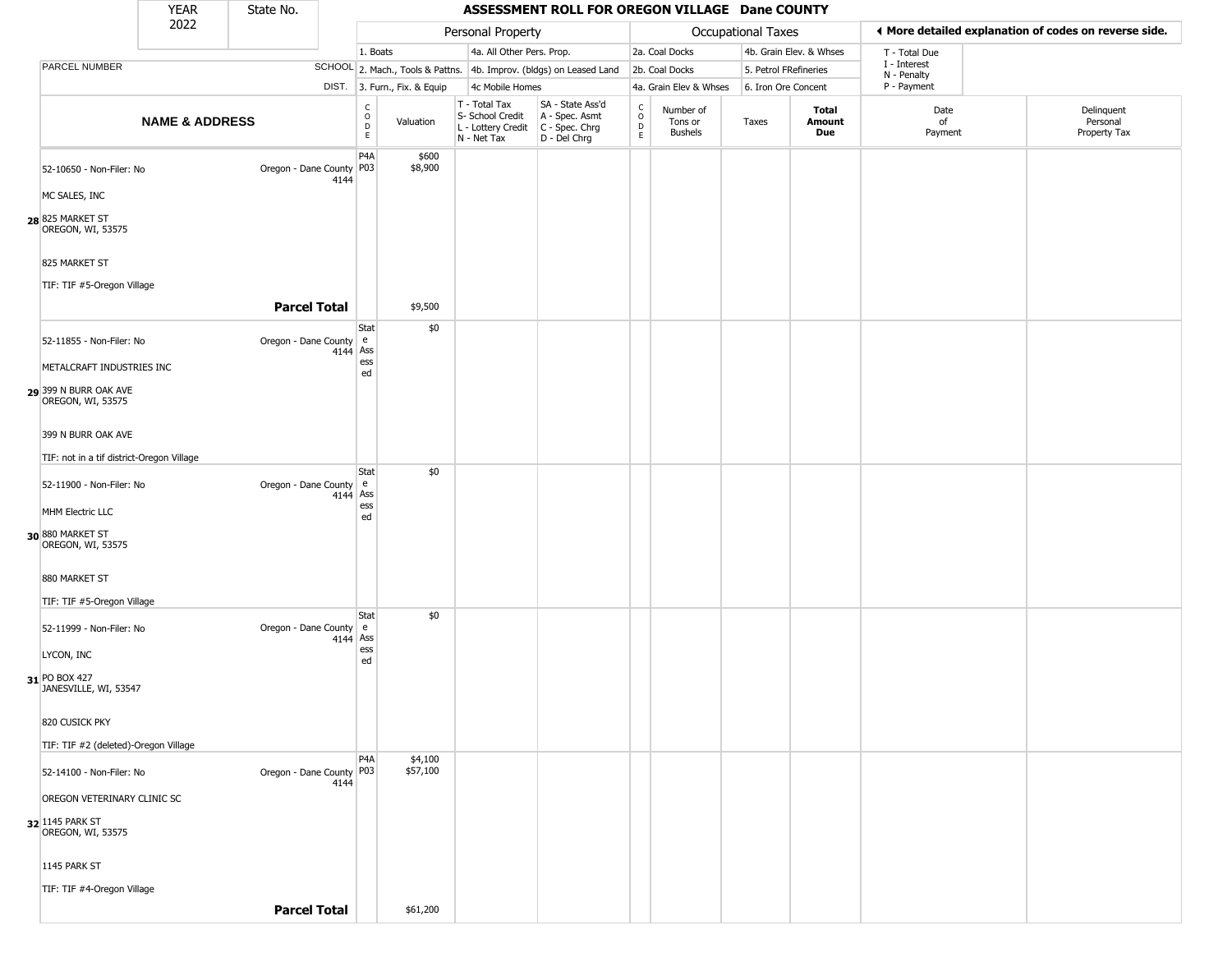|                                                        | <b>YEAR</b>               | State No.                |            |                                                          |                              |                                                                        | ASSESSMENT ROLL FOR OREGON VILLAGE Dane COUNTY                       |                                            |                                 |                       |                         |                             |                                                       |
|--------------------------------------------------------|---------------------------|--------------------------|------------|----------------------------------------------------------|------------------------------|------------------------------------------------------------------------|----------------------------------------------------------------------|--------------------------------------------|---------------------------------|-----------------------|-------------------------|-----------------------------|-------------------------------------------------------|
|                                                        | 2022                      |                          |            |                                                          |                              | Personal Property                                                      |                                                                      |                                            |                                 | Occupational Taxes    |                         |                             | ♦ More detailed explanation of codes on reverse side. |
|                                                        |                           |                          |            | 1. Boats                                                 |                              | 4a. All Other Pers. Prop.                                              |                                                                      |                                            | 2a. Coal Docks                  |                       | 4b. Grain Elev. & Whses | T - Total Due               |                                                       |
| PARCEL NUMBER                                          |                           |                          |            |                                                          |                              |                                                                        | SCHOOL 2. Mach., Tools & Pattns. 4b. Improv. (bldgs) on Leased Land  |                                            | 2b. Coal Docks                  | 5. Petrol FRefineries |                         | I - Interest<br>N - Penalty |                                                       |
|                                                        |                           |                          |            |                                                          | DIST. 3. Furn., Fix. & Equip | 4c Mobile Homes                                                        |                                                                      |                                            | 4a. Grain Elev & Whses          | 6. Iron Ore Concent   |                         | P - Payment                 |                                                       |
|                                                        | <b>NAME &amp; ADDRESS</b> |                          |            | $\begin{matrix} 0 \\ 0 \\ D \end{matrix}$<br>$\mathsf E$ | Valuation                    | T - Total Tax<br>S- School Credit<br>L - Lottery Credit<br>N - Net Tax | SA - State Ass'd<br>A - Spec. Asmt<br>C - Spec. Chrg<br>D - Del Chrg | $\begin{array}{c} C \\ 0 \\ E \end{array}$ | Number of<br>Tons or<br>Bushels | Taxes                 | Total<br>Amount<br>Due  | Date<br>of<br>Payment       | Delinquent<br>Personal<br>Property Tax                |
| 52-10650 - Non-Filer: No                               |                           | Oregon - Dane County     | 4144       | P <sub>4</sub> A<br>P <sub>0</sub> 3                     | \$600<br>\$8,900             |                                                                        |                                                                      |                                            |                                 |                       |                         |                             |                                                       |
| MC SALES, INC<br>28 825 MARKET ST<br>OREGON, WI, 53575 |                           |                          |            |                                                          |                              |                                                                        |                                                                      |                                            |                                 |                       |                         |                             |                                                       |
| 825 MARKET ST                                          |                           |                          |            |                                                          |                              |                                                                        |                                                                      |                                            |                                 |                       |                         |                             |                                                       |
| TIF: TIF #5-Oregon Village                             |                           | <b>Parcel Total</b>      |            |                                                          | \$9,500                      |                                                                        |                                                                      |                                            |                                 |                       |                         |                             |                                                       |
|                                                        |                           |                          |            | Stat                                                     | \$0                          |                                                                        |                                                                      |                                            |                                 |                       |                         |                             |                                                       |
| 52-11855 - Non-Filer: No<br>METALCRAFT INDUSTRIES INC  |                           | Oregon - Dane County e   | $4144$ Ass | ess                                                      |                              |                                                                        |                                                                      |                                            |                                 |                       |                         |                             |                                                       |
| 29 399 N BURR OAK AVE<br>OREGON, WI, 53575             |                           |                          |            | ed                                                       |                              |                                                                        |                                                                      |                                            |                                 |                       |                         |                             |                                                       |
| 399 N BURR OAK AVE                                     |                           |                          |            |                                                          |                              |                                                                        |                                                                      |                                            |                                 |                       |                         |                             |                                                       |
| TIF: not in a tif district-Oregon Village              |                           |                          |            |                                                          |                              |                                                                        |                                                                      |                                            |                                 |                       |                         |                             |                                                       |
| 52-11900 - Non-Filer: No                               |                           | Oregon - Dane County e   | 4144       | Stat<br>Ass<br>ess                                       | \$0                          |                                                                        |                                                                      |                                            |                                 |                       |                         |                             |                                                       |
| MHM Electric LLC                                       |                           |                          |            | ed                                                       |                              |                                                                        |                                                                      |                                            |                                 |                       |                         |                             |                                                       |
| 30 880 MARKET ST<br>OREGON, WI, 53575                  |                           |                          |            |                                                          |                              |                                                                        |                                                                      |                                            |                                 |                       |                         |                             |                                                       |
| 880 MARKET ST                                          |                           |                          |            |                                                          |                              |                                                                        |                                                                      |                                            |                                 |                       |                         |                             |                                                       |
| TIF: TIF #5-Oregon Village                             |                           |                          |            | Stat                                                     | \$0                          |                                                                        |                                                                      |                                            |                                 |                       |                         |                             |                                                       |
| 52-11999 - Non-Filer: No                               |                           | Oregon - Dane County e   | $4144$ Ass | ess                                                      |                              |                                                                        |                                                                      |                                            |                                 |                       |                         |                             |                                                       |
| LYCON, INC<br>31 PO BOX 427<br>JANESVILLE, WI, 53547   |                           |                          |            | ed                                                       |                              |                                                                        |                                                                      |                                            |                                 |                       |                         |                             |                                                       |
| 820 CUSICK PKY                                         |                           |                          |            |                                                          |                              |                                                                        |                                                                      |                                            |                                 |                       |                         |                             |                                                       |
| TIF: TIF #2 (deleted)-Oregon Village                   |                           |                          |            |                                                          |                              |                                                                        |                                                                      |                                            |                                 |                       |                         |                             |                                                       |
| 52-14100 - Non-Filer: No                               |                           | Oregon - Dane County P03 | 4144       | P <sub>4</sub> A                                         | \$4,100<br>\$57,100          |                                                                        |                                                                      |                                            |                                 |                       |                         |                             |                                                       |
| OREGON VETERINARY CLINIC SC                            |                           |                          |            |                                                          |                              |                                                                        |                                                                      |                                            |                                 |                       |                         |                             |                                                       |
| 32 1145 PARK ST<br>OREGON, WI, 53575                   |                           |                          |            |                                                          |                              |                                                                        |                                                                      |                                            |                                 |                       |                         |                             |                                                       |
| 1145 PARK ST                                           |                           |                          |            |                                                          |                              |                                                                        |                                                                      |                                            |                                 |                       |                         |                             |                                                       |
| TIF: TIF #4-Oregon Village                             |                           | <b>Parcel Total</b>      |            |                                                          | \$61,200                     |                                                                        |                                                                      |                                            |                                 |                       |                         |                             |                                                       |
|                                                        |                           |                          |            |                                                          |                              |                                                                        |                                                                      |                                            |                                 |                       |                         |                             |                                                       |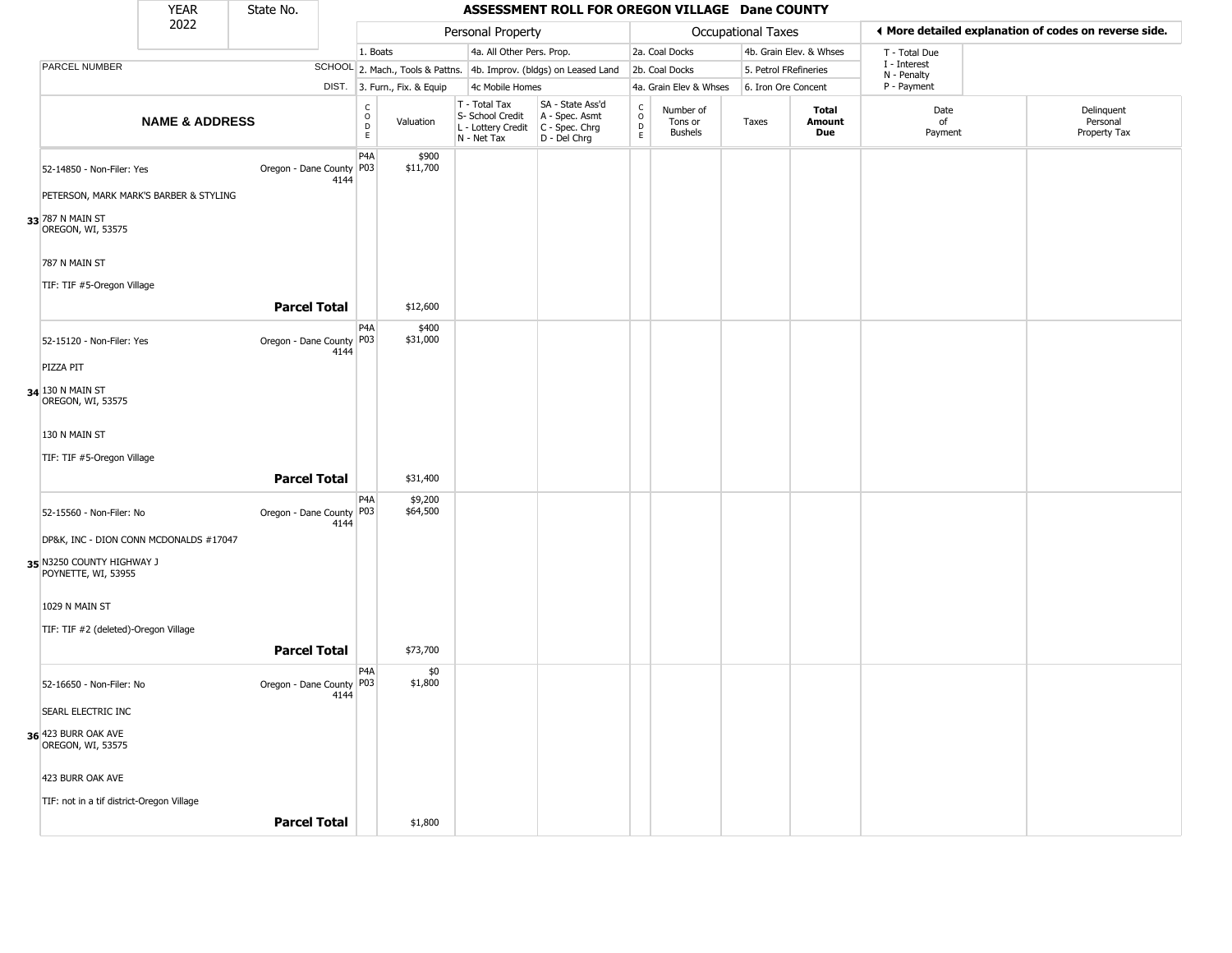|                                                  | <b>YEAR</b>                            | State No.                          |                         |                              |                                                                        | ASSESSMENT ROLL FOR OREGON VILLAGE Dane COUNTY                       |                                |                                        |                       |                         |                             |                                                       |
|--------------------------------------------------|----------------------------------------|------------------------------------|-------------------------|------------------------------|------------------------------------------------------------------------|----------------------------------------------------------------------|--------------------------------|----------------------------------------|-----------------------|-------------------------|-----------------------------|-------------------------------------------------------|
|                                                  | 2022                                   |                                    |                         |                              | Personal Property                                                      |                                                                      |                                |                                        | Occupational Taxes    |                         |                             | ♦ More detailed explanation of codes on reverse side. |
|                                                  |                                        |                                    | 1. Boats                |                              | 4a. All Other Pers. Prop.                                              |                                                                      |                                | 2a. Coal Docks                         |                       | 4b. Grain Elev. & Whses | T - Total Due               |                                                       |
| PARCEL NUMBER                                    |                                        |                                    |                         |                              |                                                                        | SCHOOL 2. Mach., Tools & Pattns. 4b. Improv. (bldgs) on Leased Land  |                                | 2b. Coal Docks                         | 5. Petrol FRefineries |                         | I - Interest<br>N - Penalty |                                                       |
|                                                  |                                        |                                    |                         | DIST. 3. Furn., Fix. & Equip | 4c Mobile Homes                                                        |                                                                      |                                | 4a. Grain Elev & Whses                 | 6. Iron Ore Concent   |                         | P - Payment                 |                                                       |
|                                                  | <b>NAME &amp; ADDRESS</b>              |                                    | C<br>$\circ$<br>D<br>E. | Valuation                    | T - Total Tax<br>S- School Credit<br>L - Lottery Credit<br>N - Net Tax | SA - State Ass'd<br>A - Spec. Asmt<br>C - Spec. Chrg<br>D - Del Chrg | $\rm ^c_o$<br>$\mathsf D$<br>E | Number of<br>Tons or<br><b>Bushels</b> | Taxes                 | Total<br>Amount<br>Due  | Date<br>of<br>Payment       | Delinquent<br>Personal<br>Property Tax                |
| 52-14850 - Non-Filer: Yes                        |                                        | Oregon - Dane County P03<br>4144   | P4A                     | \$900<br>\$11,700            |                                                                        |                                                                      |                                |                                        |                       |                         |                             |                                                       |
|                                                  | PETERSON, MARK MARK'S BARBER & STYLING |                                    |                         |                              |                                                                        |                                                                      |                                |                                        |                       |                         |                             |                                                       |
| 33 787 N MAIN ST<br>OREGON, WI, 53575            |                                        |                                    |                         |                              |                                                                        |                                                                      |                                |                                        |                       |                         |                             |                                                       |
| 787 N MAIN ST<br>TIF: TIF #5-Oregon Village      |                                        |                                    |                         |                              |                                                                        |                                                                      |                                |                                        |                       |                         |                             |                                                       |
|                                                  |                                        | <b>Parcel Total</b>                |                         | \$12,600                     |                                                                        |                                                                      |                                |                                        |                       |                         |                             |                                                       |
| 52-15120 - Non-Filer: Yes                        |                                        | Oregon - Dane County   P03<br>4144 | P4A                     | \$400<br>\$31,000            |                                                                        |                                                                      |                                |                                        |                       |                         |                             |                                                       |
| PIZZA PIT                                        |                                        |                                    |                         |                              |                                                                        |                                                                      |                                |                                        |                       |                         |                             |                                                       |
| 34 130 N MAIN ST<br>OREGON, WI, 53575            |                                        |                                    |                         |                              |                                                                        |                                                                      |                                |                                        |                       |                         |                             |                                                       |
| 130 N MAIN ST                                    |                                        |                                    |                         |                              |                                                                        |                                                                      |                                |                                        |                       |                         |                             |                                                       |
| TIF: TIF #5-Oregon Village                       |                                        |                                    |                         |                              |                                                                        |                                                                      |                                |                                        |                       |                         |                             |                                                       |
|                                                  |                                        | <b>Parcel Total</b>                |                         | \$31,400                     |                                                                        |                                                                      |                                |                                        |                       |                         |                             |                                                       |
| 52-15560 - Non-Filer: No                         |                                        | Oregon - Dane County P03<br>4144   | P4A                     | \$9,200<br>\$64,500          |                                                                        |                                                                      |                                |                                        |                       |                         |                             |                                                       |
| 35 N3250 COUNTY HIGHWAY J<br>POYNETTE, WI, 53955 | DP&K, INC - DION CONN MCDONALDS #17047 |                                    |                         |                              |                                                                        |                                                                      |                                |                                        |                       |                         |                             |                                                       |
|                                                  |                                        |                                    |                         |                              |                                                                        |                                                                      |                                |                                        |                       |                         |                             |                                                       |
| 1029 N MAIN ST                                   |                                        |                                    |                         |                              |                                                                        |                                                                      |                                |                                        |                       |                         |                             |                                                       |
| TIF: TIF #2 (deleted)-Oregon Village             |                                        | <b>Parcel Total</b>                |                         | \$73,700                     |                                                                        |                                                                      |                                |                                        |                       |                         |                             |                                                       |
| 52-16650 - Non-Filer: No                         |                                        | Oregon - Dane County   P03<br>4144 | P <sub>4</sub> A        | \$0<br>\$1,800               |                                                                        |                                                                      |                                |                                        |                       |                         |                             |                                                       |
| SEARL ELECTRIC INC                               |                                        |                                    |                         |                              |                                                                        |                                                                      |                                |                                        |                       |                         |                             |                                                       |
| 36 423 BURR OAK AVE<br>OREGON, WI, 53575         |                                        |                                    |                         |                              |                                                                        |                                                                      |                                |                                        |                       |                         |                             |                                                       |
| 423 BURR OAK AVE                                 |                                        |                                    |                         |                              |                                                                        |                                                                      |                                |                                        |                       |                         |                             |                                                       |
| TIF: not in a tif district-Oregon Village        |                                        |                                    |                         |                              |                                                                        |                                                                      |                                |                                        |                       |                         |                             |                                                       |
|                                                  |                                        | <b>Parcel Total</b>                |                         | \$1,800                      |                                                                        |                                                                      |                                |                                        |                       |                         |                             |                                                       |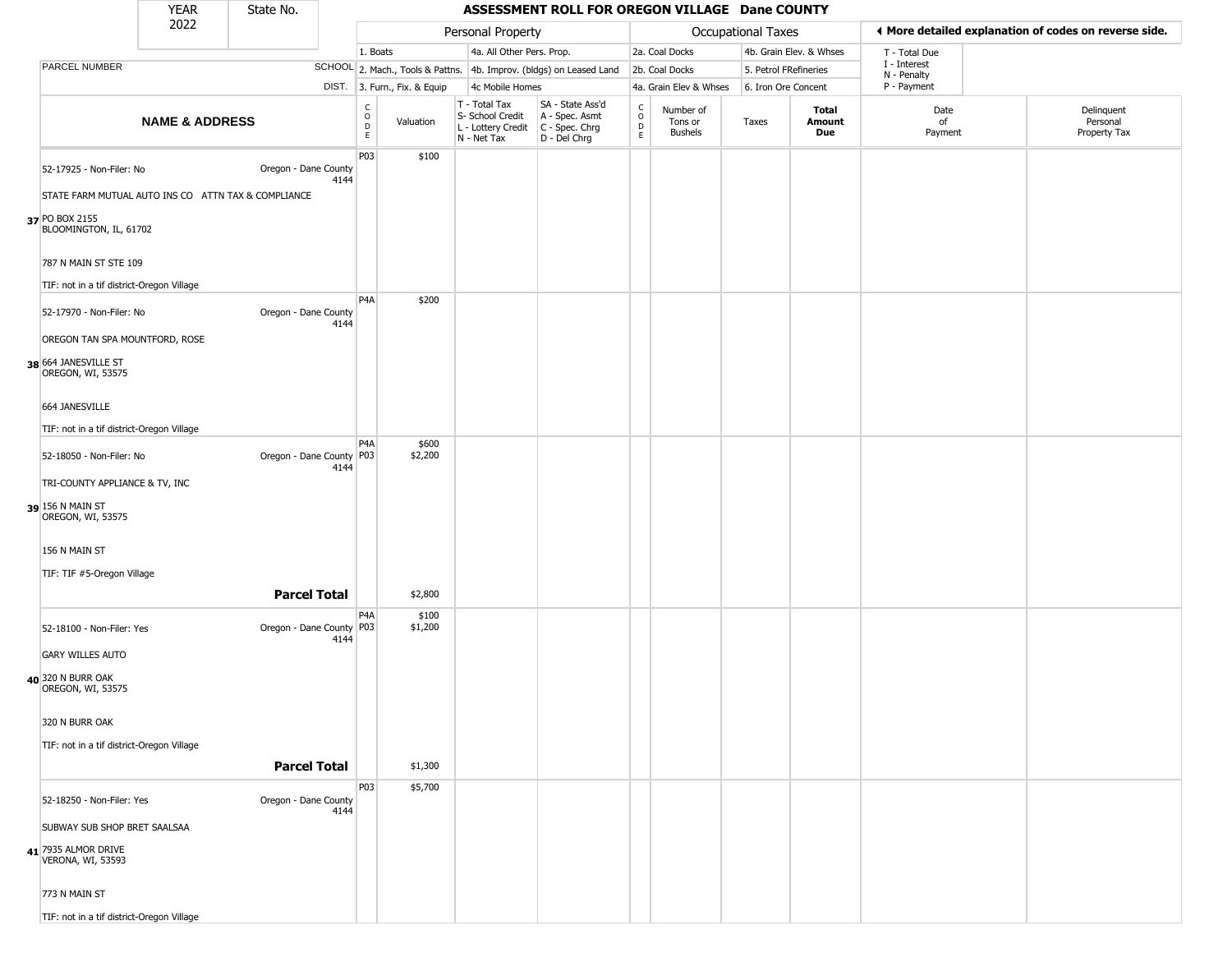|                                                                       | <b>YEAR</b>                                         | State No.                |      |                                                |                              |                                                                                       | ASSESSMENT ROLL FOR OREGON VILLAGE Dane COUNTY                      |                        |                                        |                       |                         |                             |                                                       |
|-----------------------------------------------------------------------|-----------------------------------------------------|--------------------------|------|------------------------------------------------|------------------------------|---------------------------------------------------------------------------------------|---------------------------------------------------------------------|------------------------|----------------------------------------|-----------------------|-------------------------|-----------------------------|-------------------------------------------------------|
|                                                                       | 2022                                                |                          |      |                                                |                              | Personal Property                                                                     |                                                                     |                        |                                        | Occupational Taxes    |                         |                             | ♦ More detailed explanation of codes on reverse side. |
|                                                                       |                                                     |                          |      | 1. Boats                                       |                              | 4a. All Other Pers. Prop.                                                             |                                                                     |                        | 2a. Coal Docks                         |                       | 4b. Grain Elev. & Whses | T - Total Due               |                                                       |
| PARCEL NUMBER                                                         |                                                     |                          |      |                                                |                              |                                                                                       | SCHOOL 2. Mach., Tools & Pattns. 4b. Improv. (bldgs) on Leased Land |                        | 2b. Coal Docks                         | 5. Petrol FRefineries |                         | I - Interest<br>N - Penalty |                                                       |
|                                                                       |                                                     |                          |      |                                                | DIST. 3. Furn., Fix. & Equip | 4c Mobile Homes                                                                       |                                                                     |                        | 4a. Grain Elev & Whses                 | 6. Iron Ore Concent   |                         | P - Payment                 |                                                       |
|                                                                       | <b>NAME &amp; ADDRESS</b>                           |                          |      | $\begin{matrix} 0 \\ 0 \\ D \end{matrix}$<br>E | Valuation                    | T - Total Tax<br>S- School Credit<br>L - Lottery Credit C - Spec. Chrg<br>N - Net Tax | SA - State Ass'd<br>A - Spec. Asmt<br>$D - Del Chrg$                | C<br>$\circ$<br>D<br>E | Number of<br>Tons or<br><b>Bushels</b> | Taxes                 | Total<br>Amount<br>Due  | Date<br>of<br>Payment       | Delinquent<br>Personal<br>Property Tax                |
| 52-17925 - Non-Filer: No                                              | STATE FARM MUTUAL AUTO INS CO ATTN TAX & COMPLIANCE | Oregon - Dane County     | 4144 | P03                                            | \$100                        |                                                                                       |                                                                     |                        |                                        |                       |                         |                             |                                                       |
| 37 PO BOX 2155<br>BLOOMINGTON, IL, 61702                              |                                                     |                          |      |                                                |                              |                                                                                       |                                                                     |                        |                                        |                       |                         |                             |                                                       |
| 787 N MAIN ST STE 109<br>TIF: not in a tif district-Oregon Village    |                                                     |                          |      |                                                |                              |                                                                                       |                                                                     |                        |                                        |                       |                         |                             |                                                       |
| 52-17970 - Non-Filer: No                                              |                                                     | Oregon - Dane County     |      | P <sub>4</sub> A                               | \$200                        |                                                                                       |                                                                     |                        |                                        |                       |                         |                             |                                                       |
| OREGON TAN SPA MOUNTFORD, ROSE                                        |                                                     |                          | 4144 |                                                |                              |                                                                                       |                                                                     |                        |                                        |                       |                         |                             |                                                       |
| 38 664 JANESVILLE ST<br>OREGON, WI, 53575                             |                                                     |                          |      |                                                |                              |                                                                                       |                                                                     |                        |                                        |                       |                         |                             |                                                       |
| 664 JANESVILLE                                                        |                                                     |                          |      |                                                |                              |                                                                                       |                                                                     |                        |                                        |                       |                         |                             |                                                       |
| TIF: not in a tif district-Oregon Village<br>52-18050 - Non-Filer: No |                                                     | Oregon - Dane County     |      | P <sub>4</sub> A<br>P03                        | \$600<br>\$2,200             |                                                                                       |                                                                     |                        |                                        |                       |                         |                             |                                                       |
| TRI-COUNTY APPLIANCE & TV, INC                                        |                                                     |                          | 4144 |                                                |                              |                                                                                       |                                                                     |                        |                                        |                       |                         |                             |                                                       |
| 39 156 N MAIN ST<br>OREGON, WI, 53575                                 |                                                     |                          |      |                                                |                              |                                                                                       |                                                                     |                        |                                        |                       |                         |                             |                                                       |
| 156 N MAIN ST                                                         |                                                     |                          |      |                                                |                              |                                                                                       |                                                                     |                        |                                        |                       |                         |                             |                                                       |
| TIF: TIF #5-Oregon Village                                            |                                                     | <b>Parcel Total</b>      |      |                                                | \$2,800                      |                                                                                       |                                                                     |                        |                                        |                       |                         |                             |                                                       |
| 52-18100 - Non-Filer: Yes                                             |                                                     | Oregon - Dane County P03 | 4144 | P4A                                            | \$100<br>\$1,200             |                                                                                       |                                                                     |                        |                                        |                       |                         |                             |                                                       |
| <b>GARY WILLES AUTO</b>                                               |                                                     |                          |      |                                                |                              |                                                                                       |                                                                     |                        |                                        |                       |                         |                             |                                                       |
| 40 320 N BURR OAK<br>OREGON, WI, 53575                                |                                                     |                          |      |                                                |                              |                                                                                       |                                                                     |                        |                                        |                       |                         |                             |                                                       |
| 320 N BURR OAK                                                        |                                                     |                          |      |                                                |                              |                                                                                       |                                                                     |                        |                                        |                       |                         |                             |                                                       |
| TIF: not in a tif district-Oregon Village                             |                                                     | <b>Parcel Total</b>      |      |                                                | \$1,300                      |                                                                                       |                                                                     |                        |                                        |                       |                         |                             |                                                       |
| 52-18250 - Non-Filer: Yes                                             |                                                     | Oregon - Dane County     | 4144 | <b>P03</b>                                     | \$5,700                      |                                                                                       |                                                                     |                        |                                        |                       |                         |                             |                                                       |
| SUBWAY SUB SHOP BRET SAALSAA                                          |                                                     |                          |      |                                                |                              |                                                                                       |                                                                     |                        |                                        |                       |                         |                             |                                                       |
| 41 7935 ALMOR DRIVE<br>VERONA, WI, 53593                              |                                                     |                          |      |                                                |                              |                                                                                       |                                                                     |                        |                                        |                       |                         |                             |                                                       |
| 773 N MAIN ST                                                         |                                                     |                          |      |                                                |                              |                                                                                       |                                                                     |                        |                                        |                       |                         |                             |                                                       |
| TIF: not in a tif district-Oregon Village                             |                                                     |                          |      |                                                |                              |                                                                                       |                                                                     |                        |                                        |                       |                         |                             |                                                       |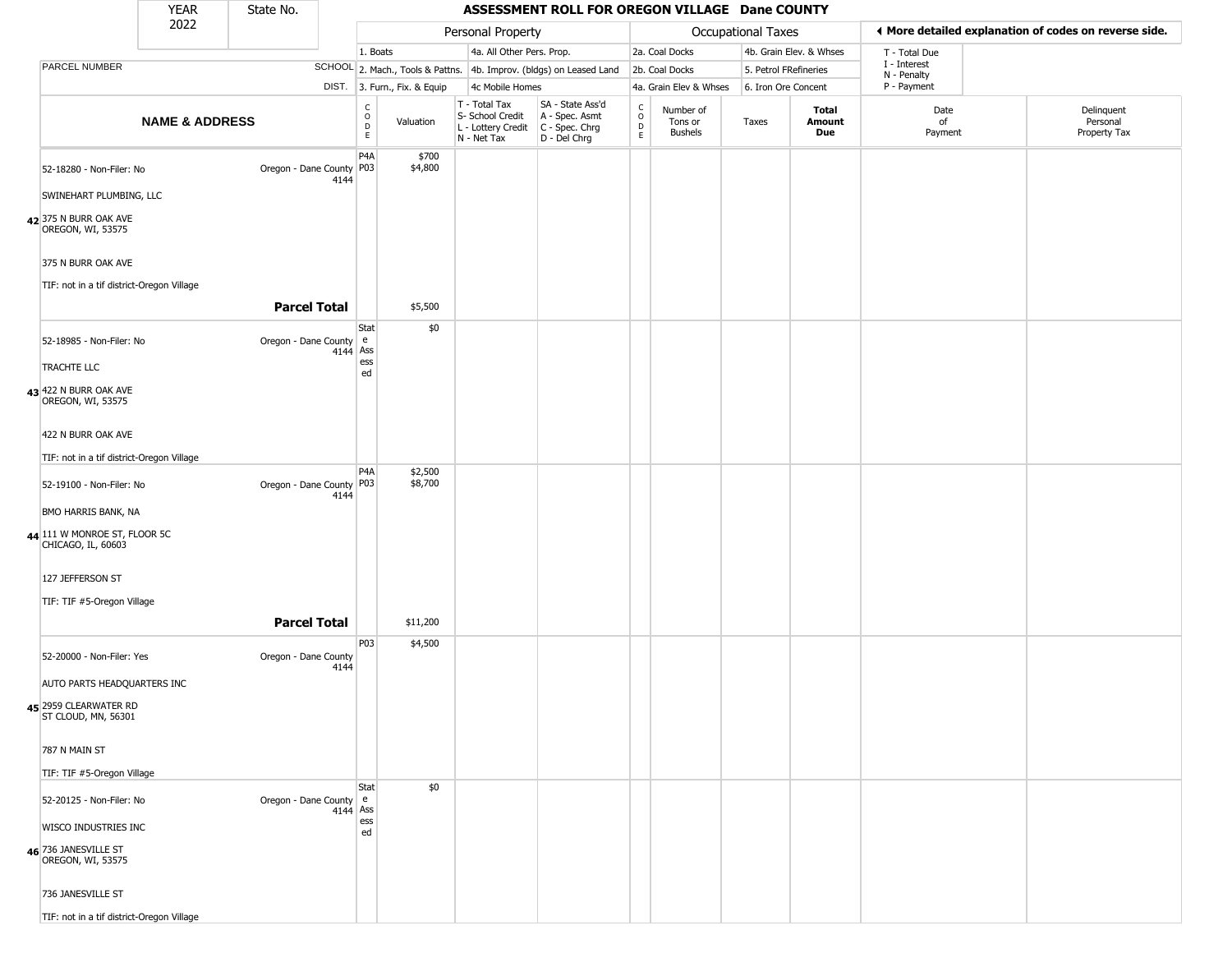|                                                                                  | <b>YEAR</b>               | State No.                  |          |                                             |                  |                                                                                                          | ASSESSMENT ROLL FOR OREGON VILLAGE Dane COUNTY                      |                                    |                                        |                       |                         |                             |                                                       |
|----------------------------------------------------------------------------------|---------------------------|----------------------------|----------|---------------------------------------------|------------------|----------------------------------------------------------------------------------------------------------|---------------------------------------------------------------------|------------------------------------|----------------------------------------|-----------------------|-------------------------|-----------------------------|-------------------------------------------------------|
|                                                                                  | 2022                      |                            |          |                                             |                  | Personal Property                                                                                        |                                                                     |                                    |                                        | Occupational Taxes    |                         |                             | ◀ More detailed explanation of codes on reverse side. |
|                                                                                  |                           |                            |          | 1. Boats                                    |                  | 4a. All Other Pers. Prop.                                                                                |                                                                     |                                    | 2a. Coal Docks                         |                       | 4b. Grain Elev. & Whses | T - Total Due               |                                                       |
| PARCEL NUMBER                                                                    |                           |                            |          |                                             |                  |                                                                                                          | SCHOOL 2. Mach., Tools & Pattns. 4b. Improv. (bldgs) on Leased Land |                                    | 2b. Coal Docks                         | 5. Petrol FRefineries |                         | I - Interest<br>N - Penalty |                                                       |
|                                                                                  |                           |                            |          | DIST. 3. Furn., Fix. & Equip                |                  | 4c Mobile Homes                                                                                          |                                                                     |                                    | 4a. Grain Elev & Whses                 | 6. Iron Ore Concent   |                         | P - Payment                 |                                                       |
|                                                                                  | <b>NAME &amp; ADDRESS</b> |                            |          | $\frac{c}{0}$<br>$\mathsf D$<br>$\mathsf E$ | Valuation        | T - Total Tax<br>S- School Credit   A - Spec. Asmt<br>L - Lottery Credit   C - Spec. Chrg<br>N - Net Tax | SA - State Ass'd<br>$D - Del Chrg$                                  | $\int_{0}^{c}$<br>$\mathsf D$<br>E | Number of<br>Tons or<br><b>Bushels</b> | Taxes                 | Total<br>Amount<br>Due  | Date<br>of<br>Payment       | Delinquent<br>Personal<br>Property Tax                |
| 52-18280 - Non-Filer: No<br>SWINEHART PLUMBING, LLC                              |                           | Oregon - Dane County   P03 | 4144     | P <sub>4</sub> A                            | \$700<br>\$4,800 |                                                                                                          |                                                                     |                                    |                                        |                       |                         |                             |                                                       |
| 42 375 N BURR OAK AVE<br>OREGON, WI, 53575                                       |                           |                            |          |                                             |                  |                                                                                                          |                                                                     |                                    |                                        |                       |                         |                             |                                                       |
| 375 N BURR OAK AVE<br>TIF: not in a tif district-Oregon Village                  |                           |                            |          |                                             |                  |                                                                                                          |                                                                     |                                    |                                        |                       |                         |                             |                                                       |
|                                                                                  |                           | <b>Parcel Total</b>        |          |                                             | \$5,500          |                                                                                                          |                                                                     |                                    |                                        |                       |                         |                             |                                                       |
| 52-18985 - Non-Filer: No<br><b>TRACHTE LLC</b>                                   |                           | Oregon - Dane County       | 4144     | Stat<br>$\mathsf{e}\,$<br>Ass<br>ess        | \$0              |                                                                                                          |                                                                     |                                    |                                        |                       |                         |                             |                                                       |
| 43 422 N BURR OAK AVE<br>OREGON, WI, 53575                                       |                           |                            |          | ed                                          |                  |                                                                                                          |                                                                     |                                    |                                        |                       |                         |                             |                                                       |
| 422 N BURR OAK AVE                                                               |                           |                            |          |                                             |                  |                                                                                                          |                                                                     |                                    |                                        |                       |                         |                             |                                                       |
| TIF: not in a tif district-Oregon Village                                        |                           |                            |          | P <sub>4</sub> A                            | \$2,500          |                                                                                                          |                                                                     |                                    |                                        |                       |                         |                             |                                                       |
| 52-19100 - Non-Filer: No                                                         |                           | Oregon - Dane County   P03 | 4144     |                                             | \$8,700          |                                                                                                          |                                                                     |                                    |                                        |                       |                         |                             |                                                       |
| <b>BMO HARRIS BANK, NA</b><br>44 111 W MONROE ST, FLOOR 5C<br>CHICAGO, IL, 60603 |                           |                            |          |                                             |                  |                                                                                                          |                                                                     |                                    |                                        |                       |                         |                             |                                                       |
| 127 JEFFERSON ST                                                                 |                           |                            |          |                                             |                  |                                                                                                          |                                                                     |                                    |                                        |                       |                         |                             |                                                       |
| TIF: TIF #5-Oregon Village                                                       |                           | <b>Parcel Total</b>        |          |                                             | \$11,200         |                                                                                                          |                                                                     |                                    |                                        |                       |                         |                             |                                                       |
|                                                                                  |                           |                            |          | P03                                         | \$4,500          |                                                                                                          |                                                                     |                                    |                                        |                       |                         |                             |                                                       |
| 52-20000 - Non-Filer: Yes                                                        |                           | Oregon - Dane County       | 4144     |                                             |                  |                                                                                                          |                                                                     |                                    |                                        |                       |                         |                             |                                                       |
| AUTO PARTS HEADQUARTERS INC<br>45 2959 CLEARWATER RD<br>ST CLOUD, MN, 56301      |                           |                            |          |                                             |                  |                                                                                                          |                                                                     |                                    |                                        |                       |                         |                             |                                                       |
| 787 N MAIN ST                                                                    |                           |                            |          |                                             |                  |                                                                                                          |                                                                     |                                    |                                        |                       |                         |                             |                                                       |
| TIF: TIF #5-Oregon Village                                                       |                           |                            |          |                                             |                  |                                                                                                          |                                                                     |                                    |                                        |                       |                         |                             |                                                       |
| 52-20125 - Non-Filer: No                                                         |                           | Oregon - Dane County e     | 4144 Ass | Stat                                        | \$0              |                                                                                                          |                                                                     |                                    |                                        |                       |                         |                             |                                                       |
| <b>WISCO INDUSTRIES INC</b>                                                      |                           |                            |          | ess<br>ed                                   |                  |                                                                                                          |                                                                     |                                    |                                        |                       |                         |                             |                                                       |
| 46 736 JANESVILLE ST<br>OREGON, WI, 53575                                        |                           |                            |          |                                             |                  |                                                                                                          |                                                                     |                                    |                                        |                       |                         |                             |                                                       |
| 736 JANESVILLE ST                                                                |                           |                            |          |                                             |                  |                                                                                                          |                                                                     |                                    |                                        |                       |                         |                             |                                                       |
| TIF: not in a tif district-Oregon Village                                        |                           |                            |          |                                             |                  |                                                                                                          |                                                                     |                                    |                                        |                       |                         |                             |                                                       |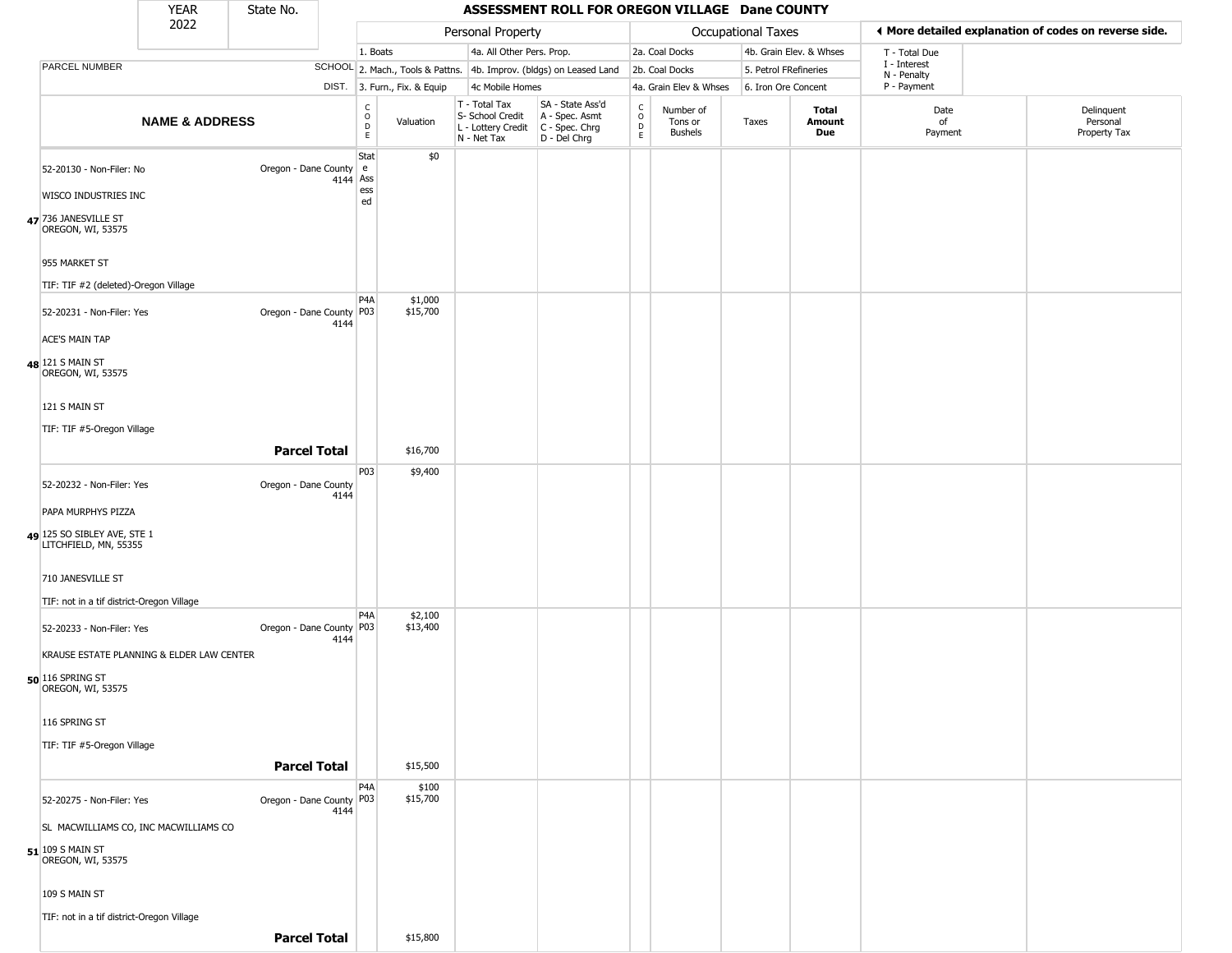|                                                                | <b>YEAR</b>                               | State No.                          |                               |                              |                                                                        | ASSESSMENT ROLL FOR OREGON VILLAGE Dane COUNTY                       |                        |                                 |                       |                         |                             |                                                       |
|----------------------------------------------------------------|-------------------------------------------|------------------------------------|-------------------------------|------------------------------|------------------------------------------------------------------------|----------------------------------------------------------------------|------------------------|---------------------------------|-----------------------|-------------------------|-----------------------------|-------------------------------------------------------|
|                                                                | 2022                                      |                                    |                               |                              | Personal Property                                                      |                                                                      |                        |                                 | Occupational Taxes    |                         |                             | ◀ More detailed explanation of codes on reverse side. |
|                                                                |                                           |                                    | 1. Boats                      |                              | 4a. All Other Pers. Prop.                                              |                                                                      |                        | 2a. Coal Docks                  |                       | 4b. Grain Elev. & Whses | T - Total Due               |                                                       |
| PARCEL NUMBER                                                  |                                           |                                    |                               |                              |                                                                        | SCHOOL 2. Mach., Tools & Pattns. 4b. Improv. (bldgs) on Leased Land  |                        | 2b. Coal Docks                  | 5. Petrol FRefineries |                         | I - Interest<br>N - Penalty |                                                       |
|                                                                |                                           |                                    |                               | DIST. 3. Furn., Fix. & Equip | 4c Mobile Homes                                                        |                                                                      |                        | 4a. Grain Elev & Whses          | 6. Iron Ore Concent   |                         | P - Payment                 |                                                       |
|                                                                | <b>NAME &amp; ADDRESS</b>                 |                                    | C<br>O<br>D<br>E              | Valuation                    | T - Total Tax<br>S- School Credit<br>L - Lottery Credit<br>N - Net Tax | SA - State Ass'd<br>A - Spec. Asmt<br>C - Spec. Chrg<br>D - Del Chrg | C<br>$\circ$<br>D<br>E | Number of<br>Tons or<br>Bushels | Taxes                 | Total<br>Amount<br>Due  | Date<br>of<br>Payment       | Delinquent<br>Personal<br>Property Tax                |
| 52-20130 - Non-Filer: No<br>WISCO INDUSTRIES INC               |                                           | Oregon - Dane County e             | Stat<br>4144 Ass<br>ess<br>ed | \$0                          |                                                                        |                                                                      |                        |                                 |                       |                         |                             |                                                       |
| 47 736 JANESVILLE ST<br>OREGON, WI, 53575                      |                                           |                                    |                               |                              |                                                                        |                                                                      |                        |                                 |                       |                         |                             |                                                       |
| 955 MARKET ST<br>TIF: TIF #2 (deleted)-Oregon Village          |                                           |                                    |                               |                              |                                                                        |                                                                      |                        |                                 |                       |                         |                             |                                                       |
| 52-20231 - Non-Filer: Yes<br><b>ACE'S MAIN TAP</b>             |                                           | Oregon - Dane County   P03<br>4144 | P4A                           | \$1,000<br>\$15,700          |                                                                        |                                                                      |                        |                                 |                       |                         |                             |                                                       |
| 48 121 S MAIN ST<br>OREGON, WI, 53575                          |                                           |                                    |                               |                              |                                                                        |                                                                      |                        |                                 |                       |                         |                             |                                                       |
| 121 S MAIN ST<br>TIF: TIF #5-Oregon Village                    |                                           |                                    |                               |                              |                                                                        |                                                                      |                        |                                 |                       |                         |                             |                                                       |
|                                                                |                                           | <b>Parcel Total</b>                | P03                           | \$16,700<br>\$9,400          |                                                                        |                                                                      |                        |                                 |                       |                         |                             |                                                       |
| 52-20232 - Non-Filer: Yes<br>PAPA MURPHYS PIZZA                |                                           | Oregon - Dane County<br>4144       |                               |                              |                                                                        |                                                                      |                        |                                 |                       |                         |                             |                                                       |
| 49 125 SO SIBLEY AVE, STE 1<br>LITCHFIELD, MN, 55355           |                                           |                                    |                               |                              |                                                                        |                                                                      |                        |                                 |                       |                         |                             |                                                       |
| 710 JANESVILLE ST<br>TIF: not in a tif district-Oregon Village |                                           |                                    |                               |                              |                                                                        |                                                                      |                        |                                 |                       |                         |                             |                                                       |
| 52-20233 - Non-Filer: Yes                                      | KRAUSE ESTATE PLANNING & ELDER LAW CENTER | Oregon - Dane County   P03<br>4144 | P4A                           | \$2,100<br>\$13,400          |                                                                        |                                                                      |                        |                                 |                       |                         |                             |                                                       |
| 50 116 SPRING ST<br>OREGON, WI, 53575                          |                                           |                                    |                               |                              |                                                                        |                                                                      |                        |                                 |                       |                         |                             |                                                       |
| 116 SPRING ST<br>TIF: TIF #5-Oregon Village                    |                                           |                                    |                               |                              |                                                                        |                                                                      |                        |                                 |                       |                         |                             |                                                       |
|                                                                |                                           | <b>Parcel Total</b>                | P4A                           | \$15,500<br>\$100            |                                                                        |                                                                      |                        |                                 |                       |                         |                             |                                                       |
| 52-20275 - Non-Filer: Yes                                      | SL MACWILLIAMS CO, INC MACWILLIAMS CO     | Oregon - Dane County   P03<br>4144 |                               | \$15,700                     |                                                                        |                                                                      |                        |                                 |                       |                         |                             |                                                       |
| 51 109 S MAIN ST<br>OREGON, WI, 53575                          |                                           |                                    |                               |                              |                                                                        |                                                                      |                        |                                 |                       |                         |                             |                                                       |
| 109 S MAIN ST<br>TIF: not in a tif district-Oregon Village     |                                           |                                    |                               |                              |                                                                        |                                                                      |                        |                                 |                       |                         |                             |                                                       |
|                                                                |                                           | <b>Parcel Total</b>                |                               | \$15,800                     |                                                                        |                                                                      |                        |                                 |                       |                         |                             |                                                       |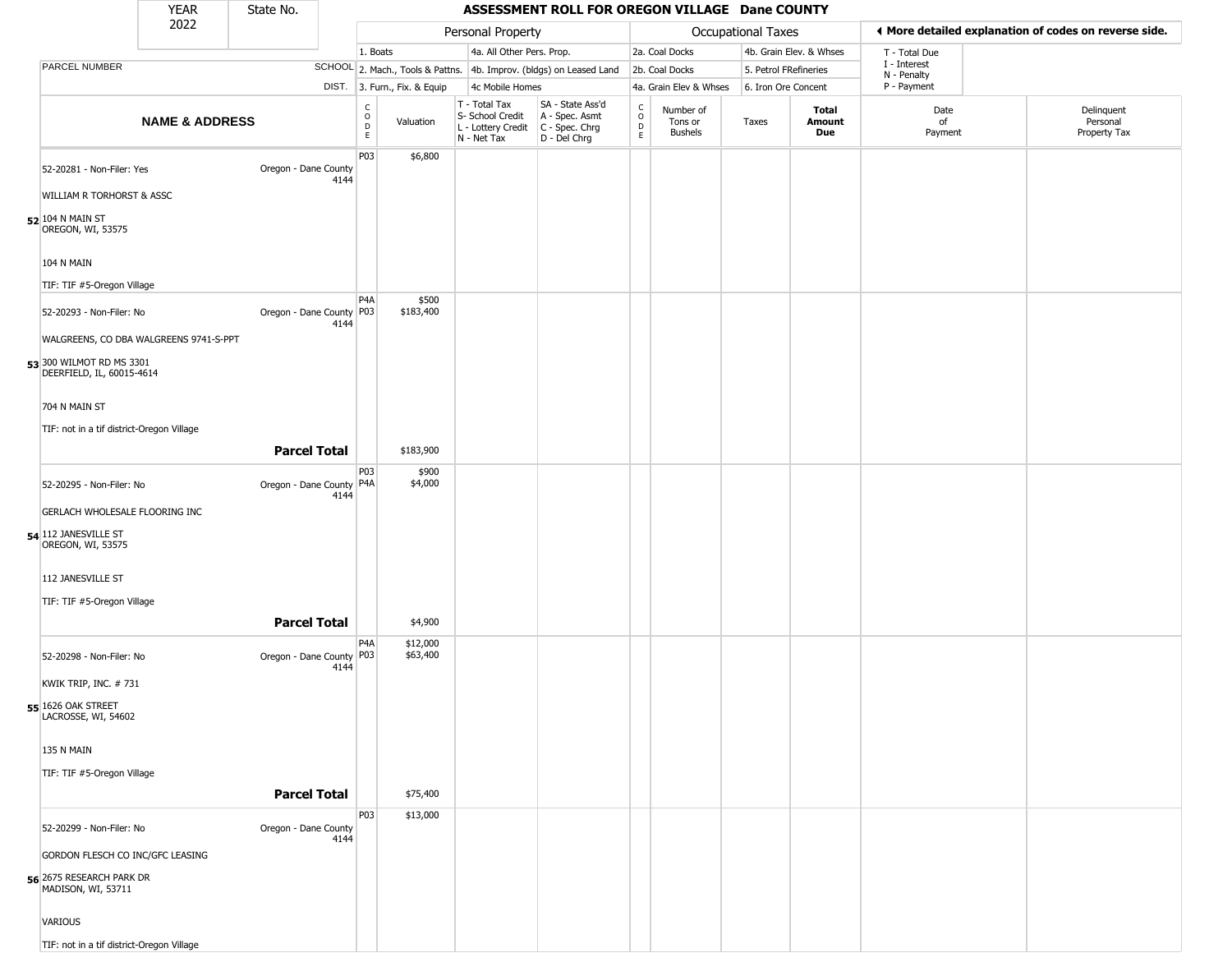|                                                       | YEAR                      | State No.                  |      |                                |                              |                                                                                       | ASSESSMENT ROLL FOR OREGON VILLAGE Dane COUNTY                      |                        |                                        |                       |                         |                             |                                                       |
|-------------------------------------------------------|---------------------------|----------------------------|------|--------------------------------|------------------------------|---------------------------------------------------------------------------------------|---------------------------------------------------------------------|------------------------|----------------------------------------|-----------------------|-------------------------|-----------------------------|-------------------------------------------------------|
|                                                       | 2022                      |                            |      |                                |                              | Personal Property                                                                     |                                                                     |                        |                                        | Occupational Taxes    |                         |                             | ♦ More detailed explanation of codes on reverse side. |
|                                                       |                           |                            |      | 1. Boats                       |                              | 4a. All Other Pers. Prop.                                                             |                                                                     |                        | 2a. Coal Docks                         |                       | 4b. Grain Elev. & Whses | T - Total Due               |                                                       |
| PARCEL NUMBER                                         |                           |                            |      |                                |                              |                                                                                       | SCHOOL 2. Mach., Tools & Pattns. 4b. Improv. (bldgs) on Leased Land |                        | 2b. Coal Docks                         | 5. Petrol FRefineries |                         | I - Interest<br>N - Penalty |                                                       |
|                                                       |                           |                            |      |                                | DIST. 3. Furn., Fix. & Equip | 4c Mobile Homes                                                                       |                                                                     |                        | 4a. Grain Elev & Whses                 | 6. Iron Ore Concent   |                         | P - Payment                 |                                                       |
|                                                       | <b>NAME &amp; ADDRESS</b> |                            |      | $\rm _o^C$<br>$\mathsf D$<br>E | Valuation                    | T - Total Tax<br>S- School Credit<br>L - Lottery Credit C - Spec. Chrg<br>N - Net Tax | SA - State Ass'd<br>A - Spec. Asmt<br>D - Del Chrg                  | C<br>$\circ$<br>D<br>E | Number of<br>Tons or<br><b>Bushels</b> | Taxes                 | Total<br>Amount<br>Due  | Date<br>of<br>Payment       | Delinquent<br>Personal<br>Property Tax                |
| 52-20281 - Non-Filer: Yes                             |                           | Oregon - Dane County       |      | P03                            | \$6,800                      |                                                                                       |                                                                     |                        |                                        |                       |                         |                             |                                                       |
| WILLIAM R TORHORST & ASSC                             |                           |                            | 4144 |                                |                              |                                                                                       |                                                                     |                        |                                        |                       |                         |                             |                                                       |
| 52 104 N MAIN ST<br>OREGON, WI, 53575                 |                           |                            |      |                                |                              |                                                                                       |                                                                     |                        |                                        |                       |                         |                             |                                                       |
| <b>104 N MAIN</b>                                     |                           |                            |      |                                |                              |                                                                                       |                                                                     |                        |                                        |                       |                         |                             |                                                       |
| TIF: TIF #5-Oregon Village                            |                           |                            |      |                                |                              |                                                                                       |                                                                     |                        |                                        |                       |                         |                             |                                                       |
| 52-20293 - Non-Filer: No                              |                           | Oregon - Dane County P03   | 4144 | P4A                            | \$500<br>\$183,400           |                                                                                       |                                                                     |                        |                                        |                       |                         |                             |                                                       |
| WALGREENS, CO DBA WALGREENS 9741-S-PPT                |                           |                            |      |                                |                              |                                                                                       |                                                                     |                        |                                        |                       |                         |                             |                                                       |
| 53 300 WILMOT RD MS 3301<br>DEERFIELD, IL, 60015-4614 |                           |                            |      |                                |                              |                                                                                       |                                                                     |                        |                                        |                       |                         |                             |                                                       |
| 704 N MAIN ST                                         |                           |                            |      |                                |                              |                                                                                       |                                                                     |                        |                                        |                       |                         |                             |                                                       |
| TIF: not in a tif district-Oregon Village             |                           |                            |      |                                |                              |                                                                                       |                                                                     |                        |                                        |                       |                         |                             |                                                       |
|                                                       |                           | <b>Parcel Total</b>        |      |                                | \$183,900                    |                                                                                       |                                                                     |                        |                                        |                       |                         |                             |                                                       |
|                                                       |                           |                            |      | P03                            | \$900                        |                                                                                       |                                                                     |                        |                                        |                       |                         |                             |                                                       |
| 52-20295 - Non-Filer: No                              |                           | Oregon - Dane County   P4A | 4144 |                                | \$4,000                      |                                                                                       |                                                                     |                        |                                        |                       |                         |                             |                                                       |
| GERLACH WHOLESALE FLOORING INC                        |                           |                            |      |                                |                              |                                                                                       |                                                                     |                        |                                        |                       |                         |                             |                                                       |
| 54 112 JANESVILLE ST<br>OREGON, WI, 53575             |                           |                            |      |                                |                              |                                                                                       |                                                                     |                        |                                        |                       |                         |                             |                                                       |
| 112 JANESVILLE ST                                     |                           |                            |      |                                |                              |                                                                                       |                                                                     |                        |                                        |                       |                         |                             |                                                       |
| TIF: TIF #5-Oregon Village                            |                           |                            |      |                                |                              |                                                                                       |                                                                     |                        |                                        |                       |                         |                             |                                                       |
|                                                       |                           | <b>Parcel Total</b>        |      |                                | \$4,900                      |                                                                                       |                                                                     |                        |                                        |                       |                         |                             |                                                       |
| 52-20298 - Non-Filer: No                              |                           | Oregon - Dane County       | 4144 | P4A<br>P03                     | \$12,000<br>\$63,400         |                                                                                       |                                                                     |                        |                                        |                       |                         |                             |                                                       |
| KWIK TRIP, INC. #731                                  |                           |                            |      |                                |                              |                                                                                       |                                                                     |                        |                                        |                       |                         |                             |                                                       |
| 55 1626 OAK STREET<br>LACROSSE, WI, 54602             |                           |                            |      |                                |                              |                                                                                       |                                                                     |                        |                                        |                       |                         |                             |                                                       |
| 135 N MAIN                                            |                           |                            |      |                                |                              |                                                                                       |                                                                     |                        |                                        |                       |                         |                             |                                                       |
| TIF: TIF #5-Oregon Village                            |                           | <b>Parcel Total</b>        |      |                                | \$75,400                     |                                                                                       |                                                                     |                        |                                        |                       |                         |                             |                                                       |
|                                                       |                           |                            |      | P03                            | \$13,000                     |                                                                                       |                                                                     |                        |                                        |                       |                         |                             |                                                       |
| 52-20299 - Non-Filer: No                              |                           | Oregon - Dane County       | 4144 |                                |                              |                                                                                       |                                                                     |                        |                                        |                       |                         |                             |                                                       |
| GORDON FLESCH CO INC/GFC LEASING                      |                           |                            |      |                                |                              |                                                                                       |                                                                     |                        |                                        |                       |                         |                             |                                                       |
| 56 2675 RESEARCH PARK DR<br>MADISON, WI, 53711        |                           |                            |      |                                |                              |                                                                                       |                                                                     |                        |                                        |                       |                         |                             |                                                       |
| VARIOUS                                               |                           |                            |      |                                |                              |                                                                                       |                                                                     |                        |                                        |                       |                         |                             |                                                       |
| TIF: not in a tif district-Oregon Village             |                           |                            |      |                                |                              |                                                                                       |                                                                     |                        |                                        |                       |                         |                             |                                                       |

TIF: not in a tif district-Oregon Vil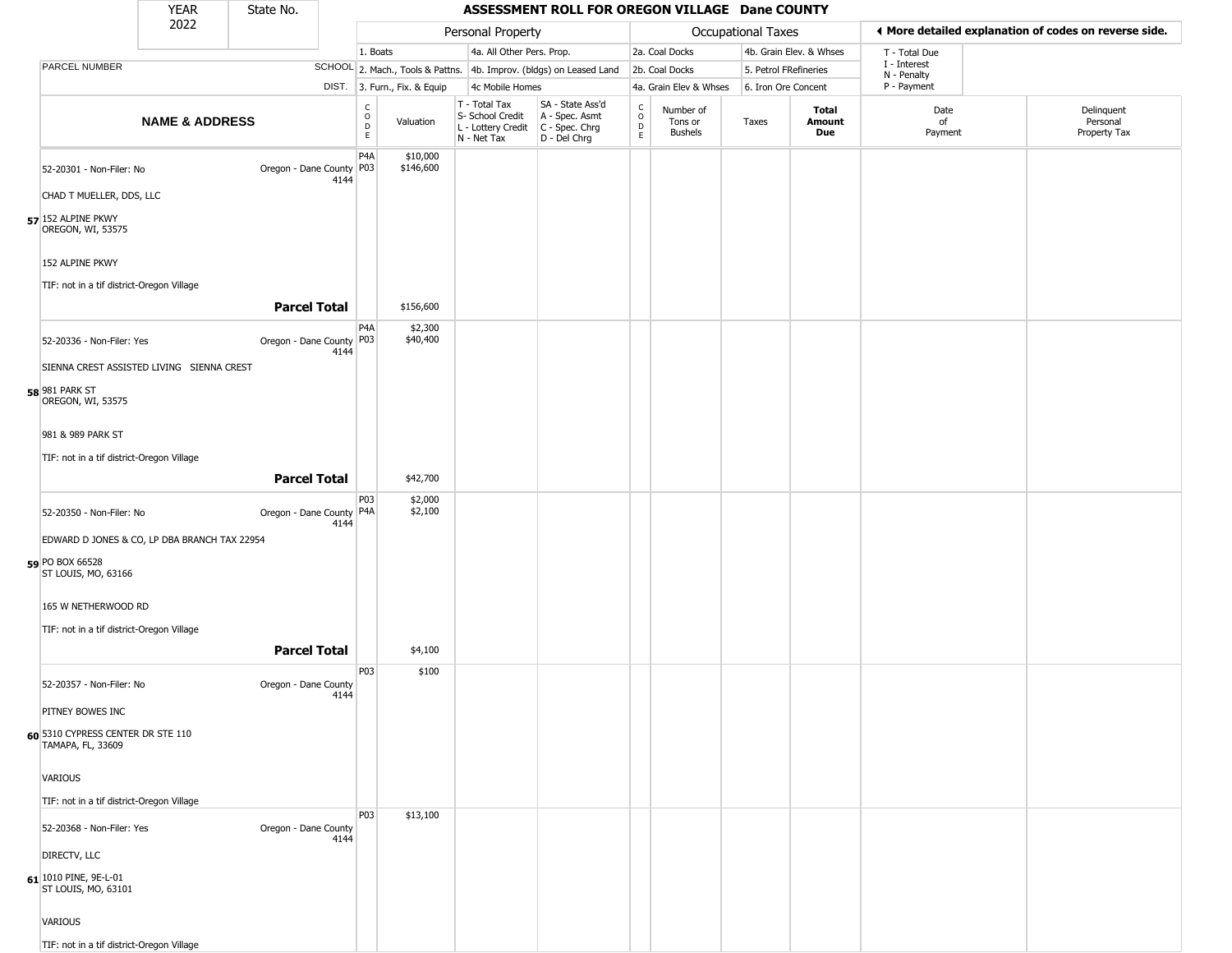|                                                                                         | <b>YEAR</b>               | State No.                  |      |                                   |                              |                                                                                       | ASSESSMENT ROLL FOR OREGON VILLAGE Dane COUNTY                      |                        |                                        |                       |                         |                             |                                                       |
|-----------------------------------------------------------------------------------------|---------------------------|----------------------------|------|-----------------------------------|------------------------------|---------------------------------------------------------------------------------------|---------------------------------------------------------------------|------------------------|----------------------------------------|-----------------------|-------------------------|-----------------------------|-------------------------------------------------------|
|                                                                                         | 2022                      |                            |      |                                   |                              | Personal Property                                                                     |                                                                     |                        |                                        | Occupational Taxes    |                         |                             | ♦ More detailed explanation of codes on reverse side. |
|                                                                                         |                           |                            |      | 1. Boats                          |                              | 4a. All Other Pers. Prop.                                                             |                                                                     |                        | 2a. Coal Docks                         |                       | 4b. Grain Elev. & Whses | T - Total Due               |                                                       |
| <b>PARCEL NUMBER</b>                                                                    |                           |                            |      |                                   |                              |                                                                                       | SCHOOL 2. Mach., Tools & Pattns. 4b. Improv. (bldgs) on Leased Land |                        | 2b. Coal Docks                         | 5. Petrol FRefineries |                         | I - Interest<br>N - Penalty |                                                       |
|                                                                                         |                           |                            |      |                                   | DIST. 3. Furn., Fix. & Equip | 4c Mobile Homes                                                                       |                                                                     |                        | 4a. Grain Elev & Whses                 | 6. Iron Ore Concent   |                         | P - Payment                 |                                                       |
|                                                                                         | <b>NAME &amp; ADDRESS</b> |                            |      | $\frac{C}{O}$<br>$\mathsf D$<br>E | Valuation                    | T - Total Tax<br>S- School Credit<br>L - Lottery Credit C - Spec. Chrg<br>N - Net Tax | SA - State Ass'd<br>A - Spec. Asmt<br>D - Del Chrg                  | C<br>$\circ$<br>D<br>E | Number of<br>Tons or<br><b>Bushels</b> | Taxes                 | Total<br>Amount<br>Due  | Date<br>οf<br>Payment       | Delinquent<br>Personal<br>Property Tax                |
| 52-20301 - Non-Filer: No                                                                |                           | Oregon - Dane County   P03 | 4144 | P <sub>4</sub> A                  | \$10,000<br>\$146,600        |                                                                                       |                                                                     |                        |                                        |                       |                         |                             |                                                       |
| CHAD T MUELLER, DDS, LLC                                                                |                           |                            |      |                                   |                              |                                                                                       |                                                                     |                        |                                        |                       |                         |                             |                                                       |
| 57 152 ALPINE PKWY<br>OREGON, WI, 53575                                                 |                           |                            |      |                                   |                              |                                                                                       |                                                                     |                        |                                        |                       |                         |                             |                                                       |
| 152 ALPINE PKWY                                                                         |                           |                            |      |                                   |                              |                                                                                       |                                                                     |                        |                                        |                       |                         |                             |                                                       |
| TIF: not in a tif district-Oregon Village                                               |                           | <b>Parcel Total</b>        |      |                                   | \$156,600                    |                                                                                       |                                                                     |                        |                                        |                       |                         |                             |                                                       |
| 52-20336 - Non-Filer: Yes                                                               |                           | Oregon - Dane County   P03 | 4144 | P <sub>4</sub> A                  | \$2,300<br>\$40,400          |                                                                                       |                                                                     |                        |                                        |                       |                         |                             |                                                       |
| SIENNA CREST ASSISTED LIVING SIENNA CREST<br><b>58</b> 981 PARK ST<br>OREGON, WI, 53575 |                           |                            |      |                                   |                              |                                                                                       |                                                                     |                        |                                        |                       |                         |                             |                                                       |
| 981 & 989 PARK ST                                                                       |                           |                            |      |                                   |                              |                                                                                       |                                                                     |                        |                                        |                       |                         |                             |                                                       |
| TIF: not in a tif district-Oregon Village                                               |                           | <b>Parcel Total</b>        |      |                                   | \$42,700                     |                                                                                       |                                                                     |                        |                                        |                       |                         |                             |                                                       |
| 52-20350 - Non-Filer: No                                                                |                           | Oregon - Dane County   P4A | 4144 | P03                               | \$2,000<br>\$2,100           |                                                                                       |                                                                     |                        |                                        |                       |                         |                             |                                                       |
| EDWARD D JONES & CO, LP DBA BRANCH TAX 22954<br>59 PO BOX 66528<br>ST LOUIS, MO, 63166  |                           |                            |      |                                   |                              |                                                                                       |                                                                     |                        |                                        |                       |                         |                             |                                                       |
| 165 W NETHERWOOD RD<br>TIF: not in a tif district-Oregon Village                        |                           |                            |      |                                   |                              |                                                                                       |                                                                     |                        |                                        |                       |                         |                             |                                                       |
|                                                                                         |                           | <b>Parcel Total</b>        |      |                                   | \$4,100                      |                                                                                       |                                                                     |                        |                                        |                       |                         |                             |                                                       |
| 52-20357 - Non-Filer: No                                                                |                           | Oregon - Dane County       | 4144 | P03                               | \$100                        |                                                                                       |                                                                     |                        |                                        |                       |                         |                             |                                                       |
| PITNEY BOWES INC<br>60 5310 CYPRESS CENTER DR STE 110<br>TAMAPA, FL, 33609              |                           |                            |      |                                   |                              |                                                                                       |                                                                     |                        |                                        |                       |                         |                             |                                                       |
| VARIOUS                                                                                 |                           |                            |      |                                   |                              |                                                                                       |                                                                     |                        |                                        |                       |                         |                             |                                                       |
| TIF: not in a tif district-Oregon Village                                               |                           |                            |      |                                   |                              |                                                                                       |                                                                     |                        |                                        |                       |                         |                             |                                                       |
| 52-20368 - Non-Filer: Yes                                                               |                           | Oregon - Dane County       | 4144 | P03                               | \$13,100                     |                                                                                       |                                                                     |                        |                                        |                       |                         |                             |                                                       |
| DIRECTV, LLC<br>61 1010 PINE, 9E-L-01<br>ST LOUIS, MO, 63101                            |                           |                            |      |                                   |                              |                                                                                       |                                                                     |                        |                                        |                       |                         |                             |                                                       |
| VARIOUS                                                                                 |                           |                            |      |                                   |                              |                                                                                       |                                                                     |                        |                                        |                       |                         |                             |                                                       |
| TIF: not in a tif district-Oregon Village                                               |                           |                            |      |                                   |                              |                                                                                       |                                                                     |                        |                                        |                       |                         |                             |                                                       |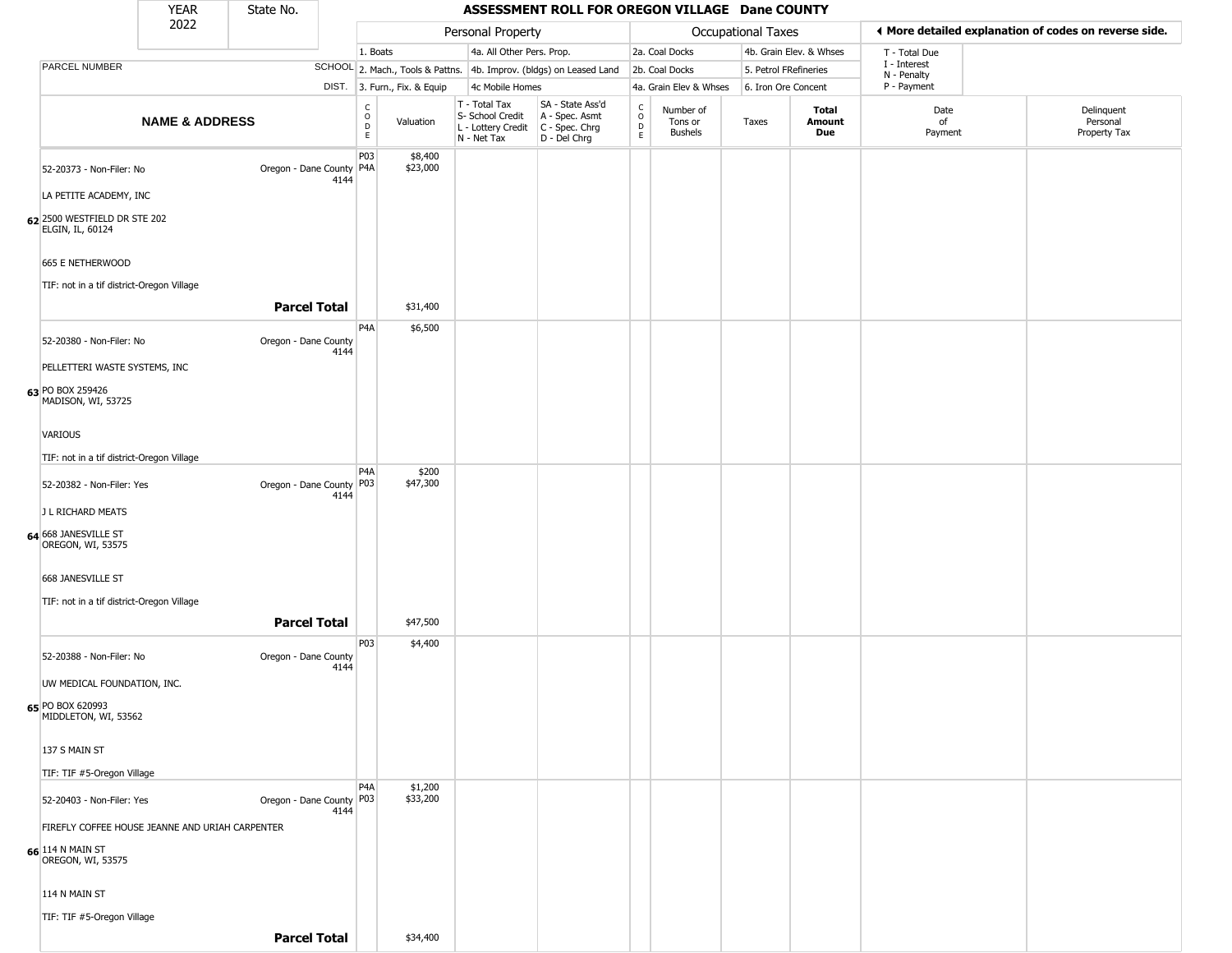|                                                  | <b>YEAR</b>               | State No.                  |                                           |                              |                                                                                         | ASSESSMENT ROLL FOR OREGON VILLAGE Dane COUNTY                      |                                                          |                                        |                       |                         |                             |                                                       |
|--------------------------------------------------|---------------------------|----------------------------|-------------------------------------------|------------------------------|-----------------------------------------------------------------------------------------|---------------------------------------------------------------------|----------------------------------------------------------|----------------------------------------|-----------------------|-------------------------|-----------------------------|-------------------------------------------------------|
|                                                  | 2022                      |                            |                                           |                              | Personal Property                                                                       |                                                                     |                                                          |                                        | Occupational Taxes    |                         |                             | ♦ More detailed explanation of codes on reverse side. |
|                                                  |                           |                            |                                           | 1. Boats                     | 4a. All Other Pers. Prop.                                                               |                                                                     |                                                          | 2a. Coal Docks                         |                       | 4b. Grain Elev. & Whses | T - Total Due               |                                                       |
| PARCEL NUMBER                                    |                           |                            |                                           |                              |                                                                                         | SCHOOL 2. Mach., Tools & Pattns. 4b. Improv. (bldgs) on Leased Land |                                                          | 2b. Coal Docks                         | 5. Petrol FRefineries |                         | I - Interest<br>N - Penalty |                                                       |
|                                                  |                           |                            |                                           | DIST. 3. Furn., Fix. & Equip | 4c Mobile Homes                                                                         |                                                                     |                                                          | 4a. Grain Elev & Whses                 | 6. Iron Ore Concent   |                         | P - Payment                 |                                                       |
|                                                  | <b>NAME &amp; ADDRESS</b> |                            | $_{\rm o}^{\rm c}$<br>$\overline{D}$<br>E | Valuation                    | T - Total Tax<br>S- School Credit<br>L - Lottery Credit   C - Spec. Chrg<br>N - Net Tax | SA - State Ass'd<br>A - Spec. Asmt<br>D - Del Chrg                  | $\begin{matrix} C \\ O \\ D \end{matrix}$<br>$\mathsf E$ | Number of<br>Tons or<br><b>Bushels</b> | Taxes                 | Total<br>Amount<br>Due  | Date<br>of<br>Payment       | Delinquent<br>Personal<br>Property Tax                |
| 52-20373 - Non-Filer: No                         |                           | Oregon - Dane County   P4A | P03<br>4144                               | \$8,400<br>\$23,000          |                                                                                         |                                                                     |                                                          |                                        |                       |                         |                             |                                                       |
| LA PETITE ACADEMY, INC                           |                           |                            |                                           |                              |                                                                                         |                                                                     |                                                          |                                        |                       |                         |                             |                                                       |
| 62 2500 WESTFIELD DR STE 202<br>ELGIN, IL, 60124 |                           |                            |                                           |                              |                                                                                         |                                                                     |                                                          |                                        |                       |                         |                             |                                                       |
| 665 E NETHERWOOD                                 |                           |                            |                                           |                              |                                                                                         |                                                                     |                                                          |                                        |                       |                         |                             |                                                       |
| TIF: not in a tif district-Oregon Village        |                           | <b>Parcel Total</b>        |                                           | \$31,400                     |                                                                                         |                                                                     |                                                          |                                        |                       |                         |                             |                                                       |
|                                                  |                           |                            | P <sub>4</sub> A                          | \$6,500                      |                                                                                         |                                                                     |                                                          |                                        |                       |                         |                             |                                                       |
| 52-20380 - Non-Filer: No                         |                           | Oregon - Dane County       | 4144                                      |                              |                                                                                         |                                                                     |                                                          |                                        |                       |                         |                             |                                                       |
| PELLETTERI WASTE SYSTEMS, INC                    |                           |                            |                                           |                              |                                                                                         |                                                                     |                                                          |                                        |                       |                         |                             |                                                       |
| 63 PO BOX 259426<br>MADISON, WI, 53725           |                           |                            |                                           |                              |                                                                                         |                                                                     |                                                          |                                        |                       |                         |                             |                                                       |
| VARIOUS                                          |                           |                            |                                           |                              |                                                                                         |                                                                     |                                                          |                                        |                       |                         |                             |                                                       |
| TIF: not in a tif district-Oregon Village        |                           |                            |                                           |                              |                                                                                         |                                                                     |                                                          |                                        |                       |                         |                             |                                                       |
| 52-20382 - Non-Filer: Yes                        |                           | Oregon - Dane County   P03 | P <sub>4</sub> A<br>4144                  | \$200<br>\$47,300            |                                                                                         |                                                                     |                                                          |                                        |                       |                         |                             |                                                       |
| J L RICHARD MEATS                                |                           |                            |                                           |                              |                                                                                         |                                                                     |                                                          |                                        |                       |                         |                             |                                                       |
| 64 668 JANESVILLE ST<br>OREGON, WI, 53575        |                           |                            |                                           |                              |                                                                                         |                                                                     |                                                          |                                        |                       |                         |                             |                                                       |
| 668 JANESVILLE ST                                |                           |                            |                                           |                              |                                                                                         |                                                                     |                                                          |                                        |                       |                         |                             |                                                       |
| TIF: not in a tif district-Oregon Village        |                           |                            |                                           |                              |                                                                                         |                                                                     |                                                          |                                        |                       |                         |                             |                                                       |
|                                                  |                           | <b>Parcel Total</b>        |                                           | \$47,500                     |                                                                                         |                                                                     |                                                          |                                        |                       |                         |                             |                                                       |
| 52-20388 - Non-Filer: No                         |                           | Oregon - Dane County       | P03<br>4144                               | \$4,400                      |                                                                                         |                                                                     |                                                          |                                        |                       |                         |                             |                                                       |
| UW MEDICAL FOUNDATION, INC.                      |                           |                            |                                           |                              |                                                                                         |                                                                     |                                                          |                                        |                       |                         |                             |                                                       |
| 65 PO BOX 620993<br>MIDDLETON, WI, 53562         |                           |                            |                                           |                              |                                                                                         |                                                                     |                                                          |                                        |                       |                         |                             |                                                       |
| 137 S MAIN ST                                    |                           |                            |                                           |                              |                                                                                         |                                                                     |                                                          |                                        |                       |                         |                             |                                                       |
| TIF: TIF #5-Oregon Village                       |                           |                            |                                           |                              |                                                                                         |                                                                     |                                                          |                                        |                       |                         |                             |                                                       |
| 52-20403 - Non-Filer: Yes                        |                           | Oregon - Dane County P03   | P <sub>4</sub> A<br>4144                  | \$1,200<br>\$33,200          |                                                                                         |                                                                     |                                                          |                                        |                       |                         |                             |                                                       |
| FIREFLY COFFEE HOUSE JEANNE AND URIAH CARPENTER  |                           |                            |                                           |                              |                                                                                         |                                                                     |                                                          |                                        |                       |                         |                             |                                                       |
| 66 114 N MAIN ST<br>OREGON, WI, 53575            |                           |                            |                                           |                              |                                                                                         |                                                                     |                                                          |                                        |                       |                         |                             |                                                       |
| 114 N MAIN ST                                    |                           |                            |                                           |                              |                                                                                         |                                                                     |                                                          |                                        |                       |                         |                             |                                                       |
| TIF: TIF #5-Oregon Village                       |                           | <b>Parcel Total</b>        |                                           | \$34,400                     |                                                                                         |                                                                     |                                                          |                                        |                       |                         |                             |                                                       |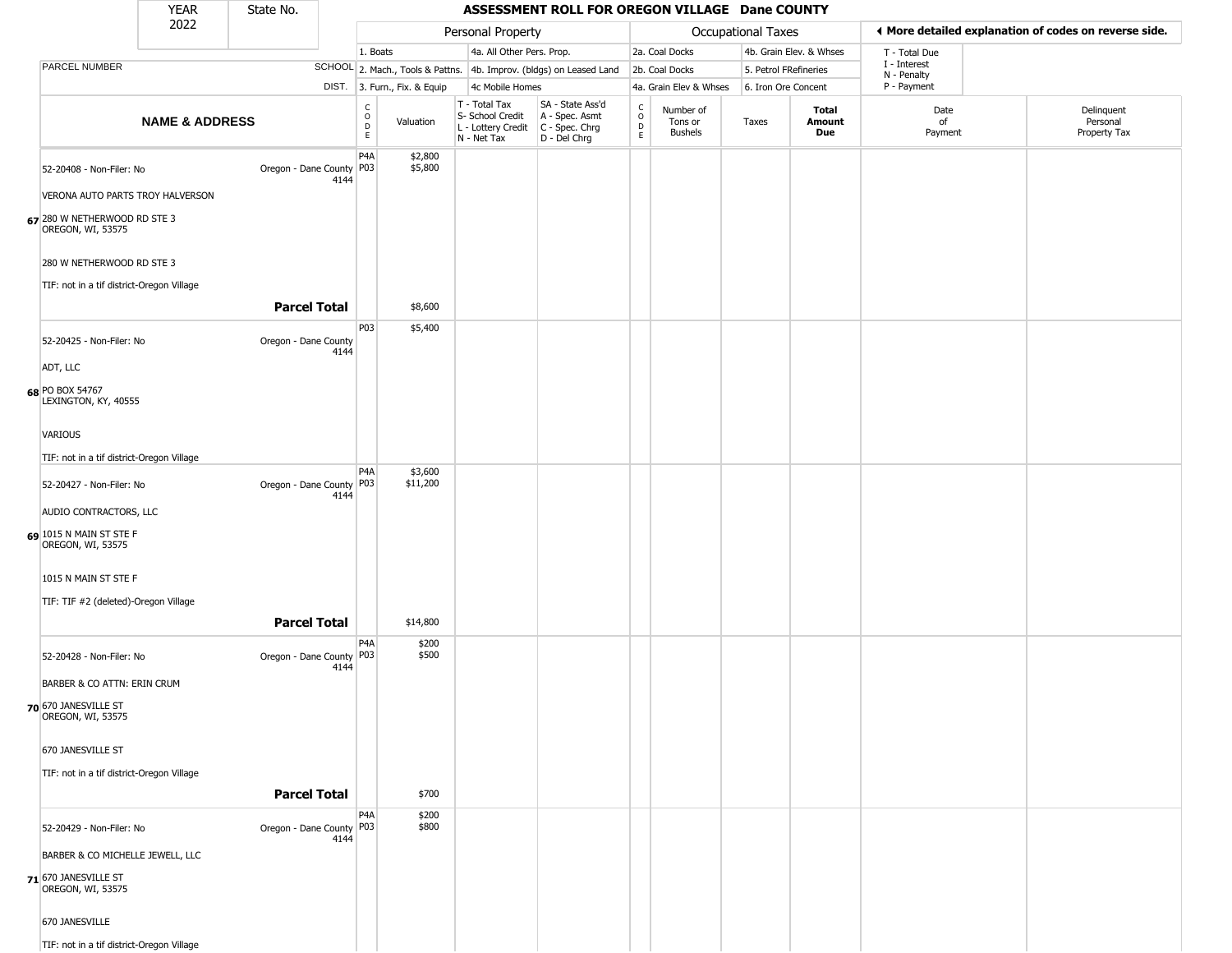|                                                   | YEAR                      | State No.                  |      |                      |                              |                                                                                       | ASSESSMENT ROLL FOR OREGON VILLAGE Dane COUNTY                      |                        |                                        |                           |                         |                             |                                                       |
|---------------------------------------------------|---------------------------|----------------------------|------|----------------------|------------------------------|---------------------------------------------------------------------------------------|---------------------------------------------------------------------|------------------------|----------------------------------------|---------------------------|-------------------------|-----------------------------|-------------------------------------------------------|
|                                                   | 2022                      |                            |      |                      |                              | Personal Property                                                                     |                                                                     |                        |                                        | <b>Occupational Taxes</b> |                         |                             | ◀ More detailed explanation of codes on reverse side. |
|                                                   |                           |                            |      | 1. Boats             |                              | 4a. All Other Pers. Prop.                                                             |                                                                     |                        | 2a. Coal Docks                         |                           | 4b. Grain Elev. & Whses | T - Total Due               |                                                       |
| PARCEL NUMBER                                     |                           |                            |      |                      |                              |                                                                                       | SCHOOL 2. Mach., Tools & Pattns. 4b. Improv. (bldgs) on Leased Land |                        | 2b. Coal Docks                         | 5. Petrol FRefineries     |                         | I - Interest<br>N - Penalty |                                                       |
|                                                   |                           |                            |      |                      | DIST. 3. Furn., Fix. & Equip | 4c Mobile Homes                                                                       |                                                                     |                        | 4a. Grain Elev & Whses                 | 6. Iron Ore Concent       |                         | P - Payment                 |                                                       |
|                                                   | <b>NAME &amp; ADDRESS</b> |                            |      | $\rm _o^C$<br>D<br>E | Valuation                    | T - Total Tax<br>S- School Credit<br>L - Lottery Credit C - Spec. Chrg<br>N - Net Tax | SA - State Ass'd<br>A - Spec. Asmt<br>D - Del Chrg                  | C<br>$\circ$<br>D<br>E | Number of<br>Tons or<br><b>Bushels</b> | Taxes                     | Total<br>Amount<br>Due  | Date<br>of<br>Payment       | Delinquent<br>Personal<br>Property Tax                |
| 52-20408 - Non-Filer: No                          |                           | Oregon - Dane County P03   | 4144 | P <sub>4</sub> A     | \$2,800<br>\$5,800           |                                                                                       |                                                                     |                        |                                        |                           |                         |                             |                                                       |
| VERONA AUTO PARTS TROY HALVERSON                  |                           |                            |      |                      |                              |                                                                                       |                                                                     |                        |                                        |                           |                         |                             |                                                       |
| 67 280 W NETHERWOOD RD STE 3<br>OREGON, WI, 53575 |                           |                            |      |                      |                              |                                                                                       |                                                                     |                        |                                        |                           |                         |                             |                                                       |
| 280 W NETHERWOOD RD STE 3                         |                           |                            |      |                      |                              |                                                                                       |                                                                     |                        |                                        |                           |                         |                             |                                                       |
| TIF: not in a tif district-Oregon Village         |                           | <b>Parcel Total</b>        |      |                      | \$8,600                      |                                                                                       |                                                                     |                        |                                        |                           |                         |                             |                                                       |
| 52-20425 - Non-Filer: No                          |                           | Oregon - Dane County       | 4144 | P03                  | \$5,400                      |                                                                                       |                                                                     |                        |                                        |                           |                         |                             |                                                       |
| ADT, LLC                                          |                           |                            |      |                      |                              |                                                                                       |                                                                     |                        |                                        |                           |                         |                             |                                                       |
| 68 PO BOX 54767<br>LEXINGTON, KY, 40555           |                           |                            |      |                      |                              |                                                                                       |                                                                     |                        |                                        |                           |                         |                             |                                                       |
| VARIOUS                                           |                           |                            |      |                      |                              |                                                                                       |                                                                     |                        |                                        |                           |                         |                             |                                                       |
| TIF: not in a tif district-Oregon Village         |                           |                            |      |                      |                              |                                                                                       |                                                                     |                        |                                        |                           |                         |                             |                                                       |
| 52-20427 - Non-Filer: No                          |                           | Oregon - Dane County P03   | 4144 | P4A                  | \$3,600<br>\$11,200          |                                                                                       |                                                                     |                        |                                        |                           |                         |                             |                                                       |
| AUDIO CONTRACTORS, LLC                            |                           |                            |      |                      |                              |                                                                                       |                                                                     |                        |                                        |                           |                         |                             |                                                       |
| 69 1015 N MAIN ST STE F<br>OREGON, WI, 53575      |                           |                            |      |                      |                              |                                                                                       |                                                                     |                        |                                        |                           |                         |                             |                                                       |
| 1015 N MAIN ST STE F                              |                           |                            |      |                      |                              |                                                                                       |                                                                     |                        |                                        |                           |                         |                             |                                                       |
| TIF: TIF #2 (deleted)-Oregon Village              |                           | <b>Parcel Total</b>        |      |                      |                              |                                                                                       |                                                                     |                        |                                        |                           |                         |                             |                                                       |
| 52-20428 - Non-Filer: No                          |                           | Oregon - Dane County P03   |      | P4A                  | \$14,800<br>\$200<br>\$500   |                                                                                       |                                                                     |                        |                                        |                           |                         |                             |                                                       |
|                                                   |                           |                            | 4144 |                      |                              |                                                                                       |                                                                     |                        |                                        |                           |                         |                             |                                                       |
| BARBER & CO ATTN: ERIN CRUM                       |                           |                            |      |                      |                              |                                                                                       |                                                                     |                        |                                        |                           |                         |                             |                                                       |
| 70 670 JANESVILLE ST<br>OREGON, WI, 53575         |                           |                            |      |                      |                              |                                                                                       |                                                                     |                        |                                        |                           |                         |                             |                                                       |
| 670 JANESVILLE ST                                 |                           |                            |      |                      |                              |                                                                                       |                                                                     |                        |                                        |                           |                         |                             |                                                       |
| TIF: not in a tif district-Oregon Village         |                           |                            |      |                      |                              |                                                                                       |                                                                     |                        |                                        |                           |                         |                             |                                                       |
|                                                   |                           | <b>Parcel Total</b>        |      |                      | \$700                        |                                                                                       |                                                                     |                        |                                        |                           |                         |                             |                                                       |
| 52-20429 - Non-Filer: No                          |                           | Oregon - Dane County   P03 | 4144 | P4A                  | \$200<br>\$800               |                                                                                       |                                                                     |                        |                                        |                           |                         |                             |                                                       |
| BARBER & CO MICHELLE JEWELL, LLC                  |                           |                            |      |                      |                              |                                                                                       |                                                                     |                        |                                        |                           |                         |                             |                                                       |
| 71 670 JANESVILLE ST<br>OREGON, WI, 53575         |                           |                            |      |                      |                              |                                                                                       |                                                                     |                        |                                        |                           |                         |                             |                                                       |
| 670 JANESVILLE                                    |                           |                            |      |                      |                              |                                                                                       |                                                                     |                        |                                        |                           |                         |                             |                                                       |
| TIF: not in a tif district-Oregon Village         |                           |                            |      |                      |                              |                                                                                       |                                                                     |                        |                                        |                           |                         |                             |                                                       |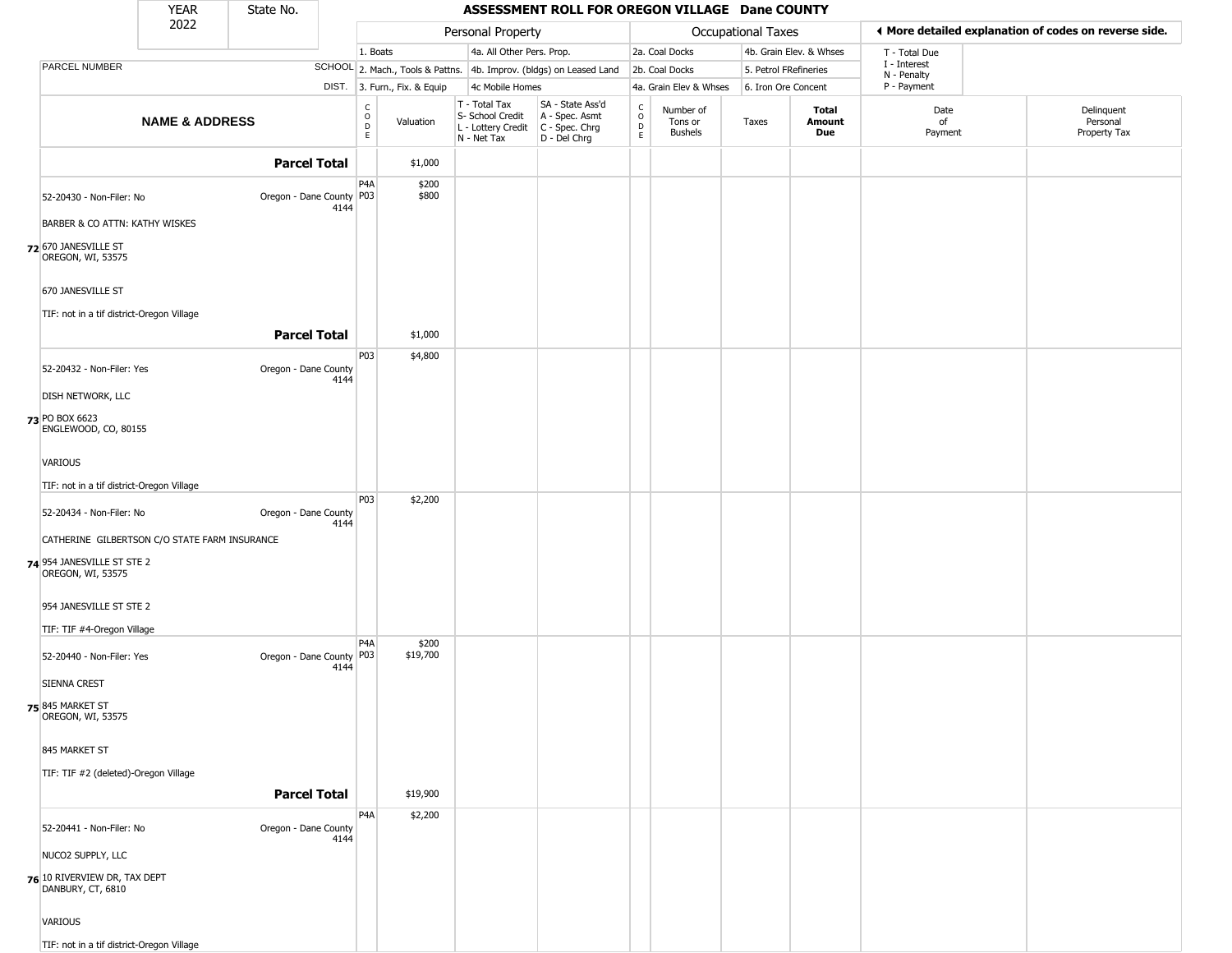|                                                                | <b>YEAR</b>                                   | State No.            |      |                                                |                              |                                                                                         | ASSESSMENT ROLL FOR OREGON VILLAGE Dane COUNTY                      |                         |                                 |                       |                         |                             |                                                       |
|----------------------------------------------------------------|-----------------------------------------------|----------------------|------|------------------------------------------------|------------------------------|-----------------------------------------------------------------------------------------|---------------------------------------------------------------------|-------------------------|---------------------------------|-----------------------|-------------------------|-----------------------------|-------------------------------------------------------|
|                                                                | 2022                                          |                      |      |                                                |                              | Personal Property                                                                       |                                                                     |                         |                                 | Occupational Taxes    |                         |                             | ♦ More detailed explanation of codes on reverse side. |
|                                                                |                                               |                      |      | 1. Boats                                       |                              | 4a. All Other Pers. Prop.                                                               |                                                                     |                         | 2a. Coal Docks                  |                       | 4b. Grain Elev. & Whses | T - Total Due               |                                                       |
| PARCEL NUMBER                                                  |                                               |                      |      |                                                |                              |                                                                                         | SCHOOL 2. Mach., Tools & Pattns. 4b. Improv. (bldgs) on Leased Land |                         | 2b. Coal Docks                  | 5. Petrol FRefineries |                         | I - Interest<br>N - Penalty |                                                       |
|                                                                |                                               |                      |      |                                                | DIST. 3. Furn., Fix. & Equip | 4c Mobile Homes                                                                         |                                                                     |                         | 4a. Grain Elev & Whses          | 6. Iron Ore Concent   |                         | P - Payment                 |                                                       |
|                                                                | <b>NAME &amp; ADDRESS</b>                     |                      |      | $\begin{matrix} 0 \\ 0 \\ D \end{matrix}$<br>E | Valuation                    | T - Total Tax<br>S- School Credit<br>L - Lottery Credit   C - Spec. Chrg<br>N - Net Tax | SA - State Ass'd<br>A - Spec. Asmt<br>D - Del Chrg                  | C<br>$\circ$<br>D<br>E. | Number of<br>Tons or<br>Bushels | Taxes                 | Total<br>Amount<br>Due  | Date<br>of<br>Payment       | Delinquent<br>Personal<br>Property Tax                |
|                                                                |                                               | <b>Parcel Total</b>  |      |                                                | \$1,000                      |                                                                                         |                                                                     |                         |                                 |                       |                         |                             |                                                       |
| 52-20430 - Non-Filer: No                                       |                                               | Oregon - Dane County | 4144 | P4A<br>P03                                     | \$200<br>\$800               |                                                                                         |                                                                     |                         |                                 |                       |                         |                             |                                                       |
| BARBER & CO ATTN: KATHY WISKES                                 |                                               |                      |      |                                                |                              |                                                                                         |                                                                     |                         |                                 |                       |                         |                             |                                                       |
| 72 670 JANESVILLE ST<br>OREGON, WI, 53575                      |                                               |                      |      |                                                |                              |                                                                                         |                                                                     |                         |                                 |                       |                         |                             |                                                       |
| 670 JANESVILLE ST<br>TIF: not in a tif district-Oregon Village |                                               |                      |      |                                                |                              |                                                                                         |                                                                     |                         |                                 |                       |                         |                             |                                                       |
|                                                                |                                               | <b>Parcel Total</b>  |      |                                                | \$1,000                      |                                                                                         |                                                                     |                         |                                 |                       |                         |                             |                                                       |
| 52-20432 - Non-Filer: Yes                                      |                                               | Oregon - Dane County | 4144 | P03                                            | \$4,800                      |                                                                                         |                                                                     |                         |                                 |                       |                         |                             |                                                       |
| DISH NETWORK, LLC                                              |                                               |                      |      |                                                |                              |                                                                                         |                                                                     |                         |                                 |                       |                         |                             |                                                       |
| 73 PO BOX 6623<br>ENGLEWOOD, CO, 80155                         |                                               |                      |      |                                                |                              |                                                                                         |                                                                     |                         |                                 |                       |                         |                             |                                                       |
| VARIOUS                                                        |                                               |                      |      |                                                |                              |                                                                                         |                                                                     |                         |                                 |                       |                         |                             |                                                       |
| TIF: not in a tif district-Oregon Village                      |                                               |                      |      |                                                |                              |                                                                                         |                                                                     |                         |                                 |                       |                         |                             |                                                       |
| 52-20434 - Non-Filer: No                                       |                                               | Oregon - Dane County | 4144 | P03                                            | \$2,200                      |                                                                                         |                                                                     |                         |                                 |                       |                         |                             |                                                       |
|                                                                | CATHERINE GILBERTSON C/O STATE FARM INSURANCE |                      |      |                                                |                              |                                                                                         |                                                                     |                         |                                 |                       |                         |                             |                                                       |
| 74 954 JANESVILLE ST STE 2<br>OREGON, WI, 53575                |                                               |                      |      |                                                |                              |                                                                                         |                                                                     |                         |                                 |                       |                         |                             |                                                       |
| 954 JANESVILLE ST STE 2                                        |                                               |                      |      |                                                |                              |                                                                                         |                                                                     |                         |                                 |                       |                         |                             |                                                       |
| TIF: TIF #4-Oregon Village<br>52-20440 - Non-Filer: Yes        |                                               | Oregon - Dane County | 4144 | P4A<br>P03                                     | \$200<br>\$19,700            |                                                                                         |                                                                     |                         |                                 |                       |                         |                             |                                                       |
| <b>SIENNA CREST</b>                                            |                                               |                      |      |                                                |                              |                                                                                         |                                                                     |                         |                                 |                       |                         |                             |                                                       |
| 75 845 MARKET ST<br>OREGON, WI, 53575                          |                                               |                      |      |                                                |                              |                                                                                         |                                                                     |                         |                                 |                       |                         |                             |                                                       |
| 845 MARKET ST                                                  |                                               |                      |      |                                                |                              |                                                                                         |                                                                     |                         |                                 |                       |                         |                             |                                                       |
| TIF: TIF #2 (deleted)-Oregon Village                           |                                               | <b>Parcel Total</b>  |      |                                                | \$19,900                     |                                                                                         |                                                                     |                         |                                 |                       |                         |                             |                                                       |
|                                                                |                                               |                      |      | P <sub>4</sub> A                               | \$2,200                      |                                                                                         |                                                                     |                         |                                 |                       |                         |                             |                                                       |
| 52-20441 - Non-Filer: No                                       |                                               | Oregon - Dane County | 4144 |                                                |                              |                                                                                         |                                                                     |                         |                                 |                       |                         |                             |                                                       |
| NUCO2 SUPPLY, LLC                                              |                                               |                      |      |                                                |                              |                                                                                         |                                                                     |                         |                                 |                       |                         |                             |                                                       |
| 76 10 RIVERVIEW DR, TAX DEPT<br>DANBURY, CT, 6810              |                                               |                      |      |                                                |                              |                                                                                         |                                                                     |                         |                                 |                       |                         |                             |                                                       |
| VARIOUS                                                        |                                               |                      |      |                                                |                              |                                                                                         |                                                                     |                         |                                 |                       |                         |                             |                                                       |
| TIF: not in a tif district-Oregon Village                      |                                               |                      |      |                                                |                              |                                                                                         |                                                                     |                         |                                 |                       |                         |                             |                                                       |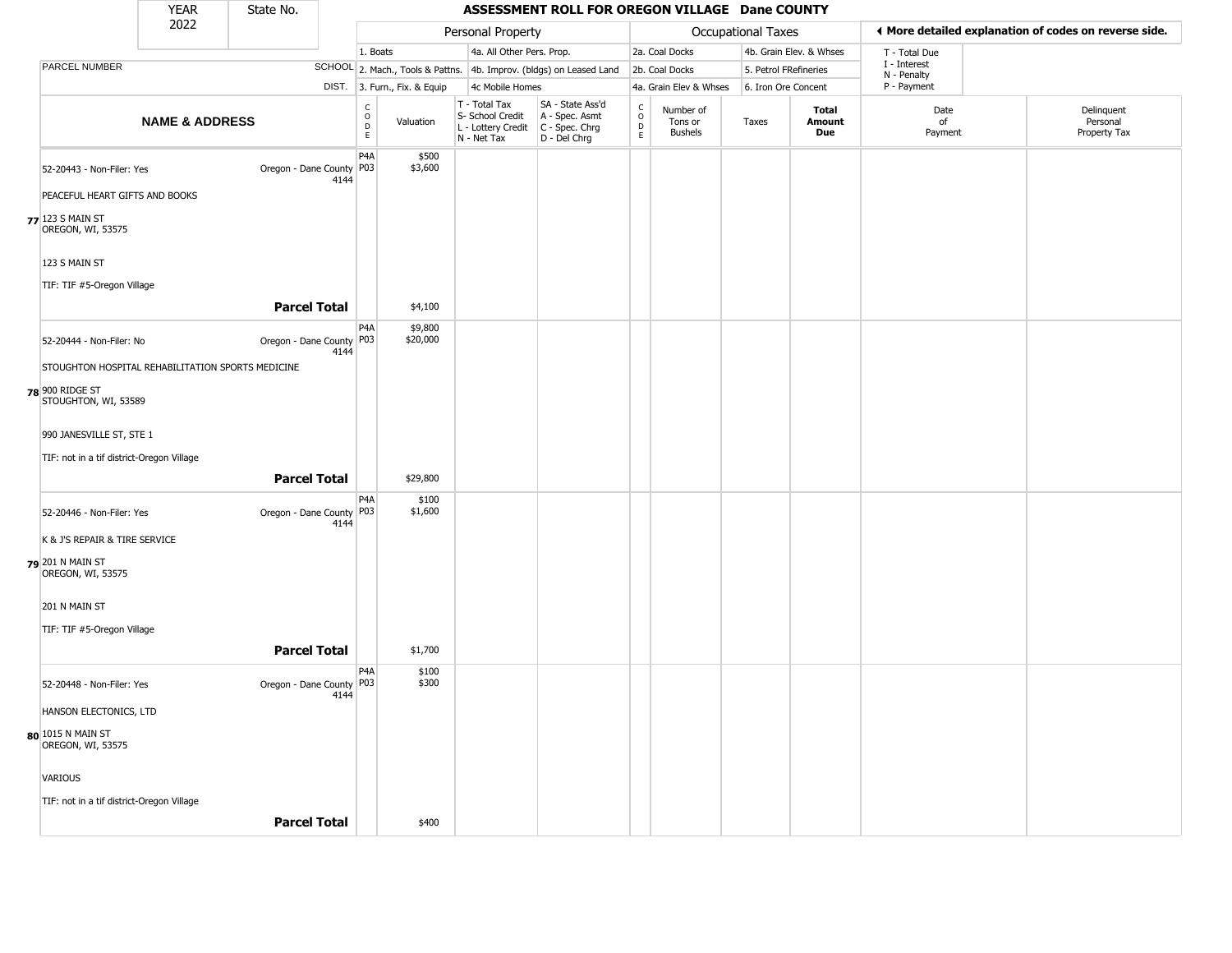|                                         | <b>YEAR</b>                                       | State No.                  |      |                                                          |                              |                                                                                         | ASSESSMENT ROLL FOR OREGON VILLAGE Dane COUNTY                      |                                                  |                                        |                       |                         |                             |                                                       |
|-----------------------------------------|---------------------------------------------------|----------------------------|------|----------------------------------------------------------|------------------------------|-----------------------------------------------------------------------------------------|---------------------------------------------------------------------|--------------------------------------------------|----------------------------------------|-----------------------|-------------------------|-----------------------------|-------------------------------------------------------|
|                                         | 2022                                              |                            |      |                                                          |                              | Personal Property                                                                       |                                                                     |                                                  |                                        | Occupational Taxes    |                         |                             | ♦ More detailed explanation of codes on reverse side. |
|                                         |                                                   |                            |      | 1. Boats                                                 |                              | 4a. All Other Pers. Prop.                                                               |                                                                     |                                                  | 2a. Coal Docks                         |                       | 4b. Grain Elev. & Whses | T - Total Due               |                                                       |
| PARCEL NUMBER                           |                                                   |                            |      |                                                          |                              |                                                                                         | SCHOOL 2. Mach., Tools & Pattns. 4b. Improv. (bldgs) on Leased Land |                                                  | 2b. Coal Docks                         | 5. Petrol FRefineries |                         | I - Interest<br>N - Penalty |                                                       |
|                                         |                                                   |                            |      |                                                          | DIST. 3. Furn., Fix. & Equip | 4c Mobile Homes                                                                         |                                                                     |                                                  | 4a. Grain Elev & Whses                 | 6. Iron Ore Concent   |                         | P - Payment                 |                                                       |
|                                         | <b>NAME &amp; ADDRESS</b>                         |                            |      | $\begin{matrix} 0 \\ 0 \\ D \end{matrix}$<br>$\mathsf E$ | Valuation                    | T - Total Tax<br>S- School Credit<br>L - Lottery Credit   C - Spec. Chrg<br>N - Net Tax | SA - State Ass'd<br>A - Spec. Asmt<br>D - Del Chrg                  | $_{\rm o}^{\rm c}$<br>$\mathsf D$<br>$\mathsf E$ | Number of<br>Tons or<br><b>Bushels</b> | Taxes                 | Total<br>Amount<br>Due  | Date<br>of<br>Payment       | Delinquent<br>Personal<br>Property Tax                |
| 52-20443 - Non-Filer: Yes               |                                                   | Oregon - Dane County P03   | 4144 | P4A                                                      | \$500<br>\$3,600             |                                                                                         |                                                                     |                                                  |                                        |                       |                         |                             |                                                       |
|                                         | PEACEFUL HEART GIFTS AND BOOKS                    |                            |      |                                                          |                              |                                                                                         |                                                                     |                                                  |                                        |                       |                         |                             |                                                       |
| 77 123 S MAIN ST<br>OREGON, WI, 53575   |                                                   |                            |      |                                                          |                              |                                                                                         |                                                                     |                                                  |                                        |                       |                         |                             |                                                       |
| 123 S MAIN ST                           |                                                   |                            |      |                                                          |                              |                                                                                         |                                                                     |                                                  |                                        |                       |                         |                             |                                                       |
| TIF: TIF #5-Oregon Village              |                                                   | <b>Parcel Total</b>        |      |                                                          | \$4,100                      |                                                                                         |                                                                     |                                                  |                                        |                       |                         |                             |                                                       |
| 52-20444 - Non-Filer: No                |                                                   | Oregon - Dane County P03   | 4144 | P <sub>4</sub> A                                         | \$9,800<br>\$20,000          |                                                                                         |                                                                     |                                                  |                                        |                       |                         |                             |                                                       |
|                                         | STOUGHTON HOSPITAL REHABILITATION SPORTS MEDICINE |                            |      |                                                          |                              |                                                                                         |                                                                     |                                                  |                                        |                       |                         |                             |                                                       |
| 78 900 RIDGE ST<br>STOUGHTON, WI, 53589 |                                                   |                            |      |                                                          |                              |                                                                                         |                                                                     |                                                  |                                        |                       |                         |                             |                                                       |
| 990 JANESVILLE ST, STE 1                |                                                   |                            |      |                                                          |                              |                                                                                         |                                                                     |                                                  |                                        |                       |                         |                             |                                                       |
|                                         | TIF: not in a tif district-Oregon Village         | <b>Parcel Total</b>        |      |                                                          |                              |                                                                                         |                                                                     |                                                  |                                        |                       |                         |                             |                                                       |
|                                         |                                                   | Oregon - Dane County P03   |      | P4A                                                      | \$29,800<br>\$100<br>\$1,600 |                                                                                         |                                                                     |                                                  |                                        |                       |                         |                             |                                                       |
| 52-20446 - Non-Filer: Yes               |                                                   |                            | 4144 |                                                          |                              |                                                                                         |                                                                     |                                                  |                                        |                       |                         |                             |                                                       |
| 79 201 N MAIN ST<br>OREGON, WI, 53575   | K & J'S REPAIR & TIRE SERVICE                     |                            |      |                                                          |                              |                                                                                         |                                                                     |                                                  |                                        |                       |                         |                             |                                                       |
|                                         |                                                   |                            |      |                                                          |                              |                                                                                         |                                                                     |                                                  |                                        |                       |                         |                             |                                                       |
| 201 N MAIN ST                           |                                                   |                            |      |                                                          |                              |                                                                                         |                                                                     |                                                  |                                        |                       |                         |                             |                                                       |
| TIF: TIF #5-Oregon Village              |                                                   | <b>Parcel Total</b>        |      |                                                          | \$1,700                      |                                                                                         |                                                                     |                                                  |                                        |                       |                         |                             |                                                       |
| 52-20448 - Non-Filer: Yes               |                                                   | Oregon - Dane County   P03 |      | P <sub>4</sub> A                                         | \$100<br>\$300               |                                                                                         |                                                                     |                                                  |                                        |                       |                         |                             |                                                       |
| HANSON ELECTONICS, LTD                  |                                                   |                            | 4144 |                                                          |                              |                                                                                         |                                                                     |                                                  |                                        |                       |                         |                             |                                                       |
| 80 1015 N MAIN ST<br>OREGON, WI, 53575  |                                                   |                            |      |                                                          |                              |                                                                                         |                                                                     |                                                  |                                        |                       |                         |                             |                                                       |
| VARIOUS                                 |                                                   |                            |      |                                                          |                              |                                                                                         |                                                                     |                                                  |                                        |                       |                         |                             |                                                       |
|                                         | TIF: not in a tif district-Oregon Village         | <b>Parcel Total</b>        |      |                                                          | \$400                        |                                                                                         |                                                                     |                                                  |                                        |                       |                         |                             |                                                       |
|                                         |                                                   |                            |      |                                                          |                              |                                                                                         |                                                                     |                                                  |                                        |                       |                         |                             |                                                       |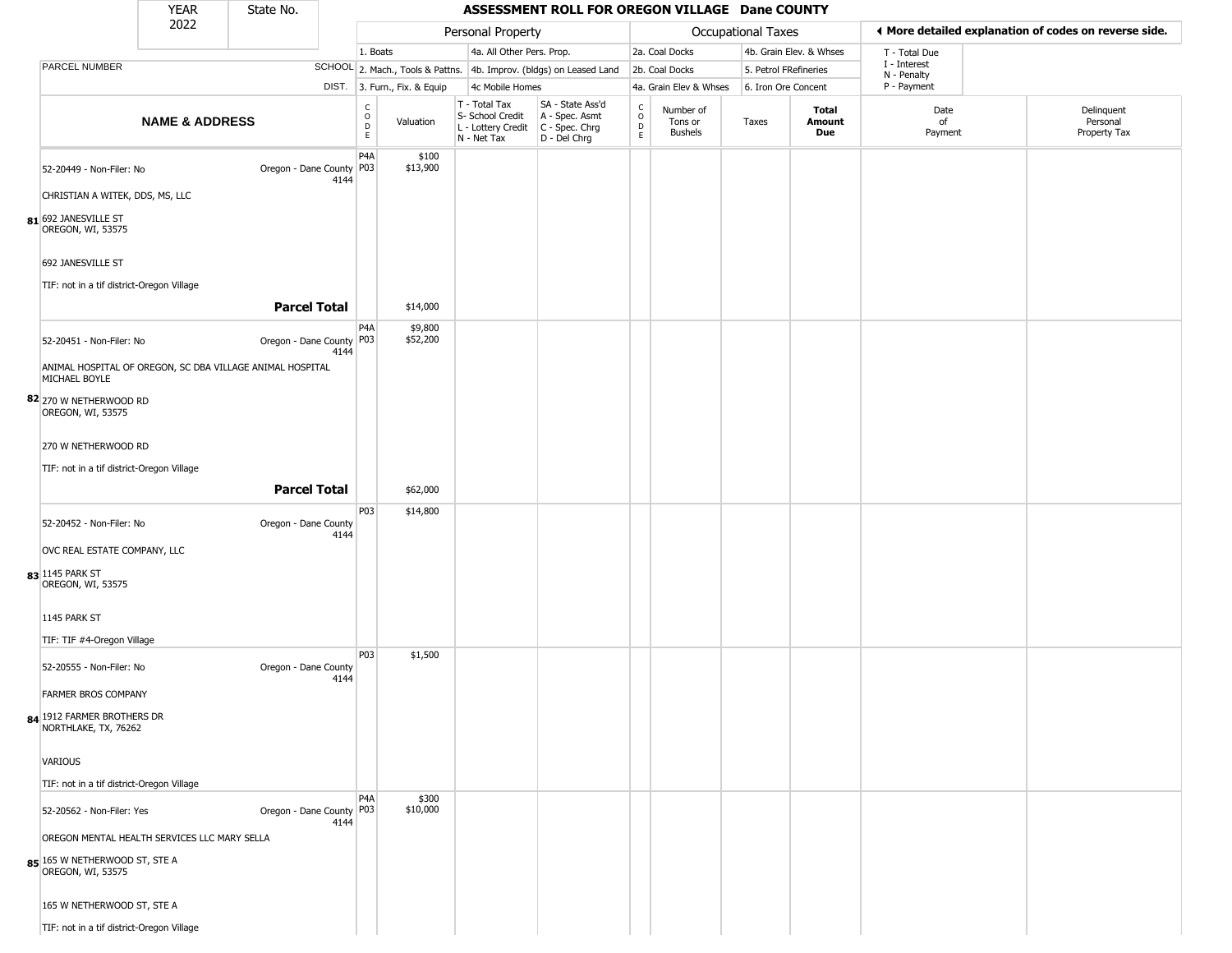|                                                                                                    | <b>YEAR</b>               | State No.                                                 |                          |                              |                                                                        | ASSESSMENT ROLL FOR OREGON VILLAGE Dane COUNTY                       |                        |                                        |                           |                         |                             |                                                       |
|----------------------------------------------------------------------------------------------------|---------------------------|-----------------------------------------------------------|--------------------------|------------------------------|------------------------------------------------------------------------|----------------------------------------------------------------------|------------------------|----------------------------------------|---------------------------|-------------------------|-----------------------------|-------------------------------------------------------|
|                                                                                                    | 2022                      |                                                           |                          |                              | Personal Property                                                      |                                                                      |                        |                                        | <b>Occupational Taxes</b> |                         |                             | ♦ More detailed explanation of codes on reverse side. |
|                                                                                                    |                           |                                                           | 1. Boats                 |                              | 4a. All Other Pers. Prop.                                              |                                                                      |                        | 2a. Coal Docks                         |                           | 4b. Grain Elev. & Whses | T - Total Due               |                                                       |
| PARCEL NUMBER                                                                                      |                           |                                                           |                          |                              |                                                                        | SCHOOL 2. Mach., Tools & Pattns. 4b. Improv. (bldgs) on Leased Land  |                        | 2b. Coal Docks                         | 5. Petrol FRefineries     |                         | I - Interest<br>N - Penalty |                                                       |
|                                                                                                    |                           |                                                           |                          | DIST. 3. Furn., Fix. & Equip | 4c Mobile Homes                                                        |                                                                      |                        | 4a. Grain Elev & Whses                 | 6. Iron Ore Concent       |                         | P - Payment                 |                                                       |
|                                                                                                    | <b>NAME &amp; ADDRESS</b> |                                                           | $\rm _o^C$<br>D<br>E     | Valuation                    | T - Total Tax<br>S- School Credit<br>L - Lottery Credit<br>N - Net Tax | SA - State Ass'd<br>A - Spec. Asmt<br>C - Spec. Chrg<br>D - Del Chrg | C<br>$\circ$<br>D<br>E | Number of<br>Tons or<br><b>Bushels</b> | Taxes                     | Total<br>Amount<br>Due  | Date<br>of<br>Payment       | Delinquent<br>Personal<br>Property Tax                |
| 52-20449 - Non-Filer: No<br>CHRISTIAN A WITEK, DDS, MS, LLC                                        |                           | Oregon - Dane County   P03                                | P4A<br>4144              | \$100<br>\$13,900            |                                                                        |                                                                      |                        |                                        |                           |                         |                             |                                                       |
| 81 692 JANESVILLE ST<br>OREGON, WI, 53575                                                          |                           |                                                           |                          |                              |                                                                        |                                                                      |                        |                                        |                           |                         |                             |                                                       |
| 692 JANESVILLE ST                                                                                  |                           |                                                           |                          |                              |                                                                        |                                                                      |                        |                                        |                           |                         |                             |                                                       |
| TIF: not in a tif district-Oregon Village                                                          |                           | <b>Parcel Total</b>                                       |                          | \$14,000                     |                                                                        |                                                                      |                        |                                        |                           |                         |                             |                                                       |
| 52-20451 - Non-Filer: No                                                                           |                           | Oregon - Dane County   P03                                | P4A<br>4144              | \$9,800<br>\$52,200          |                                                                        |                                                                      |                        |                                        |                           |                         |                             |                                                       |
| MICHAEL BOYLE<br>82 270 W NETHERWOOD RD                                                            |                           | ANIMAL HOSPITAL OF OREGON, SC DBA VILLAGE ANIMAL HOSPITAL |                          |                              |                                                                        |                                                                      |                        |                                        |                           |                         |                             |                                                       |
| OREGON, WI, 53575                                                                                  |                           |                                                           |                          |                              |                                                                        |                                                                      |                        |                                        |                           |                         |                             |                                                       |
| 270 W NETHERWOOD RD<br>TIF: not in a tif district-Oregon Village                                   |                           |                                                           |                          |                              |                                                                        |                                                                      |                        |                                        |                           |                         |                             |                                                       |
|                                                                                                    |                           | <b>Parcel Total</b>                                       |                          | \$62,000                     |                                                                        |                                                                      |                        |                                        |                           |                         |                             |                                                       |
| 52-20452 - Non-Filer: No                                                                           |                           | Oregon - Dane County                                      | P03<br>4144              | \$14,800                     |                                                                        |                                                                      |                        |                                        |                           |                         |                             |                                                       |
| OVC REAL ESTATE COMPANY, LLC<br>83 1145 PARK ST<br>OREGON, WI, 53575                               |                           |                                                           |                          |                              |                                                                        |                                                                      |                        |                                        |                           |                         |                             |                                                       |
| 1145 PARK ST                                                                                       |                           |                                                           |                          |                              |                                                                        |                                                                      |                        |                                        |                           |                         |                             |                                                       |
| TIF: TIF #4-Oregon Village<br>52-20555 - Non-Filer: No                                             |                           | Oregon - Dane County                                      | P03                      | \$1,500                      |                                                                        |                                                                      |                        |                                        |                           |                         |                             |                                                       |
| <b>FARMER BROS COMPANY</b><br>84 1912 FARMER BROTHERS DR<br>NORTHLAKE, TX, 76262                   |                           |                                                           | 4144                     |                              |                                                                        |                                                                      |                        |                                        |                           |                         |                             |                                                       |
| <b>VARIOUS</b>                                                                                     |                           |                                                           |                          |                              |                                                                        |                                                                      |                        |                                        |                           |                         |                             |                                                       |
| TIF: not in a tif district-Oregon Village                                                          |                           |                                                           |                          |                              |                                                                        |                                                                      |                        |                                        |                           |                         |                             |                                                       |
| 52-20562 - Non-Filer: Yes                                                                          |                           | Oregon - Dane County   P03                                | P <sub>4</sub> A<br>4144 | \$300<br>\$10,000            |                                                                        |                                                                      |                        |                                        |                           |                         |                             |                                                       |
| OREGON MENTAL HEALTH SERVICES LLC MARY SELLA<br>85 165 W NETHERWOOD ST, STE A<br>OREGON, WI, 53575 |                           |                                                           |                          |                              |                                                                        |                                                                      |                        |                                        |                           |                         |                             |                                                       |
| 165 W NETHERWOOD ST, STE A                                                                         |                           |                                                           |                          |                              |                                                                        |                                                                      |                        |                                        |                           |                         |                             |                                                       |
| TIF: not in a tif district-Oregon Village                                                          |                           |                                                           |                          |                              |                                                                        |                                                                      |                        |                                        |                           |                         |                             |                                                       |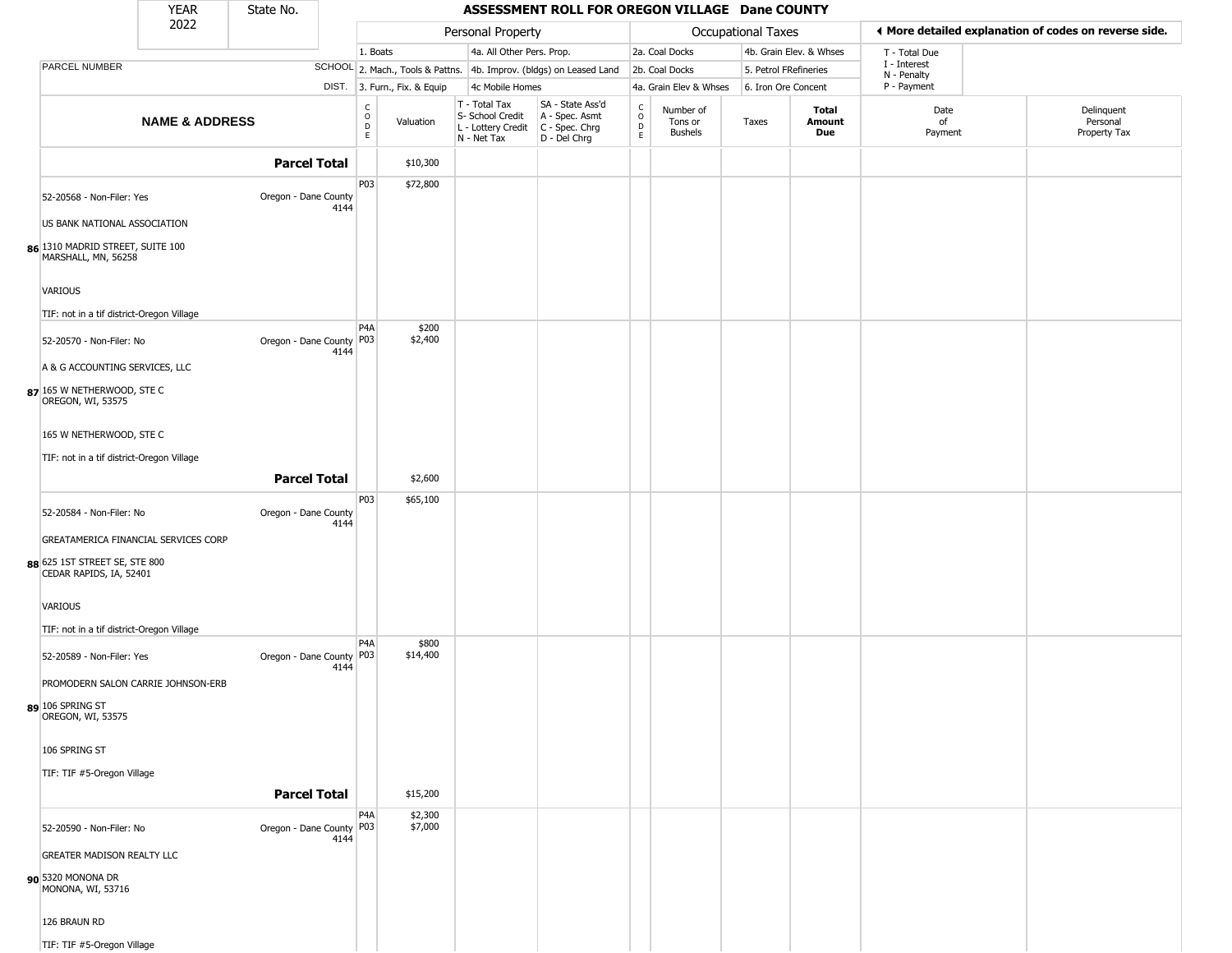|                                                          | <b>YEAR</b>               | State No.                  |      |                               |                              |                                                                                         | ASSESSMENT ROLL FOR OREGON VILLAGE Dane COUNTY                      |                         |                                 |                       |                         |                             |                                                        |
|----------------------------------------------------------|---------------------------|----------------------------|------|-------------------------------|------------------------------|-----------------------------------------------------------------------------------------|---------------------------------------------------------------------|-------------------------|---------------------------------|-----------------------|-------------------------|-----------------------------|--------------------------------------------------------|
|                                                          | 2022                      |                            |      |                               |                              | Personal Property                                                                       |                                                                     |                         |                                 | Occupational Taxes    |                         |                             | If More detailed explanation of codes on reverse side. |
|                                                          |                           |                            |      | 1. Boats                      |                              | 4a. All Other Pers. Prop.                                                               |                                                                     |                         | 2a. Coal Docks                  |                       | 4b. Grain Elev. & Whses | T - Total Due               |                                                        |
| PARCEL NUMBER                                            |                           |                            |      |                               |                              |                                                                                         | SCHOOL 2. Mach., Tools & Pattns. 4b. Improv. (bldgs) on Leased Land |                         | 2b. Coal Docks                  | 5. Petrol FRefineries |                         | I - Interest<br>N - Penalty |                                                        |
|                                                          |                           |                            |      |                               | DIST. 3. Furn., Fix. & Equip | 4c Mobile Homes                                                                         |                                                                     |                         | 4a. Grain Elev & Whses          | 6. Iron Ore Concent   |                         | P - Payment                 |                                                        |
|                                                          | <b>NAME &amp; ADDRESS</b> |                            |      | $_{\rm o}^{\rm c}$<br>D<br>E. | Valuation                    | T - Total Tax<br>S- School Credit<br>L - Lottery Credit   C - Spec. Chrg<br>N - Net Tax | SA - State Ass'd<br>A - Spec. Asmt<br>D - Del Chrg                  | C<br>$\circ$<br>D<br>E. | Number of<br>Tons or<br>Bushels | Taxes                 | Total<br>Amount<br>Due  | Date<br>of<br>Payment       | Delinquent<br>Personal<br>Property Tax                 |
|                                                          |                           | <b>Parcel Total</b>        |      |                               | \$10,300                     |                                                                                         |                                                                     |                         |                                 |                       |                         |                             |                                                        |
| 52-20568 - Non-Filer: Yes                                |                           | Oregon - Dane County       | 4144 | P03                           | \$72,800                     |                                                                                         |                                                                     |                         |                                 |                       |                         |                             |                                                        |
| US BANK NATIONAL ASSOCIATION                             |                           |                            |      |                               |                              |                                                                                         |                                                                     |                         |                                 |                       |                         |                             |                                                        |
| 86 1310 MADRID STREET, SUITE 100<br>MARSHALL, MN, 56258  |                           |                            |      |                               |                              |                                                                                         |                                                                     |                         |                                 |                       |                         |                             |                                                        |
| VARIOUS<br>TIF: not in a tif district-Oregon Village     |                           |                            |      |                               |                              |                                                                                         |                                                                     |                         |                                 |                       |                         |                             |                                                        |
| 52-20570 - Non-Filer: No                                 |                           | Oregon - Dane County P03   | 4144 | P4A                           | \$200<br>\$2,400             |                                                                                         |                                                                     |                         |                                 |                       |                         |                             |                                                        |
| A & G ACCOUNTING SERVICES, LLC                           |                           |                            |      |                               |                              |                                                                                         |                                                                     |                         |                                 |                       |                         |                             |                                                        |
| 87 165 W NETHERWOOD, STE C<br>OREGON, WI, 53575          |                           |                            |      |                               |                              |                                                                                         |                                                                     |                         |                                 |                       |                         |                             |                                                        |
| 165 W NETHERWOOD, STE C                                  |                           |                            |      |                               |                              |                                                                                         |                                                                     |                         |                                 |                       |                         |                             |                                                        |
| TIF: not in a tif district-Oregon Village                |                           |                            |      |                               |                              |                                                                                         |                                                                     |                         |                                 |                       |                         |                             |                                                        |
|                                                          |                           | <b>Parcel Total</b>        |      |                               | \$2,600                      |                                                                                         |                                                                     |                         |                                 |                       |                         |                             |                                                        |
|                                                          |                           |                            |      | P03                           | \$65,100                     |                                                                                         |                                                                     |                         |                                 |                       |                         |                             |                                                        |
| 52-20584 - Non-Filer: No                                 |                           | Oregon - Dane County       | 4144 |                               |                              |                                                                                         |                                                                     |                         |                                 |                       |                         |                             |                                                        |
| GREATAMERICA FINANCIAL SERVICES CORP                     |                           |                            |      |                               |                              |                                                                                         |                                                                     |                         |                                 |                       |                         |                             |                                                        |
| 88 625 1ST STREET SE, STE 800<br>CEDAR RAPIDS, IA, 52401 |                           |                            |      |                               |                              |                                                                                         |                                                                     |                         |                                 |                       |                         |                             |                                                        |
| VARIOUS                                                  |                           |                            |      |                               |                              |                                                                                         |                                                                     |                         |                                 |                       |                         |                             |                                                        |
| TIF: not in a tif district-Oregon Village                |                           |                            |      | P4A                           | \$800                        |                                                                                         |                                                                     |                         |                                 |                       |                         |                             |                                                        |
| 52-20589 - Non-Filer: Yes                                |                           | Oregon - Dane County P03   | 4144 |                               | \$14,400                     |                                                                                         |                                                                     |                         |                                 |                       |                         |                             |                                                        |
| PROMODERN SALON CARRIE JOHNSON-ERB                       |                           |                            |      |                               |                              |                                                                                         |                                                                     |                         |                                 |                       |                         |                             |                                                        |
| 89 106 SPRING ST<br>OREGON, WI, 53575                    |                           |                            |      |                               |                              |                                                                                         |                                                                     |                         |                                 |                       |                         |                             |                                                        |
| 106 SPRING ST                                            |                           |                            |      |                               |                              |                                                                                         |                                                                     |                         |                                 |                       |                         |                             |                                                        |
| TIF: TIF #5-Oregon Village                               |                           | <b>Parcel Total</b>        |      |                               | \$15,200                     |                                                                                         |                                                                     |                         |                                 |                       |                         |                             |                                                        |
|                                                          |                           |                            |      | P <sub>4</sub> A              | \$2,300                      |                                                                                         |                                                                     |                         |                                 |                       |                         |                             |                                                        |
| 52-20590 - Non-Filer: No                                 |                           | Oregon - Dane County   P03 | 4144 |                               | \$7,000                      |                                                                                         |                                                                     |                         |                                 |                       |                         |                             |                                                        |
| <b>GREATER MADISON REALTY LLC</b>                        |                           |                            |      |                               |                              |                                                                                         |                                                                     |                         |                                 |                       |                         |                             |                                                        |
| 90 5320 MONONA DR<br>MONONA, WI, 53716                   |                           |                            |      |                               |                              |                                                                                         |                                                                     |                         |                                 |                       |                         |                             |                                                        |
| 126 BRAUN RD                                             |                           |                            |      |                               |                              |                                                                                         |                                                                     |                         |                                 |                       |                         |                             |                                                        |
| TIF: TIF #5-Oregon Village                               |                           |                            |      |                               |                              |                                                                                         |                                                                     |                         |                                 |                       |                         |                             |                                                        |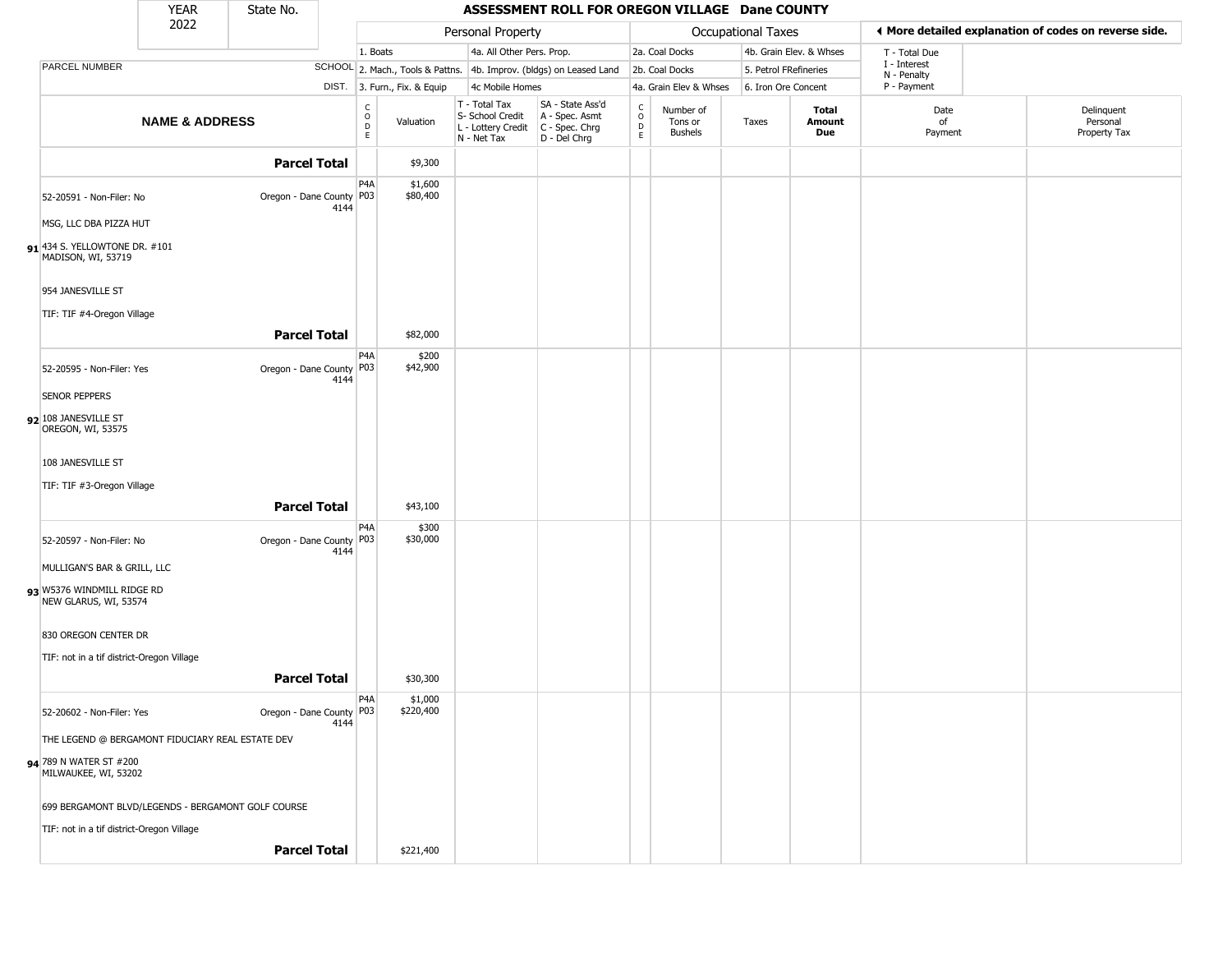|                                                     | <b>YEAR</b>               | State No.                                          |      |                                                          |                              |                                                                          | ASSESSMENT ROLL FOR OREGON VILLAGE Dane COUNTY                         |                                    |                                        |                       |                         |                             |                                                       |
|-----------------------------------------------------|---------------------------|----------------------------------------------------|------|----------------------------------------------------------|------------------------------|--------------------------------------------------------------------------|------------------------------------------------------------------------|------------------------------------|----------------------------------------|-----------------------|-------------------------|-----------------------------|-------------------------------------------------------|
|                                                     | 2022                      |                                                    |      |                                                          |                              | Personal Property                                                        |                                                                        |                                    |                                        | Occupational Taxes    |                         |                             | I More detailed explanation of codes on reverse side. |
|                                                     |                           |                                                    |      | 1. Boats                                                 |                              | 4a. All Other Pers. Prop.                                                |                                                                        |                                    | 2a. Coal Docks                         |                       | 4b. Grain Elev. & Whses | T - Total Due               |                                                       |
| PARCEL NUMBER                                       |                           |                                                    |      |                                                          |                              |                                                                          | SCHOOL 2. Mach., Tools & Pattns. 4b. Improv. (bldgs) on Leased Land    |                                    | 2b. Coal Docks                         | 5. Petrol FRefineries |                         | I - Interest<br>N - Penalty |                                                       |
|                                                     |                           |                                                    |      |                                                          | DIST. 3. Furn., Fix. & Equip | 4c Mobile Homes                                                          |                                                                        |                                    | 4a. Grain Elev & Whses                 | 6. Iron Ore Concent   |                         | P - Payment                 |                                                       |
|                                                     | <b>NAME &amp; ADDRESS</b> |                                                    |      | $\begin{smallmatrix} C \\ O \\ D \end{smallmatrix}$<br>E | Valuation                    | $T - Total Tax$<br>S- School Credit<br>L - Lottery Credit<br>N - Net Tax | SA - State Ass'd<br>A - Spec. Asmt<br>$C - Spec. Chrg$<br>D - Del Chrg | $\int_{0}^{c}$<br>$\mathsf D$<br>E | Number of<br>Tons or<br><b>Bushels</b> | Taxes                 | Total<br>Amount<br>Due  | Date<br>of<br>Payment       | Delinquent<br>Personal<br>Property Tax                |
|                                                     |                           | <b>Parcel Total</b>                                |      |                                                          | \$9,300                      |                                                                          |                                                                        |                                    |                                        |                       |                         |                             |                                                       |
| 52-20591 - Non-Filer: No                            |                           | Oregon - Dane County   P03                         | 4144 | P4A                                                      | \$1,600<br>\$80,400          |                                                                          |                                                                        |                                    |                                        |                       |                         |                             |                                                       |
| MSG, LLC DBA PIZZA HUT                              |                           |                                                    |      |                                                          |                              |                                                                          |                                                                        |                                    |                                        |                       |                         |                             |                                                       |
| 91 434 S. YELLOWTONE DR. #101<br>MADISON, WI, 53719 |                           |                                                    |      |                                                          |                              |                                                                          |                                                                        |                                    |                                        |                       |                         |                             |                                                       |
| 954 JANESVILLE ST                                   |                           |                                                    |      |                                                          |                              |                                                                          |                                                                        |                                    |                                        |                       |                         |                             |                                                       |
| TIF: TIF #4-Oregon Village                          |                           |                                                    |      |                                                          |                              |                                                                          |                                                                        |                                    |                                        |                       |                         |                             |                                                       |
|                                                     |                           | <b>Parcel Total</b>                                |      |                                                          | \$82,000                     |                                                                          |                                                                        |                                    |                                        |                       |                         |                             |                                                       |
| 52-20595 - Non-Filer: Yes                           |                           | Oregon - Dane County   P03                         | 4144 | P <sub>4</sub> A                                         | \$200<br>\$42,900            |                                                                          |                                                                        |                                    |                                        |                       |                         |                             |                                                       |
| <b>SENOR PEPPERS</b>                                |                           |                                                    |      |                                                          |                              |                                                                          |                                                                        |                                    |                                        |                       |                         |                             |                                                       |
| 92 108 JANESVILLE ST<br>OREGON, WI, 53575           |                           |                                                    |      |                                                          |                              |                                                                          |                                                                        |                                    |                                        |                       |                         |                             |                                                       |
| 108 JANESVILLE ST                                   |                           |                                                    |      |                                                          |                              |                                                                          |                                                                        |                                    |                                        |                       |                         |                             |                                                       |
| TIF: TIF #3-Oregon Village                          |                           |                                                    |      |                                                          |                              |                                                                          |                                                                        |                                    |                                        |                       |                         |                             |                                                       |
|                                                     |                           | <b>Parcel Total</b>                                |      |                                                          | \$43,100                     |                                                                          |                                                                        |                                    |                                        |                       |                         |                             |                                                       |
| 52-20597 - Non-Filer: No                            |                           | Oregon - Dane County   P03                         |      | P4A                                                      | \$300<br>\$30,000            |                                                                          |                                                                        |                                    |                                        |                       |                         |                             |                                                       |
| MULLIGAN'S BAR & GRILL, LLC                         |                           |                                                    | 4144 |                                                          |                              |                                                                          |                                                                        |                                    |                                        |                       |                         |                             |                                                       |
| 93 W5376 WINDMILL RIDGE RD                          |                           |                                                    |      |                                                          |                              |                                                                          |                                                                        |                                    |                                        |                       |                         |                             |                                                       |
| NEW GLARUS, WI, 53574                               |                           |                                                    |      |                                                          |                              |                                                                          |                                                                        |                                    |                                        |                       |                         |                             |                                                       |
| 830 OREGON CENTER DR                                |                           |                                                    |      |                                                          |                              |                                                                          |                                                                        |                                    |                                        |                       |                         |                             |                                                       |
| TIF: not in a tif district-Oregon Village           |                           |                                                    |      |                                                          |                              |                                                                          |                                                                        |                                    |                                        |                       |                         |                             |                                                       |
|                                                     |                           | <b>Parcel Total</b>                                |      |                                                          | \$30,300                     |                                                                          |                                                                        |                                    |                                        |                       |                         |                             |                                                       |
|                                                     |                           |                                                    |      | P <sub>4</sub> A                                         | \$1,000                      |                                                                          |                                                                        |                                    |                                        |                       |                         |                             |                                                       |
| 52-20602 - Non-Filer: Yes                           |                           | Oregon - Dane County   P03                         | 4144 |                                                          | \$220,400                    |                                                                          |                                                                        |                                    |                                        |                       |                         |                             |                                                       |
| THE LEGEND @ BERGAMONT FIDUCIARY REAL ESTATE DEV    |                           |                                                    |      |                                                          |                              |                                                                          |                                                                        |                                    |                                        |                       |                         |                             |                                                       |
| 94 789 N WATER ST #200<br>MILWAUKEE, WI, 53202      |                           |                                                    |      |                                                          |                              |                                                                          |                                                                        |                                    |                                        |                       |                         |                             |                                                       |
|                                                     |                           | 699 BERGAMONT BLVD/LEGENDS - BERGAMONT GOLF COURSE |      |                                                          |                              |                                                                          |                                                                        |                                    |                                        |                       |                         |                             |                                                       |
| TIF: not in a tif district-Oregon Village           |                           |                                                    |      |                                                          |                              |                                                                          |                                                                        |                                    |                                        |                       |                         |                             |                                                       |
|                                                     |                           | <b>Parcel Total</b>                                |      |                                                          | \$221,400                    |                                                                          |                                                                        |                                    |                                        |                       |                         |                             |                                                       |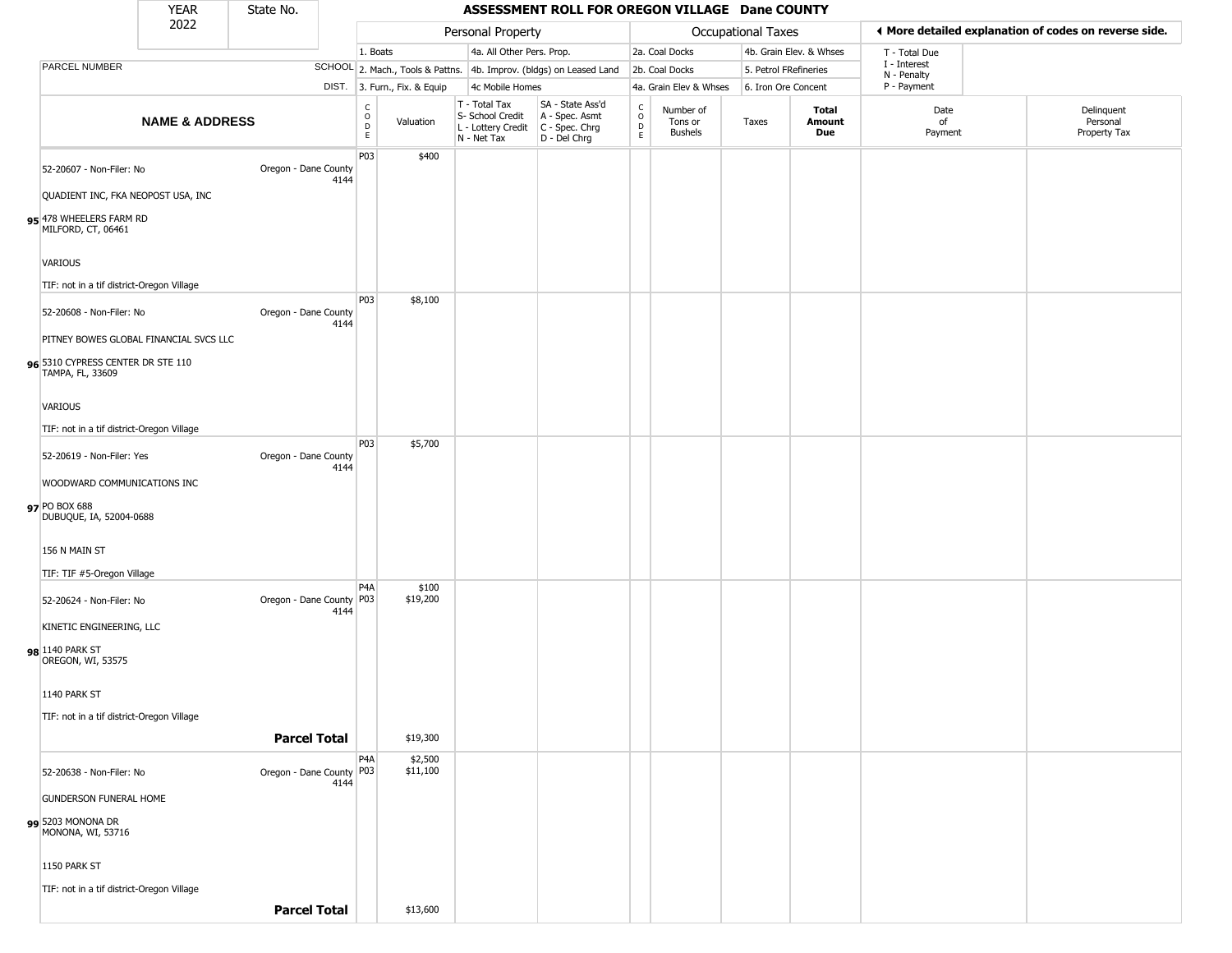|                                                                | <b>YEAR</b>               | State No.                  |      |                                          |                              |                                                                        | ASSESSMENT ROLL FOR OREGON VILLAGE Dane COUNTY                       |                             |                                        |                    |                         |                             |                                                       |
|----------------------------------------------------------------|---------------------------|----------------------------|------|------------------------------------------|------------------------------|------------------------------------------------------------------------|----------------------------------------------------------------------|-----------------------------|----------------------------------------|--------------------|-------------------------|-----------------------------|-------------------------------------------------------|
|                                                                | 2022                      |                            |      |                                          |                              | Personal Property                                                      |                                                                      |                             |                                        | Occupational Taxes |                         |                             | ◀ More detailed explanation of codes on reverse side. |
|                                                                |                           |                            |      | 1. Boats                                 |                              | 4a. All Other Pers. Prop.                                              |                                                                      |                             | 2a. Coal Docks                         |                    | 4b. Grain Elev. & Whses | T - Total Due               |                                                       |
| PARCEL NUMBER                                                  |                           |                            |      |                                          |                              |                                                                        | SCHOOL 2. Mach., Tools & Pattns. 4b. Improv. (bldgs) on Leased Land  |                             | 2b. Coal Docks                         |                    | 5. Petrol FRefineries   | I - Interest<br>N - Penalty |                                                       |
|                                                                |                           |                            |      |                                          | DIST. 3. Furn., Fix. & Equip | 4c Mobile Homes                                                        |                                                                      |                             | 4a. Grain Elev & Whses                 |                    | 6. Iron Ore Concent     | P - Payment                 |                                                       |
|                                                                | <b>NAME &amp; ADDRESS</b> |                            |      | $\rm _o^C$<br>$\mathsf D$<br>$\mathsf E$ | Valuation                    | T - Total Tax<br>S- School Credit<br>L - Lottery Credit<br>N - Net Tax | SA - State Ass'd<br>A - Spec. Asmt<br>C - Spec. Chrg<br>D - Del Chrg | $\rm _o^C$<br>$\frac{D}{E}$ | Number of<br>Tons or<br><b>Bushels</b> | Taxes              | Total<br>Amount<br>Due  | Date<br>of<br>Payment       | Delinquent<br>Personal<br>Property Tax                |
| 52-20607 - Non-Filer: No<br>QUADIENT INC, FKA NEOPOST USA, INC |                           | Oregon - Dane County       | 4144 | P03                                      | \$400                        |                                                                        |                                                                      |                             |                                        |                    |                         |                             |                                                       |
| 95 478 WHEELERS FARM RD<br>MILFORD, CT, 06461                  |                           |                            |      |                                          |                              |                                                                        |                                                                      |                             |                                        |                    |                         |                             |                                                       |
| VARIOUS                                                        |                           |                            |      |                                          |                              |                                                                        |                                                                      |                             |                                        |                    |                         |                             |                                                       |
| TIF: not in a tif district-Oregon Village                      |                           |                            |      |                                          |                              |                                                                        |                                                                      |                             |                                        |                    |                         |                             |                                                       |
| 52-20608 - Non-Filer: No                                       |                           | Oregon - Dane County       | 4144 | P03                                      | \$8,100                      |                                                                        |                                                                      |                             |                                        |                    |                         |                             |                                                       |
| PITNEY BOWES GLOBAL FINANCIAL SVCS LLC                         |                           |                            |      |                                          |                              |                                                                        |                                                                      |                             |                                        |                    |                         |                             |                                                       |
| 96 5310 CYPRESS CENTER DR STE 110<br>TAMPA, FL, 33609          |                           |                            |      |                                          |                              |                                                                        |                                                                      |                             |                                        |                    |                         |                             |                                                       |
| VARIOUS                                                        |                           |                            |      |                                          |                              |                                                                        |                                                                      |                             |                                        |                    |                         |                             |                                                       |
| TIF: not in a tif district-Oregon Village                      |                           |                            |      | P03                                      | \$5,700                      |                                                                        |                                                                      |                             |                                        |                    |                         |                             |                                                       |
| 52-20619 - Non-Filer: Yes                                      |                           | Oregon - Dane County       | 4144 |                                          |                              |                                                                        |                                                                      |                             |                                        |                    |                         |                             |                                                       |
| WOODWARD COMMUNICATIONS INC                                    |                           |                            |      |                                          |                              |                                                                        |                                                                      |                             |                                        |                    |                         |                             |                                                       |
| 97 PO BOX 688<br>DUBUQUE, IA, 52004-0688                       |                           |                            |      |                                          |                              |                                                                        |                                                                      |                             |                                        |                    |                         |                             |                                                       |
| 156 N MAIN ST                                                  |                           |                            |      |                                          |                              |                                                                        |                                                                      |                             |                                        |                    |                         |                             |                                                       |
| TIF: TIF #5-Oregon Village                                     |                           |                            |      |                                          |                              |                                                                        |                                                                      |                             |                                        |                    |                         |                             |                                                       |
| 52-20624 - Non-Filer: No                                       |                           | Oregon - Dane County P03   | 4144 | P4A                                      | \$100<br>\$19,200            |                                                                        |                                                                      |                             |                                        |                    |                         |                             |                                                       |
| KINETIC ENGINEERING, LLC                                       |                           |                            |      |                                          |                              |                                                                        |                                                                      |                             |                                        |                    |                         |                             |                                                       |
| 98 1140 PARK ST<br>OREGON, WI, 53575                           |                           |                            |      |                                          |                              |                                                                        |                                                                      |                             |                                        |                    |                         |                             |                                                       |
| 1140 PARK ST                                                   |                           |                            |      |                                          |                              |                                                                        |                                                                      |                             |                                        |                    |                         |                             |                                                       |
| TIF: not in a tif district-Oregon Village                      |                           | <b>Parcel Total</b>        |      |                                          | \$19,300                     |                                                                        |                                                                      |                             |                                        |                    |                         |                             |                                                       |
| 52-20638 - Non-Filer: No                                       |                           | Oregon - Dane County   P03 |      | P <sub>4</sub> A                         | \$2,500<br>\$11,100          |                                                                        |                                                                      |                             |                                        |                    |                         |                             |                                                       |
| <b>GUNDERSON FUNERAL HOME</b>                                  |                           |                            | 4144 |                                          |                              |                                                                        |                                                                      |                             |                                        |                    |                         |                             |                                                       |
| 99 5203 MONONA DR<br>MONONA, WI, 53716                         |                           |                            |      |                                          |                              |                                                                        |                                                                      |                             |                                        |                    |                         |                             |                                                       |
| 1150 PARK ST                                                   |                           |                            |      |                                          |                              |                                                                        |                                                                      |                             |                                        |                    |                         |                             |                                                       |
| TIF: not in a tif district-Oregon Village                      |                           |                            |      |                                          |                              |                                                                        |                                                                      |                             |                                        |                    |                         |                             |                                                       |
|                                                                |                           | <b>Parcel Total</b>        |      |                                          | \$13,600                     |                                                                        |                                                                      |                             |                                        |                    |                         |                             |                                                       |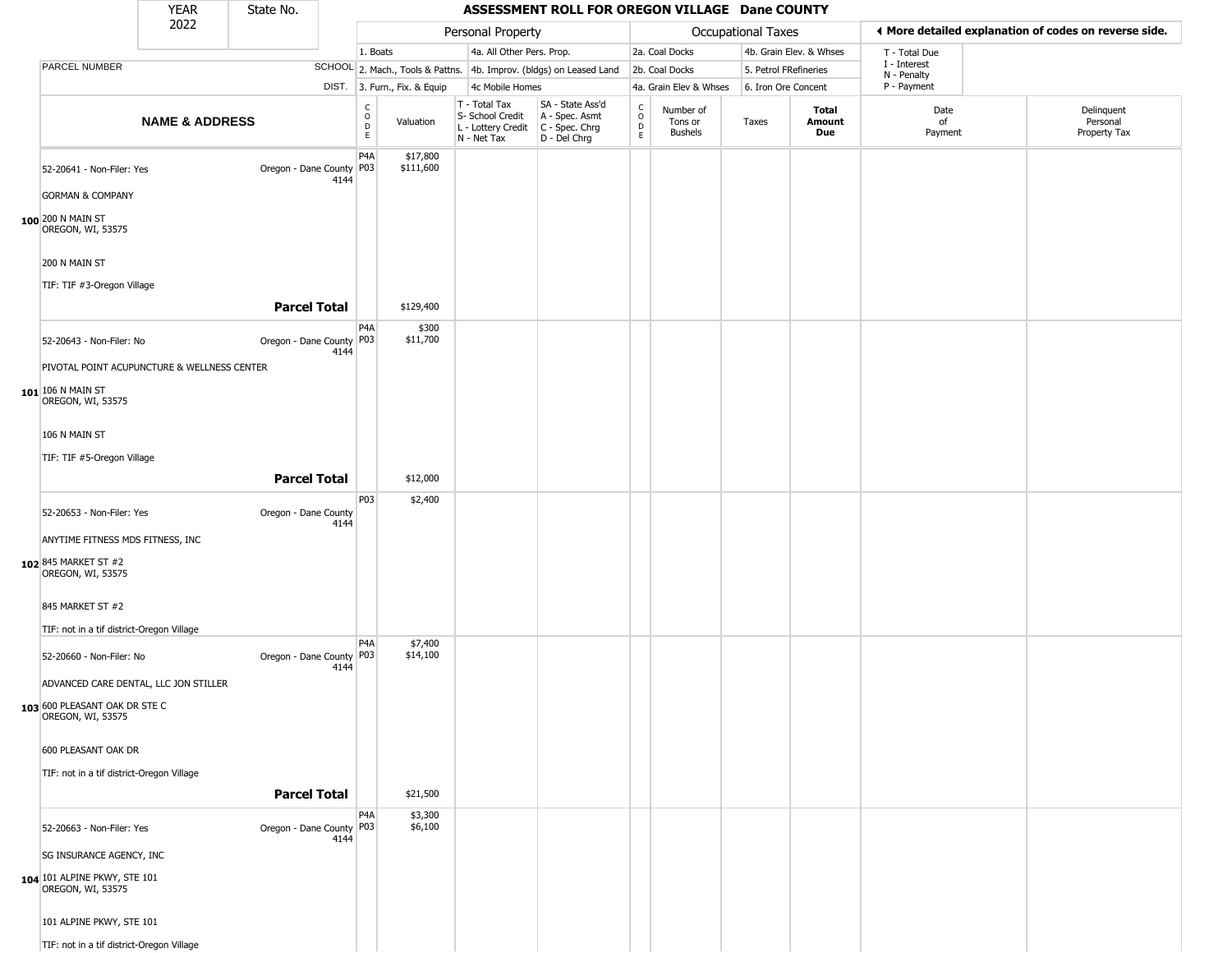|                                                                                             | <b>YEAR</b>               | State No.                  |      |                                                 |                              |                                                                                           | ASSESSMENT ROLL FOR OREGON VILLAGE Dane COUNTY                      |                                       |                                        |                           |                         |                            |                                                       |
|---------------------------------------------------------------------------------------------|---------------------------|----------------------------|------|-------------------------------------------------|------------------------------|-------------------------------------------------------------------------------------------|---------------------------------------------------------------------|---------------------------------------|----------------------------------------|---------------------------|-------------------------|----------------------------|-------------------------------------------------------|
|                                                                                             | 2022                      |                            |      |                                                 |                              | Personal Property                                                                         |                                                                     |                                       |                                        | <b>Occupational Taxes</b> |                         |                            | ♦ More detailed explanation of codes on reverse side. |
|                                                                                             |                           |                            |      | 1. Boats                                        |                              | 4a. All Other Pers. Prop.                                                                 |                                                                     |                                       | 2a. Coal Docks                         |                           | 4b. Grain Elev. & Whses | T - Total Due              |                                                       |
| PARCEL NUMBER                                                                               |                           |                            |      |                                                 |                              |                                                                                           | SCHOOL 2. Mach., Tools & Pattns. 4b. Improv. (bldgs) on Leased Land |                                       | 2b. Coal Docks                         | 5. Petrol FRefineries     |                         | I - Interest               |                                                       |
|                                                                                             |                           |                            |      |                                                 | DIST. 3. Furn., Fix. & Equip | 4c Mobile Homes                                                                           |                                                                     |                                       | 4a. Grain Elev & Whses                 | 6. Iron Ore Concent       |                         | N - Penalty<br>P - Payment |                                                       |
|                                                                                             | <b>NAME &amp; ADDRESS</b> |                            |      | $\begin{array}{c} C \\ O \\ D \\ E \end{array}$ | Valuation                    | T - Total Tax<br>S- School Credit<br>$L$ - Lottery Credit $C$ - Spec. Chrg<br>N - Net Tax | SA - State Ass'd<br>A - Spec. Asmt<br>D - Del Chrg                  | C<br>$\mathsf{o}$<br>D<br>$\mathsf E$ | Number of<br>Tons or<br><b>Bushels</b> | Taxes                     | Total<br>Amount<br>Due  | Date<br>of<br>Payment      | Delinquent<br>Personal<br>Property Tax                |
| 52-20641 - Non-Filer: Yes<br><b>GORMAN &amp; COMPANY</b>                                    |                           | Oregon - Dane County P03   | 4144 | P <sub>4</sub> A                                | \$17,800<br>\$111,600        |                                                                                           |                                                                     |                                       |                                        |                           |                         |                            |                                                       |
| 100 200 N MAIN ST<br>OREGON, WI, 53575                                                      |                           |                            |      |                                                 |                              |                                                                                           |                                                                     |                                       |                                        |                           |                         |                            |                                                       |
| 200 N MAIN ST<br>TIF: TIF #3-Oregon Village                                                 |                           |                            |      |                                                 |                              |                                                                                           |                                                                     |                                       |                                        |                           |                         |                            |                                                       |
|                                                                                             |                           | <b>Parcel Total</b>        |      |                                                 | \$129,400                    |                                                                                           |                                                                     |                                       |                                        |                           |                         |                            |                                                       |
| 52-20643 - Non-Filer: No                                                                    |                           | Oregon - Dane County P03   | 4144 | P4A                                             | \$300<br>\$11,700            |                                                                                           |                                                                     |                                       |                                        |                           |                         |                            |                                                       |
| PIVOTAL POINT ACUPUNCTURE & WELLNESS CENTER<br>$101$ $106$ N main st<br>OREGON, WI, 53575   |                           |                            |      |                                                 |                              |                                                                                           |                                                                     |                                       |                                        |                           |                         |                            |                                                       |
| 106 N MAIN ST                                                                               |                           |                            |      |                                                 |                              |                                                                                           |                                                                     |                                       |                                        |                           |                         |                            |                                                       |
| TIF: TIF #5-Oregon Village                                                                  |                           | <b>Parcel Total</b>        |      |                                                 | \$12,000                     |                                                                                           |                                                                     |                                       |                                        |                           |                         |                            |                                                       |
| 52-20653 - Non-Filer: Yes                                                                   |                           | Oregon - Dane County       | 4144 | P03                                             | \$2,400                      |                                                                                           |                                                                     |                                       |                                        |                           |                         |                            |                                                       |
| ANYTIME FITNESS MDS FITNESS, INC<br>102 845 MARKET ST #2<br>OREGON, WI, 53575               |                           |                            |      |                                                 |                              |                                                                                           |                                                                     |                                       |                                        |                           |                         |                            |                                                       |
| 845 MARKET ST #2<br>TIF: not in a tif district-Oregon Village                               |                           |                            |      |                                                 |                              |                                                                                           |                                                                     |                                       |                                        |                           |                         |                            |                                                       |
| 52-20660 - Non-Filer: No                                                                    |                           | Oregon - Dane County   P03 | 4144 | P <sub>4</sub> A                                | \$7,400<br>\$14,100          |                                                                                           |                                                                     |                                       |                                        |                           |                         |                            |                                                       |
| ADVANCED CARE DENTAL, LLC JON STILLER<br>103 600 PLEASANT OAK DR STE C<br>OREGON, WI, 53575 |                           |                            |      |                                                 |                              |                                                                                           |                                                                     |                                       |                                        |                           |                         |                            |                                                       |
| 600 PLEASANT OAK DR                                                                         |                           |                            |      |                                                 |                              |                                                                                           |                                                                     |                                       |                                        |                           |                         |                            |                                                       |
| TIF: not in a tif district-Oregon Village                                                   |                           | <b>Parcel Total</b>        |      |                                                 | \$21,500                     |                                                                                           |                                                                     |                                       |                                        |                           |                         |                            |                                                       |
| 52-20663 - Non-Filer: Yes                                                                   |                           | Oregon - Dane County   P03 | 4144 | P <sub>4</sub> A                                | \$3,300<br>\$6,100           |                                                                                           |                                                                     |                                       |                                        |                           |                         |                            |                                                       |
| SG INSURANCE AGENCY, INC<br>104 101 ALPINE PKWY, STE 101<br>OREGON, WI, 53575               |                           |                            |      |                                                 |                              |                                                                                           |                                                                     |                                       |                                        |                           |                         |                            |                                                       |
| 101 ALPINE PKWY, STE 101                                                                    |                           |                            |      |                                                 |                              |                                                                                           |                                                                     |                                       |                                        |                           |                         |                            |                                                       |
| TIF: not in a tif district-Oregon Village                                                   |                           |                            |      |                                                 |                              |                                                                                           |                                                                     |                                       |                                        |                           |                         |                            |                                                       |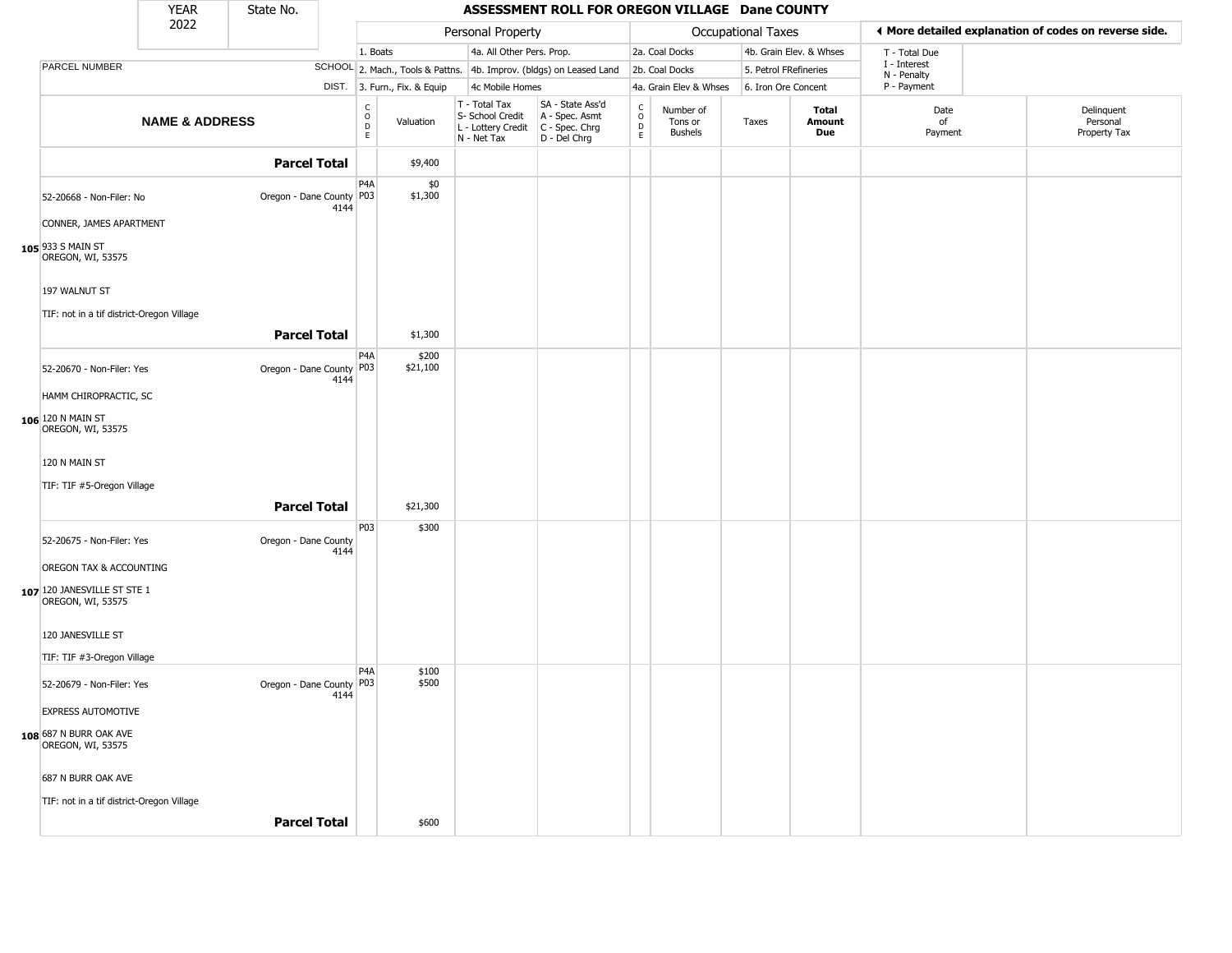|                                                            | <b>YEAR</b>               | State No.                  |      |                                                                    |                              |                                                                        | ASSESSMENT ROLL FOR OREGON VILLAGE Dane COUNTY                         |                                                |                                 |                    |                               |                             |                                                       |
|------------------------------------------------------------|---------------------------|----------------------------|------|--------------------------------------------------------------------|------------------------------|------------------------------------------------------------------------|------------------------------------------------------------------------|------------------------------------------------|---------------------------------|--------------------|-------------------------------|-----------------------------|-------------------------------------------------------|
|                                                            | 2022                      |                            |      |                                                                    |                              | Personal Property                                                      |                                                                        |                                                |                                 | Occupational Taxes |                               |                             | ♦ More detailed explanation of codes on reverse side. |
|                                                            |                           |                            |      | 1. Boats                                                           |                              | 4a. All Other Pers. Prop.                                              |                                                                        |                                                | 2a. Coal Docks                  |                    | 4b. Grain Elev. & Whses       | T - Total Due               |                                                       |
| PARCEL NUMBER                                              |                           |                            |      |                                                                    |                              |                                                                        | SCHOOL 2. Mach., Tools & Pattns. 4b. Improv. (bldgs) on Leased Land    |                                                | 2b. Coal Docks                  |                    | 5. Petrol FRefineries         | I - Interest<br>N - Penalty |                                                       |
|                                                            |                           |                            |      |                                                                    | DIST. 3. Furn., Fix. & Equip | 4c Mobile Homes                                                        |                                                                        |                                                | 4a. Grain Elev & Whses          |                    | 6. Iron Ore Concent           | P - Payment                 |                                                       |
|                                                            | <b>NAME &amp; ADDRESS</b> |                            |      | $\begin{smallmatrix} C \\ 0 \\ D \end{smallmatrix}$<br>$\mathsf E$ | Valuation                    | T - Total Tax<br>S- School Credit<br>L - Lottery Credit<br>N - Net Tax | SA - State Ass'd<br>A - Spec. Asmt<br>$C - Spec. Chrg$<br>D - Del Chrg | $\frac{c}{0}$<br>$\overline{D}$<br>$\mathsf E$ | Number of<br>Tons or<br>Bushels | Taxes              | Total<br><b>Amount</b><br>Due | Date<br>of<br>Payment       | Delinquent<br>Personal<br>Property Tax                |
|                                                            |                           | <b>Parcel Total</b>        |      |                                                                    | \$9,400                      |                                                                        |                                                                        |                                                |                                 |                    |                               |                             |                                                       |
| 52-20668 - Non-Filer: No<br>CONNER, JAMES APARTMENT        |                           | Oregon - Dane County P03   | 4144 | P <sub>4</sub> A                                                   | \$0<br>\$1,300               |                                                                        |                                                                        |                                                |                                 |                    |                               |                             |                                                       |
| $105$ 933 S MAIN ST<br>OREGON, WI, 53575                   |                           |                            |      |                                                                    |                              |                                                                        |                                                                        |                                                |                                 |                    |                               |                             |                                                       |
| 197 WALNUT ST<br>TIF: not in a tif district-Oregon Village |                           |                            |      |                                                                    |                              |                                                                        |                                                                        |                                                |                                 |                    |                               |                             |                                                       |
|                                                            |                           | <b>Parcel Total</b>        |      |                                                                    | \$1,300                      |                                                                        |                                                                        |                                                |                                 |                    |                               |                             |                                                       |
| 52-20670 - Non-Filer: Yes<br>HAMM CHIROPRACTIC, SC         |                           | Oregon - Dane County   P03 | 4144 | P <sub>4</sub> A                                                   | \$200<br>\$21,100            |                                                                        |                                                                        |                                                |                                 |                    |                               |                             |                                                       |
| 106 120 N MAIN ST<br>OREGON, WI, 53575                     |                           |                            |      |                                                                    |                              |                                                                        |                                                                        |                                                |                                 |                    |                               |                             |                                                       |
| 120 N MAIN ST<br>TIF: TIF #5-Oregon Village                |                           |                            |      |                                                                    |                              |                                                                        |                                                                        |                                                |                                 |                    |                               |                             |                                                       |
|                                                            |                           | <b>Parcel Total</b>        |      |                                                                    | \$21,300                     |                                                                        |                                                                        |                                                |                                 |                    |                               |                             |                                                       |
| 52-20675 - Non-Filer: Yes<br>OREGON TAX & ACCOUNTING       |                           | Oregon - Dane County       | 4144 | P03                                                                | \$300                        |                                                                        |                                                                        |                                                |                                 |                    |                               |                             |                                                       |
| 107 120 JANESVILLE ST STE 1<br>OREGON, WI, 53575           |                           |                            |      |                                                                    |                              |                                                                        |                                                                        |                                                |                                 |                    |                               |                             |                                                       |
| 120 JANESVILLE ST                                          |                           |                            |      |                                                                    |                              |                                                                        |                                                                        |                                                |                                 |                    |                               |                             |                                                       |
| TIF: TIF #3-Oregon Village                                 |                           |                            |      | P <sub>4</sub> A                                                   | \$100                        |                                                                        |                                                                        |                                                |                                 |                    |                               |                             |                                                       |
| 52-20679 - Non-Filer: Yes                                  |                           | Oregon - Dane County   P03 | 4144 |                                                                    | \$500                        |                                                                        |                                                                        |                                                |                                 |                    |                               |                             |                                                       |
| <b>EXPRESS AUTOMOTIVE</b>                                  |                           |                            |      |                                                                    |                              |                                                                        |                                                                        |                                                |                                 |                    |                               |                             |                                                       |
| 108 687 N BURR OAK AVE<br>OREGON, WI, 53575                |                           |                            |      |                                                                    |                              |                                                                        |                                                                        |                                                |                                 |                    |                               |                             |                                                       |
| 687 N BURR OAK AVE                                         |                           |                            |      |                                                                    |                              |                                                                        |                                                                        |                                                |                                 |                    |                               |                             |                                                       |
| TIF: not in a tif district-Oregon Village                  |                           |                            |      |                                                                    |                              |                                                                        |                                                                        |                                                |                                 |                    |                               |                             |                                                       |
|                                                            |                           | <b>Parcel Total</b>        |      |                                                                    | \$600                        |                                                                        |                                                                        |                                                |                                 |                    |                               |                             |                                                       |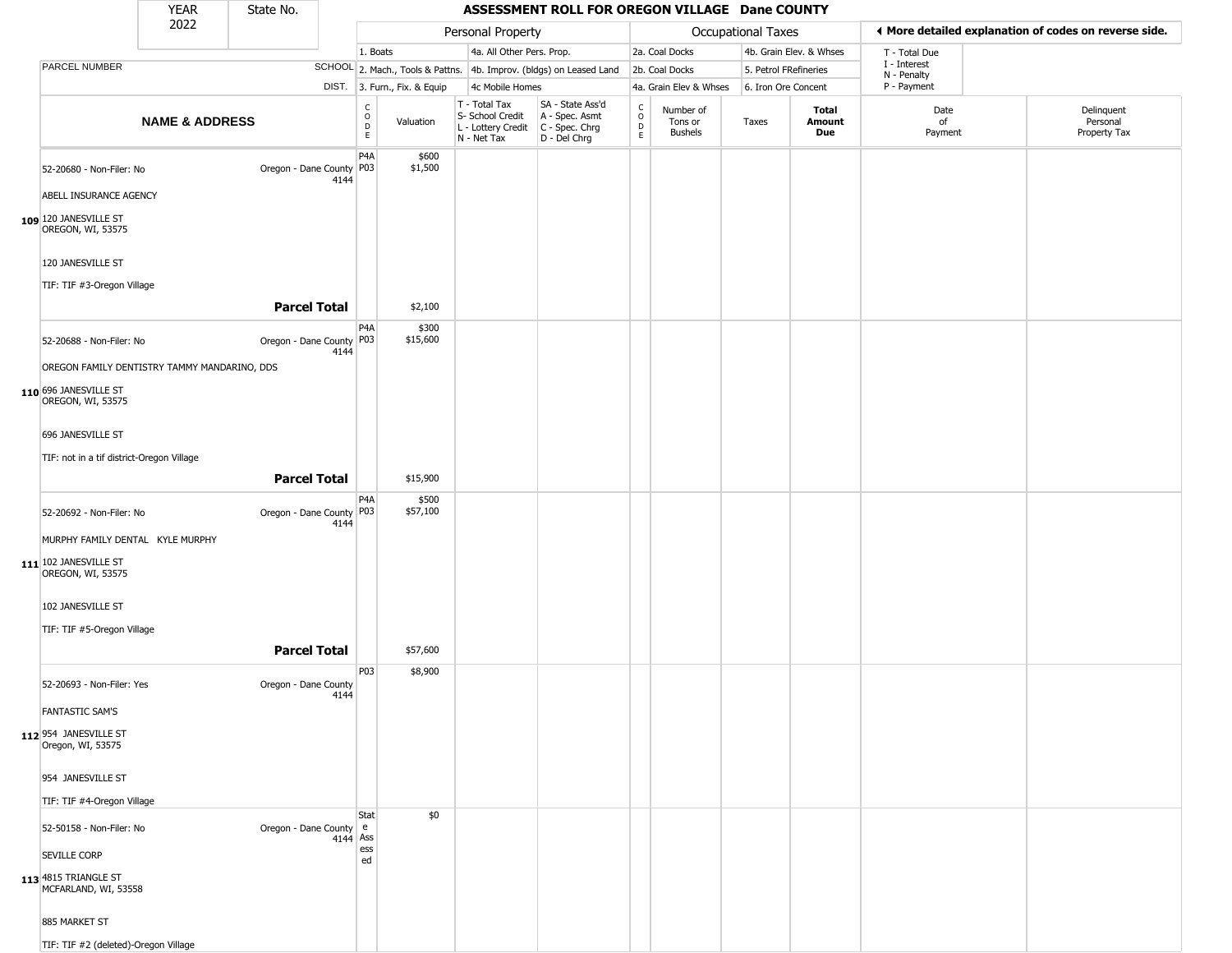|                                                                                | YEAR                      | State No.                  |          |                                             |                              |                                                                                       | ASSESSMENT ROLL FOR OREGON VILLAGE Dane COUNTY                      |                            |                                        |                           |                         |                             |                                                       |
|--------------------------------------------------------------------------------|---------------------------|----------------------------|----------|---------------------------------------------|------------------------------|---------------------------------------------------------------------------------------|---------------------------------------------------------------------|----------------------------|----------------------------------------|---------------------------|-------------------------|-----------------------------|-------------------------------------------------------|
|                                                                                | 2022                      |                            |          |                                             |                              | Personal Property                                                                     |                                                                     |                            |                                        | <b>Occupational Taxes</b> |                         |                             | ♦ More detailed explanation of codes on reverse side. |
|                                                                                |                           |                            |          | 1. Boats                                    |                              | 4a. All Other Pers. Prop.                                                             |                                                                     |                            | 2a. Coal Docks                         |                           | 4b. Grain Elev. & Whses | T - Total Due               |                                                       |
| PARCEL NUMBER                                                                  |                           |                            |          |                                             |                              |                                                                                       | SCHOOL 2. Mach., Tools & Pattns. 4b. Improv. (bldgs) on Leased Land |                            | 2b. Coal Docks                         | 5. Petrol FRefineries     |                         | I - Interest<br>N - Penalty |                                                       |
|                                                                                |                           |                            |          |                                             | DIST. 3. Furn., Fix. & Equip | 4c Mobile Homes                                                                       |                                                                     |                            | 4a. Grain Elev & Whses                 | 6. Iron Ore Concent       |                         | P - Payment                 |                                                       |
|                                                                                | <b>NAME &amp; ADDRESS</b> |                            |          | $\int_{0}^{c}$<br>$\mathsf{D}_{\mathsf{E}}$ | Valuation                    | T - Total Tax<br>S- School Credit<br>L - Lottery Credit C - Spec. Chrg<br>N - Net Tax | SA - State Ass'd<br>A - Spec. Asmt<br>D - Del Chrg                  | C<br>$\mathsf O$<br>D<br>E | Number of<br>Tons or<br><b>Bushels</b> | Taxes                     | Total<br>Amount<br>Due  | Date<br>of<br>Payment       | Delinquent<br>Personal<br>Property Tax                |
| 52-20680 - Non-Filer: No                                                       |                           | Oregon - Dane County P03   | 4144     | P4A                                         | \$600<br>\$1,500             |                                                                                       |                                                                     |                            |                                        |                           |                         |                             |                                                       |
| ABELL INSURANCE AGENCY                                                         |                           |                            |          |                                             |                              |                                                                                       |                                                                     |                            |                                        |                           |                         |                             |                                                       |
| $109$ 120 JANESVILLE ST<br>OREGON, WI, 53575                                   |                           |                            |          |                                             |                              |                                                                                       |                                                                     |                            |                                        |                           |                         |                             |                                                       |
| 120 JANESVILLE ST                                                              |                           |                            |          |                                             |                              |                                                                                       |                                                                     |                            |                                        |                           |                         |                             |                                                       |
| TIF: TIF #3-Oregon Village                                                     |                           | <b>Parcel Total</b>        |          |                                             | \$2,100                      |                                                                                       |                                                                     |                            |                                        |                           |                         |                             |                                                       |
| 52-20688 - Non-Filer: No                                                       |                           | Oregon - Dane County P03   | 4144     | P4A                                         | \$300<br>\$15,600            |                                                                                       |                                                                     |                            |                                        |                           |                         |                             |                                                       |
| OREGON FAMILY DENTISTRY TAMMY MANDARINO, DDS                                   |                           |                            |          |                                             |                              |                                                                                       |                                                                     |                            |                                        |                           |                         |                             |                                                       |
| 110 696 JANESVILLE ST<br>OREGON, WI, 53575                                     |                           |                            |          |                                             |                              |                                                                                       |                                                                     |                            |                                        |                           |                         |                             |                                                       |
| 696 JANESVILLE ST                                                              |                           |                            |          |                                             |                              |                                                                                       |                                                                     |                            |                                        |                           |                         |                             |                                                       |
| TIF: not in a tif district-Oregon Village                                      |                           |                            |          |                                             |                              |                                                                                       |                                                                     |                            |                                        |                           |                         |                             |                                                       |
|                                                                                |                           | <b>Parcel Total</b>        |          |                                             | \$15,900                     |                                                                                       |                                                                     |                            |                                        |                           |                         |                             |                                                       |
| 52-20692 - Non-Filer: No                                                       |                           | Oregon - Dane County   P03 | 4144     | P <sub>4</sub> A                            | \$500<br>\$57,100            |                                                                                       |                                                                     |                            |                                        |                           |                         |                             |                                                       |
| MURPHY FAMILY DENTAL KYLE MURPHY<br>111 102 JANESVILLE ST<br>OREGON, WI, 53575 |                           |                            |          |                                             |                              |                                                                                       |                                                                     |                            |                                        |                           |                         |                             |                                                       |
| 102 JANESVILLE ST                                                              |                           |                            |          |                                             |                              |                                                                                       |                                                                     |                            |                                        |                           |                         |                             |                                                       |
| TIF: TIF #5-Oregon Village                                                     |                           | <b>Parcel Total</b>        |          |                                             | \$57,600                     |                                                                                       |                                                                     |                            |                                        |                           |                         |                             |                                                       |
| 52-20693 - Non-Filer: Yes                                                      |                           | Oregon - Dane County       | 4144     | P03                                         | \$8,900                      |                                                                                       |                                                                     |                            |                                        |                           |                         |                             |                                                       |
| <b>FANTASTIC SAM'S</b>                                                         |                           |                            |          |                                             |                              |                                                                                       |                                                                     |                            |                                        |                           |                         |                             |                                                       |
| 112 954 JANESVILLE ST<br>Oregon, WI, 53575                                     |                           |                            |          |                                             |                              |                                                                                       |                                                                     |                            |                                        |                           |                         |                             |                                                       |
| 954 JANESVILLE ST                                                              |                           |                            |          |                                             |                              |                                                                                       |                                                                     |                            |                                        |                           |                         |                             |                                                       |
| TIF: TIF #4-Oregon Village                                                     |                           |                            |          | Stat                                        | \$0                          |                                                                                       |                                                                     |                            |                                        |                           |                         |                             |                                                       |
| 52-50158 - Non-Filer: No                                                       |                           | Oregon - Dane County e     | 4144 Ass | ess                                         |                              |                                                                                       |                                                                     |                            |                                        |                           |                         |                             |                                                       |
| <b>SEVILLE CORP</b>                                                            |                           |                            |          | ed                                          |                              |                                                                                       |                                                                     |                            |                                        |                           |                         |                             |                                                       |
| 113 4815 TRIANGLE ST<br>MCFARLAND, WI, 53558                                   |                           |                            |          |                                             |                              |                                                                                       |                                                                     |                            |                                        |                           |                         |                             |                                                       |
| 885 MARKET ST                                                                  |                           |                            |          |                                             |                              |                                                                                       |                                                                     |                            |                                        |                           |                         |                             |                                                       |
| TIF: TIF #2 (deleted)-Oregon Village                                           |                           |                            |          |                                             |                              |                                                                                       |                                                                     |                            |                                        |                           |                         |                             |                                                       |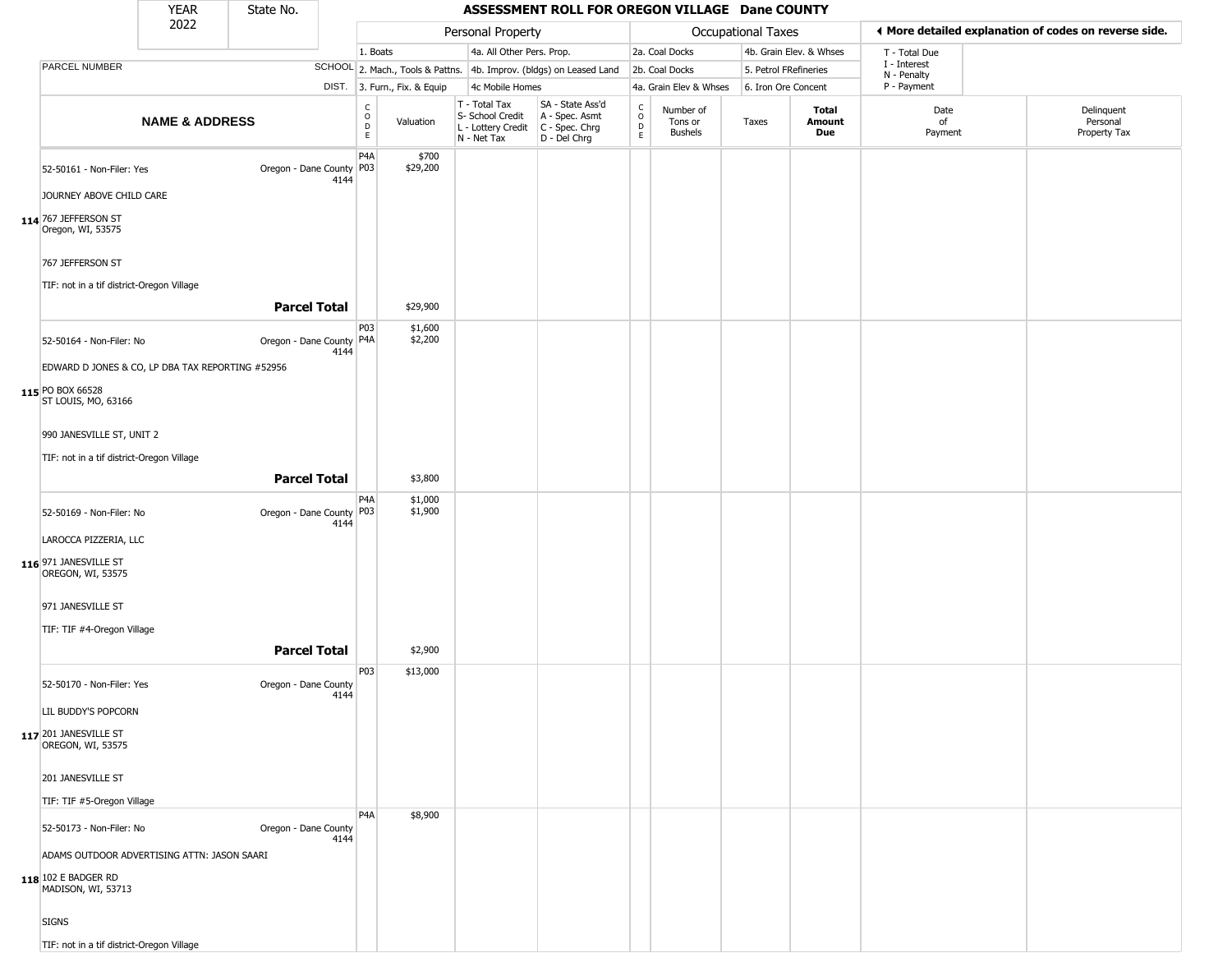|                                                                                          | <b>YEAR</b>               | State No.                  |      |                                                 |                              |                                                                                       | ASSESSMENT ROLL FOR OREGON VILLAGE Dane COUNTY                      |                                   |                                 |                       |                         |                             |                                                       |
|------------------------------------------------------------------------------------------|---------------------------|----------------------------|------|-------------------------------------------------|------------------------------|---------------------------------------------------------------------------------------|---------------------------------------------------------------------|-----------------------------------|---------------------------------|-----------------------|-------------------------|-----------------------------|-------------------------------------------------------|
|                                                                                          | 2022                      |                            |      |                                                 |                              | Personal Property                                                                     |                                                                     |                                   |                                 | Occupational Taxes    |                         |                             | ◀ More detailed explanation of codes on reverse side. |
|                                                                                          |                           |                            |      | 1. Boats                                        |                              | 4a. All Other Pers. Prop.                                                             |                                                                     |                                   | 2a. Coal Docks                  |                       | 4b. Grain Elev. & Whses | T - Total Due               |                                                       |
| PARCEL NUMBER                                                                            |                           |                            |      |                                                 |                              |                                                                                       | SCHOOL 2. Mach., Tools & Pattns. 4b. Improv. (bldgs) on Leased Land |                                   | 2b. Coal Docks                  | 5. Petrol FRefineries |                         | I - Interest<br>N - Penalty |                                                       |
|                                                                                          |                           |                            |      |                                                 | DIST. 3. Furn., Fix. & Equip | 4c Mobile Homes                                                                       |                                                                     |                                   | 4a. Grain Elev & Whses          | 6. Iron Ore Concent   |                         | P - Payment                 |                                                       |
|                                                                                          | <b>NAME &amp; ADDRESS</b> |                            |      | $\begin{array}{c} C \\ O \\ D \\ E \end{array}$ | Valuation                    | T - Total Tax<br>S- School Credit<br>L - Lottery Credit C - Spec. Chrg<br>N - Net Tax | SA - State Ass'd<br>A - Spec. Asmt<br>D - Del Chrg                  | $\frac{c}{0}$<br>$\mathsf D$<br>E | Number of<br>Tons or<br>Bushels | Taxes                 | Total<br>Amount<br>Due  | Date<br>of<br>Payment       | Delinquent<br>Personal<br>Property Tax                |
| 52-50161 - Non-Filer: Yes                                                                |                           | Oregon - Dane County   P03 | 4144 | P <sub>4</sub> A                                | \$700<br>\$29,200            |                                                                                       |                                                                     |                                   |                                 |                       |                         |                             |                                                       |
| JOURNEY ABOVE CHILD CARE                                                                 |                           |                            |      |                                                 |                              |                                                                                       |                                                                     |                                   |                                 |                       |                         |                             |                                                       |
| 114 767 JEFFERSON ST<br>Oregon, WI, 53575                                                |                           |                            |      |                                                 |                              |                                                                                       |                                                                     |                                   |                                 |                       |                         |                             |                                                       |
| 767 JEFFERSON ST                                                                         |                           |                            |      |                                                 |                              |                                                                                       |                                                                     |                                   |                                 |                       |                         |                             |                                                       |
| TIF: not in a tif district-Oregon Village                                                |                           | <b>Parcel Total</b>        |      |                                                 | \$29,900                     |                                                                                       |                                                                     |                                   |                                 |                       |                         |                             |                                                       |
| 52-50164 - Non-Filer: No                                                                 |                           | Oregon - Dane County   P4A | 4144 | P03                                             | \$1,600<br>\$2,200           |                                                                                       |                                                                     |                                   |                                 |                       |                         |                             |                                                       |
| EDWARD D JONES & CO, LP DBA TAX REPORTING #52956                                         |                           |                            |      |                                                 |                              |                                                                                       |                                                                     |                                   |                                 |                       |                         |                             |                                                       |
| 115 PO BOX 66528<br>ST LOUIS, MO, 63166                                                  |                           |                            |      |                                                 |                              |                                                                                       |                                                                     |                                   |                                 |                       |                         |                             |                                                       |
| 990 JANESVILLE ST, UNIT 2                                                                |                           |                            |      |                                                 |                              |                                                                                       |                                                                     |                                   |                                 |                       |                         |                             |                                                       |
| TIF: not in a tif district-Oregon Village                                                |                           |                            |      |                                                 |                              |                                                                                       |                                                                     |                                   |                                 |                       |                         |                             |                                                       |
|                                                                                          |                           | <b>Parcel Total</b>        |      |                                                 | \$3,800                      |                                                                                       |                                                                     |                                   |                                 |                       |                         |                             |                                                       |
| 52-50169 - Non-Filer: No                                                                 |                           | Oregon - Dane County P03   | 4144 | P4A                                             | \$1,000<br>\$1,900           |                                                                                       |                                                                     |                                   |                                 |                       |                         |                             |                                                       |
| LAROCCA PIZZERIA, LLC                                                                    |                           |                            |      |                                                 |                              |                                                                                       |                                                                     |                                   |                                 |                       |                         |                             |                                                       |
| 116 971 JANESVILLE ST<br>OREGON, WI, 53575                                               |                           |                            |      |                                                 |                              |                                                                                       |                                                                     |                                   |                                 |                       |                         |                             |                                                       |
| 971 JANESVILLE ST                                                                        |                           |                            |      |                                                 |                              |                                                                                       |                                                                     |                                   |                                 |                       |                         |                             |                                                       |
| TIF: TIF #4-Oregon Village                                                               |                           |                            |      |                                                 |                              |                                                                                       |                                                                     |                                   |                                 |                       |                         |                             |                                                       |
|                                                                                          |                           | <b>Parcel Total</b>        |      |                                                 | \$2,900                      |                                                                                       |                                                                     |                                   |                                 |                       |                         |                             |                                                       |
| 52-50170 - Non-Filer: Yes                                                                |                           | Oregon - Dane County       | 4144 | P03                                             | \$13,000                     |                                                                                       |                                                                     |                                   |                                 |                       |                         |                             |                                                       |
| LIL BUDDY'S POPCORN                                                                      |                           |                            |      |                                                 |                              |                                                                                       |                                                                     |                                   |                                 |                       |                         |                             |                                                       |
| 117 201 JANESVILLE ST<br>OREGON, WI, 53575                                               |                           |                            |      |                                                 |                              |                                                                                       |                                                                     |                                   |                                 |                       |                         |                             |                                                       |
| 201 JANESVILLE ST                                                                        |                           |                            |      |                                                 |                              |                                                                                       |                                                                     |                                   |                                 |                       |                         |                             |                                                       |
| TIF: TIF #5-Oregon Village                                                               |                           |                            |      |                                                 |                              |                                                                                       |                                                                     |                                   |                                 |                       |                         |                             |                                                       |
| 52-50173 - Non-Filer: No                                                                 |                           | Oregon - Dane County       | 4144 | P <sub>4</sub> A                                | \$8,900                      |                                                                                       |                                                                     |                                   |                                 |                       |                         |                             |                                                       |
| ADAMS OUTDOOR ADVERTISING ATTN: JASON SAARI<br>118 102 E BADGER RD<br>MADISON, WI, 53713 |                           |                            |      |                                                 |                              |                                                                                       |                                                                     |                                   |                                 |                       |                         |                             |                                                       |
| <b>SIGNS</b>                                                                             |                           |                            |      |                                                 |                              |                                                                                       |                                                                     |                                   |                                 |                       |                         |                             |                                                       |
| TIF: not in a tif district-Oregon Village                                                |                           |                            |      |                                                 |                              |                                                                                       |                                                                     |                                   |                                 |                       |                         |                             |                                                       |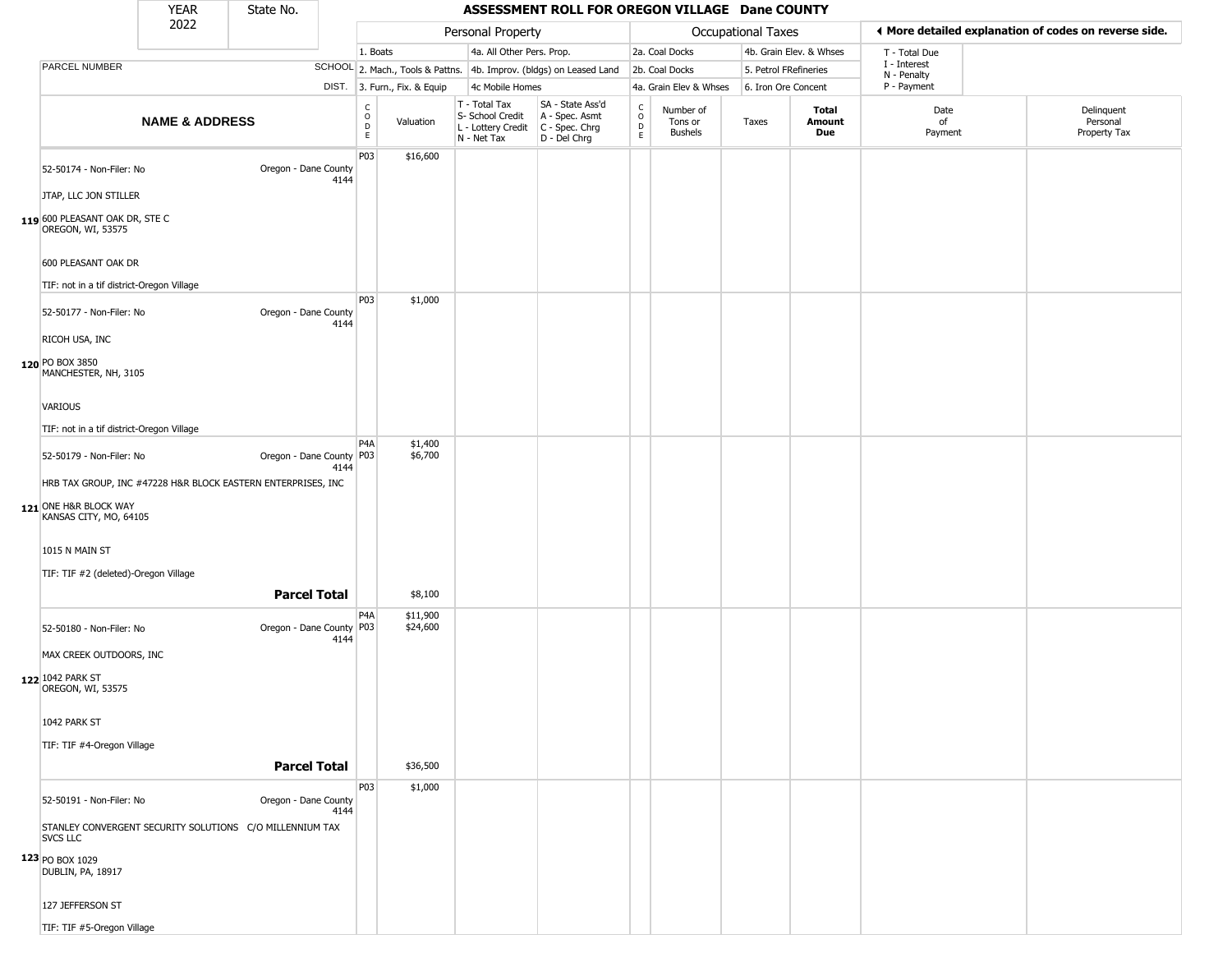|                                                                                                                                       | <b>YEAR</b>                                                  | State No.                  |      |                                    |                              |                                                                        | ASSESSMENT ROLL FOR OREGON VILLAGE Dane COUNTY                       |                                |                                        |                       |                         |                            |                                                       |
|---------------------------------------------------------------------------------------------------------------------------------------|--------------------------------------------------------------|----------------------------|------|------------------------------------|------------------------------|------------------------------------------------------------------------|----------------------------------------------------------------------|--------------------------------|----------------------------------------|-----------------------|-------------------------|----------------------------|-------------------------------------------------------|
|                                                                                                                                       | 2022                                                         |                            |      |                                    |                              | Personal Property                                                      |                                                                      |                                |                                        | Occupational Taxes    |                         |                            | ◀ More detailed explanation of codes on reverse side. |
|                                                                                                                                       |                                                              |                            |      | 1. Boats                           |                              | 4a. All Other Pers. Prop.                                              |                                                                      |                                | 2a. Coal Docks                         |                       | 4b. Grain Elev. & Whses | T - Total Due              |                                                       |
| PARCEL NUMBER                                                                                                                         |                                                              |                            |      |                                    |                              |                                                                        | SCHOOL 2. Mach., Tools & Pattns. 4b. Improv. (bldgs) on Leased Land  |                                | 2b. Coal Docks                         | 5. Petrol FRefineries |                         | I - Interest               |                                                       |
|                                                                                                                                       |                                                              |                            |      |                                    | DIST. 3. Furn., Fix. & Equip | 4c Mobile Homes                                                        |                                                                      |                                | 4a. Grain Elev & Whses                 | 6. Iron Ore Concent   |                         | N - Penalty<br>P - Payment |                                                       |
|                                                                                                                                       | <b>NAME &amp; ADDRESS</b>                                    |                            |      | $\int_{0}^{c}$<br>$\mathsf D$<br>E | Valuation                    | T - Total Tax<br>S- School Credit<br>L - Lottery Credit<br>N - Net Tax | SA - State Ass'd<br>A - Spec. Asmt<br>C - Spec. Chrg<br>D - Del Chrg | $\rm ^c_o$<br>$\mathsf D$<br>E | Number of<br>Tons or<br><b>Bushels</b> | Taxes                 | Total<br>Amount<br>Due  | Date<br>of<br>Payment      | Delinquent<br>Personal<br>Property Tax                |
| 52-50174 - Non-Filer: No<br>JTAP, LLC JON STILLER<br>119 600 PLEASANT OAK DR, STE C<br>OREGON, WI, 53575                              |                                                              | Oregon - Dane County       | 4144 | P03                                | \$16,600                     |                                                                        |                                                                      |                                |                                        |                       |                         |                            |                                                       |
| 600 PLEASANT OAK DR<br>TIF: not in a tif district-Oregon Village<br>52-50177 - Non-Filer: No                                          |                                                              | Oregon - Dane County       | 4144 | P03                                | \$1,000                      |                                                                        |                                                                      |                                |                                        |                       |                         |                            |                                                       |
| RICOH USA, INC<br>120 PO BOX 3850<br>MANCHESTER, NH, 3105<br>VARIOUS<br>TIF: not in a tif district-Oregon Village                     |                                                              |                            |      |                                    |                              |                                                                        |                                                                      |                                |                                        |                       |                         |                            |                                                       |
| 52-50179 - Non-Filer: No<br>121 ONE H&R BLOCK WAY<br>KANSAS CITY, MO, 64105<br>1015 N MAIN ST<br>TIF: TIF #2 (deleted)-Oregon Village | HRB TAX GROUP, INC #47228 H&R BLOCK EASTERN ENTERPRISES, INC | Oregon - Dane County   P03 | 4144 | P <sub>4</sub> A                   | \$1,400<br>\$6,700           |                                                                        |                                                                      |                                |                                        |                       |                         |                            |                                                       |
|                                                                                                                                       |                                                              | <b>Parcel Total</b>        |      |                                    | \$8,100                      |                                                                        |                                                                      |                                |                                        |                       |                         |                            |                                                       |
| 52-50180 - Non-Filer: No<br>MAX CREEK OUTDOORS, INC<br>122 1042 PARK ST<br>OREGON, WI, 53575                                          |                                                              | Oregon - Dane County   P03 | 4144 | P <sub>4</sub> A                   | \$11,900<br>\$24,600         |                                                                        |                                                                      |                                |                                        |                       |                         |                            |                                                       |
| 1042 PARK ST<br>TIF: TIF #4-Oregon Village                                                                                            |                                                              | <b>Parcel Total</b>        |      |                                    | \$36,500                     |                                                                        |                                                                      |                                |                                        |                       |                         |                            |                                                       |
| 52-50191 - Non-Filer: No<br><b>SVCS LLC</b><br>123 PO BOX 1029<br>DUBLIN, PA, 18917<br>127 JEFFERSON ST                               | STANLEY CONVERGENT SECURITY SOLUTIONS C/O MILLENNIUM TAX     | Oregon - Dane County       | 4144 | <b>P03</b>                         | \$1,000                      |                                                                        |                                                                      |                                |                                        |                       |                         |                            |                                                       |
| TIF: TIF #5-Oregon Village                                                                                                            |                                                              |                            |      |                                    |                              |                                                                        |                                                                      |                                |                                        |                       |                         |                            |                                                       |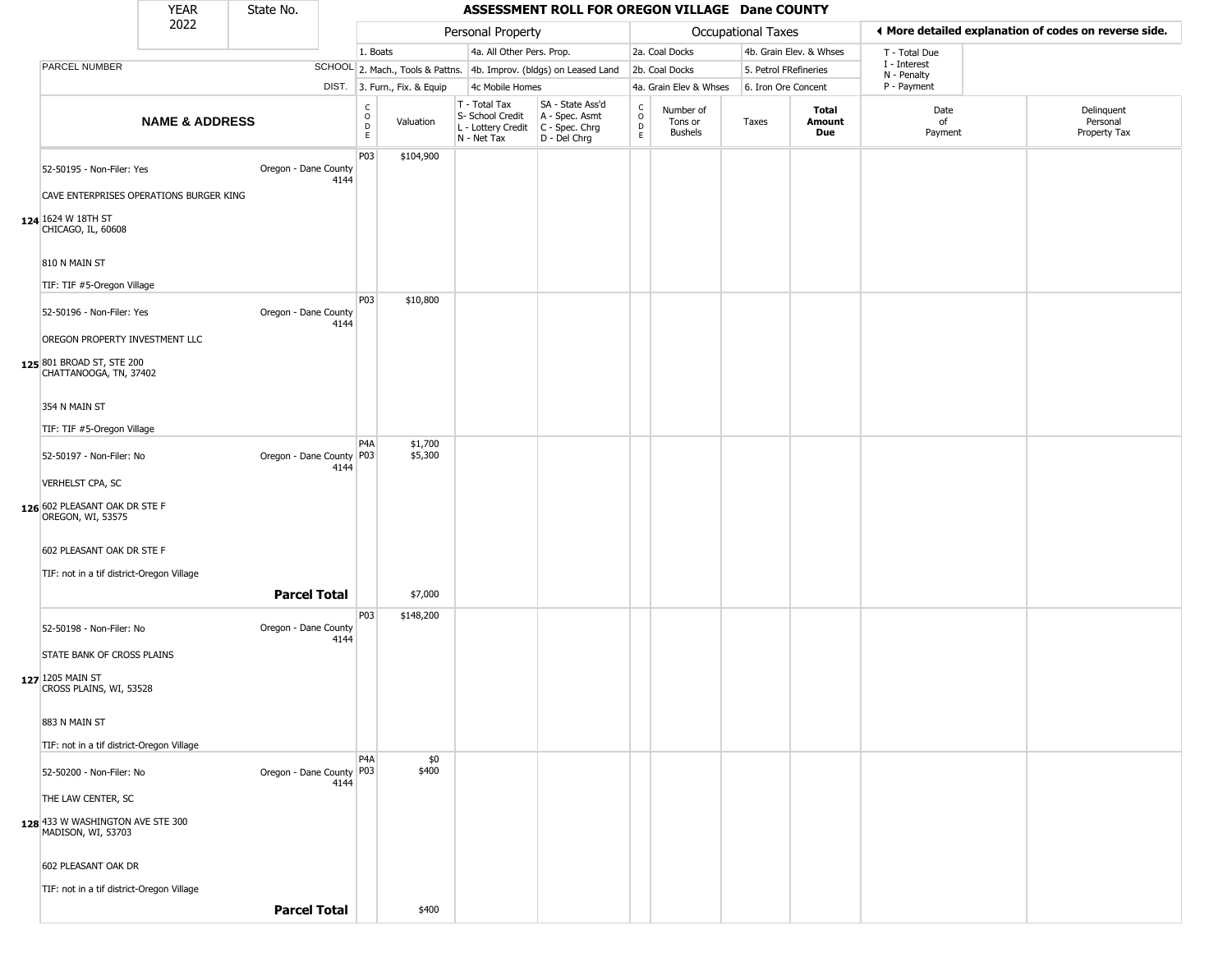|                                                                      | <b>YEAR</b>               | State No.                  |      |                                      |                              |                                                                        | ASSESSMENT ROLL FOR OREGON VILLAGE Dane COUNTY                         |                                    |                                        |                       |                         |                             |                                                       |
|----------------------------------------------------------------------|---------------------------|----------------------------|------|--------------------------------------|------------------------------|------------------------------------------------------------------------|------------------------------------------------------------------------|------------------------------------|----------------------------------------|-----------------------|-------------------------|-----------------------------|-------------------------------------------------------|
|                                                                      | 2022                      |                            |      |                                      |                              | Personal Property                                                      |                                                                        |                                    |                                        | Occupational Taxes    |                         |                             | ◀ More detailed explanation of codes on reverse side. |
|                                                                      |                           |                            |      | 1. Boats                             |                              | 4a. All Other Pers. Prop.                                              |                                                                        |                                    | 2a. Coal Docks                         |                       | 4b. Grain Elev. & Whses | T - Total Due               |                                                       |
| PARCEL NUMBER                                                        |                           |                            |      |                                      |                              |                                                                        | SCHOOL 2. Mach., Tools & Pattns. 4b. Improv. (bldgs) on Leased Land    |                                    | 2b. Coal Docks                         | 5. Petrol FRefineries |                         | I - Interest<br>N - Penalty |                                                       |
|                                                                      |                           |                            |      |                                      | DIST. 3. Furn., Fix. & Equip | 4c Mobile Homes                                                        |                                                                        |                                    | 4a. Grain Elev & Whses                 | 6. Iron Ore Concent   |                         | P - Payment                 |                                                       |
|                                                                      | <b>NAME &amp; ADDRESS</b> |                            |      | C<br>$\mathsf O$<br>D<br>$\mathsf E$ | Valuation                    | T - Total Tax<br>S- School Credit<br>L - Lottery Credit<br>N - Net Tax | SA - State Ass'd<br>A - Spec. Asmt<br>$C - Spec. Chrg$<br>D - Del Chrg | $\frac{c}{0}$<br>$\mathsf{D}$<br>E | Number of<br>Tons or<br><b>Bushels</b> | Taxes                 | Total<br>Amount<br>Due  | Date<br>of<br>Payment       | Delinquent<br>Personal<br>Property Tax                |
| 52-50195 - Non-Filer: Yes<br>CAVE ENTERPRISES OPERATIONS BURGER KING |                           | Oregon - Dane County       | 4144 | P03                                  | \$104,900                    |                                                                        |                                                                        |                                    |                                        |                       |                         |                             |                                                       |
| 124 1624 W 18TH ST<br>CHICAGO, IL, 60608                             |                           |                            |      |                                      |                              |                                                                        |                                                                        |                                    |                                        |                       |                         |                             |                                                       |
| 810 N MAIN ST                                                        |                           |                            |      |                                      |                              |                                                                        |                                                                        |                                    |                                        |                       |                         |                             |                                                       |
| TIF: TIF #5-Oregon Village                                           |                           |                            |      | P03                                  | \$10,800                     |                                                                        |                                                                        |                                    |                                        |                       |                         |                             |                                                       |
| 52-50196 - Non-Filer: Yes                                            |                           | Oregon - Dane County       | 4144 |                                      |                              |                                                                        |                                                                        |                                    |                                        |                       |                         |                             |                                                       |
| OREGON PROPERTY INVESTMENT LLC                                       |                           |                            |      |                                      |                              |                                                                        |                                                                        |                                    |                                        |                       |                         |                             |                                                       |
| 125 801 BROAD ST, STE 200<br>CHATTANOOGA, TN, 37402                  |                           |                            |      |                                      |                              |                                                                        |                                                                        |                                    |                                        |                       |                         |                             |                                                       |
| 354 N MAIN ST                                                        |                           |                            |      |                                      |                              |                                                                        |                                                                        |                                    |                                        |                       |                         |                             |                                                       |
| TIF: TIF #5-Oregon Village                                           |                           |                            |      |                                      |                              |                                                                        |                                                                        |                                    |                                        |                       |                         |                             |                                                       |
| 52-50197 - Non-Filer: No                                             |                           | Oregon - Dane County P03   | 4144 | P <sub>4</sub> A                     | \$1,700<br>\$5,300           |                                                                        |                                                                        |                                    |                                        |                       |                         |                             |                                                       |
| VERHELST CPA, SC                                                     |                           |                            |      |                                      |                              |                                                                        |                                                                        |                                    |                                        |                       |                         |                             |                                                       |
| 126 602 PLEASANT OAK DR STE F<br>OREGON, WI, 53575                   |                           |                            |      |                                      |                              |                                                                        |                                                                        |                                    |                                        |                       |                         |                             |                                                       |
| 602 PLEASANT OAK DR STE F                                            |                           |                            |      |                                      |                              |                                                                        |                                                                        |                                    |                                        |                       |                         |                             |                                                       |
| TIF: not in a tif district-Oregon Village                            |                           |                            |      |                                      |                              |                                                                        |                                                                        |                                    |                                        |                       |                         |                             |                                                       |
|                                                                      |                           | <b>Parcel Total</b>        |      |                                      | \$7,000                      |                                                                        |                                                                        |                                    |                                        |                       |                         |                             |                                                       |
| 52-50198 - Non-Filer: No                                             |                           | Oregon - Dane County       | 4144 | P03                                  | \$148,200                    |                                                                        |                                                                        |                                    |                                        |                       |                         |                             |                                                       |
| STATE BANK OF CROSS PLAINS                                           |                           |                            |      |                                      |                              |                                                                        |                                                                        |                                    |                                        |                       |                         |                             |                                                       |
| 127 1205 MAIN ST<br>CROSS PLAINS, WI, 53528                          |                           |                            |      |                                      |                              |                                                                        |                                                                        |                                    |                                        |                       |                         |                             |                                                       |
| 883 N MAIN ST                                                        |                           |                            |      |                                      |                              |                                                                        |                                                                        |                                    |                                        |                       |                         |                             |                                                       |
| TIF: not in a tif district-Oregon Village                            |                           |                            |      | P <sub>4</sub> A                     | \$0                          |                                                                        |                                                                        |                                    |                                        |                       |                         |                             |                                                       |
| 52-50200 - Non-Filer: No                                             |                           | Oregon - Dane County   P03 | 4144 |                                      | \$400                        |                                                                        |                                                                        |                                    |                                        |                       |                         |                             |                                                       |
| THE LAW CENTER, SC                                                   |                           |                            |      |                                      |                              |                                                                        |                                                                        |                                    |                                        |                       |                         |                             |                                                       |
| 128 433 W WASHINGTON AVE STE 300<br>MADISON, WI, 53703               |                           |                            |      |                                      |                              |                                                                        |                                                                        |                                    |                                        |                       |                         |                             |                                                       |
| 602 PLEASANT OAK DR                                                  |                           |                            |      |                                      |                              |                                                                        |                                                                        |                                    |                                        |                       |                         |                             |                                                       |
| TIF: not in a tif district-Oregon Village                            |                           |                            |      |                                      |                              |                                                                        |                                                                        |                                    |                                        |                       |                         |                             |                                                       |
|                                                                      |                           | <b>Parcel Total</b>        |      |                                      | \$400                        |                                                                        |                                                                        |                                    |                                        |                       |                         |                             |                                                       |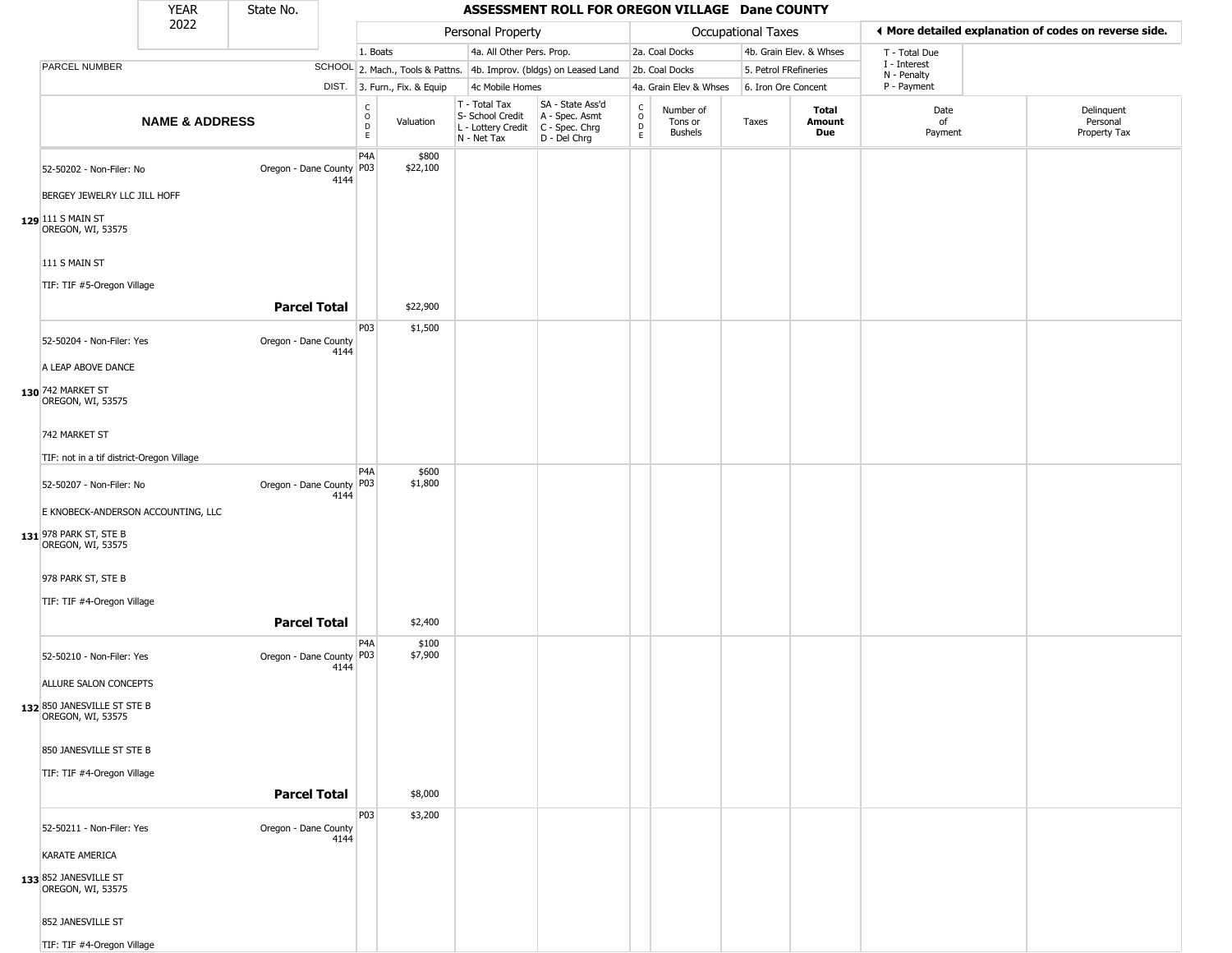|                                                  | YEAR                      | State No.                  |      |                                                 |                              |                                                                                       | ASSESSMENT ROLL FOR OREGON VILLAGE Dane COUNTY                      |                                   |                                 |                       |                         |                             |                                                       |
|--------------------------------------------------|---------------------------|----------------------------|------|-------------------------------------------------|------------------------------|---------------------------------------------------------------------------------------|---------------------------------------------------------------------|-----------------------------------|---------------------------------|-----------------------|-------------------------|-----------------------------|-------------------------------------------------------|
|                                                  | 2022                      |                            |      |                                                 |                              | Personal Property                                                                     |                                                                     |                                   |                                 | Occupational Taxes    |                         |                             | ◀ More detailed explanation of codes on reverse side. |
|                                                  |                           |                            |      | 1. Boats                                        |                              | 4a. All Other Pers. Prop.                                                             |                                                                     |                                   | 2a. Coal Docks                  |                       | 4b. Grain Elev. & Whses | T - Total Due               |                                                       |
| PARCEL NUMBER                                    |                           |                            |      |                                                 |                              |                                                                                       | SCHOOL 2. Mach., Tools & Pattns. 4b. Improv. (bldgs) on Leased Land |                                   | 2b. Coal Docks                  | 5. Petrol FRefineries |                         | I - Interest<br>N - Penalty |                                                       |
|                                                  |                           |                            |      |                                                 | DIST. 3. Furn., Fix. & Equip | 4c Mobile Homes                                                                       |                                                                     |                                   | 4a. Grain Elev & Whses          | 6. Iron Ore Concent   |                         | P - Payment                 |                                                       |
|                                                  | <b>NAME &amp; ADDRESS</b> |                            |      | $\begin{array}{c} C \\ O \\ D \\ E \end{array}$ | Valuation                    | T - Total Tax<br>S- School Credit<br>L - Lottery Credit C - Spec. Chrg<br>N - Net Tax | SA - State Ass'd<br>A - Spec. Asmt<br>D - Del Chrg                  | $\frac{c}{0}$<br>$\mathsf D$<br>E | Number of<br>Tons or<br>Bushels | Taxes                 | Total<br>Amount<br>Due  | Date<br>of<br>Payment       | Delinquent<br>Personal<br>Property Tax                |
| 52-50202 - Non-Filer: No                         |                           | Oregon - Dane County   P03 |      | P <sub>4</sub> A                                | \$800<br>\$22,100            |                                                                                       |                                                                     |                                   |                                 |                       |                         |                             |                                                       |
| BERGEY JEWELRY LLC JILL HOFF                     |                           |                            | 4144 |                                                 |                              |                                                                                       |                                                                     |                                   |                                 |                       |                         |                             |                                                       |
| 129 111 S MAIN ST<br>OREGON, WI, 53575           |                           |                            |      |                                                 |                              |                                                                                       |                                                                     |                                   |                                 |                       |                         |                             |                                                       |
| 111 S MAIN ST                                    |                           |                            |      |                                                 |                              |                                                                                       |                                                                     |                                   |                                 |                       |                         |                             |                                                       |
| TIF: TIF #5-Oregon Village                       |                           | <b>Parcel Total</b>        |      |                                                 | \$22,900                     |                                                                                       |                                                                     |                                   |                                 |                       |                         |                             |                                                       |
|                                                  |                           |                            |      | P03                                             | \$1,500                      |                                                                                       |                                                                     |                                   |                                 |                       |                         |                             |                                                       |
| 52-50204 - Non-Filer: Yes                        |                           | Oregon - Dane County       | 4144 |                                                 |                              |                                                                                       |                                                                     |                                   |                                 |                       |                         |                             |                                                       |
| A LEAP ABOVE DANCE                               |                           |                            |      |                                                 |                              |                                                                                       |                                                                     |                                   |                                 |                       |                         |                             |                                                       |
| 130 742 MARKET ST<br>OREGON, WI, 53575           |                           |                            |      |                                                 |                              |                                                                                       |                                                                     |                                   |                                 |                       |                         |                             |                                                       |
| 742 MARKET ST                                    |                           |                            |      |                                                 |                              |                                                                                       |                                                                     |                                   |                                 |                       |                         |                             |                                                       |
| TIF: not in a tif district-Oregon Village        |                           |                            |      |                                                 |                              |                                                                                       |                                                                     |                                   |                                 |                       |                         |                             |                                                       |
| 52-50207 - Non-Filer: No                         |                           | Oregon - Dane County   P03 | 4144 | P <sub>4</sub> A                                | \$600<br>\$1,800             |                                                                                       |                                                                     |                                   |                                 |                       |                         |                             |                                                       |
| E KNOBECK-ANDERSON ACCOUNTING, LLC               |                           |                            |      |                                                 |                              |                                                                                       |                                                                     |                                   |                                 |                       |                         |                             |                                                       |
| 131 978 PARK ST, STE B<br>OREGON, WI, 53575      |                           |                            |      |                                                 |                              |                                                                                       |                                                                     |                                   |                                 |                       |                         |                             |                                                       |
| 978 PARK ST, STE B                               |                           |                            |      |                                                 |                              |                                                                                       |                                                                     |                                   |                                 |                       |                         |                             |                                                       |
| TIF: TIF #4-Oregon Village                       |                           |                            |      |                                                 |                              |                                                                                       |                                                                     |                                   |                                 |                       |                         |                             |                                                       |
|                                                  |                           | <b>Parcel Total</b>        |      |                                                 | \$2,400                      |                                                                                       |                                                                     |                                   |                                 |                       |                         |                             |                                                       |
| 52-50210 - Non-Filer: Yes                        |                           | Oregon - Dane County   P03 | 4144 | P4A                                             | \$100<br>\$7,900             |                                                                                       |                                                                     |                                   |                                 |                       |                         |                             |                                                       |
| ALLURE SALON CONCEPTS                            |                           |                            |      |                                                 |                              |                                                                                       |                                                                     |                                   |                                 |                       |                         |                             |                                                       |
| 132 850 JANESVILLE ST STE B<br>OREGON, WI, 53575 |                           |                            |      |                                                 |                              |                                                                                       |                                                                     |                                   |                                 |                       |                         |                             |                                                       |
| 850 JANESVILLE ST STE B                          |                           |                            |      |                                                 |                              |                                                                                       |                                                                     |                                   |                                 |                       |                         |                             |                                                       |
| TIF: TIF #4-Oregon Village                       |                           |                            |      |                                                 |                              |                                                                                       |                                                                     |                                   |                                 |                       |                         |                             |                                                       |
|                                                  |                           | <b>Parcel Total</b>        |      |                                                 | \$8,000                      |                                                                                       |                                                                     |                                   |                                 |                       |                         |                             |                                                       |
| 52-50211 - Non-Filer: Yes                        |                           | Oregon - Dane County       |      | <b>P03</b>                                      | \$3,200                      |                                                                                       |                                                                     |                                   |                                 |                       |                         |                             |                                                       |
| <b>KARATE AMERICA</b>                            |                           |                            | 4144 |                                                 |                              |                                                                                       |                                                                     |                                   |                                 |                       |                         |                             |                                                       |
| 133 852 JANESVILLE ST<br>OREGON, WI, 53575       |                           |                            |      |                                                 |                              |                                                                                       |                                                                     |                                   |                                 |                       |                         |                             |                                                       |
| 852 JANESVILLE ST                                |                           |                            |      |                                                 |                              |                                                                                       |                                                                     |                                   |                                 |                       |                         |                             |                                                       |
| TIF: TIF #4-Oregon Village                       |                           |                            |      |                                                 |                              |                                                                                       |                                                                     |                                   |                                 |                       |                         |                             |                                                       |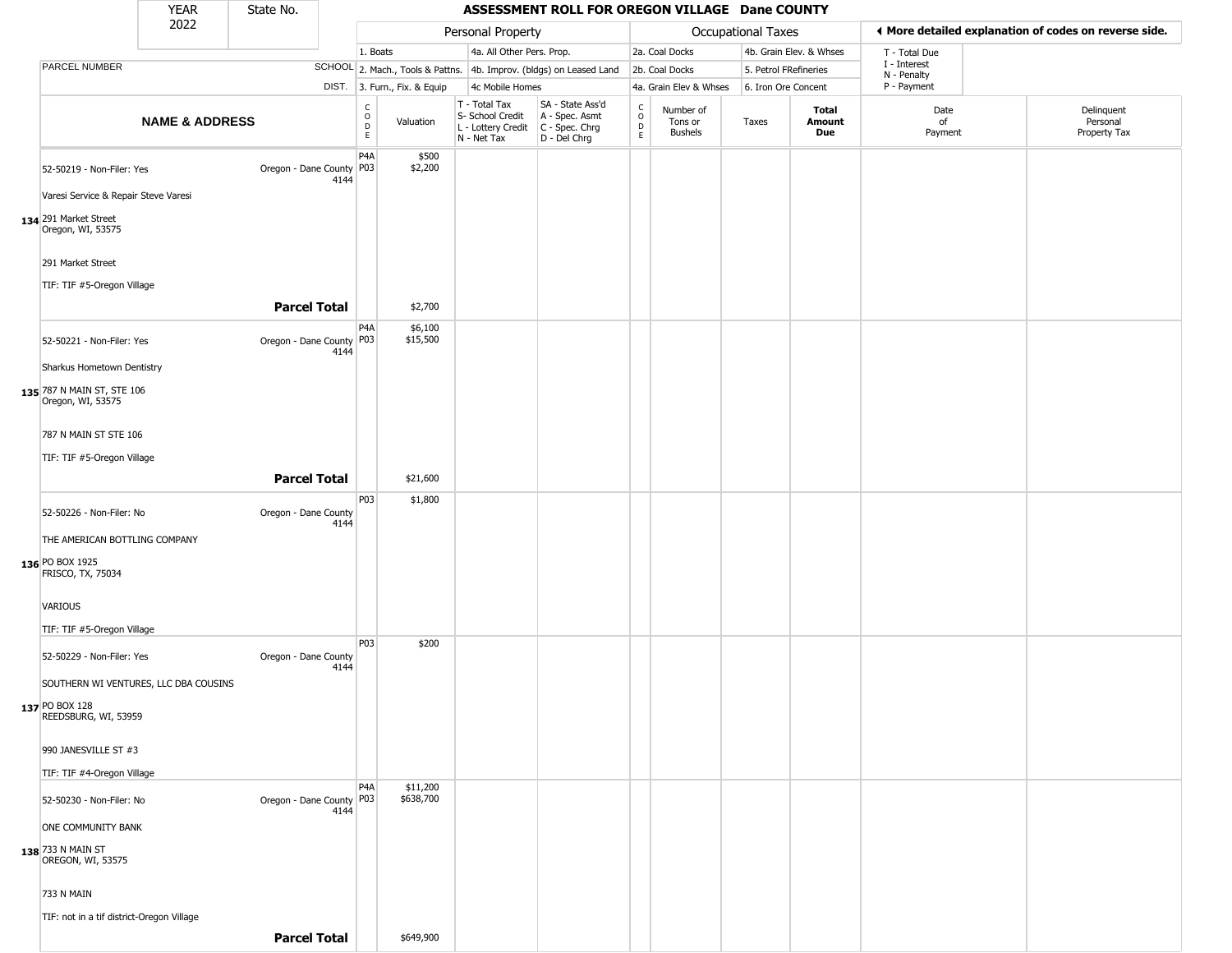|                                                                                 | <b>YEAR</b>               | State No.                |                         |                              |                                                                                         | ASSESSMENT ROLL FOR OREGON VILLAGE Dane COUNTY       |                  |                                        |                           |                         |                             |                                                        |
|---------------------------------------------------------------------------------|---------------------------|--------------------------|-------------------------|------------------------------|-----------------------------------------------------------------------------------------|------------------------------------------------------|------------------|----------------------------------------|---------------------------|-------------------------|-----------------------------|--------------------------------------------------------|
|                                                                                 | 2022                      |                          |                         |                              | Personal Property                                                                       |                                                      |                  |                                        | <b>Occupational Taxes</b> |                         |                             | If More detailed explanation of codes on reverse side. |
|                                                                                 |                           |                          |                         | 1. Boats                     | 4a. All Other Pers. Prop.                                                               |                                                      |                  | 2a. Coal Docks                         |                           | 4b. Grain Elev. & Whses | T - Total Due               |                                                        |
| PARCEL NUMBER                                                                   |                           |                          |                         |                              | SCHOOL 2. Mach., Tools & Pattns. 4b. Improv. (bldgs) on Leased Land                     |                                                      |                  | 2b. Coal Docks                         | 5. Petrol FRefineries     |                         | I - Interest<br>N - Penalty |                                                        |
|                                                                                 |                           |                          |                         | DIST. 3. Furn., Fix. & Equip | 4c Mobile Homes                                                                         |                                                      |                  | 4a. Grain Elev & Whses                 | 6. Iron Ore Concent       |                         | P - Payment                 |                                                        |
|                                                                                 | <b>NAME &amp; ADDRESS</b> |                          | C<br>$\circ$<br>D<br>E. | Valuation                    | T - Total Tax<br>S- School Credit<br>L - Lottery Credit   C - Spec. Chrg<br>N - Net Tax | SA - State Ass'd<br>A - Spec. Asmt<br>$D - Del Chrg$ | C<br>D<br>D<br>E | Number of<br>Tons or<br><b>Bushels</b> | Taxes                     | Total<br>Amount<br>Due  | Date<br>of<br>Payment       | Delinquent<br>Personal<br>Property Tax                 |
| 52-50219 - Non-Filer: Yes<br>Varesi Service & Repair Steve Varesi               |                           | Oregon - Dane County P03 | P4A<br>4144             | \$500<br>\$2,200             |                                                                                         |                                                      |                  |                                        |                           |                         |                             |                                                        |
| 134 291 Market Street<br>Oregon, WI, 53575                                      |                           |                          |                         |                              |                                                                                         |                                                      |                  |                                        |                           |                         |                             |                                                        |
| 291 Market Street<br>TIF: TIF #5-Oregon Village                                 |                           |                          |                         |                              |                                                                                         |                                                      |                  |                                        |                           |                         |                             |                                                        |
|                                                                                 |                           | <b>Parcel Total</b>      |                         | \$2,700                      |                                                                                         |                                                      |                  |                                        |                           |                         |                             |                                                        |
| 52-50221 - Non-Filer: Yes                                                       |                           | Oregon - Dane County P03 | P4A<br>4144             | \$6,100<br>\$15,500          |                                                                                         |                                                      |                  |                                        |                           |                         |                             |                                                        |
| Sharkus Hometown Dentistry<br>135 787 N MAIN ST, STE 106<br>Oregon, WI, 53575   |                           |                          |                         |                              |                                                                                         |                                                      |                  |                                        |                           |                         |                             |                                                        |
| 787 N MAIN ST STE 106                                                           |                           |                          |                         |                              |                                                                                         |                                                      |                  |                                        |                           |                         |                             |                                                        |
| TIF: TIF #5-Oregon Village                                                      |                           | <b>Parcel Total</b>      |                         | \$21,600                     |                                                                                         |                                                      |                  |                                        |                           |                         |                             |                                                        |
| 52-50226 - Non-Filer: No                                                        |                           | Oregon - Dane County     | P03<br>4144             | \$1,800                      |                                                                                         |                                                      |                  |                                        |                           |                         |                             |                                                        |
| THE AMERICAN BOTTLING COMPANY<br>136 PO BOX 1925<br>FRISCO, TX, 75034           |                           |                          |                         |                              |                                                                                         |                                                      |                  |                                        |                           |                         |                             |                                                        |
| <b>VARIOUS</b><br>TIF: TIF #5-Oregon Village                                    |                           |                          |                         |                              |                                                                                         |                                                      |                  |                                        |                           |                         |                             |                                                        |
| 52-50229 - Non-Filer: Yes                                                       |                           | Oregon - Dane County     | P03<br>4144             | \$200                        |                                                                                         |                                                      |                  |                                        |                           |                         |                             |                                                        |
| SOUTHERN WI VENTURES, LLC DBA COUSINS<br>137 PO BOX 128<br>REEDSBURG, WI, 53959 |                           |                          |                         |                              |                                                                                         |                                                      |                  |                                        |                           |                         |                             |                                                        |
| 990 JANESVILLE ST #3<br>TIF: TIF #4-Oregon Village                              |                           |                          |                         |                              |                                                                                         |                                                      |                  |                                        |                           |                         |                             |                                                        |
| 52-50230 - Non-Filer: No                                                        |                           | Oregon - Dane County P03 | P4A<br>4144             | \$11,200<br>\$638,700        |                                                                                         |                                                      |                  |                                        |                           |                         |                             |                                                        |
| ONE COMMUNITY BANK                                                              |                           |                          |                         |                              |                                                                                         |                                                      |                  |                                        |                           |                         |                             |                                                        |
| 138 733 N MAIN ST<br>OREGON, WI, 53575                                          |                           |                          |                         |                              |                                                                                         |                                                      |                  |                                        |                           |                         |                             |                                                        |
| 733 N MAIN<br>TIF: not in a tif district-Oregon Village                         |                           |                          |                         |                              |                                                                                         |                                                      |                  |                                        |                           |                         |                             |                                                        |
|                                                                                 |                           | <b>Parcel Total</b>      |                         | \$649,900                    |                                                                                         |                                                      |                  |                                        |                           |                         |                             |                                                        |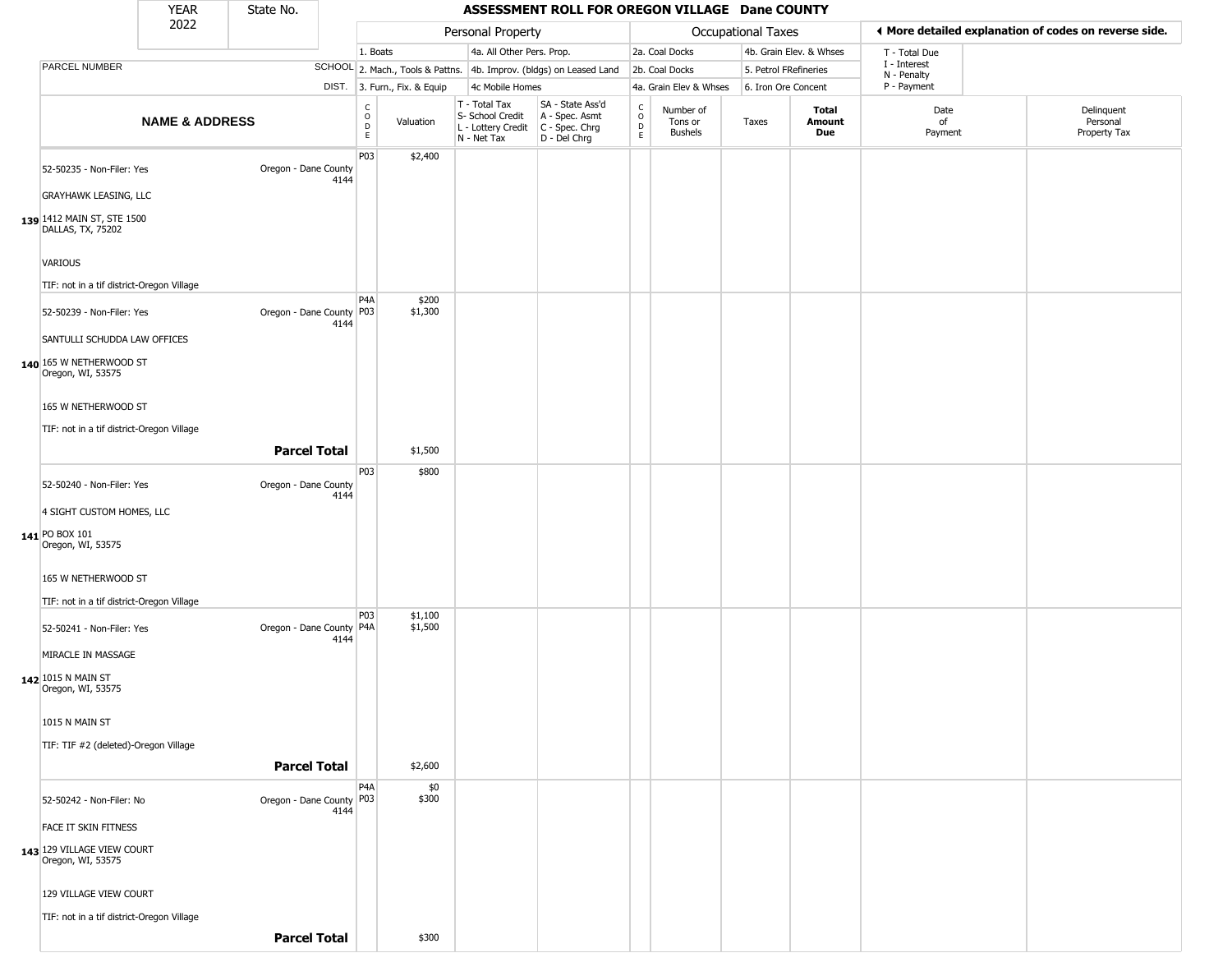|                                                                              | <b>YEAR</b>               | State No.                  |      |                               |                              |                                                                                         | ASSESSMENT ROLL FOR OREGON VILLAGE Dane COUNTY                      |                                |                                        |                       |                         |                             |                                                       |
|------------------------------------------------------------------------------|---------------------------|----------------------------|------|-------------------------------|------------------------------|-----------------------------------------------------------------------------------------|---------------------------------------------------------------------|--------------------------------|----------------------------------------|-----------------------|-------------------------|-----------------------------|-------------------------------------------------------|
|                                                                              | 2022                      |                            |      |                               |                              | Personal Property                                                                       |                                                                     |                                |                                        | Occupational Taxes    |                         |                             | ♦ More detailed explanation of codes on reverse side. |
|                                                                              |                           |                            |      | 1. Boats                      |                              | 4a. All Other Pers. Prop.                                                               |                                                                     |                                | 2a. Coal Docks                         |                       | 4b. Grain Elev. & Whses | T - Total Due               |                                                       |
| PARCEL NUMBER                                                                |                           |                            |      |                               |                              |                                                                                         | SCHOOL 2. Mach., Tools & Pattns. 4b. Improv. (bldgs) on Leased Land |                                | 2b. Coal Docks                         | 5. Petrol FRefineries |                         | I - Interest<br>N - Penalty |                                                       |
|                                                                              |                           |                            |      |                               | DIST. 3. Furn., Fix. & Equip | 4c Mobile Homes                                                                         |                                                                     |                                | 4a. Grain Elev & Whses                 | 6. Iron Ore Concent   |                         | P - Payment                 |                                                       |
|                                                                              | <b>NAME &amp; ADDRESS</b> |                            |      | c<br>$\circ$<br>$\frac{D}{E}$ | Valuation                    | T - Total Tax<br>S- School Credit<br>L - Lottery Credit   C - Spec. Chrg<br>N - Net Tax | SA - State Ass'd<br>A - Spec. Asmt<br>D - Del Chrg                  | $\rm _o^C$<br>D<br>$\mathsf E$ | Number of<br>Tons or<br><b>Bushels</b> | Taxes                 | Total<br>Amount<br>Due  | Date<br>of<br>Payment       | Delinquent<br>Personal<br>Property Tax                |
| 52-50235 - Non-Filer: Yes                                                    |                           | Oregon - Dane County       | 4144 | P03                           | \$2,400                      |                                                                                         |                                                                     |                                |                                        |                       |                         |                             |                                                       |
| <b>GRAYHAWK LEASING, LLC</b>                                                 |                           |                            |      |                               |                              |                                                                                         |                                                                     |                                |                                        |                       |                         |                             |                                                       |
| 139 1412 MAIN ST, STE 1500<br>DALLAS, TX, 75202                              |                           |                            |      |                               |                              |                                                                                         |                                                                     |                                |                                        |                       |                         |                             |                                                       |
| VARIOUS<br>TIF: not in a tif district-Oregon Village                         |                           |                            |      |                               |                              |                                                                                         |                                                                     |                                |                                        |                       |                         |                             |                                                       |
| 52-50239 - Non-Filer: Yes                                                    |                           | Oregon - Dane County   P03 | 4144 | P <sub>4</sub> A              | \$200<br>\$1,300             |                                                                                         |                                                                     |                                |                                        |                       |                         |                             |                                                       |
| SANTULLI SCHUDDA LAW OFFICES<br>140 165 W NETHERWOOD ST<br>Oregon, WI, 53575 |                           |                            |      |                               |                              |                                                                                         |                                                                     |                                |                                        |                       |                         |                             |                                                       |
| 165 W NETHERWOOD ST                                                          |                           |                            |      |                               |                              |                                                                                         |                                                                     |                                |                                        |                       |                         |                             |                                                       |
| TIF: not in a tif district-Oregon Village                                    |                           |                            |      |                               |                              |                                                                                         |                                                                     |                                |                                        |                       |                         |                             |                                                       |
|                                                                              |                           | <b>Parcel Total</b>        |      | P03                           | \$1,500<br>\$800             |                                                                                         |                                                                     |                                |                                        |                       |                         |                             |                                                       |
| 52-50240 - Non-Filer: Yes                                                    |                           | Oregon - Dane County       | 4144 |                               |                              |                                                                                         |                                                                     |                                |                                        |                       |                         |                             |                                                       |
| 4 SIGHT CUSTOM HOMES, LLC                                                    |                           |                            |      |                               |                              |                                                                                         |                                                                     |                                |                                        |                       |                         |                             |                                                       |
| 141 PO BOX 101<br>Oregon, WI, 53575                                          |                           |                            |      |                               |                              |                                                                                         |                                                                     |                                |                                        |                       |                         |                             |                                                       |
| 165 W NETHERWOOD ST<br>TIF: not in a tif district-Oregon Village             |                           |                            |      |                               |                              |                                                                                         |                                                                     |                                |                                        |                       |                         |                             |                                                       |
| 52-50241 - Non-Filer: Yes                                                    |                           | Oregon - Dane County   P4A | 4144 | <b>P03</b>                    | \$1,100<br>\$1,500           |                                                                                         |                                                                     |                                |                                        |                       |                         |                             |                                                       |
| MIRACLE IN MASSAGE<br>142 1015 N MAIN ST                                     |                           |                            |      |                               |                              |                                                                                         |                                                                     |                                |                                        |                       |                         |                             |                                                       |
| Oregon, WI, 53575<br>1015 N MAIN ST                                          |                           |                            |      |                               |                              |                                                                                         |                                                                     |                                |                                        |                       |                         |                             |                                                       |
| TIF: TIF #2 (deleted)-Oregon Village                                         |                           |                            |      |                               |                              |                                                                                         |                                                                     |                                |                                        |                       |                         |                             |                                                       |
|                                                                              |                           | <b>Parcel Total</b>        |      |                               | \$2,600                      |                                                                                         |                                                                     |                                |                                        |                       |                         |                             |                                                       |
| 52-50242 - Non-Filer: No                                                     |                           | Oregon - Dane County P03   | 4144 | P <sub>4</sub> A              | \$0<br>\$300                 |                                                                                         |                                                                     |                                |                                        |                       |                         |                             |                                                       |
| FACE IT SKIN FITNESS                                                         |                           |                            |      |                               |                              |                                                                                         |                                                                     |                                |                                        |                       |                         |                             |                                                       |
| 143 129 VILLAGE VIEW COURT<br>Oregon, WI, 53575                              |                           |                            |      |                               |                              |                                                                                         |                                                                     |                                |                                        |                       |                         |                             |                                                       |
| 129 VILLAGE VIEW COURT                                                       |                           |                            |      |                               |                              |                                                                                         |                                                                     |                                |                                        |                       |                         |                             |                                                       |
| TIF: not in a tif district-Oregon Village                                    |                           | <b>Parcel Total</b>        |      |                               | \$300                        |                                                                                         |                                                                     |                                |                                        |                       |                         |                             |                                                       |
|                                                                              |                           |                            |      |                               |                              |                                                                                         |                                                                     |                                |                                        |                       |                         |                             |                                                       |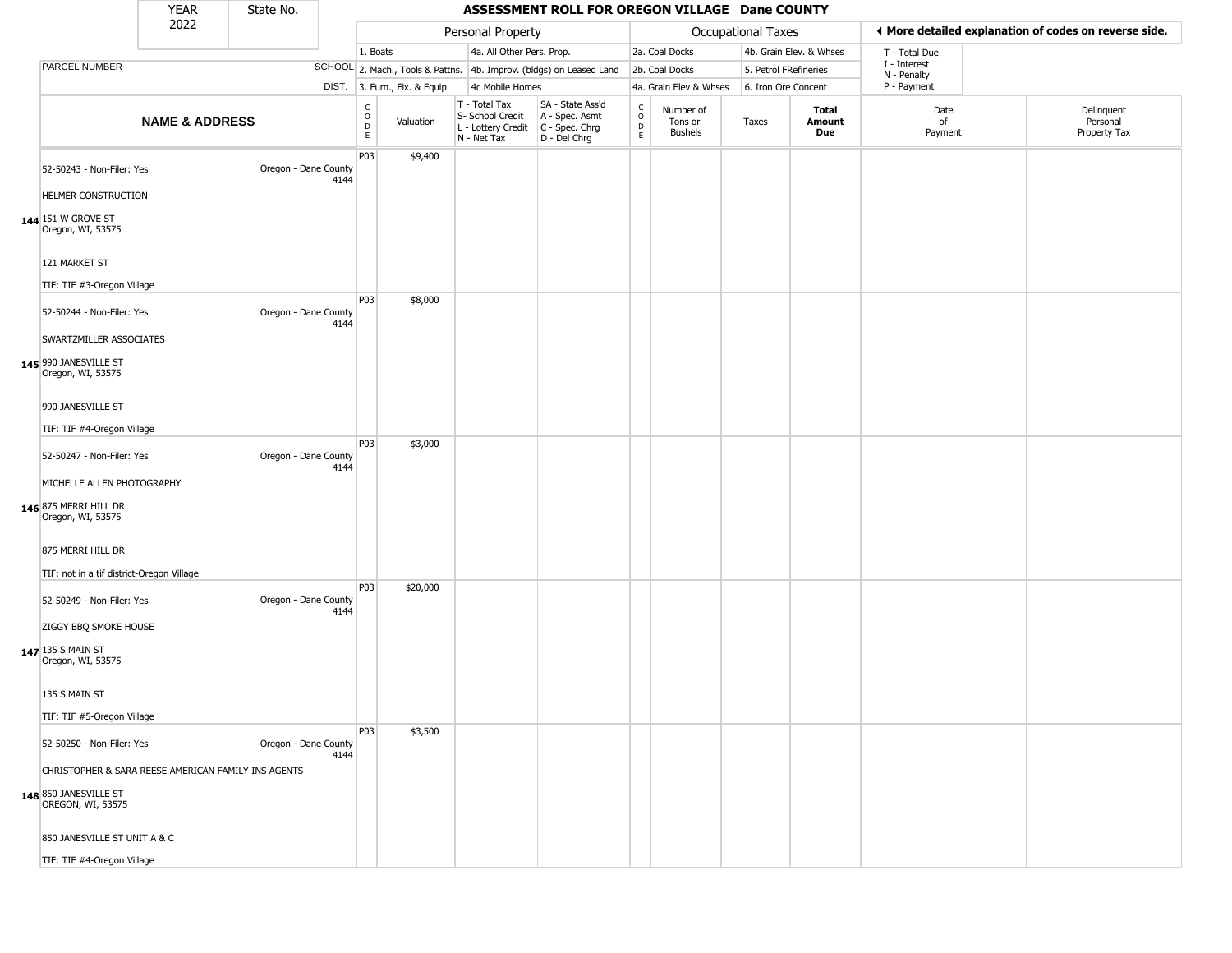|                                                                                                          | <b>YEAR</b>               | State No.            |      |                        |                              |                                                                        | ASSESSMENT ROLL FOR OREGON VILLAGE Dane COUNTY                         |                                   |                                        |                       |                         |                             |                                                       |
|----------------------------------------------------------------------------------------------------------|---------------------------|----------------------|------|------------------------|------------------------------|------------------------------------------------------------------------|------------------------------------------------------------------------|-----------------------------------|----------------------------------------|-----------------------|-------------------------|-----------------------------|-------------------------------------------------------|
|                                                                                                          | 2022                      |                      |      |                        |                              | Personal Property                                                      |                                                                        |                                   |                                        | Occupational Taxes    |                         |                             | ◀ More detailed explanation of codes on reverse side. |
|                                                                                                          |                           |                      |      | 1. Boats               |                              | 4a. All Other Pers. Prop.                                              |                                                                        |                                   | 2a. Coal Docks                         |                       | 4b. Grain Elev. & Whses | T - Total Due               |                                                       |
| PARCEL NUMBER                                                                                            |                           |                      |      |                        |                              |                                                                        | SCHOOL 2. Mach., Tools & Pattns. 4b. Improv. (bldgs) on Leased Land    |                                   | 2b. Coal Docks                         | 5. Petrol FRefineries |                         | I - Interest<br>N - Penalty |                                                       |
|                                                                                                          |                           |                      |      |                        | DIST. 3. Furn., Fix. & Equip | 4c Mobile Homes                                                        |                                                                        |                                   | 4a. Grain Elev & Whses                 | 6. Iron Ore Concent   |                         | P - Payment                 |                                                       |
|                                                                                                          | <b>NAME &amp; ADDRESS</b> |                      |      | C<br>$\circ$<br>D<br>E | Valuation                    | T - Total Tax<br>S- School Credit<br>L - Lottery Credit<br>N - Net Tax | SA - State Ass'd<br>A - Spec. Asmt<br>$C - Spec. Chrg$<br>D - Del Chrg | C<br>$\circ$<br>$\mathsf{D}$<br>E | Number of<br>Tons or<br><b>Bushels</b> | Taxes                 | Total<br>Amount<br>Due  | Date<br>of<br>Payment       | Delinquent<br>Personal<br>Property Tax                |
| 52-50243 - Non-Filer: Yes<br>HELMER CONSTRUCTION<br>144 151 W GROVE ST<br>Oregon, WI, 53575              |                           | Oregon - Dane County | 4144 | P03                    | \$9,400                      |                                                                        |                                                                        |                                   |                                        |                       |                         |                             |                                                       |
| 121 MARKET ST<br>TIF: TIF #3-Oregon Village                                                              |                           |                      |      |                        |                              |                                                                        |                                                                        |                                   |                                        |                       |                         |                             |                                                       |
| 52-50244 - Non-Filer: Yes<br>SWARTZMILLER ASSOCIATES<br>145 990 JANESVILLE ST<br>Oregon, WI, 53575       |                           | Oregon - Dane County | 4144 | P03                    | \$8,000                      |                                                                        |                                                                        |                                   |                                        |                       |                         |                             |                                                       |
| 990 JANESVILLE ST<br>TIF: TIF #4-Oregon Village                                                          |                           |                      |      |                        |                              |                                                                        |                                                                        |                                   |                                        |                       |                         |                             |                                                       |
| 52-50247 - Non-Filer: Yes<br>MICHELLE ALLEN PHOTOGRAPHY<br>146 875 MERRI HILL DR<br>Oregon, WI, 53575    |                           | Oregon - Dane County | 4144 | P03                    | \$3,000                      |                                                                        |                                                                        |                                   |                                        |                       |                         |                             |                                                       |
| 875 MERRI HILL DR<br>TIF: not in a tif district-Oregon Village                                           |                           |                      |      | P03                    |                              |                                                                        |                                                                        |                                   |                                        |                       |                         |                             |                                                       |
| 52-50249 - Non-Filer: Yes<br>ZIGGY BBQ SMOKE HOUSE<br>147 135 S MAIN ST                                  |                           | Oregon - Dane County | 4144 |                        | \$20,000                     |                                                                        |                                                                        |                                   |                                        |                       |                         |                             |                                                       |
| Oregon, WI, 53575<br>135 S MAIN ST                                                                       |                           |                      |      |                        |                              |                                                                        |                                                                        |                                   |                                        |                       |                         |                             |                                                       |
| TIF: TIF #5-Oregon Village                                                                               |                           |                      |      |                        |                              |                                                                        |                                                                        |                                   |                                        |                       |                         |                             |                                                       |
| 52-50250 - Non-Filer: Yes<br>CHRISTOPHER & SARA REESE AMERICAN FAMILY INS AGENTS                         |                           | Oregon - Dane County | 4144 | P03                    | \$3,500                      |                                                                        |                                                                        |                                   |                                        |                       |                         |                             |                                                       |
| 148 850 JANESVILLE ST<br>OREGON, WI, 53575<br>850 JANESVILLE ST UNIT A & C<br>TIF: TIF #4-Oregon Village |                           |                      |      |                        |                              |                                                                        |                                                                        |                                   |                                        |                       |                         |                             |                                                       |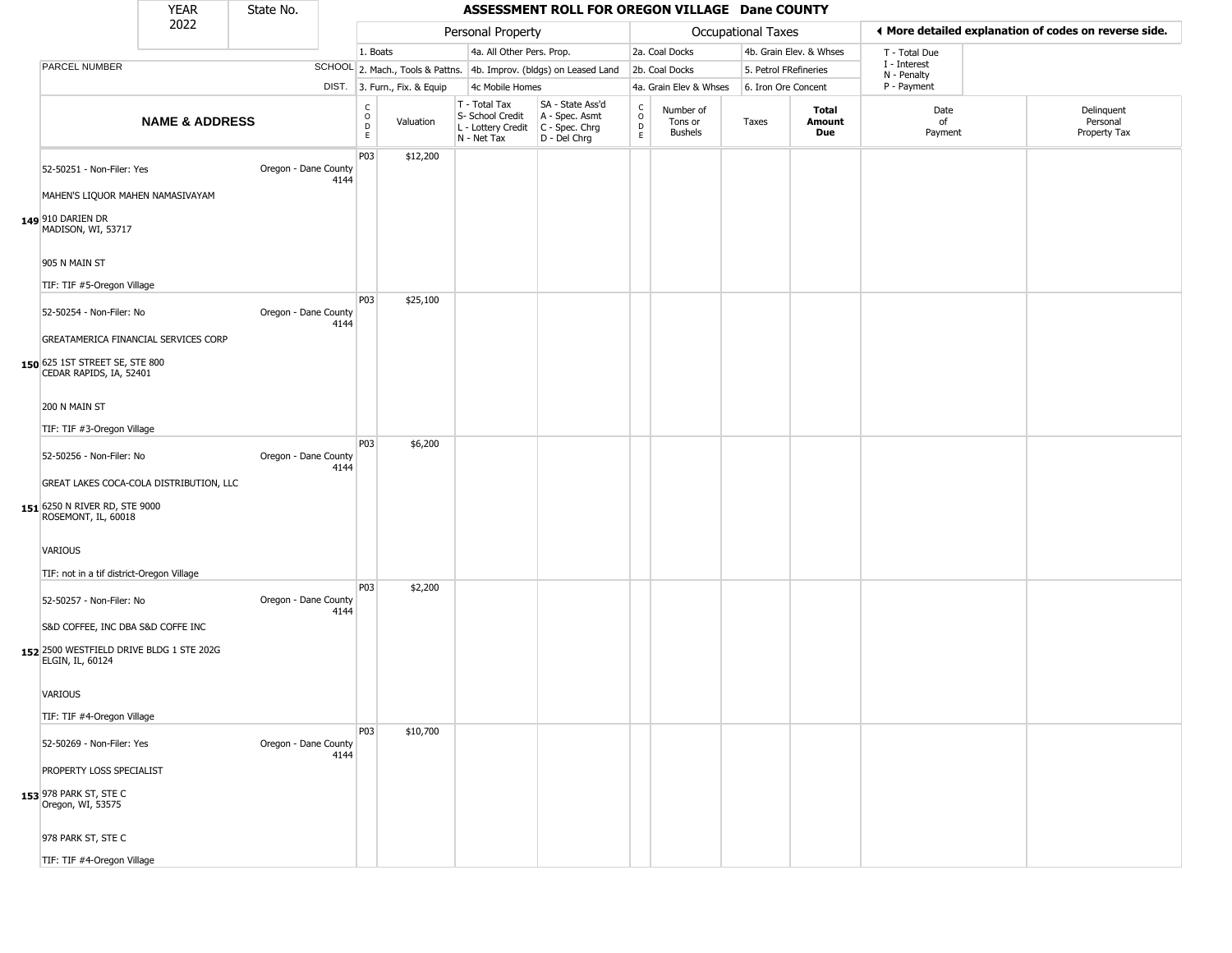|                                                                                                                               | <b>YEAR</b>               | State No.            |      |                                                              |                              |                                                                        | ASSESSMENT ROLL FOR OREGON VILLAGE Dane COUNTY                         |                                                   |                                        |                       |                               |                             |                                                       |
|-------------------------------------------------------------------------------------------------------------------------------|---------------------------|----------------------|------|--------------------------------------------------------------|------------------------------|------------------------------------------------------------------------|------------------------------------------------------------------------|---------------------------------------------------|----------------------------------------|-----------------------|-------------------------------|-----------------------------|-------------------------------------------------------|
|                                                                                                                               | 2022                      |                      |      |                                                              |                              | Personal Property                                                      |                                                                        |                                                   |                                        | Occupational Taxes    |                               |                             | ◀ More detailed explanation of codes on reverse side. |
|                                                                                                                               |                           |                      |      | 1. Boats                                                     |                              | 4a. All Other Pers. Prop.                                              |                                                                        |                                                   | 2a. Coal Docks                         |                       | 4b. Grain Elev. & Whses       | T - Total Due               |                                                       |
| PARCEL NUMBER                                                                                                                 |                           |                      |      |                                                              |                              |                                                                        | SCHOOL 2. Mach., Tools & Pattns. 4b. Improv. (bldgs) on Leased Land    |                                                   | 2b. Coal Docks                         | 5. Petrol FRefineries |                               | I - Interest<br>N - Penalty |                                                       |
|                                                                                                                               |                           |                      |      |                                                              | DIST. 3. Furn., Fix. & Equip | 4c Mobile Homes                                                        |                                                                        |                                                   | 4a. Grain Elev & Whses                 | 6. Iron Ore Concent   |                               | P - Payment                 |                                                       |
|                                                                                                                               | <b>NAME &amp; ADDRESS</b> |                      |      | $\mathsf{C}$<br>$\begin{array}{c}\n0 \\ D \\ E\n\end{array}$ | Valuation                    | T - Total Tax<br>S- School Credit<br>L - Lottery Credit<br>N - Net Tax | SA - State Ass'd<br>A - Spec. Asmt<br>$C - Spec. Chrg$<br>D - Del Chrg | C<br>$\begin{array}{c}\n0 \\ D \\ E\n\end{array}$ | Number of<br>Tons or<br><b>Bushels</b> | Taxes                 | <b>Total</b><br>Amount<br>Due | Date<br>of<br>Payment       | Delinquent<br>Personal<br>Property Tax                |
| 52-50251 - Non-Filer: Yes<br>MAHEN'S LIQUOR MAHEN NAMASIVAYAM<br>149 910 DARIEN DR<br>MADISON, WI, 53717                      |                           | Oregon - Dane County | 4144 | P03                                                          | \$12,200                     |                                                                        |                                                                        |                                                   |                                        |                       |                               |                             |                                                       |
| 905 N MAIN ST<br>TIF: TIF #5-Oregon Village                                                                                   |                           |                      |      |                                                              |                              |                                                                        |                                                                        |                                                   |                                        |                       |                               |                             |                                                       |
| 52-50254 - Non-Filer: No<br>GREATAMERICA FINANCIAL SERVICES CORP<br>150 625 1ST STREET SE, STE 800<br>CEDAR RAPIDS, IA, 52401 |                           | Oregon - Dane County | 4144 | P03                                                          | \$25,100                     |                                                                        |                                                                        |                                                   |                                        |                       |                               |                             |                                                       |
| 200 N MAIN ST<br>TIF: TIF #3-Oregon Village                                                                                   |                           |                      |      |                                                              |                              |                                                                        |                                                                        |                                                   |                                        |                       |                               |                             |                                                       |
| 52-50256 - Non-Filer: No<br>GREAT LAKES COCA-COLA DISTRIBUTION, LLC<br>151 6250 N RIVER RD, STE 9000<br>ROSEMONT, IL, 60018   |                           | Oregon - Dane County | 4144 | P03                                                          | \$6,200                      |                                                                        |                                                                        |                                                   |                                        |                       |                               |                             |                                                       |
| VARIOUS<br>TIF: not in a tif district-Oregon Village                                                                          |                           |                      |      |                                                              |                              |                                                                        |                                                                        |                                                   |                                        |                       |                               |                             |                                                       |
| 52-50257 - Non-Filer: No<br>S&D COFFEE, INC DBA S&D COFFE INC                                                                 |                           | Oregon - Dane County | 4144 | <b>P03</b>                                                   | \$2,200                      |                                                                        |                                                                        |                                                   |                                        |                       |                               |                             |                                                       |
| 152 2500 WESTFIELD DRIVE BLDG 1 STE 202G<br>ELGIN, IL, 60124                                                                  |                           |                      |      |                                                              |                              |                                                                        |                                                                        |                                                   |                                        |                       |                               |                             |                                                       |
| VARIOUS                                                                                                                       |                           |                      |      |                                                              |                              |                                                                        |                                                                        |                                                   |                                        |                       |                               |                             |                                                       |
| TIF: TIF #4-Oregon Village                                                                                                    |                           |                      |      | P <sub>03</sub>                                              | \$10,700                     |                                                                        |                                                                        |                                                   |                                        |                       |                               |                             |                                                       |
| 52-50269 - Non-Filer: Yes                                                                                                     |                           | Oregon - Dane County | 4144 |                                                              |                              |                                                                        |                                                                        |                                                   |                                        |                       |                               |                             |                                                       |
| PROPERTY LOSS SPECIALIST<br>153 978 PARK ST, STE C<br>Oregon, WI, 53575                                                       |                           |                      |      |                                                              |                              |                                                                        |                                                                        |                                                   |                                        |                       |                               |                             |                                                       |
| 978 PARK ST, STE C                                                                                                            |                           |                      |      |                                                              |                              |                                                                        |                                                                        |                                                   |                                        |                       |                               |                             |                                                       |
| TIF: TIF #4-Oregon Village                                                                                                    |                           |                      |      |                                                              |                              |                                                                        |                                                                        |                                                   |                                        |                       |                               |                             |                                                       |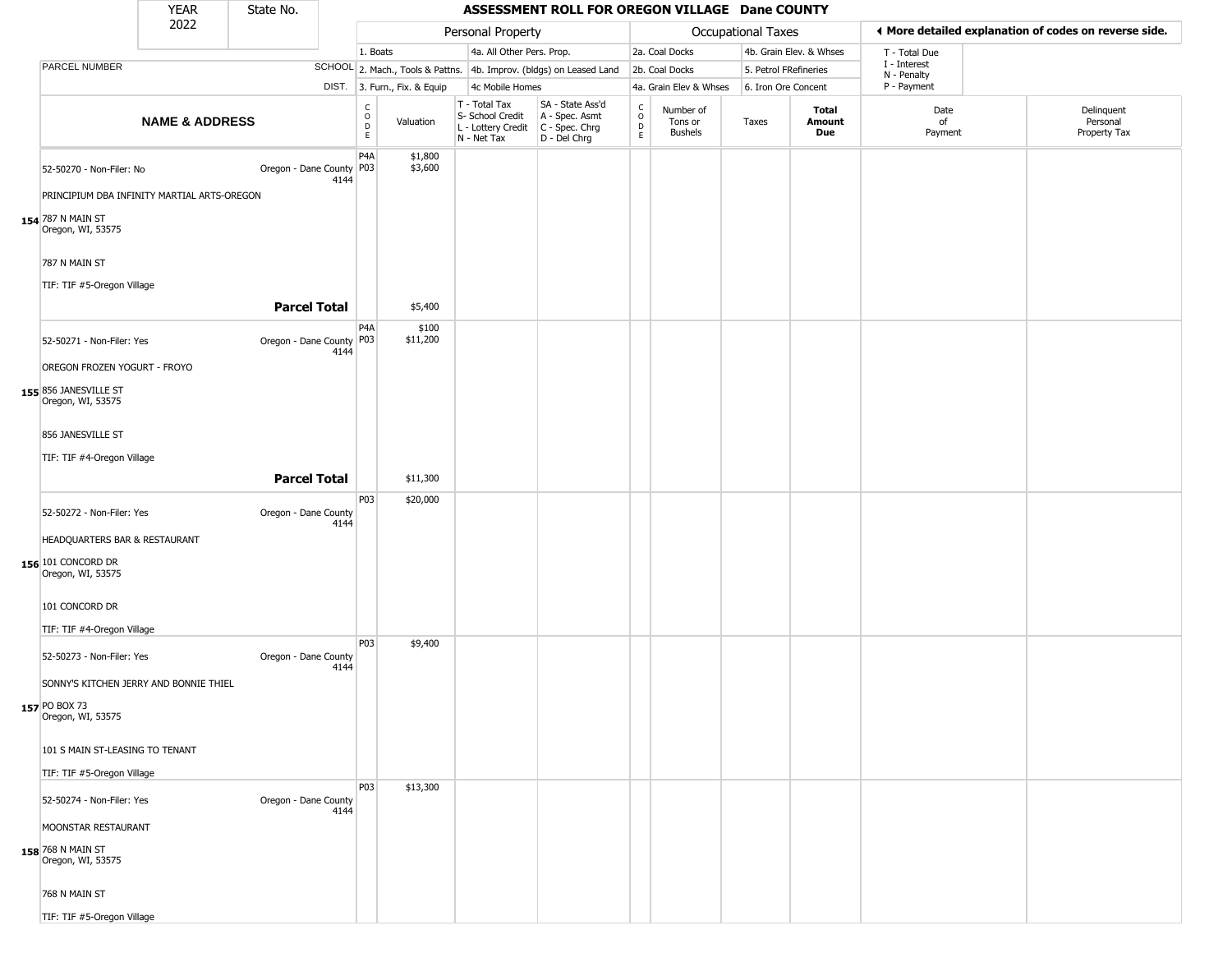|                                                                          | <b>YEAR</b>               | State No.                |      |                         |                              |                                                                        | ASSESSMENT ROLL FOR OREGON VILLAGE Dane COUNTY                       |                                                |                                        |                           |                         |                             |                                                       |
|--------------------------------------------------------------------------|---------------------------|--------------------------|------|-------------------------|------------------------------|------------------------------------------------------------------------|----------------------------------------------------------------------|------------------------------------------------|----------------------------------------|---------------------------|-------------------------|-----------------------------|-------------------------------------------------------|
|                                                                          | 2022                      |                          |      |                         |                              | Personal Property                                                      |                                                                      |                                                |                                        | <b>Occupational Taxes</b> |                         |                             | ◀ More detailed explanation of codes on reverse side. |
|                                                                          |                           |                          |      | 1. Boats                |                              | 4a. All Other Pers. Prop.                                              |                                                                      |                                                | 2a. Coal Docks                         |                           | 4b. Grain Elev. & Whses | T - Total Due               |                                                       |
| PARCEL NUMBER                                                            |                           |                          |      |                         |                              |                                                                        | SCHOOL 2. Mach., Tools & Pattns. 4b. Improv. (bldgs) on Leased Land  |                                                | 2b. Coal Docks                         | 5. Petrol FRefineries     |                         | I - Interest<br>N - Penalty |                                                       |
|                                                                          |                           |                          |      |                         | DIST. 3. Furn., Fix. & Equip | 4c Mobile Homes                                                        |                                                                      |                                                | 4a. Grain Elev & Whses                 | 6. Iron Ore Concent       |                         | P - Payment                 |                                                       |
|                                                                          | <b>NAME &amp; ADDRESS</b> |                          |      | С<br>$\circ$<br>D<br>E. | Valuation                    | T - Total Tax<br>S- School Credit<br>L - Lottery Credit<br>N - Net Tax | SA - State Ass'd<br>A - Spec. Asmt<br>C - Spec. Chrg<br>D - Del Chrg | $\begin{matrix} 0 \\ 0 \\ D \end{matrix}$<br>E | Number of<br>Tons or<br><b>Bushels</b> | Taxes                     | Total<br>Amount<br>Due  | Date<br>of<br>Payment       | Delinquent<br>Personal<br>Property Tax                |
| 52-50270 - Non-Filer: No<br>PRINCIPIUM DBA INFINITY MARTIAL ARTS-OREGON  |                           | Oregon - Dane County P03 | 4144 | P4A                     | \$1,800<br>\$3,600           |                                                                        |                                                                      |                                                |                                        |                           |                         |                             |                                                       |
| 154 787 N MAIN ST<br>Oregon, WI, 53575<br>787 N MAIN ST                  |                           |                          |      |                         |                              |                                                                        |                                                                      |                                                |                                        |                           |                         |                             |                                                       |
| TIF: TIF #5-Oregon Village                                               |                           | <b>Parcel Total</b>      |      |                         | \$5,400                      |                                                                        |                                                                      |                                                |                                        |                           |                         |                             |                                                       |
|                                                                          |                           |                          |      | P <sub>4</sub> A        | \$100                        |                                                                        |                                                                      |                                                |                                        |                           |                         |                             |                                                       |
| 52-50271 - Non-Filer: Yes                                                |                           | Oregon - Dane County P03 | 4144 |                         | \$11,200                     |                                                                        |                                                                      |                                                |                                        |                           |                         |                             |                                                       |
| OREGON FROZEN YOGURT - FROYO                                             |                           |                          |      |                         |                              |                                                                        |                                                                      |                                                |                                        |                           |                         |                             |                                                       |
| 155 856 JANESVILLE ST<br>Oregon, WI, 53575                               |                           |                          |      |                         |                              |                                                                        |                                                                      |                                                |                                        |                           |                         |                             |                                                       |
| 856 JANESVILLE ST                                                        |                           |                          |      |                         |                              |                                                                        |                                                                      |                                                |                                        |                           |                         |                             |                                                       |
| TIF: TIF #4-Oregon Village                                               |                           |                          |      |                         |                              |                                                                        |                                                                      |                                                |                                        |                           |                         |                             |                                                       |
|                                                                          |                           | <b>Parcel Total</b>      |      |                         | \$11,300                     |                                                                        |                                                                      |                                                |                                        |                           |                         |                             |                                                       |
| 52-50272 - Non-Filer: Yes                                                |                           | Oregon - Dane County     | 4144 | P03                     | \$20,000                     |                                                                        |                                                                      |                                                |                                        |                           |                         |                             |                                                       |
| HEADQUARTERS BAR & RESTAURANT<br>156 101 CONCORD DR<br>Oregon, WI, 53575 |                           |                          |      |                         |                              |                                                                        |                                                                      |                                                |                                        |                           |                         |                             |                                                       |
| 101 CONCORD DR                                                           |                           |                          |      |                         |                              |                                                                        |                                                                      |                                                |                                        |                           |                         |                             |                                                       |
| TIF: TIF #4-Oregon Village                                               |                           |                          |      | P03                     | \$9,400                      |                                                                        |                                                                      |                                                |                                        |                           |                         |                             |                                                       |
| 52-50273 - Non-Filer: Yes<br>SONNY'S KITCHEN JERRY AND BONNIE THIEL      |                           | Oregon - Dane County     | 4144 |                         |                              |                                                                        |                                                                      |                                                |                                        |                           |                         |                             |                                                       |
| 157 PO BOX 73<br>Oregon, WI, 53575                                       |                           |                          |      |                         |                              |                                                                        |                                                                      |                                                |                                        |                           |                         |                             |                                                       |
| 101 S MAIN ST-LEASING TO TENANT                                          |                           |                          |      |                         |                              |                                                                        |                                                                      |                                                |                                        |                           |                         |                             |                                                       |
| TIF: TIF #5-Oregon Village                                               |                           |                          |      |                         |                              |                                                                        |                                                                      |                                                |                                        |                           |                         |                             |                                                       |
| 52-50274 - Non-Filer: Yes                                                |                           | Oregon - Dane County     | 4144 | P03                     | \$13,300                     |                                                                        |                                                                      |                                                |                                        |                           |                         |                             |                                                       |
| MOONSTAR RESTAURANT<br>158 768 N MAIN ST<br>Oregon, WI, 53575            |                           |                          |      |                         |                              |                                                                        |                                                                      |                                                |                                        |                           |                         |                             |                                                       |
| 768 N MAIN ST                                                            |                           |                          |      |                         |                              |                                                                        |                                                                      |                                                |                                        |                           |                         |                             |                                                       |
| TIF: TIF #5-Oregon Village                                               |                           |                          |      |                         |                              |                                                                        |                                                                      |                                                |                                        |                           |                         |                             |                                                       |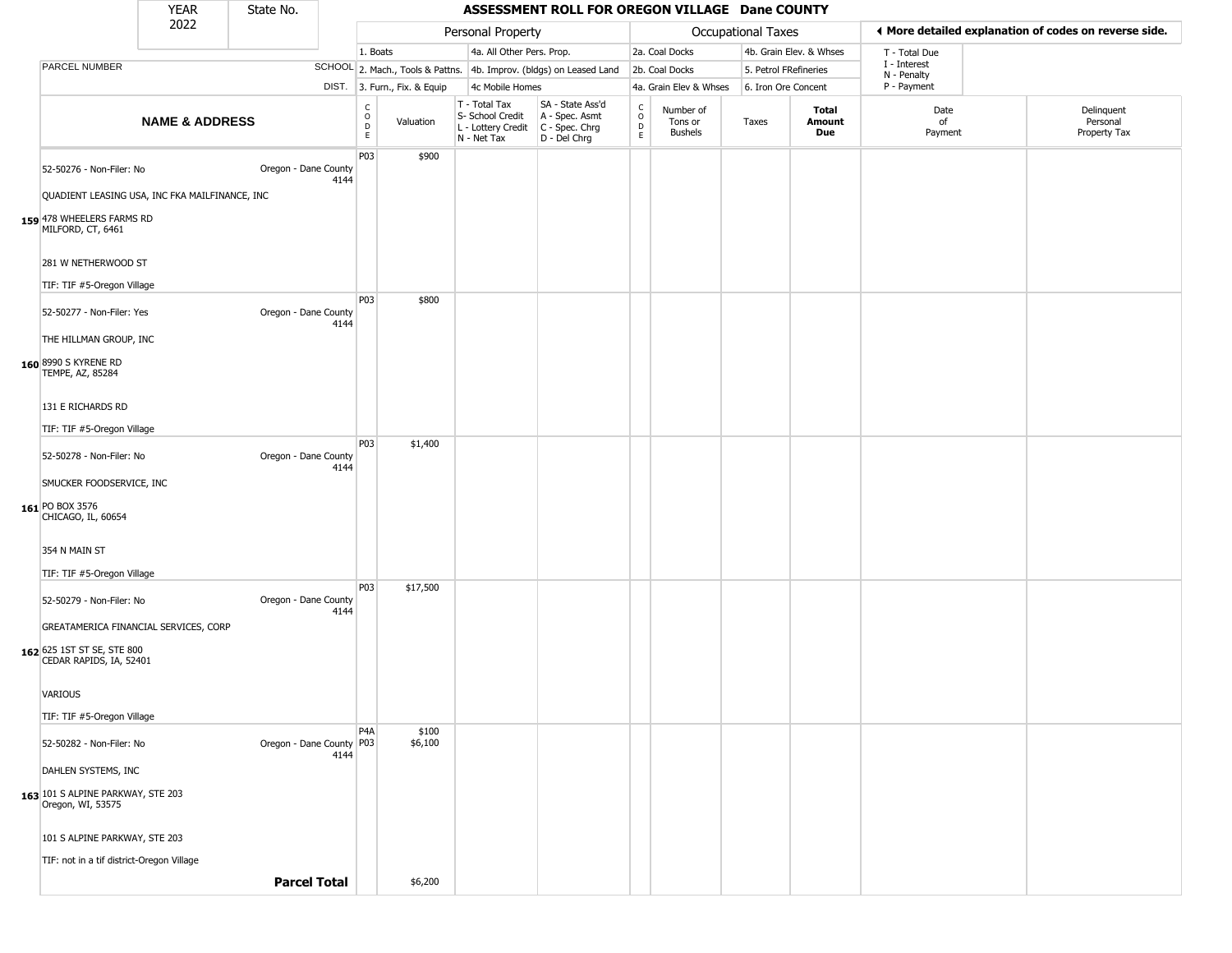|                                                        | <b>YEAR</b>               | State No.                |      |                         |                              |                                                                        | ASSESSMENT ROLL FOR OREGON VILLAGE Dane COUNTY                       |                                        |                                        |                       |                         |                             |                                                       |
|--------------------------------------------------------|---------------------------|--------------------------|------|-------------------------|------------------------------|------------------------------------------------------------------------|----------------------------------------------------------------------|----------------------------------------|----------------------------------------|-----------------------|-------------------------|-----------------------------|-------------------------------------------------------|
|                                                        | 2022                      |                          |      |                         |                              | Personal Property                                                      |                                                                      |                                        |                                        | Occupational Taxes    |                         |                             | ◀ More detailed explanation of codes on reverse side. |
|                                                        |                           |                          |      | 1. Boats                |                              | 4a. All Other Pers. Prop.                                              |                                                                      |                                        | 2a. Coal Docks                         |                       | 4b. Grain Elev. & Whses | T - Total Due               |                                                       |
| PARCEL NUMBER                                          |                           |                          |      |                         |                              |                                                                        | SCHOOL 2. Mach., Tools & Pattns. 4b. Improv. (bldgs) on Leased Land  |                                        | 2b. Coal Docks                         | 5. Petrol FRefineries |                         | I - Interest<br>N - Penalty |                                                       |
|                                                        |                           |                          |      |                         | DIST. 3. Furn., Fix. & Equip | 4c Mobile Homes                                                        |                                                                      |                                        | 4a. Grain Elev & Whses                 | 6. Iron Ore Concent   |                         | P - Payment                 |                                                       |
|                                                        | <b>NAME &amp; ADDRESS</b> |                          |      | $\frac{c}{0}$<br>D<br>E | Valuation                    | T - Total Tax<br>S- School Credit<br>L - Lottery Credit<br>N - Net Tax | SA - State Ass'd<br>A - Spec. Asmt<br>C - Spec. Chrg<br>D - Del Chrg | $_{\rm o}^{\rm c}$<br>$\mathsf D$<br>E | Number of<br>Tons or<br><b>Bushels</b> | Taxes                 | Total<br>Amount<br>Due  | Date<br>of<br>Payment       | Delinquent<br>Personal<br>Property Tax                |
| 52-50276 - Non-Filer: No                               |                           | Oregon - Dane County     | 4144 | <b>P03</b>              | \$900                        |                                                                        |                                                                      |                                        |                                        |                       |                         |                             |                                                       |
| QUADIENT LEASING USA, INC FKA MAILFINANCE, INC         |                           |                          |      |                         |                              |                                                                        |                                                                      |                                        |                                        |                       |                         |                             |                                                       |
| 159 478 WHEELERS FARMS RD<br>MILFORD, CT, 6461         |                           |                          |      |                         |                              |                                                                        |                                                                      |                                        |                                        |                       |                         |                             |                                                       |
| 281 W NETHERWOOD ST                                    |                           |                          |      |                         |                              |                                                                        |                                                                      |                                        |                                        |                       |                         |                             |                                                       |
| TIF: TIF #5-Oregon Village                             |                           |                          |      | <b>P03</b>              | \$800                        |                                                                        |                                                                      |                                        |                                        |                       |                         |                             |                                                       |
| 52-50277 - Non-Filer: Yes                              |                           | Oregon - Dane County     | 4144 |                         |                              |                                                                        |                                                                      |                                        |                                        |                       |                         |                             |                                                       |
| THE HILLMAN GROUP, INC                                 |                           |                          |      |                         |                              |                                                                        |                                                                      |                                        |                                        |                       |                         |                             |                                                       |
| 160 8990 S KYRENE RD<br>TEMPE, AZ, 85284               |                           |                          |      |                         |                              |                                                                        |                                                                      |                                        |                                        |                       |                         |                             |                                                       |
| 131 E RICHARDS RD                                      |                           |                          |      |                         |                              |                                                                        |                                                                      |                                        |                                        |                       |                         |                             |                                                       |
| TIF: TIF #5-Oregon Village                             |                           |                          |      |                         |                              |                                                                        |                                                                      |                                        |                                        |                       |                         |                             |                                                       |
| 52-50278 - Non-Filer: No                               |                           | Oregon - Dane County     | 4144 | <b>P03</b>              | \$1,400                      |                                                                        |                                                                      |                                        |                                        |                       |                         |                             |                                                       |
| SMUCKER FOODSERVICE, INC                               |                           |                          |      |                         |                              |                                                                        |                                                                      |                                        |                                        |                       |                         |                             |                                                       |
| 161 PO BOX 3576<br>CHICAGO, IL, 60654                  |                           |                          |      |                         |                              |                                                                        |                                                                      |                                        |                                        |                       |                         |                             |                                                       |
| 354 N MAIN ST                                          |                           |                          |      |                         |                              |                                                                        |                                                                      |                                        |                                        |                       |                         |                             |                                                       |
| TIF: TIF #5-Oregon Village                             |                           |                          |      |                         |                              |                                                                        |                                                                      |                                        |                                        |                       |                         |                             |                                                       |
| 52-50279 - Non-Filer: No                               |                           | Oregon - Dane County     | 4144 | <b>P03</b>              | \$17,500                     |                                                                        |                                                                      |                                        |                                        |                       |                         |                             |                                                       |
| GREATAMERICA FINANCIAL SERVICES, CORP                  |                           |                          |      |                         |                              |                                                                        |                                                                      |                                        |                                        |                       |                         |                             |                                                       |
| 162 625 1ST ST SE, STE 800<br>CEDAR RAPIDS, IA, 52401  |                           |                          |      |                         |                              |                                                                        |                                                                      |                                        |                                        |                       |                         |                             |                                                       |
| VARIOUS                                                |                           |                          |      |                         |                              |                                                                        |                                                                      |                                        |                                        |                       |                         |                             |                                                       |
| TIF: TIF #5-Oregon Village                             |                           |                          |      |                         |                              |                                                                        |                                                                      |                                        |                                        |                       |                         |                             |                                                       |
| 52-50282 - Non-Filer: No                               |                           | Oregon - Dane County P03 | 4144 | P <sub>4</sub> A        | \$100<br>\$6,100             |                                                                        |                                                                      |                                        |                                        |                       |                         |                             |                                                       |
| DAHLEN SYSTEMS, INC                                    |                           |                          |      |                         |                              |                                                                        |                                                                      |                                        |                                        |                       |                         |                             |                                                       |
| 163 101 S ALPINE PARKWAY, STE 203<br>Oregon, WI, 53575 |                           |                          |      |                         |                              |                                                                        |                                                                      |                                        |                                        |                       |                         |                             |                                                       |
| 101 S ALPINE PARKWAY, STE 203                          |                           |                          |      |                         |                              |                                                                        |                                                                      |                                        |                                        |                       |                         |                             |                                                       |
| TIF: not in a tif district-Oregon Village              |                           |                          |      |                         |                              |                                                                        |                                                                      |                                        |                                        |                       |                         |                             |                                                       |
|                                                        |                           | <b>Parcel Total</b>      |      |                         | \$6,200                      |                                                                        |                                                                      |                                        |                                        |                       |                         |                             |                                                       |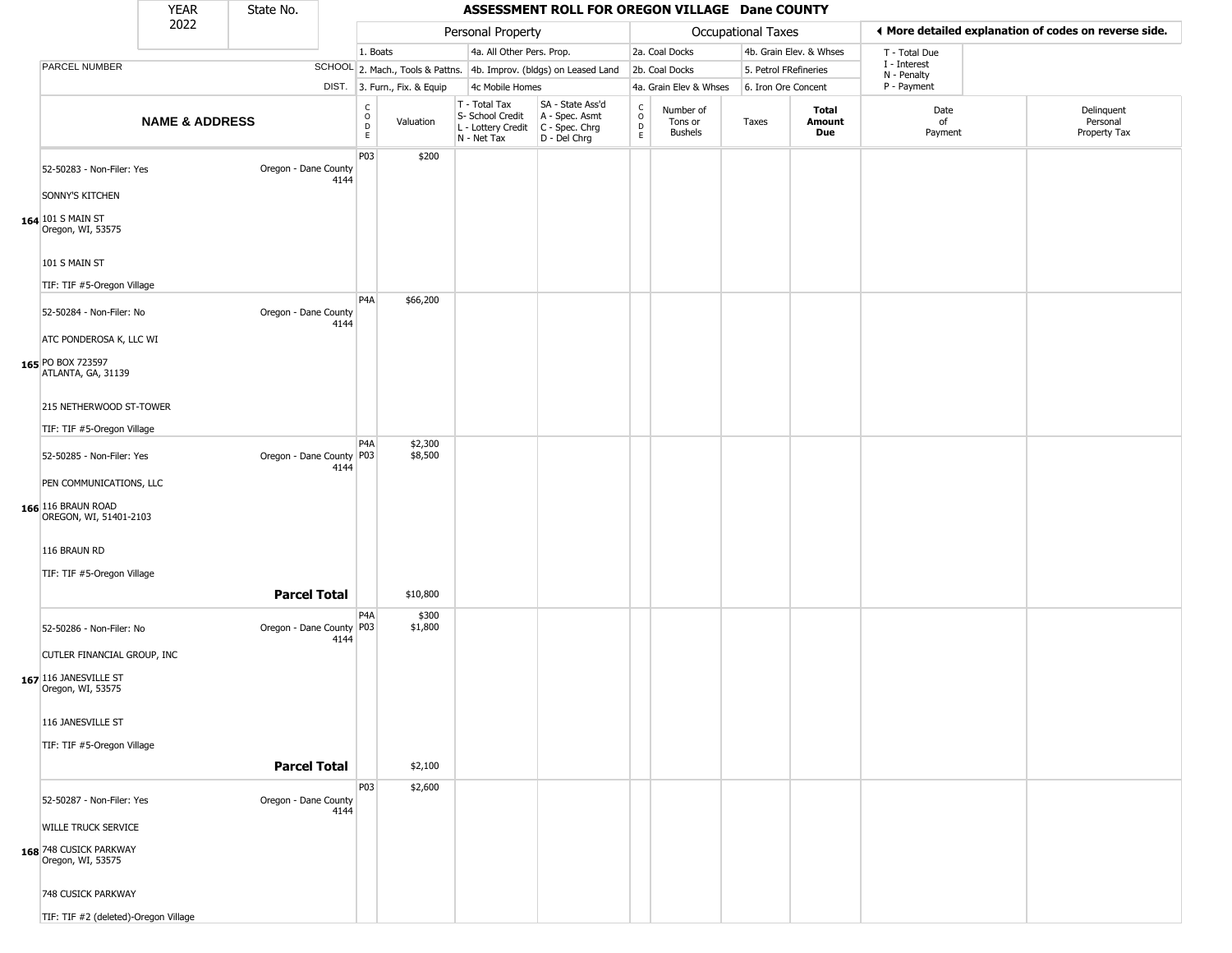|                                                                                                        | <b>YEAR</b>               | State No.                |      |                                                          |                              |                                                                        | ASSESSMENT ROLL FOR OREGON VILLAGE Dane COUNTY                       |                                                 |                                        |                       |                         |                             |                                                       |
|--------------------------------------------------------------------------------------------------------|---------------------------|--------------------------|------|----------------------------------------------------------|------------------------------|------------------------------------------------------------------------|----------------------------------------------------------------------|-------------------------------------------------|----------------------------------------|-----------------------|-------------------------|-----------------------------|-------------------------------------------------------|
|                                                                                                        | 2022                      |                          |      |                                                          |                              | Personal Property                                                      |                                                                      |                                                 |                                        | Occupational Taxes    |                         |                             | ◀ More detailed explanation of codes on reverse side. |
|                                                                                                        |                           |                          |      | 1. Boats                                                 |                              | 4a. All Other Pers. Prop.                                              |                                                                      |                                                 | 2a. Coal Docks                         |                       | 4b. Grain Elev. & Whses | T - Total Due               |                                                       |
| PARCEL NUMBER                                                                                          |                           |                          |      |                                                          |                              |                                                                        | SCHOOL 2. Mach., Tools & Pattns. 4b. Improv. (bldgs) on Leased Land  |                                                 | 2b. Coal Docks                         | 5. Petrol FRefineries |                         | I - Interest<br>N - Penalty |                                                       |
|                                                                                                        |                           |                          |      |                                                          | DIST. 3. Furn., Fix. & Equip | 4c Mobile Homes                                                        |                                                                      |                                                 | 4a. Grain Elev & Whses                 | 6. Iron Ore Concent   |                         | P - Payment                 |                                                       |
|                                                                                                        | <b>NAME &amp; ADDRESS</b> |                          |      | $\begin{matrix} 0 \\ 0 \\ D \end{matrix}$<br>$\mathsf E$ | Valuation                    | T - Total Tax<br>S- School Credit<br>L - Lottery Credit<br>N - Net Tax | SA - State Ass'd<br>A - Spec. Asmt<br>C - Spec. Chrg<br>D - Del Chrg | $\begin{array}{c} C \\ O \\ D \\ E \end{array}$ | Number of<br>Tons or<br><b>Bushels</b> | Taxes                 | Total<br>Amount<br>Due  | Date<br>of<br>Payment       | Delinquent<br>Personal<br>Property Tax                |
| 52-50283 - Non-Filer: Yes<br>SONNY'S KITCHEN<br>164 101 S MAIN ST<br>Oregon, WI, 53575                 |                           | Oregon - Dane County     | 4144 | P03                                                      | \$200                        |                                                                        |                                                                      |                                                 |                                        |                       |                         |                             |                                                       |
| 101 S MAIN ST<br>TIF: TIF #5-Oregon Village                                                            |                           |                          |      | P4A                                                      | \$66,200                     |                                                                        |                                                                      |                                                 |                                        |                       |                         |                             |                                                       |
| 52-50284 - Non-Filer: No<br>ATC PONDEROSA K, LLC WI<br>165 PO BOX 723597                               |                           | Oregon - Dane County     | 4144 |                                                          |                              |                                                                        |                                                                      |                                                 |                                        |                       |                         |                             |                                                       |
| ATLANTA, GA, 31139<br>215 NETHERWOOD ST-TOWER<br>TIF: TIF #5-Oregon Village                            |                           |                          |      |                                                          |                              |                                                                        |                                                                      |                                                 |                                        |                       |                         |                             |                                                       |
| 52-50285 - Non-Filer: Yes<br>PEN COMMUNICATIONS, LLC<br>166 116 BRAUN ROAD<br>OREGON, WI, 51401-2103   |                           | Oregon - Dane County P03 | 4144 | P4A                                                      | \$2,300<br>\$8,500           |                                                                        |                                                                      |                                                 |                                        |                       |                         |                             |                                                       |
| 116 BRAUN RD<br>TIF: TIF #5-Oregon Village                                                             |                           | <b>Parcel Total</b>      |      |                                                          | \$10,800                     |                                                                        |                                                                      |                                                 |                                        |                       |                         |                             |                                                       |
| 52-50286 - Non-Filer: No<br>CUTLER FINANCIAL GROUP, INC<br>167 116 JANESVILLE ST<br>Oregon, WI, 53575  |                           | Oregon - Dane County P03 | 4144 | P4A                                                      | \$300<br>\$1,800             |                                                                        |                                                                      |                                                 |                                        |                       |                         |                             |                                                       |
| 116 JANESVILLE ST<br>TIF: TIF #5-Oregon Village                                                        |                           | <b>Parcel Total</b>      |      |                                                          | \$2,100                      |                                                                        |                                                                      |                                                 |                                        |                       |                         |                             |                                                       |
| 52-50287 - Non-Filer: Yes<br><b>WILLE TRUCK SERVICE</b><br>168 748 CUSICK PARKWAY<br>Oregon, WI, 53575 |                           | Oregon - Dane County     | 4144 | P03                                                      | \$2,600                      |                                                                        |                                                                      |                                                 |                                        |                       |                         |                             |                                                       |
| 748 CUSICK PARKWAY<br>TIF: TIF #2 (deleted)-Oregon Village                                             |                           |                          |      |                                                          |                              |                                                                        |                                                                      |                                                 |                                        |                       |                         |                             |                                                       |

TIF: TIF #2 (deleted)-Oregon Village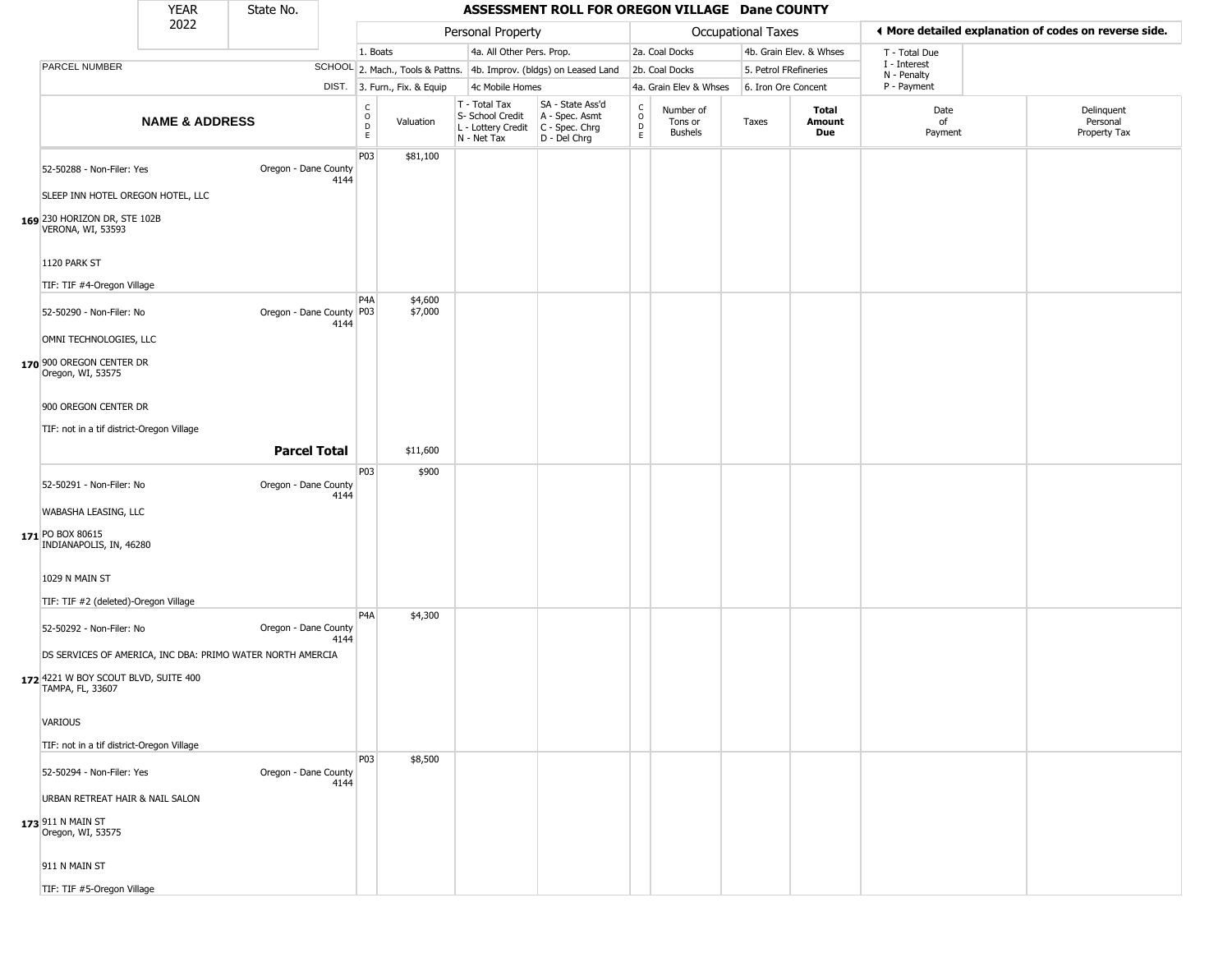|                                                            | <b>YEAR</b>               | State No.                |      |                              |                              |                                                                        | ASSESSMENT ROLL FOR OREGON VILLAGE Dane COUNTY                       |                                                 |                                        |       |                               |                             |                                                       |
|------------------------------------------------------------|---------------------------|--------------------------|------|------------------------------|------------------------------|------------------------------------------------------------------------|----------------------------------------------------------------------|-------------------------------------------------|----------------------------------------|-------|-------------------------------|-----------------------------|-------------------------------------------------------|
|                                                            | 2022                      |                          |      |                              |                              | Personal Property                                                      |                                                                      |                                                 | Occupational Taxes                     |       |                               |                             | ◀ More detailed explanation of codes on reverse side. |
|                                                            |                           |                          |      | 1. Boats                     |                              | 4a. All Other Pers. Prop.                                              |                                                                      |                                                 | 2a. Coal Docks                         |       | 4b. Grain Elev. & Whses       | T - Total Due               |                                                       |
| PARCEL NUMBER                                              |                           |                          |      |                              |                              |                                                                        | SCHOOL 2. Mach., Tools & Pattns. 4b. Improv. (bldgs) on Leased Land  |                                                 | 2b. Coal Docks                         |       | 5. Petrol FRefineries         | I - Interest<br>N - Penalty |                                                       |
|                                                            |                           |                          |      |                              | DIST. 3. Furn., Fix. & Equip | 4c Mobile Homes                                                        |                                                                      |                                                 | 4a. Grain Elev & Whses                 |       | 6. Iron Ore Concent           | P - Payment                 |                                                       |
|                                                            | <b>NAME &amp; ADDRESS</b> |                          |      | $_{\rm o}^{\rm c}$<br>D<br>E | Valuation                    | T - Total Tax<br>S- School Credit<br>L - Lottery Credit<br>N - Net Tax | SA - State Ass'd<br>A - Spec. Asmt<br>C - Spec. Chrg<br>D - Del Chrg | $\begin{array}{c} C \\ O \\ D \\ E \end{array}$ | Number of<br>Tons or<br><b>Bushels</b> | Taxes | <b>Total</b><br>Amount<br>Due | Date<br>of<br>Payment       | Delinquent<br>Personal<br>Property Tax                |
| 52-50288 - Non-Filer: Yes                                  |                           | Oregon - Dane County     | 4144 | P03                          | \$81,100                     |                                                                        |                                                                      |                                                 |                                        |       |                               |                             |                                                       |
| SLEEP INN HOTEL OREGON HOTEL, LLC                          |                           |                          |      |                              |                              |                                                                        |                                                                      |                                                 |                                        |       |                               |                             |                                                       |
| 169 230 HORIZON DR, STE 102B<br>VERONA, WI, 53593          |                           |                          |      |                              |                              |                                                                        |                                                                      |                                                 |                                        |       |                               |                             |                                                       |
| 1120 PARK ST                                               |                           |                          |      |                              |                              |                                                                        |                                                                      |                                                 |                                        |       |                               |                             |                                                       |
| TIF: TIF #4-Oregon Village                                 |                           |                          |      |                              |                              |                                                                        |                                                                      |                                                 |                                        |       |                               |                             |                                                       |
| 52-50290 - Non-Filer: No                                   |                           | Oregon - Dane County P03 | 4144 | P <sub>4</sub> A             | \$4,600<br>\$7,000           |                                                                        |                                                                      |                                                 |                                        |       |                               |                             |                                                       |
| OMNI TECHNOLOGIES, LLC                                     |                           |                          |      |                              |                              |                                                                        |                                                                      |                                                 |                                        |       |                               |                             |                                                       |
| 170 900 OREGON CENTER DR<br>Oregon, WI, 53575              |                           |                          |      |                              |                              |                                                                        |                                                                      |                                                 |                                        |       |                               |                             |                                                       |
| 900 OREGON CENTER DR                                       |                           |                          |      |                              |                              |                                                                        |                                                                      |                                                 |                                        |       |                               |                             |                                                       |
| TIF: not in a tif district-Oregon Village                  |                           |                          |      |                              |                              |                                                                        |                                                                      |                                                 |                                        |       |                               |                             |                                                       |
|                                                            |                           | <b>Parcel Total</b>      |      |                              | \$11,600                     |                                                                        |                                                                      |                                                 |                                        |       |                               |                             |                                                       |
|                                                            |                           |                          |      | P03                          | \$900                        |                                                                        |                                                                      |                                                 |                                        |       |                               |                             |                                                       |
| 52-50291 - Non-Filer: No                                   |                           | Oregon - Dane County     | 4144 |                              |                              |                                                                        |                                                                      |                                                 |                                        |       |                               |                             |                                                       |
| WABASHA LEASING, LLC                                       |                           |                          |      |                              |                              |                                                                        |                                                                      |                                                 |                                        |       |                               |                             |                                                       |
| 171 PO BOX 80615<br>INDIANAPOLIS, IN, 46280                |                           |                          |      |                              |                              |                                                                        |                                                                      |                                                 |                                        |       |                               |                             |                                                       |
| 1029 N MAIN ST                                             |                           |                          |      |                              |                              |                                                                        |                                                                      |                                                 |                                        |       |                               |                             |                                                       |
| TIF: TIF #2 (deleted)-Oregon Village                       |                           |                          |      |                              |                              |                                                                        |                                                                      |                                                 |                                        |       |                               |                             |                                                       |
| 52-50292 - Non-Filer: No                                   |                           | Oregon - Dane County     | 4144 | P <sub>4</sub> A             | \$4,300                      |                                                                        |                                                                      |                                                 |                                        |       |                               |                             |                                                       |
| DS SERVICES OF AMERICA, INC DBA: PRIMO WATER NORTH AMERCIA |                           |                          |      |                              |                              |                                                                        |                                                                      |                                                 |                                        |       |                               |                             |                                                       |
| 172 4221 W BOY SCOUT BLVD, SUITE 400<br>TAMPA, FL, 33607   |                           |                          |      |                              |                              |                                                                        |                                                                      |                                                 |                                        |       |                               |                             |                                                       |
| <b>VARIOUS</b>                                             |                           |                          |      |                              |                              |                                                                        |                                                                      |                                                 |                                        |       |                               |                             |                                                       |
| TIF: not in a tif district-Oregon Village                  |                           |                          |      |                              |                              |                                                                        |                                                                      |                                                 |                                        |       |                               |                             |                                                       |
| 52-50294 - Non-Filer: Yes                                  |                           | Oregon - Dane County     | 4144 | <b>P03</b>                   | \$8,500                      |                                                                        |                                                                      |                                                 |                                        |       |                               |                             |                                                       |
| URBAN RETREAT HAIR & NAIL SALON                            |                           |                          |      |                              |                              |                                                                        |                                                                      |                                                 |                                        |       |                               |                             |                                                       |
| 173 911 N MAIN ST<br>Oregon, WI, 53575                     |                           |                          |      |                              |                              |                                                                        |                                                                      |                                                 |                                        |       |                               |                             |                                                       |
| 911 N MAIN ST                                              |                           |                          |      |                              |                              |                                                                        |                                                                      |                                                 |                                        |       |                               |                             |                                                       |
| TIF: TIF #5-Oregon Village                                 |                           |                          |      |                              |                              |                                                                        |                                                                      |                                                 |                                        |       |                               |                             |                                                       |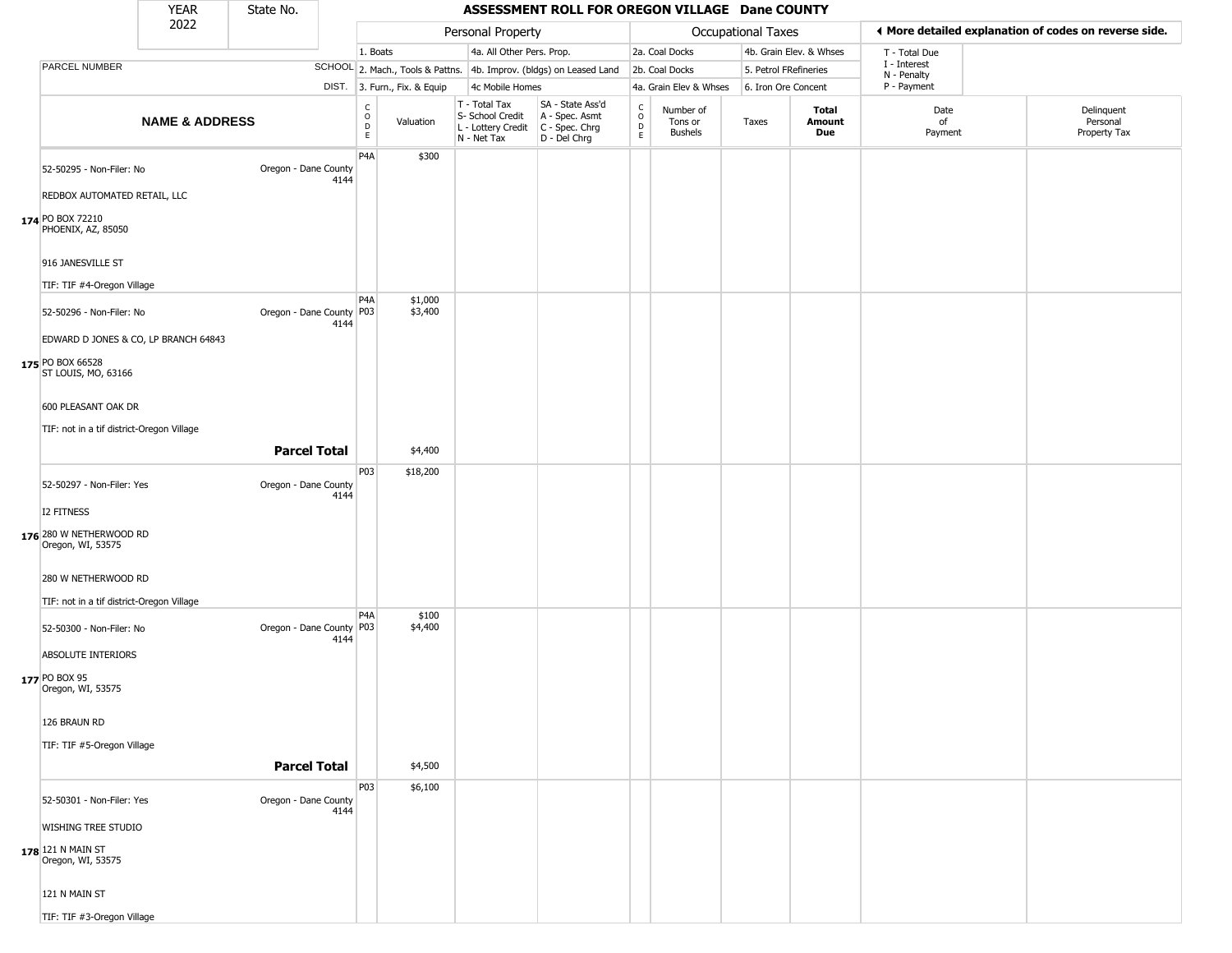|                                                                  | <b>YEAR</b>               | State No.                |      |                              |                              |                                                                        | ASSESSMENT ROLL FOR OREGON VILLAGE Dane COUNTY                       |                                   |                                        |                       |                         |                             |                                                       |
|------------------------------------------------------------------|---------------------------|--------------------------|------|------------------------------|------------------------------|------------------------------------------------------------------------|----------------------------------------------------------------------|-----------------------------------|----------------------------------------|-----------------------|-------------------------|-----------------------------|-------------------------------------------------------|
|                                                                  | 2022                      |                          |      |                              |                              | Personal Property                                                      |                                                                      |                                   |                                        | Occupational Taxes    |                         |                             | ◀ More detailed explanation of codes on reverse side. |
|                                                                  |                           |                          |      | 1. Boats                     |                              | 4a. All Other Pers. Prop.                                              |                                                                      |                                   | 2a. Coal Docks                         |                       | 4b. Grain Elev. & Whses | T - Total Due               |                                                       |
| PARCEL NUMBER                                                    |                           |                          |      |                              |                              |                                                                        | SCHOOL 2. Mach., Tools & Pattns. 4b. Improv. (bldgs) on Leased Land  |                                   | 2b. Coal Docks                         | 5. Petrol FRefineries |                         | I - Interest<br>N - Penalty |                                                       |
|                                                                  |                           |                          |      |                              | DIST. 3. Furn., Fix. & Equip | 4c Mobile Homes                                                        |                                                                      |                                   | 4a. Grain Elev & Whses                 | 6. Iron Ore Concent   |                         | P - Payment                 |                                                       |
|                                                                  | <b>NAME &amp; ADDRESS</b> |                          |      | $_{\rm o}^{\rm c}$<br>D<br>E | Valuation                    | T - Total Tax<br>S- School Credit<br>L - Lottery Credit<br>N - Net Tax | SA - State Ass'd<br>A - Spec. Asmt<br>C - Spec. Chrg<br>D - Del Chrg | $\mathsf{C}$<br>$\circ$<br>D<br>E | Number of<br>Tons or<br><b>Bushels</b> | Taxes                 | Total<br>Amount<br>Due  | Date<br>of<br>Payment       | Delinquent<br>Personal<br>Property Tax                |
| 52-50295 - Non-Filer: No<br>REDBOX AUTOMATED RETAIL, LLC         |                           | Oregon - Dane County     | 4144 | P <sub>4</sub> A             | \$300                        |                                                                        |                                                                      |                                   |                                        |                       |                         |                             |                                                       |
| 174 PO BOX 72210<br>PHOENIX, AZ, 85050                           |                           |                          |      |                              |                              |                                                                        |                                                                      |                                   |                                        |                       |                         |                             |                                                       |
| 916 JANESVILLE ST                                                |                           |                          |      |                              |                              |                                                                        |                                                                      |                                   |                                        |                       |                         |                             |                                                       |
| TIF: TIF #4-Oregon Village                                       |                           |                          |      |                              |                              |                                                                        |                                                                      |                                   |                                        |                       |                         |                             |                                                       |
| 52-50296 - Non-Filer: No                                         |                           | Oregon - Dane County P03 | 4144 | P <sub>4</sub> A             | \$1,000<br>\$3,400           |                                                                        |                                                                      |                                   |                                        |                       |                         |                             |                                                       |
| EDWARD D JONES & CO, LP BRANCH 64843                             |                           |                          |      |                              |                              |                                                                        |                                                                      |                                   |                                        |                       |                         |                             |                                                       |
| 175 PO BOX 66528<br>ST LOUIS, MO, 63166                          |                           |                          |      |                              |                              |                                                                        |                                                                      |                                   |                                        |                       |                         |                             |                                                       |
| 600 PLEASANT OAK DR                                              |                           |                          |      |                              |                              |                                                                        |                                                                      |                                   |                                        |                       |                         |                             |                                                       |
| TIF: not in a tif district-Oregon Village                        |                           |                          |      |                              |                              |                                                                        |                                                                      |                                   |                                        |                       |                         |                             |                                                       |
|                                                                  |                           | <b>Parcel Total</b>      |      |                              | \$4,400                      |                                                                        |                                                                      |                                   |                                        |                       |                         |                             |                                                       |
| 52-50297 - Non-Filer: Yes                                        |                           | Oregon - Dane County     |      | P03                          | \$18,200                     |                                                                        |                                                                      |                                   |                                        |                       |                         |                             |                                                       |
| I2 FITNESS                                                       |                           |                          | 4144 |                              |                              |                                                                        |                                                                      |                                   |                                        |                       |                         |                             |                                                       |
| 176 280 W NETHERWOOD RD<br>Oregon, WI, 53575                     |                           |                          |      |                              |                              |                                                                        |                                                                      |                                   |                                        |                       |                         |                             |                                                       |
| 280 W NETHERWOOD RD<br>TIF: not in a tif district-Oregon Village |                           |                          |      |                              |                              |                                                                        |                                                                      |                                   |                                        |                       |                         |                             |                                                       |
|                                                                  |                           |                          |      | P <sub>4</sub> A             | \$100                        |                                                                        |                                                                      |                                   |                                        |                       |                         |                             |                                                       |
| 52-50300 - Non-Filer: No                                         |                           | Oregon - Dane County P03 | 4144 |                              | \$4,400                      |                                                                        |                                                                      |                                   |                                        |                       |                         |                             |                                                       |
| ABSOLUTE INTERIORS<br>177 PO BOX 95                              |                           |                          |      |                              |                              |                                                                        |                                                                      |                                   |                                        |                       |                         |                             |                                                       |
| Oregon, WI, 53575                                                |                           |                          |      |                              |                              |                                                                        |                                                                      |                                   |                                        |                       |                         |                             |                                                       |
| 126 BRAUN RD                                                     |                           |                          |      |                              |                              |                                                                        |                                                                      |                                   |                                        |                       |                         |                             |                                                       |
| TIF: TIF #5-Oregon Village                                       |                           |                          |      |                              |                              |                                                                        |                                                                      |                                   |                                        |                       |                         |                             |                                                       |
|                                                                  |                           | <b>Parcel Total</b>      |      |                              | \$4,500                      |                                                                        |                                                                      |                                   |                                        |                       |                         |                             |                                                       |
| 52-50301 - Non-Filer: Yes                                        |                           | Oregon - Dane County     |      | P03                          | \$6,100                      |                                                                        |                                                                      |                                   |                                        |                       |                         |                             |                                                       |
| WISHING TREE STUDIO                                              |                           |                          | 4144 |                              |                              |                                                                        |                                                                      |                                   |                                        |                       |                         |                             |                                                       |
| 178 121 N MAIN ST<br>Oregon, WI, 53575                           |                           |                          |      |                              |                              |                                                                        |                                                                      |                                   |                                        |                       |                         |                             |                                                       |
| 121 N MAIN ST                                                    |                           |                          |      |                              |                              |                                                                        |                                                                      |                                   |                                        |                       |                         |                             |                                                       |
| TIF: TIF #3-Oregon Village                                       |                           |                          |      |                              |                              |                                                                        |                                                                      |                                   |                                        |                       |                         |                             |                                                       |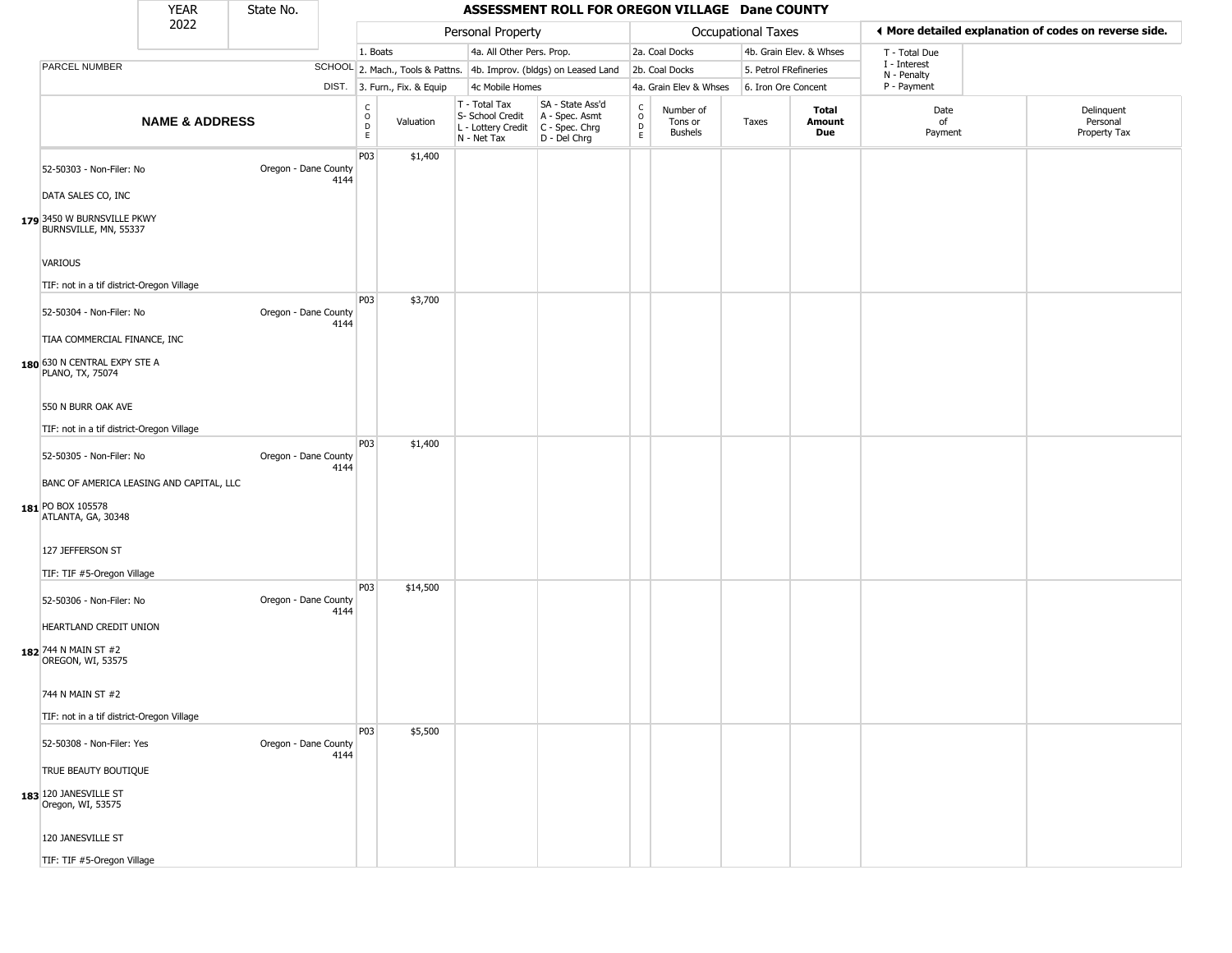|                                                                                  | <b>YEAR</b>               | State No.            |      |                                   | ASSESSMENT ROLL FOR OREGON VILLAGE Dane COUNTY |                                                                        |                                                                        |                         |                                        |                       |                         |                             |                                                       |  |
|----------------------------------------------------------------------------------|---------------------------|----------------------|------|-----------------------------------|------------------------------------------------|------------------------------------------------------------------------|------------------------------------------------------------------------|-------------------------|----------------------------------------|-----------------------|-------------------------|-----------------------------|-------------------------------------------------------|--|
|                                                                                  | 2022                      |                      |      |                                   |                                                | Personal Property                                                      |                                                                        |                         |                                        | Occupational Taxes    |                         |                             | ◀ More detailed explanation of codes on reverse side. |  |
|                                                                                  |                           |                      |      | 1. Boats                          |                                                | 4a. All Other Pers. Prop.                                              |                                                                        |                         | 2a. Coal Docks                         |                       | 4b. Grain Elev. & Whses | T - Total Due               |                                                       |  |
| PARCEL NUMBER                                                                    |                           |                      |      |                                   |                                                |                                                                        | SCHOOL 2. Mach., Tools & Pattns. 4b. Improv. (bldgs) on Leased Land    |                         | 2b. Coal Docks                         | 5. Petrol FRefineries |                         | I - Interest<br>N - Penalty |                                                       |  |
|                                                                                  |                           |                      |      |                                   | DIST. 3. Furn., Fix. & Equip                   | 4c Mobile Homes                                                        |                                                                        |                         | 4a. Grain Elev & Whses                 | 6. Iron Ore Concent   |                         | P - Payment                 |                                                       |  |
|                                                                                  | <b>NAME &amp; ADDRESS</b> |                      |      | $\frac{c}{0}$<br>$\mathsf D$<br>E | Valuation                                      | T - Total Tax<br>S- School Credit<br>L - Lottery Credit<br>N - Net Tax | SA - State Ass'd<br>A - Spec. Asmt<br>$C - Spec. Chrg$<br>D - Del Chrg | $\frac{C}{O}$<br>D<br>E | Number of<br>Tons or<br><b>Bushels</b> | Taxes                 | Total<br>Amount<br>Due  | Date<br>of<br>Payment       | Delinquent<br>Personal<br>Property Tax                |  |
| 52-50303 - Non-Filer: No<br>DATA SALES CO, INC                                   |                           | Oregon - Dane County | 4144 | P03                               | \$1,400                                        |                                                                        |                                                                        |                         |                                        |                       |                         |                             |                                                       |  |
| 179 3450 W BURNSVILLE PKWY<br>BURNSVILLE, MN, 55337<br>VARIOUS                   |                           |                      |      |                                   |                                                |                                                                        |                                                                        |                         |                                        |                       |                         |                             |                                                       |  |
|                                                                                  |                           |                      |      |                                   |                                                |                                                                        |                                                                        |                         |                                        |                       |                         |                             |                                                       |  |
| TIF: not in a tif district-Oregon Village                                        |                           |                      |      |                                   |                                                |                                                                        |                                                                        |                         |                                        |                       |                         |                             |                                                       |  |
| 52-50304 - Non-Filer: No                                                         |                           | Oregon - Dane County | 4144 | <b>P03</b>                        | \$3,700                                        |                                                                        |                                                                        |                         |                                        |                       |                         |                             |                                                       |  |
| TIAA COMMERCIAL FINANCE, INC<br>180 630 N CENTRAL EXPY STE A<br>PLANO, TX, 75074 |                           |                      |      |                                   |                                                |                                                                        |                                                                        |                         |                                        |                       |                         |                             |                                                       |  |
| 550 N BURR OAK AVE                                                               |                           |                      |      |                                   |                                                |                                                                        |                                                                        |                         |                                        |                       |                         |                             |                                                       |  |
| TIF: not in a tif district-Oregon Village                                        |                           |                      |      |                                   |                                                |                                                                        |                                                                        |                         |                                        |                       |                         |                             |                                                       |  |
| 52-50305 - Non-Filer: No                                                         |                           | Oregon - Dane County | 4144 | P03                               | \$1,400                                        |                                                                        |                                                                        |                         |                                        |                       |                         |                             |                                                       |  |
| BANC OF AMERICA LEASING AND CAPITAL, LLC                                         |                           |                      |      |                                   |                                                |                                                                        |                                                                        |                         |                                        |                       |                         |                             |                                                       |  |
| 181 PO BOX 105578<br>ATLANTA, GA, 30348                                          |                           |                      |      |                                   |                                                |                                                                        |                                                                        |                         |                                        |                       |                         |                             |                                                       |  |
| 127 JEFFERSON ST                                                                 |                           |                      |      |                                   |                                                |                                                                        |                                                                        |                         |                                        |                       |                         |                             |                                                       |  |
| TIF: TIF #5-Oregon Village                                                       |                           |                      |      |                                   |                                                |                                                                        |                                                                        |                         |                                        |                       |                         |                             |                                                       |  |
| 52-50306 - Non-Filer: No                                                         |                           | Oregon - Dane County | 4144 | P03                               | \$14,500                                       |                                                                        |                                                                        |                         |                                        |                       |                         |                             |                                                       |  |
| HEARTLAND CREDIT UNION                                                           |                           |                      |      |                                   |                                                |                                                                        |                                                                        |                         |                                        |                       |                         |                             |                                                       |  |
| 182 744 N MAIN ST #2<br>OREGON, WI, 53575                                        |                           |                      |      |                                   |                                                |                                                                        |                                                                        |                         |                                        |                       |                         |                             |                                                       |  |
| 744 N MAIN ST #2                                                                 |                           |                      |      |                                   |                                                |                                                                        |                                                                        |                         |                                        |                       |                         |                             |                                                       |  |
| TIF: not in a tif district-Oregon Village                                        |                           |                      |      |                                   |                                                |                                                                        |                                                                        |                         |                                        |                       |                         |                             |                                                       |  |
| 52-50308 - Non-Filer: Yes                                                        |                           | Oregon - Dane County | 4144 | P03                               | \$5,500                                        |                                                                        |                                                                        |                         |                                        |                       |                         |                             |                                                       |  |
| TRUE BEAUTY BOUTIQUE                                                             |                           |                      |      |                                   |                                                |                                                                        |                                                                        |                         |                                        |                       |                         |                             |                                                       |  |
| 183 120 JANESVILLE ST<br>Oregon, WI, 53575                                       |                           |                      |      |                                   |                                                |                                                                        |                                                                        |                         |                                        |                       |                         |                             |                                                       |  |
| 120 JANESVILLE ST                                                                |                           |                      |      |                                   |                                                |                                                                        |                                                                        |                         |                                        |                       |                         |                             |                                                       |  |
| TIF: TIF #5-Oregon Village                                                       |                           |                      |      |                                   |                                                |                                                                        |                                                                        |                         |                                        |                       |                         |                             |                                                       |  |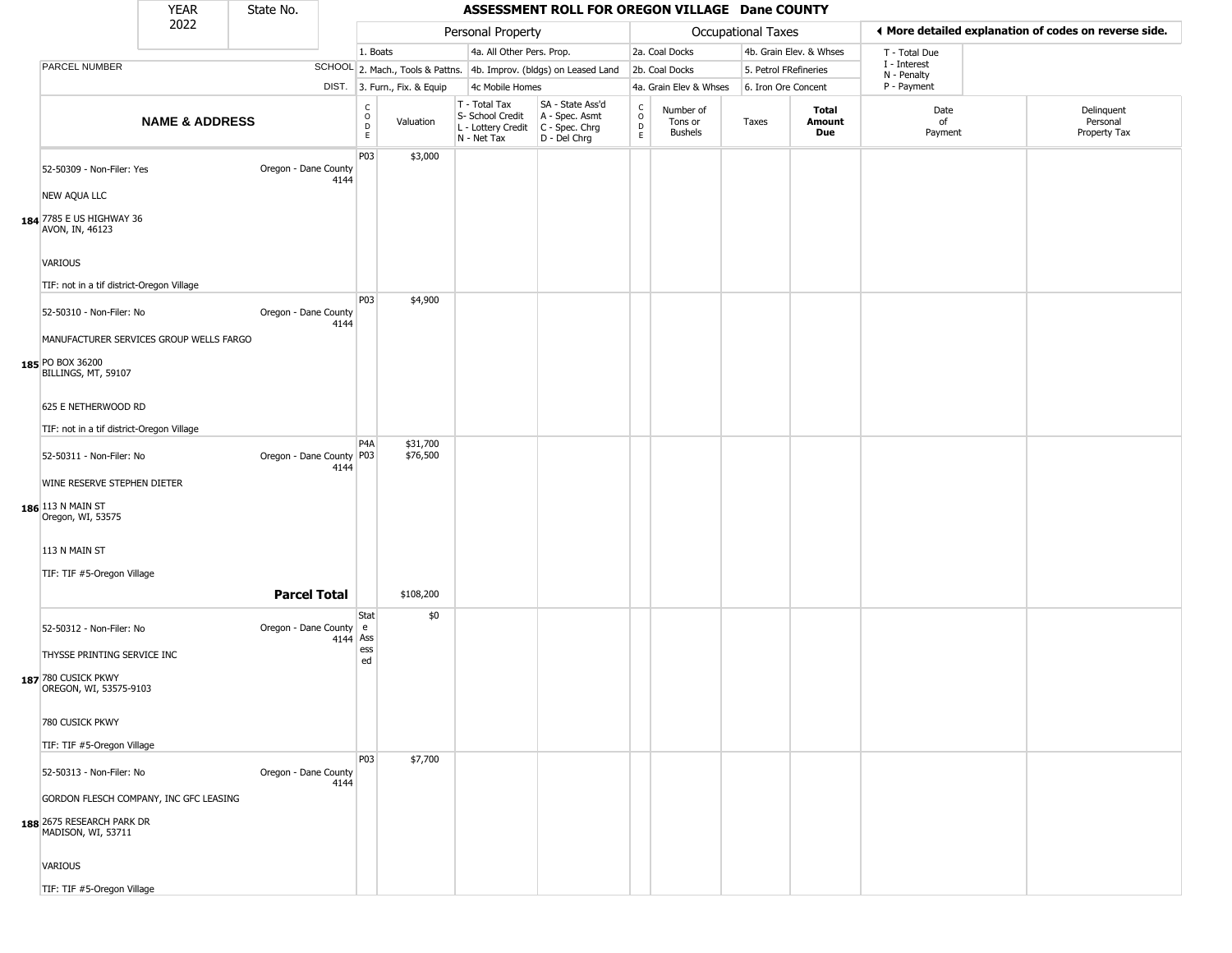|                                                                                           | <b>YEAR</b>               | State No.                |            |                                             |                              |                                                                        | ASSESSMENT ROLL FOR OREGON VILLAGE Dane COUNTY                         |                                   |                                        |                       |                         |                             |                                                       |
|-------------------------------------------------------------------------------------------|---------------------------|--------------------------|------------|---------------------------------------------|------------------------------|------------------------------------------------------------------------|------------------------------------------------------------------------|-----------------------------------|----------------------------------------|-----------------------|-------------------------|-----------------------------|-------------------------------------------------------|
|                                                                                           | 2022                      |                          |            |                                             |                              | Personal Property                                                      |                                                                        |                                   |                                        | Occupational Taxes    |                         |                             | ♦ More detailed explanation of codes on reverse side. |
|                                                                                           |                           |                          |            | 1. Boats                                    |                              | 4a. All Other Pers. Prop.                                              |                                                                        |                                   | 2a. Coal Docks                         |                       | 4b. Grain Elev. & Whses | T - Total Due               |                                                       |
| PARCEL NUMBER                                                                             |                           |                          |            |                                             |                              |                                                                        | SCHOOL 2. Mach., Tools & Pattns. 4b. Improv. (bldgs) on Leased Land    |                                   | 2b. Coal Docks                         | 5. Petrol FRefineries |                         | I - Interest<br>N - Penalty |                                                       |
|                                                                                           |                           |                          |            |                                             | DIST. 3. Furn., Fix. & Equip | 4c Mobile Homes                                                        |                                                                        |                                   | 4a. Grain Elev & Whses                 | 6. Iron Ore Concent   |                         | P - Payment                 |                                                       |
|                                                                                           | <b>NAME &amp; ADDRESS</b> |                          |            | $\frac{c}{0}$<br>$\mathsf D$<br>$\mathsf E$ | Valuation                    | T - Total Tax<br>S- School Credit<br>L - Lottery Credit<br>N - Net Tax | SA - State Ass'd<br>A - Spec. Asmt<br>$C - Spec. Chrg$<br>D - Del Chrg | C<br>$\circ$<br>$\mathsf{D}$<br>E | Number of<br>Tons or<br><b>Bushels</b> | Taxes                 | Total<br>Amount<br>Due  | Date<br>of<br>Payment       | Delinquent<br>Personal<br>Property Tax                |
| 52-50309 - Non-Filer: Yes                                                                 |                           | Oregon - Dane County     | 4144       | P03                                         | \$3,000                      |                                                                        |                                                                        |                                   |                                        |                       |                         |                             |                                                       |
| NEW AQUA LLC                                                                              |                           |                          |            |                                             |                              |                                                                        |                                                                        |                                   |                                        |                       |                         |                             |                                                       |
| 184 7785 E US HIGHWAY 36<br>AVON, IN, 46123                                               |                           |                          |            |                                             |                              |                                                                        |                                                                        |                                   |                                        |                       |                         |                             |                                                       |
| <b>VARIOUS</b>                                                                            |                           |                          |            |                                             |                              |                                                                        |                                                                        |                                   |                                        |                       |                         |                             |                                                       |
| TIF: not in a tif district-Oregon Village                                                 |                           |                          |            |                                             |                              |                                                                        |                                                                        |                                   |                                        |                       |                         |                             |                                                       |
| 52-50310 - Non-Filer: No                                                                  |                           | Oregon - Dane County     | 4144       | P03                                         | \$4,900                      |                                                                        |                                                                        |                                   |                                        |                       |                         |                             |                                                       |
| MANUFACTURER SERVICES GROUP WELLS FARGO<br>185 PO BOX 36200<br>BILLINGS, MT, 59107        |                           |                          |            |                                             |                              |                                                                        |                                                                        |                                   |                                        |                       |                         |                             |                                                       |
| 625 E NETHERWOOD RD                                                                       |                           |                          |            |                                             |                              |                                                                        |                                                                        |                                   |                                        |                       |                         |                             |                                                       |
| TIF: not in a tif district-Oregon Village                                                 |                           |                          |            |                                             |                              |                                                                        |                                                                        |                                   |                                        |                       |                         |                             |                                                       |
| 52-50311 - Non-Filer: No                                                                  |                           | Oregon - Dane County P03 | 4144       | P4A                                         | \$31,700<br>\$76,500         |                                                                        |                                                                        |                                   |                                        |                       |                         |                             |                                                       |
| WINE RESERVE STEPHEN DIETER<br>186 113 N MAIN ST<br>Oregon, WI, 53575                     |                           |                          |            |                                             |                              |                                                                        |                                                                        |                                   |                                        |                       |                         |                             |                                                       |
| 113 N MAIN ST                                                                             |                           |                          |            |                                             |                              |                                                                        |                                                                        |                                   |                                        |                       |                         |                             |                                                       |
| TIF: TIF #5-Oregon Village                                                                |                           | <b>Parcel Total</b>      |            |                                             | \$108,200                    |                                                                        |                                                                        |                                   |                                        |                       |                         |                             |                                                       |
|                                                                                           |                           |                          |            | Stat                                        | \$0                          |                                                                        |                                                                        |                                   |                                        |                       |                         |                             |                                                       |
| 52-50312 - Non-Filer: No                                                                  |                           | Oregon - Dane County e   | $4144$ Ass |                                             |                              |                                                                        |                                                                        |                                   |                                        |                       |                         |                             |                                                       |
| THYSSE PRINTING SERVICE INC<br>187 780 CUSICK PKWY<br>OREGON, WI, 53575-9103              |                           |                          |            | ess<br>ed                                   |                              |                                                                        |                                                                        |                                   |                                        |                       |                         |                             |                                                       |
| 780 CUSICK PKWY                                                                           |                           |                          |            |                                             |                              |                                                                        |                                                                        |                                   |                                        |                       |                         |                             |                                                       |
| TIF: TIF #5-Oregon Village                                                                |                           |                          |            |                                             |                              |                                                                        |                                                                        |                                   |                                        |                       |                         |                             |                                                       |
| 52-50313 - Non-Filer: No                                                                  |                           | Oregon - Dane County     | 4144       | P03                                         | \$7,700                      |                                                                        |                                                                        |                                   |                                        |                       |                         |                             |                                                       |
| GORDON FLESCH COMPANY, INC GFC LEASING<br>188 2675 RESEARCH PARK DR<br>MADISON, WI, 53711 |                           |                          |            |                                             |                              |                                                                        |                                                                        |                                   |                                        |                       |                         |                             |                                                       |
| VARIOUS                                                                                   |                           |                          |            |                                             |                              |                                                                        |                                                                        |                                   |                                        |                       |                         |                             |                                                       |
| TIF: TIF #5-Oregon Village                                                                |                           |                          |            |                                             |                              |                                                                        |                                                                        |                                   |                                        |                       |                         |                             |                                                       |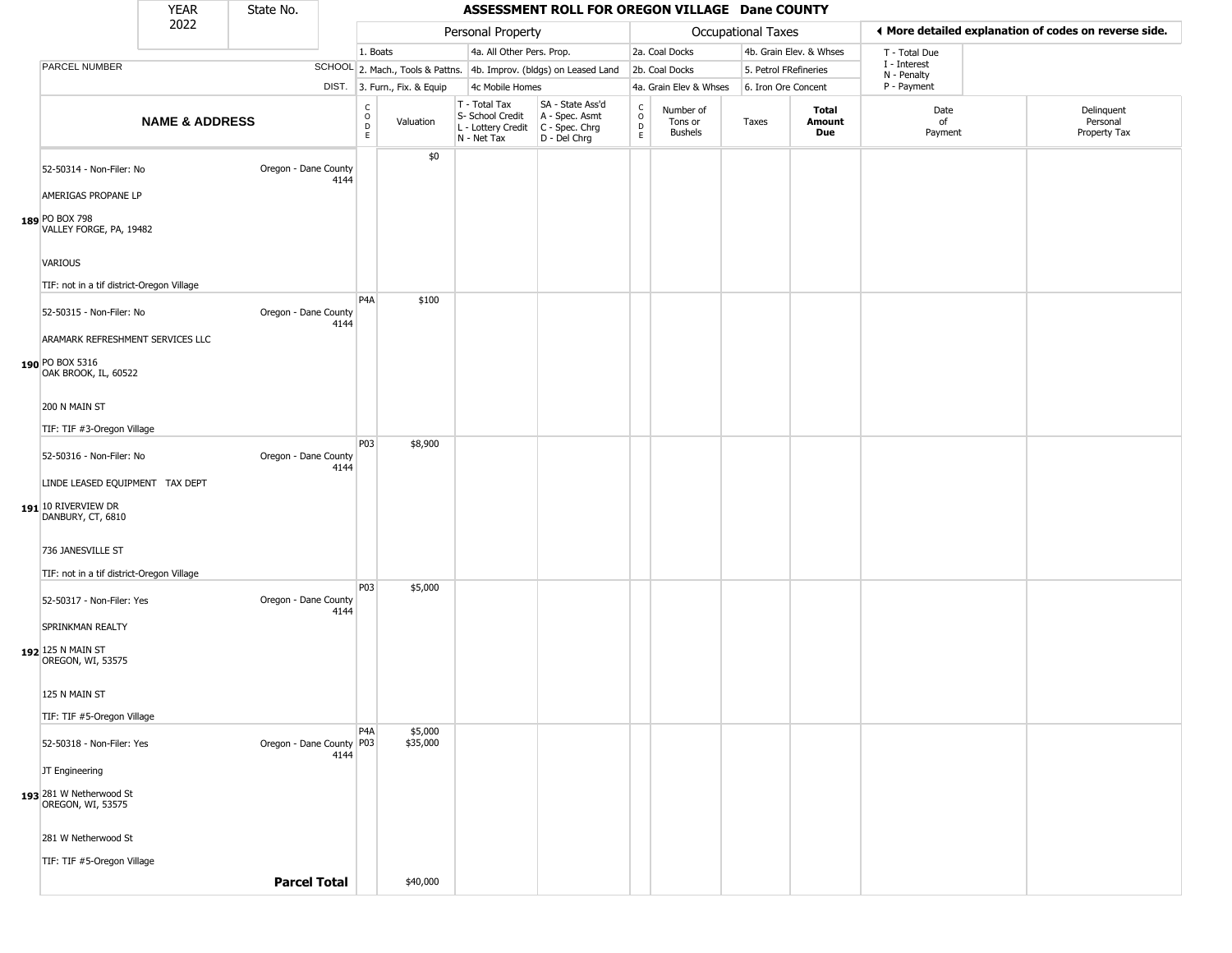|                                                                                                         | <b>YEAR</b>               | State No.                |      |                                          | ASSESSMENT ROLL FOR OREGON VILLAGE Dane COUNTY |                                                                        |                                                                      |                                   |                                        |                       |                         |                             |                                                       |
|---------------------------------------------------------------------------------------------------------|---------------------------|--------------------------|------|------------------------------------------|------------------------------------------------|------------------------------------------------------------------------|----------------------------------------------------------------------|-----------------------------------|----------------------------------------|-----------------------|-------------------------|-----------------------------|-------------------------------------------------------|
|                                                                                                         | 2022                      |                          |      |                                          |                                                | Personal Property                                                      |                                                                      |                                   |                                        | Occupational Taxes    |                         |                             | ◀ More detailed explanation of codes on reverse side. |
|                                                                                                         |                           |                          |      | 1. Boats                                 |                                                | 4a. All Other Pers. Prop.                                              |                                                                      |                                   | 2a. Coal Docks                         |                       | 4b. Grain Elev. & Whses | T - Total Due               |                                                       |
| PARCEL NUMBER                                                                                           |                           |                          |      |                                          |                                                |                                                                        | SCHOOL 2. Mach., Tools & Pattns. 4b. Improv. (bldgs) on Leased Land  |                                   | 2b. Coal Docks                         | 5. Petrol FRefineries |                         | I - Interest<br>N - Penalty |                                                       |
|                                                                                                         |                           |                          |      |                                          | DIST. 3. Furn., Fix. & Equip                   | 4c Mobile Homes                                                        |                                                                      |                                   | 4a. Grain Elev & Whses                 | 6. Iron Ore Concent   |                         | P - Payment                 |                                                       |
|                                                                                                         | <b>NAME &amp; ADDRESS</b> |                          |      | $\rm _o^C$<br>$\mathsf D$<br>$\mathsf E$ | Valuation                                      | T - Total Tax<br>S- School Credit<br>L - Lottery Credit<br>N - Net Tax | SA - State Ass'd<br>A - Spec. Asmt<br>C - Spec. Chrg<br>D - Del Chrg | $\rm_{o}^{c}$<br>$\mathsf D$<br>E | Number of<br>Tons or<br><b>Bushels</b> | Taxes                 | Total<br>Amount<br>Due  | Date<br>of<br>Payment       | Delinquent<br>Personal<br>Property Tax                |
| 52-50314 - Non-Filer: No                                                                                |                           | Oregon - Dane County     | 4144 |                                          | \$0                                            |                                                                        |                                                                      |                                   |                                        |                       |                         |                             |                                                       |
| AMERIGAS PROPANE LP<br>189 PO BOX 798<br>VALLEY FORGE, PA, 19482                                        |                           |                          |      |                                          |                                                |                                                                        |                                                                      |                                   |                                        |                       |                         |                             |                                                       |
| VARIOUS                                                                                                 |                           |                          |      |                                          |                                                |                                                                        |                                                                      |                                   |                                        |                       |                         |                             |                                                       |
| TIF: not in a tif district-Oregon Village<br>52-50315 - Non-Filer: No                                   |                           | Oregon - Dane County     | 4144 | P <sub>4</sub> A                         | \$100                                          |                                                                        |                                                                      |                                   |                                        |                       |                         |                             |                                                       |
| ARAMARK REFRESHMENT SERVICES LLC<br>190 PO BOX 5316<br>OAK BROOK, IL, 60522                             |                           |                          |      |                                          |                                                |                                                                        |                                                                      |                                   |                                        |                       |                         |                             |                                                       |
| 200 N MAIN ST<br>TIF: TIF #3-Oregon Village                                                             |                           |                          |      |                                          |                                                |                                                                        |                                                                      |                                   |                                        |                       |                         |                             |                                                       |
| 52-50316 - Non-Filer: No<br>LINDE LEASED EQUIPMENT TAX DEPT<br>191 10 RIVERVIEW DR<br>DANBURY, CT, 6810 |                           | Oregon - Dane County     | 4144 | P03                                      | \$8,900                                        |                                                                        |                                                                      |                                   |                                        |                       |                         |                             |                                                       |
| 736 JANESVILLE ST<br>TIF: not in a tif district-Oregon Village                                          |                           |                          |      |                                          |                                                |                                                                        |                                                                      |                                   |                                        |                       |                         |                             |                                                       |
| 52-50317 - Non-Filer: Yes<br>SPRINKMAN REALTY<br>192 125 N MAIN ST<br>OREGON, WI, 53575                 |                           | Oregon - Dane County     | 4144 | P03                                      | \$5,000                                        |                                                                        |                                                                      |                                   |                                        |                       |                         |                             |                                                       |
| 125 N MAIN ST<br>TIF: TIF #5-Oregon Village                                                             |                           |                          |      |                                          |                                                |                                                                        |                                                                      |                                   |                                        |                       |                         |                             |                                                       |
| 52-50318 - Non-Filer: Yes<br>JT Engineering                                                             |                           | Oregon - Dane County P03 | 4144 | P <sub>4</sub> A                         | \$5,000<br>\$35,000                            |                                                                        |                                                                      |                                   |                                        |                       |                         |                             |                                                       |
| 193 281 W Netherwood St<br>OREGON, WI, 53575                                                            |                           |                          |      |                                          |                                                |                                                                        |                                                                      |                                   |                                        |                       |                         |                             |                                                       |
| 281 W Netherwood St                                                                                     |                           |                          |      |                                          |                                                |                                                                        |                                                                      |                                   |                                        |                       |                         |                             |                                                       |
| TIF: TIF #5-Oregon Village                                                                              |                           | <b>Parcel Total</b>      |      |                                          | \$40,000                                       |                                                                        |                                                                      |                                   |                                        |                       |                         |                             |                                                       |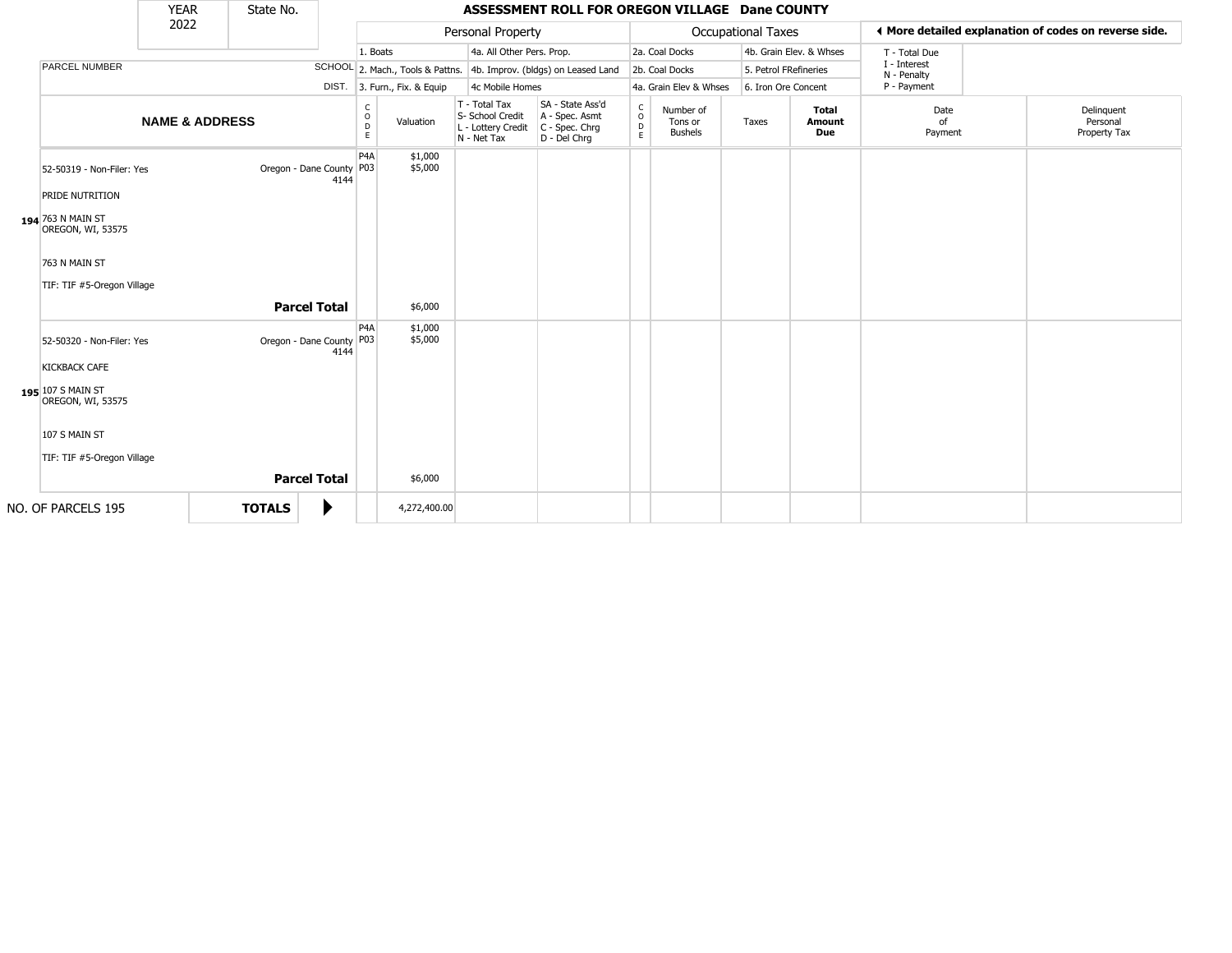|                                                                                             | <b>YEAR</b>               | State No.     |                            |      |                                        |                                                                        | ASSESSMENT ROLL FOR OREGON VILLAGE Dane COUNTY                         |                                             |                                        |                           |                                      |                             |                                                       |
|---------------------------------------------------------------------------------------------|---------------------------|---------------|----------------------------|------|----------------------------------------|------------------------------------------------------------------------|------------------------------------------------------------------------|---------------------------------------------|----------------------------------------|---------------------------|--------------------------------------|-----------------------------|-------------------------------------------------------|
|                                                                                             | 2022                      |               |                            |      |                                        | Personal Property                                                      |                                                                        |                                             |                                        | <b>Occupational Taxes</b> |                                      |                             | ♦ More detailed explanation of codes on reverse side. |
|                                                                                             |                           |               |                            |      | 1. Boats                               | 4a. All Other Pers. Prop.                                              |                                                                        |                                             | 2a. Coal Docks                         |                           | 4b. Grain Elev. & Whses              | T - Total Due               |                                                       |
| <b>PARCEL NUMBER</b>                                                                        |                           |               |                            |      |                                        |                                                                        | SCHOOL 2. Mach., Tools & Pattns. 4b. Improv. (bldgs) on Leased Land    |                                             | 2b. Coal Docks                         | 5. Petrol FRefineries     |                                      | I - Interest<br>N - Penalty |                                                       |
|                                                                                             |                           |               |                            |      | DIST. 3. Furn., Fix. & Equip           | 4c Mobile Homes                                                        |                                                                        |                                             | 4a. Grain Elev & Whses                 | 6. Iron Ore Concent       |                                      | P - Payment                 |                                                       |
|                                                                                             | <b>NAME &amp; ADDRESS</b> |               |                            |      | C<br>$\circ$<br>Valuation<br>D<br>E    | T - Total Tax<br>S- School Credit<br>L - Lottery Credit<br>N - Net Tax | SA - State Ass'd<br>A - Spec. Asmt<br>$C - Spec. Chrg$<br>D - Del Chrq | $\mathsf{C}$<br>$\circ$<br>$\mathsf D$<br>E | Number of<br>Tons or<br><b>Bushels</b> | Taxes                     | <b>Total</b><br>Amount<br><b>Due</b> | Date<br>of<br>Payment       | Delinguent<br>Personal<br>Property Tax                |
| 52-50319 - Non-Filer: Yes<br>PRIDE NUTRITION<br>194 763 N MAIN ST<br>OREGON, WI, 53575      |                           |               | Oregon - Dane County   P03 | 4144 | P <sub>4</sub> A<br>\$1,000<br>\$5,000 |                                                                        |                                                                        |                                             |                                        |                           |                                      |                             |                                                       |
| 763 N MAIN ST<br>TIF: TIF #5-Oregon Village                                                 |                           |               |                            |      |                                        |                                                                        |                                                                        |                                             |                                        |                           |                                      |                             |                                                       |
|                                                                                             |                           |               | <b>Parcel Total</b>        |      | \$6,000                                |                                                                        |                                                                        |                                             |                                        |                           |                                      |                             |                                                       |
| 52-50320 - Non-Filer: Yes<br><b>KICKBACK CAFE</b><br>195 107 S MAIN ST<br>OREGON, WI, 53575 |                           |               | Oregon - Dane County   P03 | 4144 | P <sub>4</sub> A<br>\$1,000<br>\$5,000 |                                                                        |                                                                        |                                             |                                        |                           |                                      |                             |                                                       |
| 107 S MAIN ST                                                                               |                           |               |                            |      |                                        |                                                                        |                                                                        |                                             |                                        |                           |                                      |                             |                                                       |
| TIF: TIF #5-Oregon Village                                                                  |                           |               |                            |      |                                        |                                                                        |                                                                        |                                             |                                        |                           |                                      |                             |                                                       |
|                                                                                             |                           |               | <b>Parcel Total</b>        |      | \$6,000                                |                                                                        |                                                                        |                                             |                                        |                           |                                      |                             |                                                       |
| NO. OF PARCELS 195                                                                          |                           | <b>TOTALS</b> |                            |      | 4,272,400.00                           |                                                                        |                                                                        |                                             |                                        |                           |                                      |                             |                                                       |